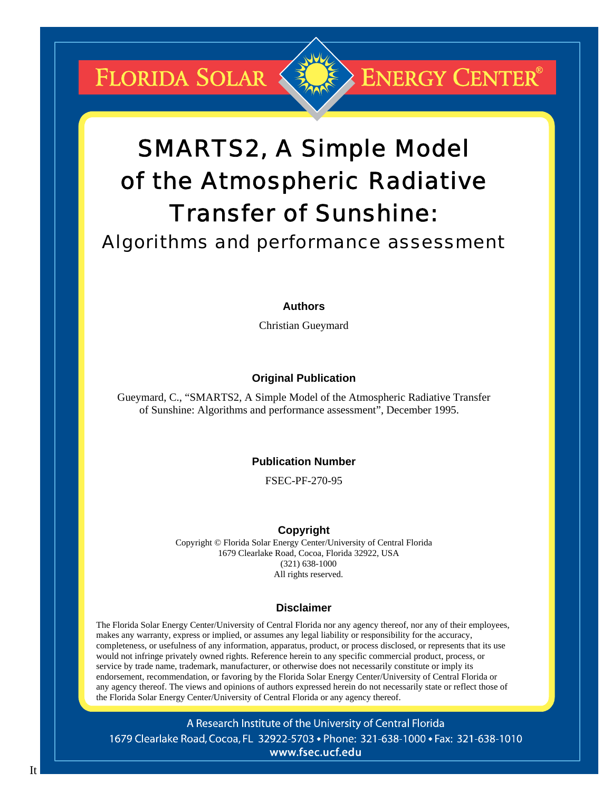FLORIDA SOLAR



# **ENERGY CENTER®**

# SMARTS2, A Simple Model of the Atmospheric Radiative Transfer of Sunshine:

## Algorithms and performance assessment

#### **Authors**

Christian Gueymard

## **Original Publication**

Gueymard, C., "SMARTS2, A Simple Model of the Atmospheric Radiative Transfer of Sunshine: Algorithms and performance assessment", December 1995.

#### **Publication Number**

FSEC-PF-270-95

#### **Copyright**

Copyright © Florida Solar Energy Center/University of Central Florida 1679 Clearlake Road, Cocoa, Florida 32922, USA (321) 638-1000 All rights reserved.

#### **Disclaimer**

The Florida Solar Energy Center/University of Central Florida nor any agency thereof, nor any of their employees, makes any warranty, express or implied, or assumes any legal liability or responsibility for the accuracy, completeness, or usefulness of any information, apparatus, product, or process disclosed, or represents that its use would not infringe privately owned rights. Reference herein to any specific commercial product, process, or service by trade name, trademark, manufacturer, or otherwise does not necessarily constitute or imply its endorsement, recommendation, or favoring by the Florida Solar Energy Center/University of Central Florida or any agency thereof. The views and opinions of authors expressed herein do not necessarily state or reflect those of the Florida Solar Energy Center/University of Central Florida or any agency thereof.

A Research Institute of the University of Central Florida 1679 Clearlake Road, Cocoa, FL 32922-5703 • Phone: 321-638-1000 • Fax: 321-638-1010 www.fsec.ucf.edu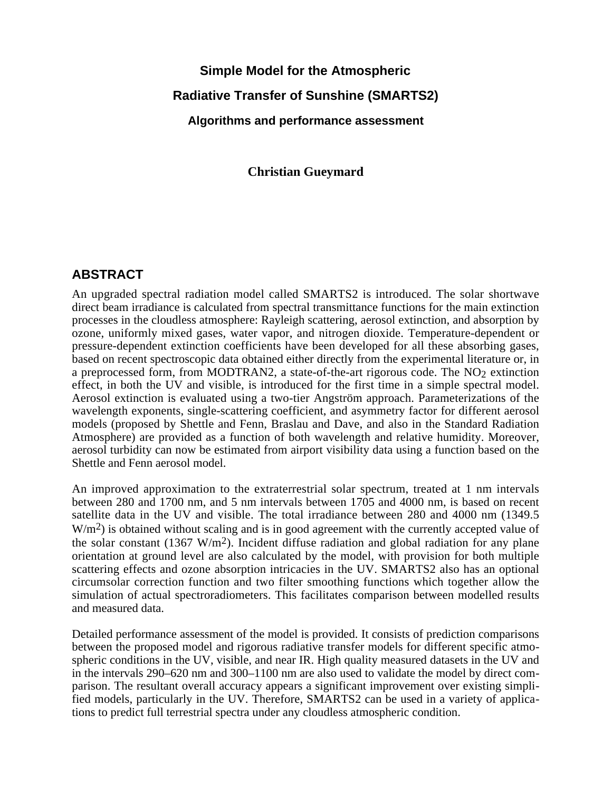## **Simple Model for the Atmospheric Radiative Transfer of Sunshine (SMARTS2) Algorithms and performance assessment**

**Christian Gueymard**

## **ABSTRACT**

An upgraded spectral radiation model called SMARTS2 is introduced. The solar shortwave direct beam irradiance is calculated from spectral transmittance functions for the main extinction processes in the cloudless atmosphere: Rayleigh scattering, aerosol extinction, and absorption by ozone, uniformly mixed gases, water vapor, and nitrogen dioxide. Temperature-dependent or pressure-dependent extinction coefficients have been developed for all these absorbing gases, based on recent spectroscopic data obtained either directly from the experimental literature or, in a preprocessed form, from MODTRAN2, a state-of-the-art rigorous code. The NO<sub>2</sub> extinction effect, in both the UV and visible, is introduced for the first time in a simple spectral model. Aerosol extinction is evaluated using a two-tier Angström approach. Parameterizations of the wavelength exponents, single-scattering coefficient, and asymmetry factor for different aerosol models (proposed by Shettle and Fenn, Braslau and Dave, and also in the Standard Radiation Atmosphere) are provided as a function of both wavelength and relative humidity. Moreover, aerosol turbidity can now be estimated from airport visibility data using a function based on the Shettle and Fenn aerosol model.

An improved approximation to the extraterrestrial solar spectrum, treated at 1 nm intervals between 280 and 1700 nm, and 5 nm intervals between 1705 and 4000 nm, is based on recent satellite data in the UV and visible. The total irradiance between 280 and 4000 nm (1349.5  $W/m<sup>2</sup>$ ) is obtained without scaling and is in good agreement with the currently accepted value of the solar constant (1367 W/m<sup>2</sup>). Incident diffuse radiation and global radiation for any plane orientation at ground level are also calculated by the model, with provision for both multiple scattering effects and ozone absorption intricacies in the UV. SMARTS2 also has an optional circumsolar correction function and two filter smoothing functions which together allow the simulation of actual spectroradiometers. This facilitates comparison between modelled results and measured data.

Detailed performance assessment of the model is provided. It consists of prediction comparisons between the proposed model and rigorous radiative transfer models for different specific atmospheric conditions in the UV, visible, and near IR. High quality measured datasets in the UV and in the intervals 290–620 nm and 300–1100 nm are also used to validate the model by direct comparison. The resultant overall accuracy appears a significant improvement over existing simplified models, particularly in the UV. Therefore, SMARTS2 can be used in a variety of applications to predict full terrestrial spectra under any cloudless atmospheric condition.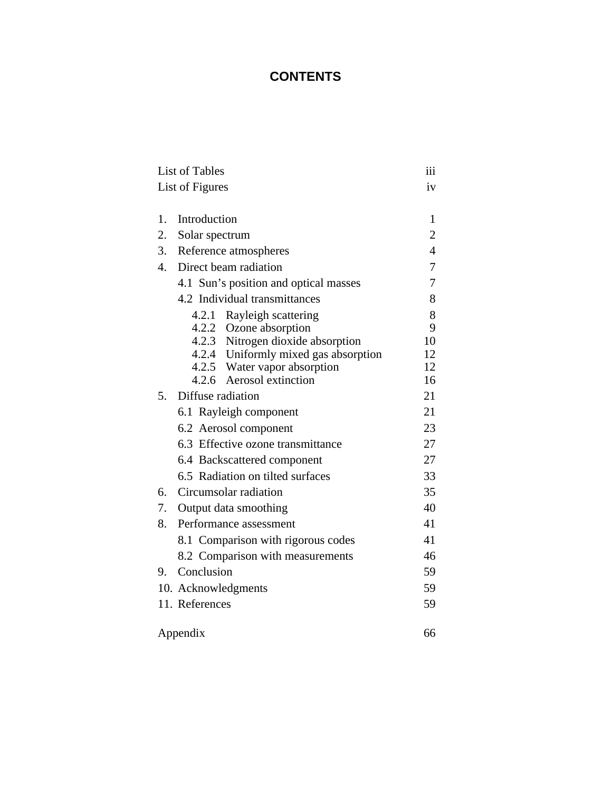## **CONTENTS**

| <b>List of Tables</b> |                                       |                |  |  |  |  |  |  |
|-----------------------|---------------------------------------|----------------|--|--|--|--|--|--|
|                       | List of Figures                       | iv             |  |  |  |  |  |  |
|                       |                                       |                |  |  |  |  |  |  |
| 1.                    | Introduction                          |                |  |  |  |  |  |  |
| 2.                    | Solar spectrum                        | 2              |  |  |  |  |  |  |
| 3.                    | Reference atmospheres                 | $\overline{4}$ |  |  |  |  |  |  |
| $\overline{4}$ .      | Direct beam radiation                 | 7              |  |  |  |  |  |  |
|                       | 4.1 Sun's position and optical masses | 7              |  |  |  |  |  |  |
|                       | 4.2 Individual transmittances         | 8              |  |  |  |  |  |  |
|                       | 4.2.1 Rayleigh scattering             | 8              |  |  |  |  |  |  |
|                       | 4.2.2 Ozone absorption                | 9              |  |  |  |  |  |  |
|                       | 4.2.3 Nitrogen dioxide absorption     | 10             |  |  |  |  |  |  |
|                       | 4.2.4 Uniformly mixed gas absorption  | 12             |  |  |  |  |  |  |
|                       | 4.2.5 Water vapor absorption          | 12             |  |  |  |  |  |  |
|                       | 4.2.6 Aerosol extinction              | 16             |  |  |  |  |  |  |
| 5.                    | Diffuse radiation                     | 21             |  |  |  |  |  |  |
|                       | 6.1 Rayleigh component                | 21             |  |  |  |  |  |  |
|                       | 6.2 Aerosol component                 | 23             |  |  |  |  |  |  |
|                       | 6.3 Effective ozone transmittance     | 27             |  |  |  |  |  |  |
|                       | 6.4 Backscattered component           | 27             |  |  |  |  |  |  |
|                       | 6.5 Radiation on tilted surfaces      | 33             |  |  |  |  |  |  |
| 6.                    | Circumsolar radiation                 | 35             |  |  |  |  |  |  |
| 7.                    | Output data smoothing                 | 40             |  |  |  |  |  |  |
| 8.                    | Performance assessment                | 41             |  |  |  |  |  |  |
|                       | 8.1 Comparison with rigorous codes    | 41             |  |  |  |  |  |  |
|                       | 8.2 Comparison with measurements      | 46             |  |  |  |  |  |  |
| 9.                    | Conclusion                            | 59             |  |  |  |  |  |  |
|                       | 10. Acknowledgments                   | 59             |  |  |  |  |  |  |
|                       | 11. References                        | 59             |  |  |  |  |  |  |
|                       |                                       |                |  |  |  |  |  |  |
|                       | Appendix                              | 66             |  |  |  |  |  |  |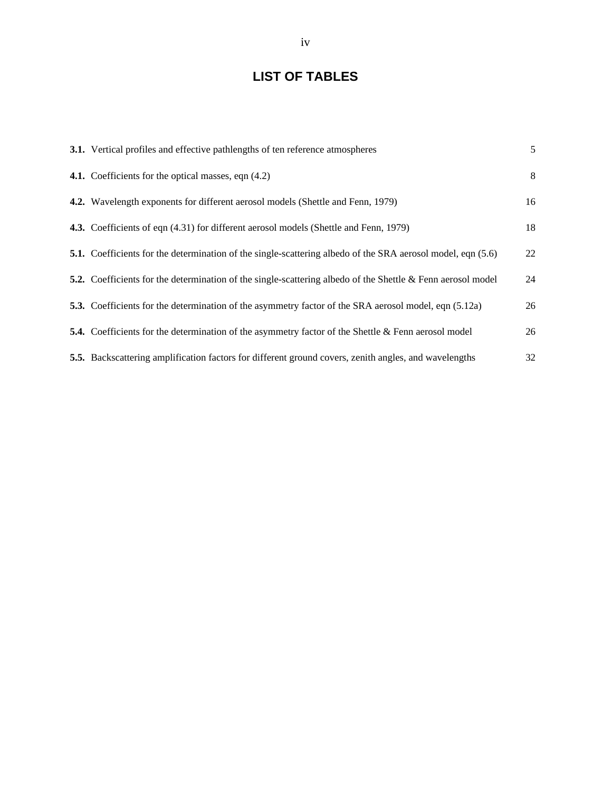## **LIST OF TABLES**

| 3.1. Vertical profiles and effective pathlengths of ten reference atmospheres                                         | 5  |
|-----------------------------------------------------------------------------------------------------------------------|----|
| 4.1. Coefficients for the optical masses, eqn (4.2)                                                                   | 8  |
| 4.2. Wavelength exponents for different aerosol models (Shettle and Fenn, 1979)                                       | 16 |
| 4.3. Coefficients of eqn (4.31) for different aerosol models (Shettle and Fenn, 1979)                                 | 18 |
| <b>5.1.</b> Coefficients for the determination of the single-scattering albedo of the SRA aerosol model, eqn (5.6)    | 22 |
| <b>5.2.</b> Coefficients for the determination of the single-scattering albedo of the Shettle $\&$ Fenn aerosol model | 24 |
| 5.3. Coefficients for the determination of the asymmetry factor of the SRA aerosol model, eqn (5.12a)                 | 26 |
| <b>5.4.</b> Coefficients for the determination of the asymmetry factor of the Shettle & Fenn aerosol model            | 26 |
| 5.5. Backscattering amplification factors for different ground covers, zenith angles, and wavelengths                 | 32 |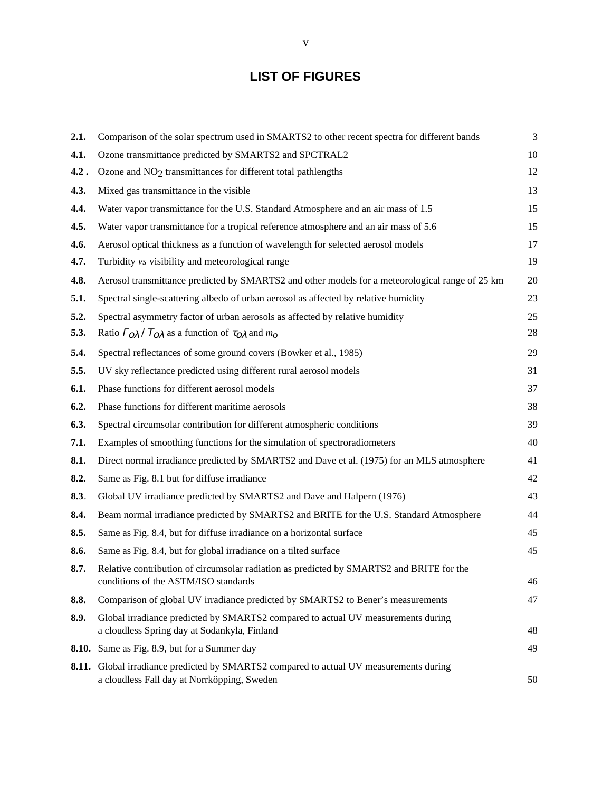## **LIST OF FIGURES**

| 2.1.  | Comparison of the solar spectrum used in SMARTS2 to other recent spectra for different bands                                     | 3  |
|-------|----------------------------------------------------------------------------------------------------------------------------------|----|
| 4.1.  | Ozone transmittance predicted by SMARTS2 and SPCTRAL2                                                                            | 10 |
| 4.2.  | Ozone and NO <sub>2</sub> transmittances for different total pathlengths                                                         | 12 |
| 4.3.  | Mixed gas transmittance in the visible                                                                                           | 13 |
| 4.4.  | Water vapor transmittance for the U.S. Standard Atmosphere and an air mass of 1.5                                                | 15 |
| 4.5.  | Water vapor transmittance for a tropical reference atmosphere and an air mass of 5.6                                             | 15 |
| 4.6.  | Aerosol optical thickness as a function of wavelength for selected aerosol models                                                | 17 |
| 4.7.  | Turbidity vs visibility and meteorological range                                                                                 | 19 |
| 4.8.  | Aerosol transmittance predicted by SMARTS2 and other models for a meteorological range of 25 km                                  | 20 |
| 5.1.  | Spectral single-scattering albedo of urban aerosol as affected by relative humidity                                              | 23 |
| 5.2.  | Spectral asymmetry factor of urban aerosols as affected by relative humidity                                                     | 25 |
| 5.3.  | Ratio $\Gamma_0 \lambda / T_0 \lambda$ as a function of $\tau_0 \lambda$ and $m_0$                                               | 28 |
| 5.4.  | Spectral reflectances of some ground covers (Bowker et al., 1985)                                                                | 29 |
| 5.5.  | UV sky reflectance predicted using different rural aerosol models                                                                | 31 |
| 6.1.  | Phase functions for different aerosol models                                                                                     | 37 |
| 6.2.  | Phase functions for different maritime aerosols                                                                                  | 38 |
| 6.3.  | Spectral circumsolar contribution for different atmospheric conditions                                                           | 39 |
| 7.1.  | Examples of smoothing functions for the simulation of spectroradiometers                                                         | 40 |
| 8.1.  | Direct normal irradiance predicted by SMARTS2 and Dave et al. (1975) for an MLS atmosphere                                       | 41 |
| 8.2.  | Same as Fig. 8.1 but for diffuse irradiance                                                                                      | 42 |
| 8.3.  | Global UV irradiance predicted by SMARTS2 and Dave and Halpern (1976)                                                            | 43 |
| 8.4.  | Beam normal irradiance predicted by SMARTS2 and BRITE for the U.S. Standard Atmosphere                                           | 44 |
| 8.5.  | Same as Fig. 8.4, but for diffuse irradiance on a horizontal surface                                                             | 45 |
| 8.6.  | Same as Fig. 8.4, but for global irradiance on a tilted surface                                                                  | 45 |
| 8.7.  | Relative contribution of circumsolar radiation as predicted by SMARTS2 and BRITE for the<br>conditions of the ASTM/ISO standards | 46 |
| 8.8.  | Comparison of global UV irradiance predicted by SMARTS2 to Bener's measurements                                                  | 47 |
| 8.9.  | Global irradiance predicted by SMARTS2 compared to actual UV measurements during<br>a cloudless Spring day at Sodankyla, Finland | 48 |
| 8.10. | Same as Fig. 8.9, but for a Summer day                                                                                           | 49 |
| 8.11. | Global irradiance predicted by SMARTS2 compared to actual UV measurements during<br>a cloudless Fall day at Norrköpping, Sweden  | 50 |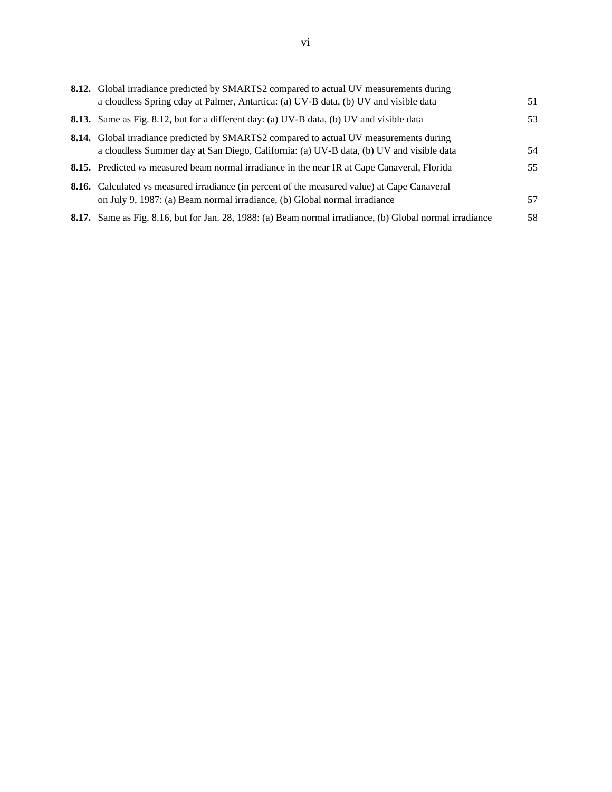| 8.12. Global irradiance predicted by SMARTS2 compared to actual UV measurements during                                                                                                   |    |
|------------------------------------------------------------------------------------------------------------------------------------------------------------------------------------------|----|
| a cloudless Spring cday at Palmer, Antartica: (a) UV-B data, (b) UV and visible data                                                                                                     | 51 |
| <b>8.13.</b> Same as Fig. 8.12, but for a different day: (a) UV-B data, (b) UV and visible data                                                                                          | 53 |
| <b>8.14.</b> Global irradiance predicted by SMARTS2 compared to actual UV measurements during<br>a cloudless Summer day at San Diego, California: (a) UV-B data, (b) UV and visible data | 54 |
| <b>8.15.</b> Predicted vs measured beam normal irradiance in the near IR at Cape Canaveral, Florida                                                                                      | 55 |
| <b>8.16.</b> Calculated vs measured irradiance (in percent of the measured value) at Cape Canaveral<br>on July 9, 1987: (a) Beam normal irradiance, (b) Global normal irradiance         | 57 |
| 8.17. Same as Fig. 8.16, but for Jan. 28, 1988: (a) Beam normal irradiance, (b) Global normal irradiance                                                                                 | 58 |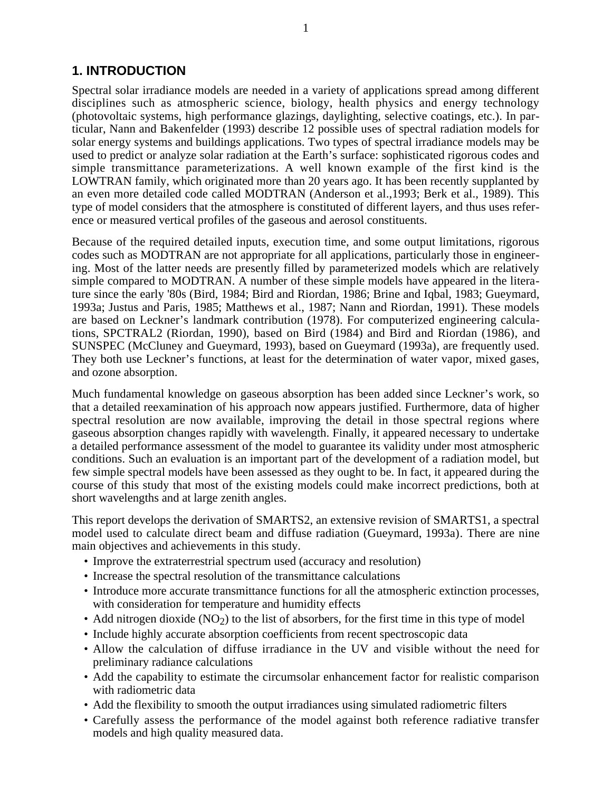## **1. INTRODUCTION**

Spectral solar irradiance models are needed in a variety of applications spread among different disciplines such as atmospheric science, biology, health physics and energy technology (photovoltaic systems, high performance glazings, daylighting, selective coatings, etc.). In particular, Nann and Bakenfelder (1993) describe 12 possible uses of spectral radiation models for solar energy systems and buildings applications. Two types of spectral irradiance models may be used to predict or analyze solar radiation at the Earth's surface: sophisticated rigorous codes and simple transmittance parameterizations. A well known example of the first kind is the LOWTRAN family, which originated more than 20 years ago. It has been recently supplanted by an even more detailed code called MODTRAN (Anderson et al.,1993; Berk et al., 1989). This type of model considers that the atmosphere is constituted of different layers, and thus uses reference or measured vertical profiles of the gaseous and aerosol constituents.

Because of the required detailed inputs, execution time, and some output limitations, rigorous codes such as MODTRAN are not appropriate for all applications, particularly those in engineering. Most of the latter needs are presently filled by parameterized models which are relatively simple compared to MODTRAN. A number of these simple models have appeared in the literature since the early '80s (Bird, 1984; Bird and Riordan, 1986; Brine and Iqbal, 1983; Gueymard, 1993a; Justus and Paris, 1985; Matthews et al., 1987; Nann and Riordan, 1991). These models are based on Leckner's landmark contribution (1978). For computerized engineering calculations, SPCTRAL2 (Riordan, 1990), based on Bird (1984) and Bird and Riordan (1986), and SUNSPEC (McCluney and Gueymard, 1993), based on Gueymard (1993a), are frequently used. They both use Leckner's functions, at least for the determination of water vapor, mixed gases, and ozone absorption.

Much fundamental knowledge on gaseous absorption has been added since Leckner's work, so that a detailed reexamination of his approach now appears justified. Furthermore, data of higher spectral resolution are now available, improving the detail in those spectral regions where gaseous absorption changes rapidly with wavelength. Finally, it appeared necessary to undertake a detailed performance assessment of the model to guarantee its validity under most atmospheric conditions. Such an evaluation is an important part of the development of a radiation model, but few simple spectral models have been assessed as they ought to be. In fact, it appeared during the course of this study that most of the existing models could make incorrect predictions, both at short wavelengths and at large zenith angles.

This report develops the derivation of SMARTS2, an extensive revision of SMARTS1, a spectral model used to calculate direct beam and diffuse radiation (Gueymard, 1993a). There are nine main objectives and achievements in this study.

- Improve the extraterrestrial spectrum used (accuracy and resolution)
- Increase the spectral resolution of the transmittance calculations
- Introduce more accurate transmittance functions for all the atmospheric extinction processes, with consideration for temperature and humidity effects
- Add nitrogen dioxide  $(NO<sub>2</sub>)$  to the list of absorbers, for the first time in this type of model
- Include highly accurate absorption coefficients from recent spectroscopic data
- Allow the calculation of diffuse irradiance in the UV and visible without the need for preliminary radiance calculations
- Add the capability to estimate the circumsolar enhancement factor for realistic comparison with radiometric data
- Add the flexibility to smooth the output irradiances using simulated radiometric filters
- Carefully assess the performance of the model against both reference radiative transfer models and high quality measured data.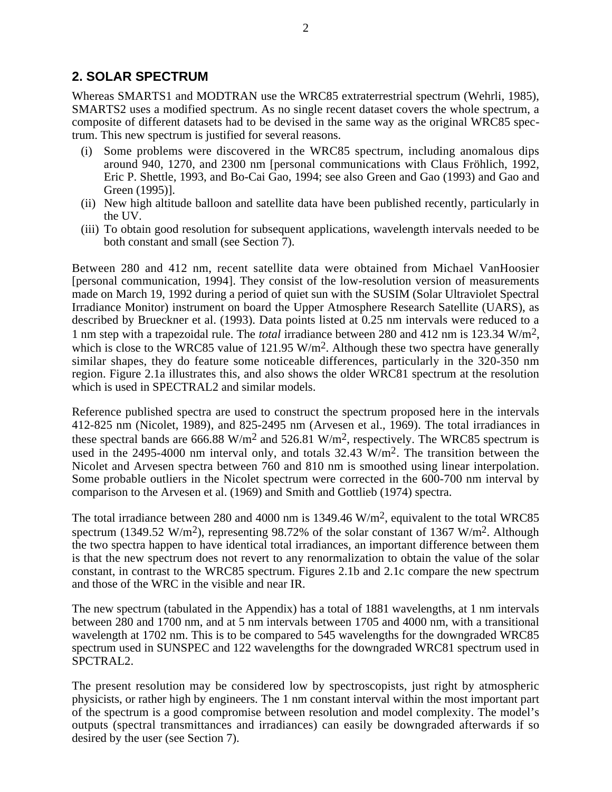## **2. SOLAR SPECTRUM**

Whereas SMARTS1 and MODTRAN use the WRC85 extraterrestrial spectrum (Wehrli, 1985), SMARTS2 uses a modified spectrum. As no single recent dataset covers the whole spectrum, a composite of different datasets had to be devised in the same way as the original WRC85 spectrum. This new spectrum is justified for several reasons.

- (i) Some problems were discovered in the WRC85 spectrum, including anomalous dips around 940, 1270, and 2300 nm [personal communications with Claus Fröhlich, 1992, Eric P. Shettle, 1993, and Bo-Cai Gao, 1994; see also Green and Gao (1993) and Gao and Green (1995)].
- (ii) New high altitude balloon and satellite data have been published recently, particularly in the UV.
- (iii) To obtain good resolution for subsequent applications, wavelength intervals needed to be both constant and small (see Section 7).

Between 280 and 412 nm, recent satellite data were obtained from Michael VanHoosier [personal communication, 1994]. They consist of the low-resolution version of measurements made on March 19, 1992 during a period of quiet sun with the SUSIM (Solar Ultraviolet Spectral Irradiance Monitor) instrument on board the Upper Atmosphere Research Satellite (UARS), as described by Brueckner et al. (1993). Data points listed at 0.25 nm intervals were reduced to a 1 nm step with a trapezoidal rule. The *total* irradiance between 280 and 412 nm is 123.34 W/m2, which is close to the WRC85 value of  $121.95 \text{ W/m}^2$ . Although these two spectra have generally similar shapes, they do feature some noticeable differences, particularly in the 320-350 nm region. Figure 2.1a illustrates this, and also shows the older WRC81 spectrum at the resolution which is used in SPECTRAL2 and similar models.

Reference published spectra are used to construct the spectrum proposed here in the intervals 412-825 nm (Nicolet, 1989), and 825-2495 nm (Arvesen et al., 1969). The total irradiances in these spectral bands are 666.88 W/m<sup>2</sup> and 526.81 W/m<sup>2</sup>, respectively. The WRC85 spectrum is used in the 2495-4000 nm interval only, and totals 32.43 W/m<sup>2</sup>. The transition between the Nicolet and Arvesen spectra between 760 and 810 nm is smoothed using linear interpolation. Some probable outliers in the Nicolet spectrum were corrected in the 600-700 nm interval by comparison to the Arvesen et al. (1969) and Smith and Gottlieb (1974) spectra.

The total irradiance between 280 and 4000 nm is 1349.46 W/m<sup>2</sup>, equivalent to the total WRC85 spectrum (1349.52 W/m<sup>2</sup>), representing 98.72% of the solar constant of 1367 W/m<sup>2</sup>. Although the two spectra happen to have identical total irradiances, an important difference between them is that the new spectrum does not revert to any renormalization to obtain the value of the solar constant, in contrast to the WRC85 spectrum. Figures 2.1b and 2.1c compare the new spectrum and those of the WRC in the visible and near IR.

The new spectrum (tabulated in the Appendix) has a total of 1881 wavelengths, at 1 nm intervals between 280 and 1700 nm, and at 5 nm intervals between 1705 and 4000 nm, with a transitional wavelength at 1702 nm. This is to be compared to 545 wavelengths for the downgraded WRC85 spectrum used in SUNSPEC and 122 wavelengths for the downgraded WRC81 spectrum used in SPCTRAL2.

The present resolution may be considered low by spectroscopists, just right by atmospheric physicists, or rather high by engineers. The 1 nm constant interval within the most important part of the spectrum is a good compromise between resolution and model complexity. The model's outputs (spectral transmittances and irradiances) can easily be downgraded afterwards if so desired by the user (see Section 7).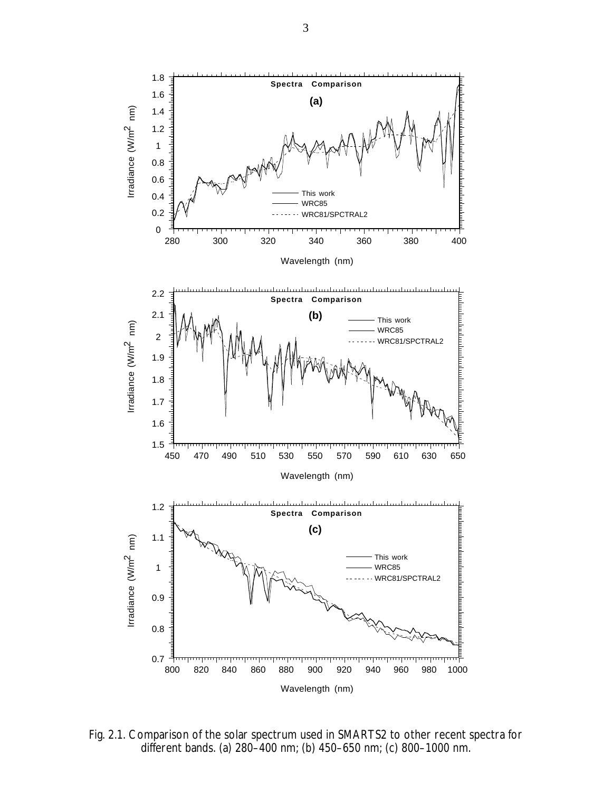

Fig. 2.1. Comparison of the solar spectrum used in SMARTS2 to other recent spectra for different bands. (a) 280–400 nm; (b) 450–650 nm; (c) 800–1000 nm.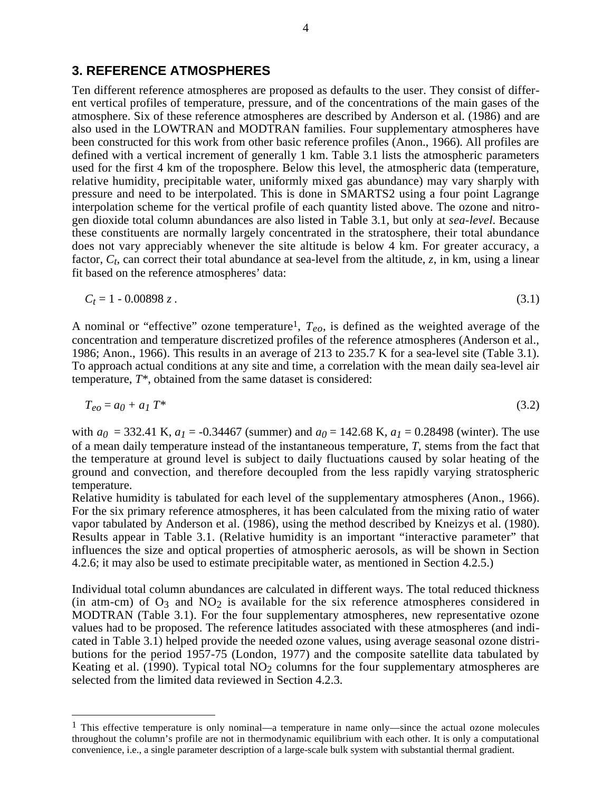## **3. REFERENCE ATMOSPHERES**

Ten different reference atmospheres are proposed as defaults to the user. They consist of different vertical profiles of temperature, pressure, and of the concentrations of the main gases of the atmosphere. Six of these reference atmospheres are described by Anderson et al. (1986) and are also used in the LOWTRAN and MODTRAN families. Four supplementary atmospheres have been constructed for this work from other basic reference profiles (Anon., 1966). All profiles are defined with a vertical increment of generally 1 km. Table 3.1 lists the atmospheric parameters used for the first 4 km of the troposphere. Below this level, the atmospheric data (temperature, relative humidity, precipitable water, uniformly mixed gas abundance) may vary sharply with pressure and need to be interpolated. This is done in SMARTS2 using a four point Lagrange interpolation scheme for the vertical profile of each quantity listed above. The ozone and nitrogen dioxide total column abundances are also listed in Table 3.1, but only at *sea-level*. Because these constituents are normally largely concentrated in the stratosphere, their total abundance does not vary appreciably whenever the site altitude is below 4 km. For greater accuracy, a factor,  $C_t$ , can correct their total abundance at sea-level from the altitude, *z*, in km, using a linear fit based on the reference atmospheres' data:

$$
C_t = 1 - 0.00898 z. \tag{3.1}
$$

A nominal or "effective" ozone temperature1, *Teo*, is defined as the weighted average of the concentration and temperature discretized profiles of the reference atmospheres (Anderson et al., 1986; Anon., 1966). This results in an average of 213 to 235.7 K for a sea-level site (Table 3.1). To approach actual conditions at any site and time, a correlation with the mean daily sea-level air temperature, *T\**, obtained from the same dataset is considered:

$$
T_{eo} = a_0 + a_1 T^* \tag{3.2}
$$

with  $a_0 = 332.41$  K,  $a_1 = -0.34467$  (summer) and  $a_0 = 142.68$  K,  $a_1 = 0.28498$  (winter). The use of a mean daily temperature instead of the instantaneous temperature, *T,* stems from the fact that the temperature at ground level is subject to daily fluctuations caused by solar heating of the ground and convection, and therefore decoupled from the less rapidly varying stratospheric temperature.

Relative humidity is tabulated for each level of the supplementary atmospheres (Anon., 1966). For the six primary reference atmospheres, it has been calculated from the mixing ratio of water vapor tabulated by Anderson et al. (1986), using the method described by Kneizys et al. (1980). Results appear in Table 3.1. (Relative humidity is an important "interactive parameter" that influences the size and optical properties of atmospheric aerosols, as will be shown in Section 4.2.6; it may also be used to estimate precipitable water, as mentioned in Section 4.2.5.)

Individual total column abundances are calculated in different ways. The total reduced thickness (in atm-cm) of  $O_3$  and  $NO_2$  is available for the six reference atmospheres considered in MODTRAN (Table 3.1). For the four supplementary atmospheres, new representative ozone values had to be proposed. The reference latitudes associated with these atmospheres (and indicated in Table 3.1) helped provide the needed ozone values, using average seasonal ozone distributions for the period 1957-75 (London, 1977) and the composite satellite data tabulated by Keating et al. (1990). Typical total  $NO<sub>2</sub>$  columns for the four supplementary atmospheres are selected from the limited data reviewed in Section 4.2.3.

<sup>&</sup>lt;sup>1</sup> This effective temperature is only nominal—a temperature in name only—since the actual ozone molecules throughout the column's profile are not in thermodynamic equilibrium with each other. It is only a computational convenience, i.e., a single parameter description of a large-scale bulk system with substantial thermal gradient.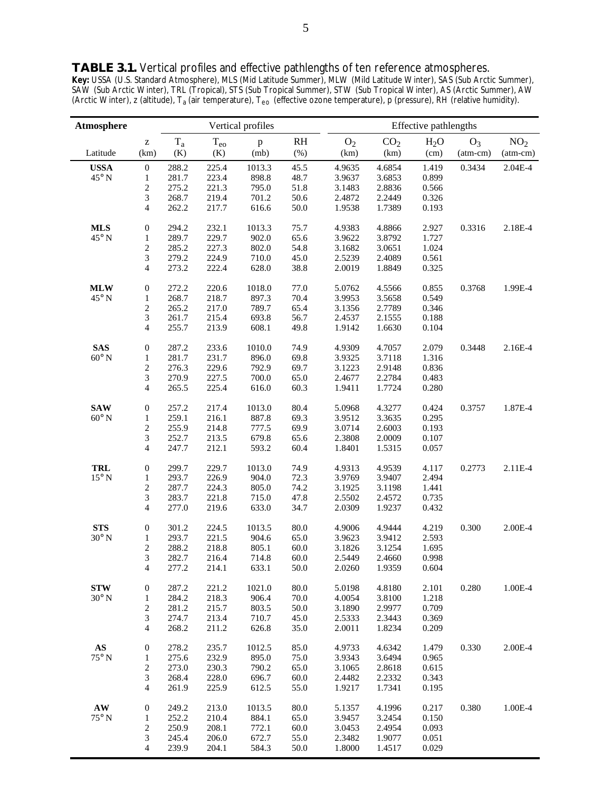**TABLE 3.1.** Vertical profiles and effective pathlengths of ten reference atmospheres. *Key:* USSA (U.S. Standard Atmosphere), MLS (Mid Latitude Summer), MLW (Mild Latitude Winter), SAS (Sub Arctic Summer), SAW (Sub Arctic Winter), TRL (Tropical), STS (Sub Tropical Summer), STW (Sub Tropical Winter), AS (Arctic Summer), AW (Arctic Winter), z (altitude), T<sub>a</sub> (air temperature), T<sub>eo</sub> (effective ozone temperature), p (pressure), RH (relative humidity).

 $\overline{a}$ 

| Atmosphere             |                          |           |                | Vertical profiles |      | Effective pathlengths |                  |                  |            |                 |
|------------------------|--------------------------|-----------|----------------|-------------------|------|-----------------------|------------------|------------------|------------|-----------------|
|                        | z                        | $\rm T_a$ | $T_{eo}$       | $\, {\bf p}$      | RH   | O <sub>2</sub>        | CO <sub>2</sub>  | H <sub>2</sub> O | $O_3$      | NO <sub>2</sub> |
| Latitude               | (km)                     | (K)       | (K)            | (mb)              | (%)  | (km)                  | (km)             | (cm)             | $(atm-cm)$ | $(atm-cm)$      |
| <b>USSA</b>            | $\boldsymbol{0}$         | 288.2     | 225.4          | 1013.3            | 45.5 | 4.9635                | 4.6854           | 1.419            | 0.3434     | 2.04E-4         |
| $45^{\circ}$ N         | 1                        | 281.7     | 223.4          | 898.8             | 48.7 | 3.9637                | 3.6853           | 0.899            |            |                 |
|                        | $\overline{\mathbf{c}}$  | 275.2     | 221.3          | 795.0             | 51.8 | 3.1483                | 2.8836           | 0.566            |            |                 |
|                        | 3                        | 268.7     | 219.4          | 701.2             | 50.6 | 2.4872                | 2.2449           | 0.326            |            |                 |
|                        | $\overline{4}$           | 262.2     | 217.7          | 616.6             | 50.0 | 1.9538                | 1.7389           | 0.193            |            |                 |
| <b>MLS</b>             | $\boldsymbol{0}$         | 294.2     | 232.1          | 1013.3            | 75.7 | 4.9383                | 4.8866           | 2.927            | 0.3316     | 2.18E-4         |
| $45^{\circ}$ N         | $\mathbf{1}$             | 289.7     | 229.7          | 902.0             | 65.6 | 3.9622                | 3.8792           | 1.727            |            |                 |
|                        |                          |           |                |                   |      |                       |                  |                  |            |                 |
|                        | $\overline{\mathbf{c}}$  | 285.2     | 227.3          | 802.0             | 54.8 | 3.1682                | 3.0651           | 1.024            |            |                 |
|                        | 3                        | 279.2     | 224.9          | 710.0             | 45.0 | 2.5239                | 2.4089           | 0.561            |            |                 |
|                        | $\overline{\mathcal{L}}$ | 273.2     | 222.4          | 628.0             | 38.8 | 2.0019                | 1.8849           | 0.325            |            |                 |
| <b>MLW</b>             | $\boldsymbol{0}$         | 272.2     | 220.6          | 1018.0            | 77.0 | 5.0762                | 4.5566           | 0.855            | 0.3768     | 1.99E-4         |
| $45^{\circ}$ N         | $\mathbf{1}$             | 268.7     | 218.7          | 897.3             | 70.4 | 3.9953                | 3.5658           | 0.549            |            |                 |
|                        | $\overline{\mathbf{c}}$  | 265.2     | 217.0          | 789.7             | 65.4 | 3.1356                | 2.7789           | 0.346            |            |                 |
|                        | 3                        | 261.7     | 215.4          | 693.8             | 56.7 | 2.4537                | 2.1555           | 0.188            |            |                 |
|                        |                          |           |                |                   |      |                       |                  |                  |            |                 |
|                        | $\overline{4}$           | 255.7     | 213.9          | 608.1             | 49.8 | 1.9142                | 1.6630           | 0.104            |            |                 |
| <b>SAS</b>             | $\boldsymbol{0}$         | 287.2     | 233.6          | 1010.0            | 74.9 | 4.9309                | 4.7057           | 2.079            | 0.3448     | 2.16E-4         |
| $60^\circ$ N           | $\mathbf{1}$             | 281.7     | 231.7          | 896.0             | 69.8 | 3.9325                | 3.7118           | 1.316            |            |                 |
|                        | $\overline{c}$           | 276.3     | 229.6          | 792.9             | 69.7 | 3.1223                | 2.9148           | 0.836            |            |                 |
|                        | 3                        | 270.9     | 227.5          | 700.0             | 65.0 | 2.4677                | 2.2784           | 0.483            |            |                 |
|                        | $\overline{4}$           | 265.5     | 225.4          | 616.0             | 60.3 | 1.9411                | 1.7724           | 0.280            |            |                 |
| <b>SAW</b>             | $\boldsymbol{0}$         | 257.2     | 217.4          | 1013.0            | 80.4 | 5.0968                | 4.3277           | 0.424            | 0.3757     | 1.87E-4         |
| $60^\circ$ N           | $\mathbf{1}$             | 259.1     | 216.1          | 887.8             | 69.3 | 3.9512                | 3.3635           | 0.295            |            |                 |
|                        | $\overline{c}$           | 255.9     | 214.8          | 777.5             | 69.9 | 3.0714                | 2.6003           | 0.193            |            |                 |
|                        |                          | 252.7     |                |                   | 65.6 |                       |                  |                  |            |                 |
|                        | 3<br>$\overline{4}$      | 247.7     | 213.5<br>212.1 | 679.8<br>593.2    | 60.4 | 2.3808<br>1.8401      | 2.0009<br>1.5315 | 0.107<br>0.057   |            |                 |
|                        |                          |           |                |                   |      |                       |                  |                  |            |                 |
| <b>TRL</b>             | $\boldsymbol{0}$         | 299.7     | 229.7          | 1013.0            | 74.9 | 4.9313                | 4.9539           | 4.117            | 0.2773     | 2.11E-4         |
| $15^{\circ}$ N         | $\mathbf{1}$             | 293.7     | 226.9          | 904.0             | 72.3 | 3.9769                | 3.9407           | 2.494            |            |                 |
|                        | $\overline{c}$           | 287.7     | 224.3          | 805.0             | 74.2 | 3.1925                | 3.1198           | 1.441            |            |                 |
|                        | 3                        | 283.7     | 221.8          | 715.0             | 47.8 | 2.5502                | 2.4572           | 0.735            |            |                 |
|                        | $\overline{\mathcal{L}}$ | 277.0     | 219.6          | 633.0             | 34.7 | 2.0309                | 1.9237           | 0.432            |            |                 |
| <b>STS</b>             | $\boldsymbol{0}$         | 301.2     | 224.5          | 1013.5            | 80.0 | 4.9006                | 4.9444           | 4.219            | 0.300      | 2.00E-4         |
| $30^{\circ}$ N         | $\mathbf{1}$             | 293.7     | 221.5          | 904.6             | 65.0 | 3.9623                | 3.9412           | 2.593            |            |                 |
|                        |                          | 288.2     |                |                   |      |                       |                  |                  |            |                 |
|                        | $\overline{\mathbf{c}}$  |           | 218.8          | 805.1             | 60.0 | 3.1826                | 3.1254           | 1.695            |            |                 |
|                        | 3                        | 282.7     | 216.4          | 714.8             | 60.0 | 2.5449                | 2.4660           | 0.998            |            |                 |
|                        | 4                        | 277.2     | 214.1          | 633.1             | 50.0 | 2.0260                | 1.9359           | 0.604            |            |                 |
| <b>STW</b>             | $\boldsymbol{0}$         | 287.2     | 221.2          | 1021.0            | 80.0 | 5.0198                | 4.8180           | 2.101            | 0.280      | 1.00E-4         |
| $30^{\circ}$ N         | $\mathbf{1}$             | 284.2     | 218.3          | 906.4             | 70.0 | 4.0054                | 3.8100           | 1.218            |            |                 |
|                        | $\overline{\mathbf{c}}$  | 281.2     | 215.7          | 803.5             | 50.0 | 3.1890                | 2.9977           | 0.709            |            |                 |
|                        | 3                        | 274.7     | 213.4          | 710.7             | 45.0 | 2.5333                | 2.3443           | 0.369            |            |                 |
|                        | $\overline{\mathcal{L}}$ | 268.2     | 211.2          | 626.8             | 35.0 | 2.0011                | 1.8234           | 0.209            |            |                 |
| $\mathbf{A}\mathbf{S}$ | $\boldsymbol{0}$         | 278.2     | 235.7          | 1012.5            | 85.0 | 4.9733                | 4.6342           | 1.479            | 0.330      | 2.00E-4         |
| $75^{\circ}$ N         |                          | 275.6     |                | 895.0             | 75.0 |                       |                  |                  |            |                 |
|                        | $\mathbf{1}$             |           | 232.9          |                   |      | 3.9343                | 3.6494           | 0.965            |            |                 |
|                        | $\overline{\mathbf{c}}$  | 273.0     | 230.3          | 790.2             | 65.0 | 3.1065                | 2.8618           | 0.615            |            |                 |
|                        | 3                        | 268.4     | 228.0          | 696.7             | 60.0 | 2.4482                | 2.2332           | 0.343            |            |                 |
|                        | $\overline{\mathcal{L}}$ | 261.9     | 225.9          | 612.5             | 55.0 | 1.9217                | 1.7341           | 0.195            |            |                 |
| $\mathbf{A}\mathbf{W}$ | $\boldsymbol{0}$         | 249.2     | 213.0          | 1013.5            | 80.0 | 5.1357                | 4.1996           | 0.217            | 0.380      | 1.00E-4         |
| $75^{\circ}$ N         | $\mathbf{1}$             | 252.2     | 210.4          | 884.1             | 65.0 | 3.9457                | 3.2454           | 0.150            |            |                 |
|                        | $\overline{\mathbf{c}}$  | 250.9     | 208.1          | 772.1             | 60.0 | 3.0453                | 2.4954           | 0.093            |            |                 |
|                        | 3                        | 245.4     | 206.0          | 672.7             | 55.0 | 2.3482                | 1.9077           | 0.051            |            |                 |
|                        | $\overline{\mathcal{L}}$ | 239.9     | 204.1          | 584.3             | 50.0 | 1.8000                | 1.4517           | 0.029            |            |                 |
|                        |                          |           |                |                   |      |                       |                  |                  |            |                 |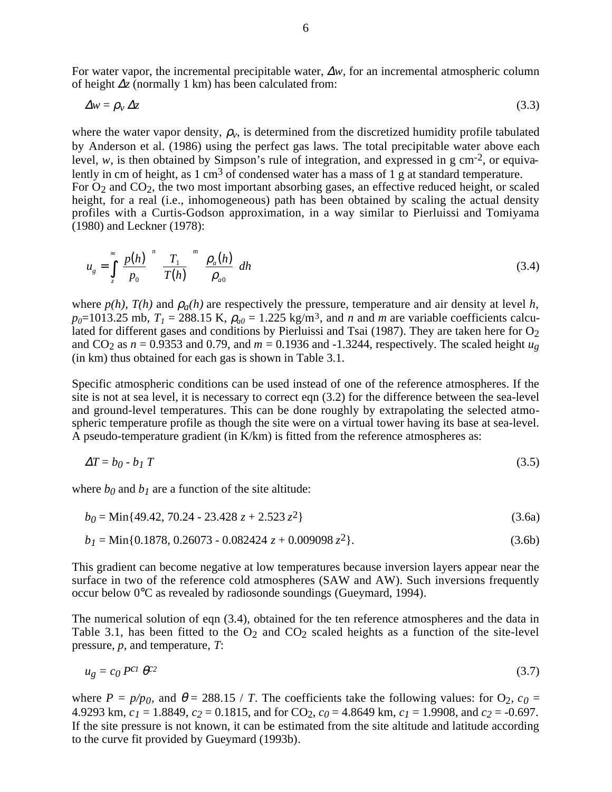For water vapor, the incremental precipitable water, ∆*w*, for an incremental atmospheric column of height ∆*z* (normally 1 km) has been calculated from:

 $\Delta w = \rho_v \Delta z$  (3.3)

where the water vapor density,  $\rho_v$ , is determined from the discretized humidity profile tabulated by Anderson et al. (1986) using the perfect gas laws. The total precipitable water above each level,  $w$ , is then obtained by Simpson's rule of integration, and expressed in g cm<sup>-2</sup>, or equivalently in cm of height, as  $1 \text{ cm}^3$  of condensed water has a mass of  $1 \text{ g}$  at standard temperature. For  $O_2$  and  $CO_2$ , the two most important absorbing gases, an effective reduced height, or scaled height, for a real (i.e., inhomogeneous) path has been obtained by scaling the actual density profiles with a Curtis-Godson approximation, in a way similar to Pierluissi and Tomiyama (1980) and Leckner (1978):

$$
u_g = \int_{z}^{\infty} \left(\frac{p(h)}{p_0}\right)^n \left(\frac{T_1}{T(h)}\right)^m \left(\frac{\rho_a(h)}{\rho_{a0}}\right) dh\tag{3.4}
$$

where  $p(h)$ ,  $T(h)$  and  $p_a(h)$  are respectively the pressure, temperature and air density at level h,  $p_0$ =1013.25 mb,  $T_1$  = 288.15 K,  $\rho_{a0}$  = 1.225 kg/m<sup>3</sup>, and *n* and *m* are variable coefficients calculated for different gases and conditions by Pierluissi and Tsai (1987). They are taken here for  $O_2$ and CO<sub>2</sub> as  $n = 0.9353$  and 0.79, and  $m = 0.1936$  and -1.3244, respectively. The scaled height  $u_g$ (in km) thus obtained for each gas is shown in Table 3.1.

Specific atmospheric conditions can be used instead of one of the reference atmospheres. If the site is not at sea level, it is necessary to correct eqn (3.2) for the difference between the sea-level and ground-level temperatures. This can be done roughly by extrapolating the selected atmospheric temperature profile as though the site were on a virtual tower having its base at sea-level. A pseudo-temperature gradient (in K/km) is fitted from the reference atmospheres as:

$$
\Delta T = b_0 - b_1 T \tag{3.5}
$$

where  $b_0$  and  $b_1$  are a function of the site altitude:

$$
b_0 = \text{Min}\{49.42, 70.24 - 23.428\ z + 2.523\ z^2\}
$$
\n
$$
(3.6a)
$$

$$
b_1 = \text{Min}\{0.1878, 0.26073 - 0.082424 z + 0.009098 z^2\}.
$$
\n(3.6b)

This gradient can become negative at low temperatures because inversion layers appear near the surface in two of the reference cold atmospheres (SAW and AW). Such inversions frequently occur below 0°C as revealed by radiosonde soundings (Gueymard, 1994).

The numerical solution of eqn (3.4), obtained for the ten reference atmospheres and the data in Table 3.1, has been fitted to the  $O_2$  and  $CO_2$  scaled heights as a function of the site-level pressure, *p*, and temperature, *T*:

$$
u_g = c_0 P^{c1} \theta^{c2} \tag{3.7}
$$

where  $P = p/p_0$ , and  $\theta = 288.15 / T$ . The coefficients take the following values: for O<sub>2</sub>,  $c_0 =$ 4.9293 km,  $c_1 = 1.8849$ ,  $c_2 = 0.1815$ , and for CO<sub>2</sub>,  $c_0 = 4.8649$  km,  $c_1 = 1.9908$ , and  $c_2 = -0.697$ . If the site pressure is not known, it can be estimated from the site altitude and latitude according to the curve fit provided by Gueymard (1993b).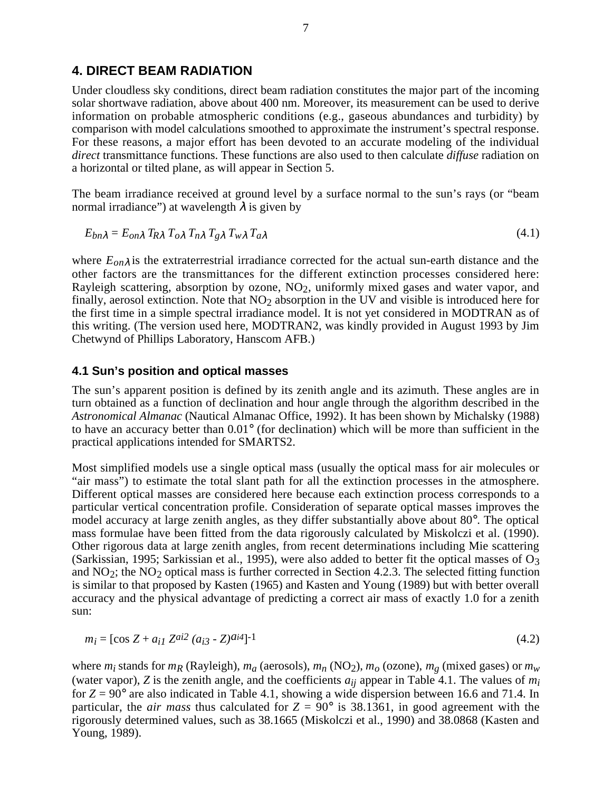## **4. DIRECT BEAM RADIATION**

Under cloudless sky conditions, direct beam radiation constitutes the major part of the incoming solar shortwave radiation, above about 400 nm. Moreover, its measurement can be used to derive information on probable atmospheric conditions (e.g., gaseous abundances and turbidity) by comparison with model calculations smoothed to approximate the instrument's spectral response. For these reasons, a major effort has been devoted to an accurate modeling of the individual *direct* transmittance functions. These functions are also used to then calculate *diffuse* radiation on a horizontal or tilted plane, as will appear in Section 5.

The beam irradiance received at ground level by a surface normal to the sun's rays (or "beam normal irradiance") at wavelength  $\lambda$  is given by

$$
E_{bn\lambda} = E_{on\lambda} T_{R\lambda} T_{o\lambda} T_{n\lambda} T_{g\lambda} T_{w\lambda} T_{a\lambda}
$$
\n(4.1)

where *Eon*<sup>λ</sup> is the extraterrestrial irradiance corrected for the actual sun-earth distance and the other factors are the transmittances for the different extinction processes considered here: Rayleigh scattering, absorption by ozone,  $NO<sub>2</sub>$ , uniformly mixed gases and water vapor, and finally, aerosol extinction. Note that  $NO<sub>2</sub>$  absorption in the UV and visible is introduced here for the first time in a simple spectral irradiance model. It is not yet considered in MODTRAN as of this writing. (The version used here, MODTRAN2, was kindly provided in August 1993 by Jim Chetwynd of Phillips Laboratory, Hanscom AFB.)

## **4.1 Sun's position and optical masses**

The sun's apparent position is defined by its zenith angle and its azimuth. These angles are in turn obtained as a function of declination and hour angle through the algorithm described in the *Astronomical Almanac* (Nautical Almanac Office, 1992). It has been shown by Michalsky (1988) to have an accuracy better than 0.01° (for declination) which will be more than sufficient in the practical applications intended for SMARTS2.

Most simplified models use a single optical mass (usually the optical mass for air molecules or "air mass") to estimate the total slant path for all the extinction processes in the atmosphere. Different optical masses are considered here because each extinction process corresponds to a particular vertical concentration profile. Consideration of separate optical masses improves the model accuracy at large zenith angles, as they differ substantially above about 80°. The optical mass formulae have been fitted from the data rigorously calculated by Miskolczi et al. (1990). Other rigorous data at large zenith angles, from recent determinations including Mie scattering (Sarkissian, 1995; Sarkissian et al., 1995), were also added to better fit the optical masses of  $O_3$ and  $NO<sub>2</sub>$ ; the  $NO<sub>2</sub>$  optical mass is further corrected in Section 4.2.3. The selected fitting function is similar to that proposed by Kasten (1965) and Kasten and Young (1989) but with better overall accuracy and the physical advantage of predicting a correct air mass of exactly 1.0 for a zenith sun:

$$
m_i = [\cos Z + a_{i1} Z^{ai2} (a_{i3} - Z)^{ai4}]^{-1}
$$
\n(4.2)

where  $m_i$  stands for  $m_R$  (Rayleigh),  $m_a$  (aerosols),  $m_n$  (NO<sub>2</sub>),  $m_o$  (ozone),  $m_g$  (mixed gases) or  $m_w$ (water vapor),  $Z$  is the zenith angle, and the coefficients  $a_{ij}$  appear in Table 4.1. The values of  $m_i$ for  $Z = 90^\circ$  are also indicated in Table 4.1, showing a wide dispersion between 16.6 and 71.4. In particular, the *air mass* thus calculated for  $Z = 90^\circ$  is 38.1361, in good agreement with the rigorously determined values, such as 38.1665 (Miskolczi et al., 1990) and 38.0868 (Kasten and Young, 1989).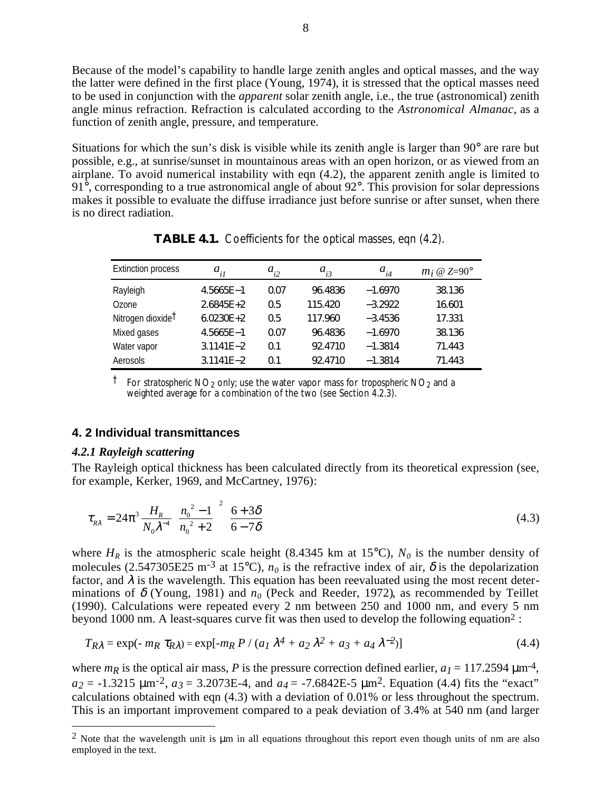Because of the model's capability to handle large zenith angles and optical masses, and the way the latter were defined in the first place (Young, 1974), it is stressed that the optical masses need to be used in conjunction with the *apparent* solar zenith angle, i.e., the true (astronomical) zenith angle minus refraction. Refraction is calculated according to the *Astronomical Almanac*, as a function of zenith angle, pressure, and temperature.

Situations for which the sun's disk is visible while its zenith angle is larger than 90° are rare but possible, e.g., at sunrise/sunset in mountainous areas with an open horizon, or as viewed from an airplane. To avoid numerical instability with eqn (4.2), the apparent zenith angle is limited to  $91^{\circ}$ , corresponding to a true astronomical angle of about  $92^{\circ}$ . This provision for solar depressions makes it possible to evaluate the diffuse irradiance just before sunrise or after sunset, when there is no direct radiation.

| <b>Extinction process</b>     | $a_{il}$      | $a_{i2}$ | $a_{i3}$ | $a_{i4}$  | $m_i \otimes Z = 90^\circ$ |
|-------------------------------|---------------|----------|----------|-----------|----------------------------|
| Rayleigh                      | $4.5665E - 1$ | 0.07     | 96.4836  | $-1.6970$ | 38.136                     |
| Ozone                         | $2.6845E + 2$ | 0.5      | 115.420  | $-3.2922$ | 16.601                     |
| Nitrogen dioxide <sup>†</sup> | $6.0230E + 2$ | 0.5      | 117.960  | $-3.4536$ | 17.331                     |
| Mixed gases                   | $4.5665E - 1$ | 0.07     | 96.4836  | $-1.6970$ | 38.136                     |
| Water vapor                   | $3.1141E - 2$ | 0.1      | 92.4710  | $-1.3814$ | 71.443                     |
| Aerosols                      | 3.1141E-2     | 0.1      | 92.4710  | $-1.3814$ | 71.443                     |

**TABLE 4.1.** Coefficients for the optical masses, eqn (4.2).

† For *stratospheric* NO2 only; use the water vapor mass for *tropospheric* NO2 and a weighted average for a combination of the two (see Section 4.2.3).

## **4. 2 Individual transmittances**

### *4.2.1 Rayleigh scattering*

The Rayleigh optical thickness has been calculated directly from its theoretical expression (see, for example, Kerker, 1969, and McCartney, 1976):

$$
\tau_{R\lambda} = 24\pi^3 \frac{H_R}{N_0 \lambda^{-4}} \left(\frac{n_0^2 - 1}{n_0^2 + 2}\right)^2 \left(\frac{6 + 3\delta}{6 - 7\delta}\right)
$$
(4.3)

where  $H_R$  is the atmospheric scale height (8.4345 km at 15<sup>o</sup>C),  $N_0$  is the number density of molecules (2.547305E25 m<sup>-3</sup> at 15<sup>o</sup>C),  $n_0$  is the refractive index of air,  $\delta$  is the depolarization factor, and  $\lambda$  is the wavelength. This equation has been reevaluated using the most recent determinations of  $\delta$  (Young, 1981) and  $n_0$  (Peck and Reeder, 1972), as recommended by Teillet (1990). Calculations were repeated every 2 nm between 250 and 1000 nm, and every 5 nm beyond 1000 nm. A least-squares curve fit was then used to develop the following equation2 :

$$
T_{R\lambda} = \exp(-m_R \tau_{R\lambda}) = \exp[-m_R P / (a_1 \lambda^4 + a_2 \lambda^2 + a_3 + a_4 \lambda^{-2})]
$$
(4.4)

where  $m_R$  is the optical air mass, *P* is the pressure correction defined earlier,  $a_I = 117.2594 \,\text{\mu m}^4$ ,  $a_2 = -1.3215 \text{ }\mu\text{m}^2$ ,  $a_3 = 3.2073E-4$ , and  $a_4 = -7.6842E-5 \text{ }\mu\text{m}^2$ . Equation (4.4) fits the "exact" calculations obtained with eqn (4.3) with a deviation of 0.01% or less throughout the spectrum. This is an important improvement compared to a peak deviation of 3.4% at 540 nm (and larger

<sup>&</sup>lt;sup>2</sup> Note that the wavelength unit is  $\mu$ m in all equations throughout this report even though units of nm are also employed in the text.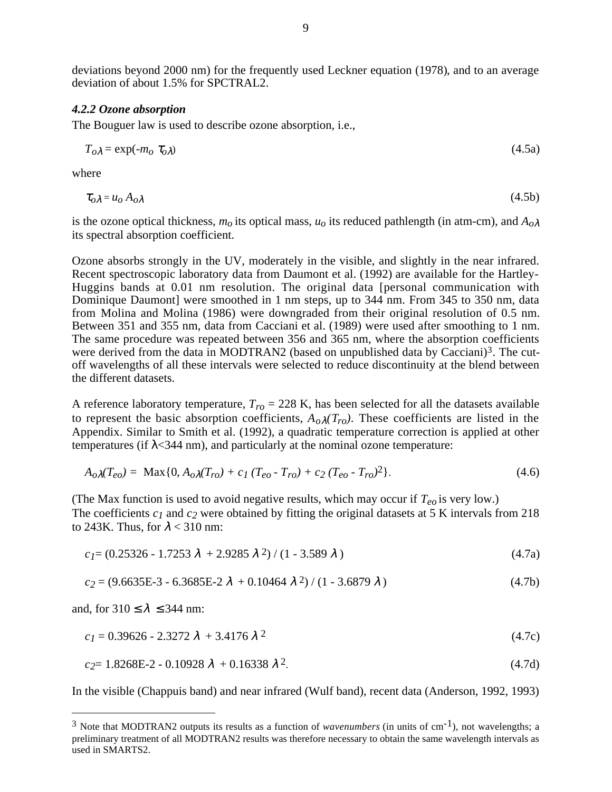deviations beyond 2000 nm) for the frequently used Leckner equation (1978), and to an average deviation of about 1.5% for SPCTRAL2.

#### *4.2.2 Ozone absorption*

The Bouguer law is used to describe ozone absorption, i.e.,

$$
T_{o\lambda} = \exp(-m_o \tau_{o\lambda}) \tag{4.5a}
$$

where

$$
\tau_{o\lambda} = u_o A_{o\lambda} \tag{4.5b}
$$

is the ozone optical thickness,  $m_0$  its optical mass,  $u_0$  its reduced pathlength (in atm-cm), and  $A_{0\lambda}$ its spectral absorption coefficient.

Ozone absorbs strongly in the UV, moderately in the visible, and slightly in the near infrared. Recent spectroscopic laboratory data from Daumont et al. (1992) are available for the Hartley-Huggins bands at 0.01 nm resolution. The original data [personal communication with Dominique Daumont] were smoothed in 1 nm steps, up to 344 nm. From 345 to 350 nm, data from Molina and Molina (1986) were downgraded from their original resolution of 0.5 nm. Between 351 and 355 nm, data from Cacciani et al. (1989) were used after smoothing to 1 nm. The same procedure was repeated between 356 and 365 nm, where the absorption coefficients were derived from the data in MODTRAN2 (based on unpublished data by Cacciani)<sup>3</sup>. The cutoff wavelengths of all these intervals were selected to reduce discontinuity at the blend between the different datasets.

A reference laboratory temperature,  $T_{ro} = 228$  K, has been selected for all the datasets available to represent the basic absorption coefficients,  $A_0 \lambda(T_{ro})$ . These coefficients are listed in the Appendix. Similar to Smith et al. (1992), a quadratic temperature correction is applied at other temperatures (if  $\lambda$ <344 nm), and particularly at the nominal ozone temperature:

$$
A_{o\lambda}(T_{eo}) = \text{Max}\{0, A_{o\lambda}(T_{ro}) + c_1 (T_{eo} - T_{ro}) + c_2 (T_{eo} - T_{ro})^2\}.
$$
\n(4.6)

(The Max function is used to avoid negative results, which may occur if  $T_{eo}$  is very low.) The coefficients  $c_1$  and  $c_2$  were obtained by fitting the original datasets at 5 K intervals from 218 to 243K. Thus, for  $\lambda$  < 310 nm:

$$
c_1 = (0.25326 - 1.7253 \lambda + 2.9285 \lambda^2) / (1 - 3.589 \lambda)
$$
\n
$$
(4.7a)
$$

$$
c_2 = (9.6635E - 3 - 6.3685E - 2 \lambda + 0.10464 \lambda^2) / (1 - 3.6879 \lambda)
$$
\n(4.7b)

and, for  $310 \le \lambda \le 344$  nm:

$$
c_1 = 0.39626 - 2.3272 \lambda + 3.4176 \lambda^2 \tag{4.7c}
$$

$$
c_2 = 1.8268E - 2 - 0.10928 \lambda + 0.16338 \lambda^2. \tag{4.7d}
$$

In the visible (Chappuis band) and near infrared (Wulf band), recent data (Anderson, 1992, 1993)

<sup>3</sup> Note that MODTRAN2 outputs its results as a function of *wavenumbers* (in units of cm-1), not wavelengths; a preliminary treatment of all MODTRAN2 results was therefore necessary to obtain the same wavelength intervals as used in SMARTS2.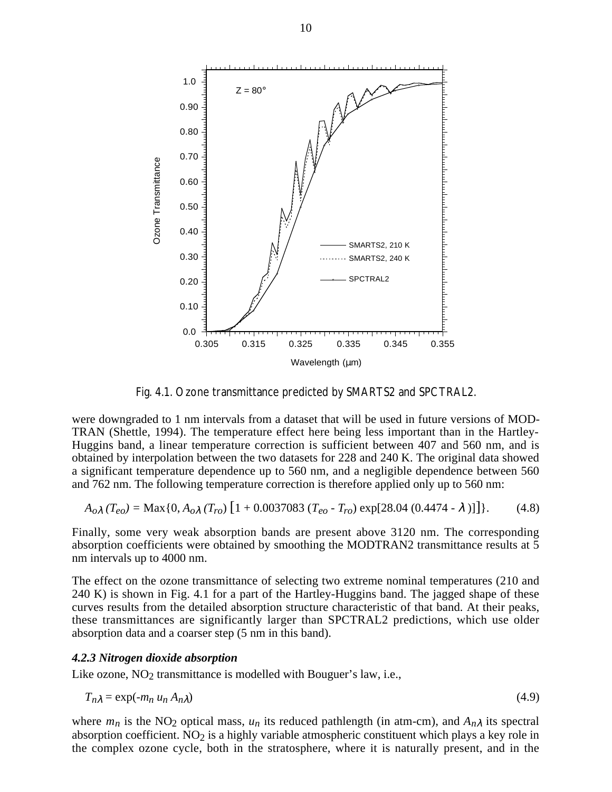

Fig. 4.1. Ozone transmittance predicted by SMARTS2 and SPCTRAL2.

were downgraded to 1 nm intervals from a dataset that will be used in future versions of MOD-TRAN (Shettle, 1994). The temperature effect here being less important than in the Hartley-Huggins band, a linear temperature correction is sufficient between 407 and 560 nm, and is obtained by interpolation between the two datasets for 228 and 240 K. The original data showed a significant temperature dependence up to 560 nm, and a negligible dependence between 560 and 762 nm. The following temperature correction is therefore applied only up to 560 nm:

$$
A_{o\lambda}(T_{eo}) = \text{Max}\{0, A_{o\lambda}(T_{ro}) \left[1 + 0.0037083 (T_{eo} - T_{ro}) \exp[28.04 (0.4474 - \lambda)]\right]\}.
$$
 (4.8)

Finally, some very weak absorption bands are present above 3120 nm. The corresponding absorption coefficients were obtained by smoothing the MODTRAN2 transmittance results at 5 nm intervals up to 4000 nm.

The effect on the ozone transmittance of selecting two extreme nominal temperatures (210 and 240 K) is shown in Fig. 4.1 for a part of the Hartley-Huggins band. The jagged shape of these curves results from the detailed absorption structure characteristic of that band. At their peaks, these transmittances are significantly larger than SPCTRAL2 predictions, which use older absorption data and a coarser step (5 nm in this band).

#### *4.2.3 Nitrogen dioxide absorption*

Like ozone,  $NO<sub>2</sub>$  transmittance is modelled with Bouguer's law, i.e.,

$$
T_{n\lambda} = \exp(-m_n u_n A_{n\lambda})
$$
\n(4.9)

where  $m_n$  is the NO<sub>2</sub> optical mass,  $u_n$  its reduced pathlength (in atm-cm), and  $A_{n\lambda}$  its spectral absorption coefficient.  $NO<sub>2</sub>$  is a highly variable atmospheric constituent which plays a key role in the complex ozone cycle, both in the stratosphere, where it is naturally present, and in the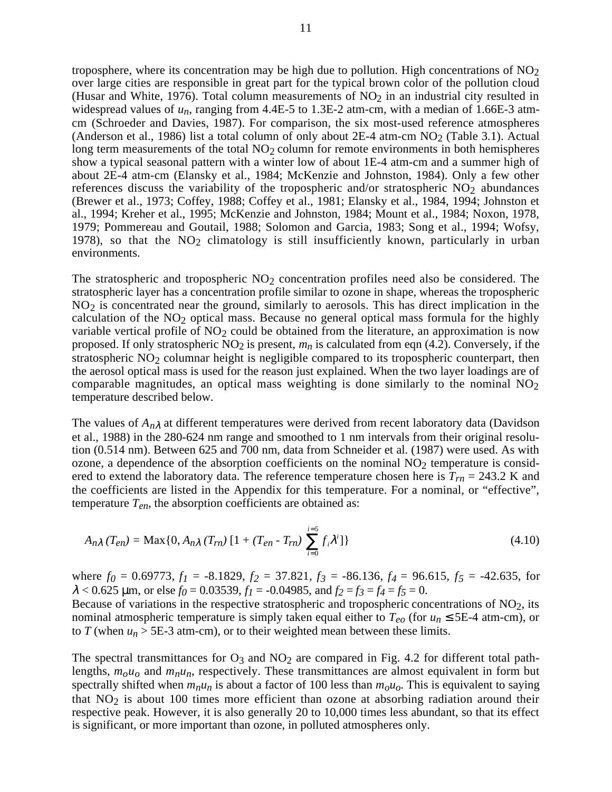troposphere, where its concentration may be high due to pollution. High concentrations of  $NO<sub>2</sub>$ over large cities are responsible in great part for the typical brown color of the pollution cloud (Husar and White, 1976). Total column measurements of  $NO<sub>2</sub>$  in an industrial city resulted in widespread values of  $u_n$ , ranging from 4.4E-5 to 1.3E-2 atm-cm, with a median of 1.66E-3 atmcm (Schroeder and Davies, 1987). For comparison, the six most-used reference atmospheres (Anderson et al., 1986) list a total column of only about  $2E-4$  atm-cm  $NO<sub>2</sub>$  (Table 3.1). Actual long term measurements of the total  $NO<sub>2</sub>$  column for remote environments in both hemispheres show a typical seasonal pattern with a winter low of about 1E-4 atm-cm and a summer high of about 2E-4 atm-cm (Elansky et al., 1984; McKenzie and Johnston, 1984). Only a few other references discuss the variability of the tropospheric and/or stratospheric  $NO<sub>2</sub>$  abundances (Brewer et al., 1973; Coffey, 1988; Coffey et al., 1981; Elansky et al., 1984, 1994; Johnston et al., 1994; Kreher et al., 1995; McKenzie and Johnston, 1984; Mount et al., 1984; Noxon, 1978, 1979; Pommereau and Goutail, 1988; Solomon and Garcia, 1983; Song et al., 1994; Wofsy, 1978), so that the  $NO<sub>2</sub>$  climatology is still insufficiently known, particularly in urban environments.

The stratospheric and tropospheric  $NO<sub>2</sub>$  concentration profiles need also be considered. The stratospheric layer has a concentration profile similar to ozone in shape, whereas the tropospheric NO2 is concentrated near the ground, similarly to aerosols. This has direct implication in the calculation of the  $NO<sub>2</sub>$  optical mass. Because no general optical mass formula for the highly variable vertical profile of  $NO<sub>2</sub>$  could be obtained from the literature, an approximation is now proposed. If only stratospheric  $NO<sub>2</sub>$  is present,  $m<sub>n</sub>$  is calculated from eqn (4.2). Conversely, if the stratospheric  $NO<sub>2</sub>$  columnar height is negligible compared to its tropospheric counterpart, then the aerosol optical mass is used for the reason just explained. When the two layer loadings are of comparable magnitudes, an optical mass weighting is done similarly to the nominal  $NO<sub>2</sub>$ temperature described below.

The values of *An*λ at different temperatures were derived from recent laboratory data (Davidson et al., 1988) in the 280-624 nm range and smoothed to 1 nm intervals from their original resolution (0.514 nm). Between 625 and 700 nm, data from Schneider et al. (1987) were used. As with ozone, a dependence of the absorption coefficients on the nominal  $NO<sub>2</sub>$  temperature is considered to extend the laboratory data. The reference temperature chosen here is  $T_{rn} = 243.2$  K and the coefficients are listed in the Appendix for this temperature. For a nominal, or "effective", temperature *Ten*, the absorption coefficients are obtained as:

$$
A_{n\lambda}(T_{en}) = \text{Max}\{0, A_{n\lambda}(T_{rn})[1 + (T_{en} - T_{rn})\sum_{i=0}^{i=5} f_i \lambda^i]\}\
$$
\n(4.10)

where  $f_0 = 0.69773$ ,  $f_1 = -8.1829$ ,  $f_2 = 37.821$ ,  $f_3 = -86.136$ ,  $f_4 = 96.615$ ,  $f_5 = -42.635$ , for  $\lambda$  < 0.625  $\mu$ m, or else  $f_0$  = 0.03539,  $f_1$  = -0.04985, and  $f_2 = f_3 = f_4 = f_5 = 0$ .

Because of variations in the respective stratospheric and tropospheric concentrations of  $NO<sub>2</sub>$ , its nominal atmospheric temperature is simply taken equal either to  $T_{eo}$  (for  $u_n \leq 5E-4$  atm-cm), or to *T* (when  $u_n$  > 5E-3 atm-cm), or to their weighted mean between these limits.

The spectral transmittances for  $O_3$  and  $NO_2$  are compared in Fig. 4.2 for different total pathlengths,  $m_0u_0$  and  $m_nu_n$ , respectively. These transmittances are almost equivalent in form but spectrally shifted when  $m_nu_n$  is about a factor of 100 less than  $m_0u_0$ . This is equivalent to saying that  $NO<sub>2</sub>$  is about 100 times more efficient than ozone at absorbing radiation around their respective peak. However, it is also generally 20 to 10,000 times less abundant, so that its effect is significant, or more important than ozone, in polluted atmospheres only.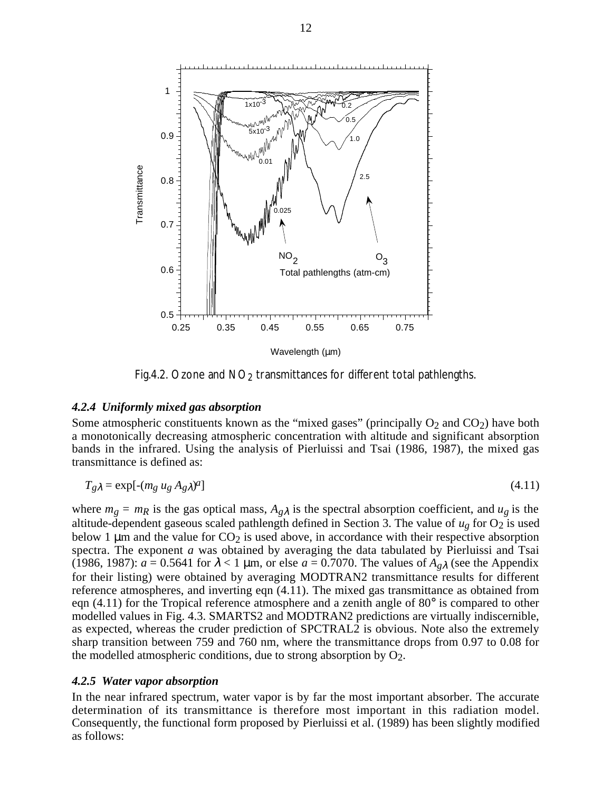

Fig.4.2. Ozone and  $NO<sub>2</sub>$  transmittances for different total pathlengths.

## *4.2.4 Uniformly mixed gas absorption*

Some atmospheric constituents known as the "mixed gases" (principally  $O_2$  and  $CO_2$ ) have both a monotonically decreasing atmospheric concentration with altitude and significant absorption bands in the infrared. Using the analysis of Pierluissi and Tsai (1986, 1987), the mixed gas transmittance is defined as:

$$
T_g \lambda = \exp[-(m_g u_g A_g) \lambda^2] \tag{4.11}
$$

where  $m_g = m_R$  is the gas optical mass,  $A_{g\lambda}$  is the spectral absorption coefficient, and  $u_g$  is the altitude-dependent gaseous scaled pathlength defined in Section 3. The value of  $u_g$  for  $O_2$  is used below 1  $\mu$ m and the value for CO<sub>2</sub> is used above, in accordance with their respective absorption spectra. The exponent *a* was obtained by averaging the data tabulated by Pierluissi and Tsai (1986, 1987):  $a = 0.5641$  for  $\lambda < 1$  µm, or else  $a = 0.7070$ . The values of  $A_{g\lambda}$  (see the Appendix for their listing) were obtained by averaging MODTRAN2 transmittance results for different reference atmospheres, and inverting eqn (4.11). The mixed gas transmittance as obtained from eqn (4.11) for the Tropical reference atmosphere and a zenith angle of 80° is compared to other modelled values in Fig. 4.3. SMARTS2 and MODTRAN2 predictions are virtually indiscernible, as expected, whereas the cruder prediction of SPCTRAL2 is obvious. Note also the extremely sharp transition between 759 and 760 nm, where the transmittance drops from 0.97 to 0.08 for the modelled atmospheric conditions, due to strong absorption by  $O_2$ .

#### *4.2.5 Water vapor absorption*

In the near infrared spectrum, water vapor is by far the most important absorber. The accurate determination of its transmittance is therefore most important in this radiation model. Consequently, the functional form proposed by Pierluissi et al. (1989) has been slightly modified as follows: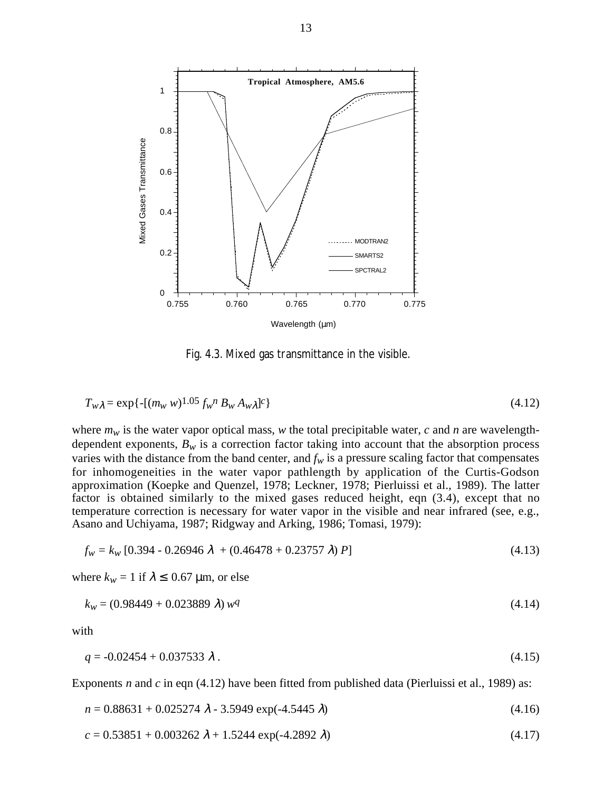

Fig. 4.3. Mixed gas transmittance in the visible.

$$
T_{w\lambda} = \exp\{-[(m_w w)^{1.05} f_w^{\ \ n} B_w A_w \lambda]^c\}
$$
\n(4.12)

where  $m_w$  is the water vapor optical mass, w the total precipitable water,  $c$  and  $n$  are wavelengthdependent exponents,  $B_w$  is a correction factor taking into account that the absorption process varies with the distance from the band center, and  $f_w$  is a pressure scaling factor that compensates for inhomogeneities in the water vapor pathlength by application of the Curtis-Godson approximation (Koepke and Quenzel, 1978; Leckner, 1978; Pierluissi et al., 1989). The latter factor is obtained similarly to the mixed gases reduced height, eqn (3.4), except that no temperature correction is necessary for water vapor in the visible and near infrared (see, e.g., Asano and Uchiyama, 1987; Ridgway and Arking, 1986; Tomasi, 1979):

$$
f_w = k_w [0.394 - 0.26946 \lambda + (0.46478 + 0.23757 \lambda) P]
$$
\n(4.13)

where  $k_w = 1$  if  $\lambda \leq 0.67$  µm, or else

$$
k_w = (0.98449 + 0.023889 \lambda) wq
$$
\n<sup>(4.14)</sup>

with

$$
q = -0.02454 + 0.037533 \lambda. \tag{4.15}
$$

Exponents *n* and *c* in eqn (4.12) have been fitted from published data (Pierluissi et al., 1989) as:

$$
n = 0.88631 + 0.025274 \lambda - 3.5949 \exp(-4.5445 \lambda)
$$
\n(4.16)

$$
c = 0.53851 + 0.003262 \lambda + 1.5244 \exp(-4.2892 \lambda)
$$
\n(4.17)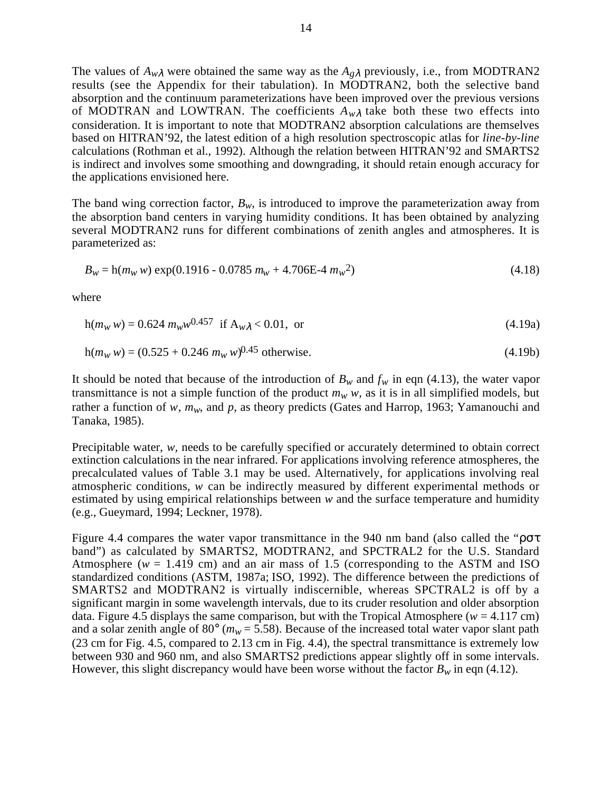The values of  $A_{w\lambda}$  were obtained the same way as the  $A_{g\lambda}$  previously, i.e., from MODTRAN2 results (see the Appendix for their tabulation). In MODTRAN2, both the selective band absorption and the continuum parameterizations have been improved over the previous versions of MODTRAN and LOWTRAN. The coefficients  $A_{w\lambda}$  take both these two effects into consideration. It is important to note that MODTRAN2 absorption calculations are themselves based on HITRAN'92, the latest edition of a high resolution spectroscopic atlas for *line-by-line* calculations (Rothman et al., 1992). Although the relation between HITRAN'92 and SMARTS2 is indirect and involves some smoothing and downgrading, it should retain enough accuracy for the applications envisioned here.

The band wing correction factor,  $B_w$ , is introduced to improve the parameterization away from the absorption band centers in varying humidity conditions. It has been obtained by analyzing several MODTRAN2 runs for different combinations of zenith angles and atmospheres. It is parameterized as:

$$
B_w = h(m_w w) \exp(0.1916 - 0.0785 m_w + 4.706E - 4 m_w^2)
$$
\n(4.18)

where

$$
h(mW w) = 0.624 mWw0.457 if Awλ < 0.01, or
$$
\n(4.19a)

$$
h(mw w) = (0.525 + 0.246 mw w)^{0.45} \text{ otherwise.}
$$
 (4.19b)

It should be noted that because of the introduction of  $B_w$  and  $f_w$  in eqn (4.13), the water vapor transmittance is not a simple function of the product  $m_w w$ , as it is in all simplified models, but rather a function of *w*,  $m_w$ , and *p*, as theory predicts (Gates and Harrop, 1963; Yamanouchi and Tanaka, 1985).

Precipitable water, *w,* needs to be carefully specified or accurately determined to obtain correct extinction calculations in the near infrared. For applications involving reference atmospheres, the precalculated values of Table 3.1 may be used. Alternatively, for applications involving real atmospheric conditions, *w* can be indirectly measured by different experimental methods or estimated by using empirical relationships between *w* and the surface temperature and humidity (e.g., Gueymard, 1994; Leckner, 1978).

Figure 4.4 compares the water vapor transmittance in the 940 nm band (also called the "ρστ band") as calculated by SMARTS2, MODTRAN2, and SPCTRAL2 for the U.S. Standard Atmosphere ( $w = 1.419$  cm) and an air mass of 1.5 (corresponding to the ASTM and ISO standardized conditions (ASTM, 1987a; ISO, 1992). The difference between the predictions of SMARTS2 and MODTRAN2 is virtually indiscernible, whereas SPCTRAL2 is off by a significant margin in some wavelength intervals, due to its cruder resolution and older absorption data. Figure 4.5 displays the same comparison, but with the Tropical Atmosphere ( $w = 4.117$  cm) and a solar zenith angle of 80 $^{\circ}$  ( $m_w$  = 5.58). Because of the increased total water vapor slant path (23 cm for Fig. 4.5, compared to 2.13 cm in Fig. 4.4), the spectral transmittance is extremely low between 930 and 960 nm, and also SMARTS2 predictions appear slightly off in some intervals. However, this slight discrepancy would have been worse without the factor  $B_w$  in eqn (4.12).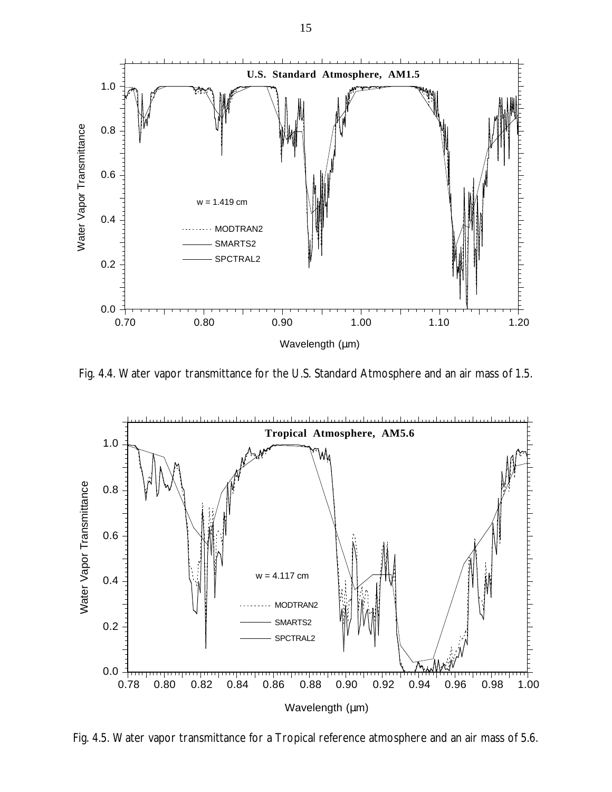

Fig. 4.4. Water vapor transmittance for the U.S. Standard Atmosphere and an air mass of 1.5.



Fig. 4.5. Water vapor transmittance for a Tropical reference atmosphere and an air mass of 5.6.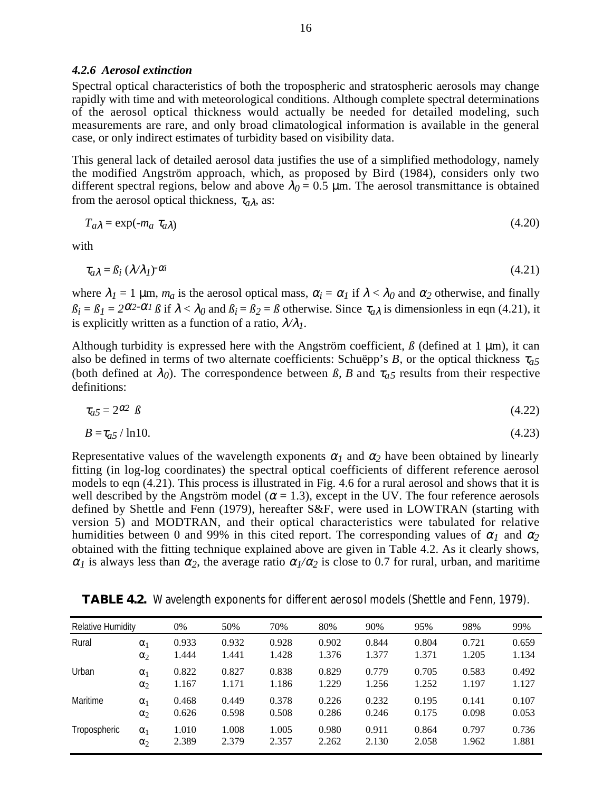## *4.2.6 Aerosol extinction*

Spectral optical characteristics of both the tropospheric and stratospheric aerosols may change rapidly with time and with meteorological conditions. Although complete spectral determinations of the aerosol optical thickness would actually be needed for detailed modeling, such measurements are rare, and only broad climatological information is available in the general case, or only indirect estimates of turbidity based on visibility data.

This general lack of detailed aerosol data justifies the use of a simplified methodology, namely the modified Angström approach, which, as proposed by Bird (1984), considers only two different spectral regions, below and above  $\lambda_0 = 0.5$  µm. The aerosol transmittance is obtained from the aerosol optical thickness,  $\tau_{a\lambda}$ , as:

$$
T_{a\lambda} = \exp(-m_a \tau_{a\lambda}) \tag{4.20}
$$

with

$$
\tau_{a\lambda} = \beta_i \left( \lambda / \lambda_l \right)^{-\alpha_i} \tag{4.21}
$$

where  $\lambda_1 = 1$   $\mu$ m,  $m_a$  is the aerosol optical mass,  $\alpha_i = \alpha_i$  if  $\lambda < \lambda_0$  and  $\alpha_2$  otherwise, and finally  $\beta_i = \beta_i = 2^{\alpha_i - \alpha_i}$  *B* if  $\lambda < \lambda_0$  and  $\beta_i = \beta_2 = \beta$  otherwise. Since  $\tau_{\alpha\lambda}$  is dimensionless in eqn (4.21), it is explicitly written as a function of a ratio,  $\lambda/\lambda_l$ .

Although turbidity is expressed here with the Angström coefficient,  $\beta$  (defined at 1  $\mu$ m), it can also be defined in terms of two alternate coefficients: Schuëpp's *B*, or the optical thickness <sup>τ</sup>*a5* (both defined at  $\lambda_0$ ). The correspondence between  $\beta$ , B and  $\tau_{a}$ <sub>5</sub> results from their respective definitions:

$$
\tau_{a5} = 2^{\alpha 2} \beta \tag{4.22}
$$

$$
B = \tau_{a5} / \ln 10. \tag{4.23}
$$

Representative values of the wavelength exponents  $\alpha_l$  and  $\alpha_2$  have been obtained by linearly fitting (in log-log coordinates) the spectral optical coefficients of different reference aerosol models to eqn (4.21). This process is illustrated in Fig. 4.6 for a rural aerosol and shows that it is well described by the Angström model ( $\alpha$  = 1.3), except in the UV. The four reference aerosols defined by Shettle and Fenn (1979), hereafter S&F, were used in LOWTRAN (starting with version 5) and MODTRAN, and their optical characteristics were tabulated for relative humidities between 0 and 99% in this cited report. The corresponding values of  $\alpha_1$  and  $\alpha_2$ obtained with the fitting technique explained above are given in Table 4.2. As it clearly shows,  $\alpha_l$  is always less than  $\alpha_2$ , the average ratio  $\alpha_l/\alpha_2$  is close to 0.7 for rural, urban, and maritime

|  |  |  | TABLE 4.2. Wavelength exponents for different aerosol models (Shettle and Fenn, 1979). |  |  |  |  |
|--|--|--|----------------------------------------------------------------------------------------|--|--|--|--|
|--|--|--|----------------------------------------------------------------------------------------|--|--|--|--|

| <b>Relative Humidity</b> |            | 0%    | 50%   | 70%   | 80%   | 90%   | 95%   | 98%   | 99%   |
|--------------------------|------------|-------|-------|-------|-------|-------|-------|-------|-------|
| Rural                    | $\alpha_1$ | 0.933 | 0.932 | 0.928 | 0.902 | 0.844 | 0.804 | 0.721 | 0.659 |
|                          | $\alpha_2$ | 1.444 | 1.441 | 1.428 | 1.376 | 1.377 | 1.371 | 1.205 | 1.134 |
| Urban                    | $\alpha_1$ | 0.822 | 0.827 | 0.838 | 0.829 | 0.779 | 0.705 | 0.583 | 0.492 |
|                          | $\alpha_2$ | 1.167 | 1.171 | 1.186 | 1.229 | 1.256 | 1.252 | 1.197 | 1.127 |
| Maritime                 | $\alpha_1$ | 0.468 | 0.449 | 0.378 | 0.226 | 0.232 | 0.195 | 0.141 | 0.107 |
|                          | $\alpha_2$ | 0.626 | 0.598 | 0.508 | 0.286 | 0.246 | 0.175 | 0.098 | 0.053 |
| Tropospheric             | $\alpha_1$ | 1.010 | 1.008 | 1.005 | 0.980 | 0.911 | 0.864 | 0.797 | 0.736 |
|                          | $\alpha_2$ | 2.389 | 2.379 | 2.357 | 2.262 | 2.130 | 2.058 | 1.962 | 1.881 |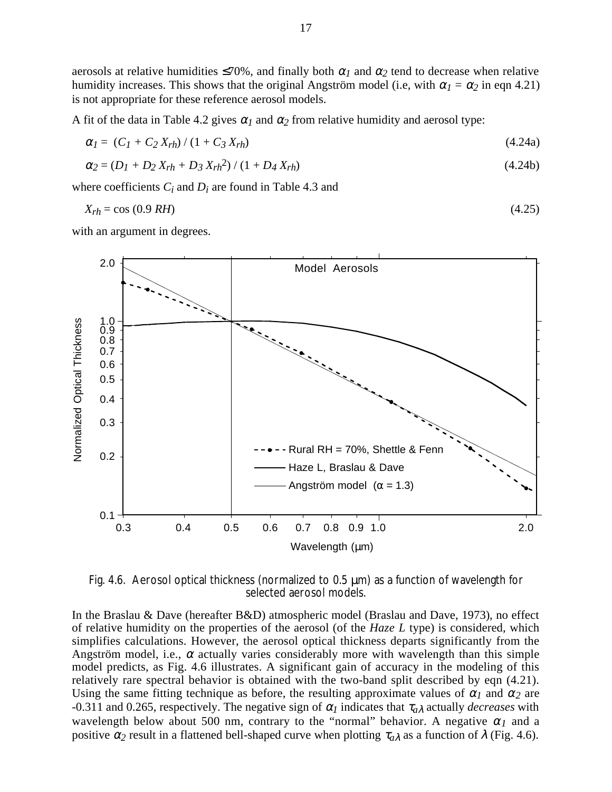aerosols at relative humidities  $\leq 70\%$ , and finally both  $\alpha_1$  and  $\alpha_2$  tend to decrease when relative humidity increases. This shows that the original Angström model (i.e, with  $\alpha_1 = \alpha_2$  in eqn 4.21) is not appropriate for these reference aerosol models.

A fit of the data in Table 4.2 gives  $\alpha_l$  and  $\alpha_2$  from relative humidity and aerosol type:

$$
\alpha_I = (C_I + C_2 X_{rh}) / (1 + C_3 X_{rh}) \tag{4.24a}
$$

$$
\alpha_2 = (D_I + D_2 X_{rh} + D_3 X_{rh}^2) / (1 + D_4 X_{rh})
$$
\n(4.24b)

where coefficients *Ci* and *Di* are found in Table 4.3 and

$$
X_{rh} = \cos(0.9 \, RH) \tag{4.25}
$$

with an argument in degrees.



Fig. 4.6. Aerosol optical thickness (normalized to 0.5 µm) as a function of wavelength for selected aerosol models.

In the Braslau & Dave (hereafter B&D) atmospheric model (Braslau and Dave, 1973), no effect of relative humidity on the properties of the aerosol (of the *Haze L* type) is considered, which simplifies calculations. However, the aerosol optical thickness departs significantly from the Angström model, i.e.,  $\alpha$  actually varies considerably more with wavelength than this simple model predicts, as Fig. 4.6 illustrates. A significant gain of accuracy in the modeling of this relatively rare spectral behavior is obtained with the two-band split described by eqn (4.21). Using the same fitting technique as before, the resulting approximate values of  $\alpha_l$  and  $\alpha_2$  are -0.311 and 0.265, respectively. The negative sign of  $\alpha_l$  indicates that  $\tau_{a\lambda}$  actually *decreases* with wavelength below about 500 nm, contrary to the "normal" behavior. A negative  $\alpha_l$  and a positive  $\alpha_2$  result in a flattened bell-shaped curve when plotting  $\tau_{\alpha\lambda}$  as a function of  $\lambda$  (Fig. 4.6).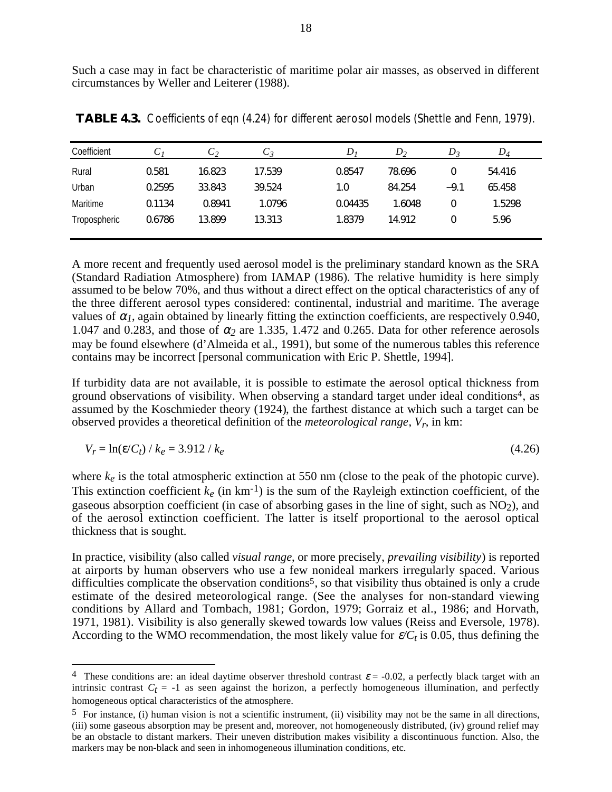Such a case may in fact be characteristic of maritime polar air masses, as observed in different circumstances by Weller and Leiterer (1988).

| Coefficient  | $\sim$ | しっ     | U 3    | D       | $D_{2}$ | $D_3$  | $D_4$  |
|--------------|--------|--------|--------|---------|---------|--------|--------|
| Rural        | 0.581  | 16.823 | 17.539 | 0.8547  | 78.696  | 0      | 54.416 |
| Urban        | 0.2595 | 33.843 | 39.524 | 0.1     | 84.254  | $-9.1$ | 65.458 |
| Maritime     | 0.1134 | 0.8941 | 1.0796 | 0.04435 | 1.6048  | 0      | 1.5298 |
| Tropospheric | 0.6786 | 13.899 | 13.313 | 1.8379  | 14.912  | 0      | 5.96   |
|              |        |        |        |         |         |        |        |

**TABLE 4.3.** Coefficients of eqn (4.24) for different aerosol models (Shettle and Fenn, 1979).

A more recent and frequently used aerosol model is the preliminary standard known as the SRA (Standard Radiation Atmosphere) from IAMAP (1986). The relative humidity is here simply assumed to be below 70%, and thus without a direct effect on the optical characteristics of any of the three different aerosol types considered: continental, industrial and maritime. The average values of  $\alpha_l$ , again obtained by linearly fitting the extinction coefficients, are respectively 0.940, 1.047 and 0.283, and those of  $\alpha_2$  are 1.335, 1.472 and 0.265. Data for other reference aerosols may be found elsewhere (d'Almeida et al., 1991), but some of the numerous tables this reference contains may be incorrect [personal communication with Eric P. Shettle, 1994].

If turbidity data are not available, it is possible to estimate the aerosol optical thickness from ground observations of visibility. When observing a standard target under ideal conditions4, as assumed by the Koschmieder theory (1924), the farthest distance at which such a target can be observed provides a theoretical definition of the *meteorological range*, *Vr*, in km:

$$
V_r = \ln(\varepsilon / C_t) / k_e = 3.912 / k_e
$$
\n(4.26)

where  $k_e$  is the total atmospheric extinction at 550 nm (close to the peak of the photopic curve). This extinction coefficient  $k_e$  (in km<sup>-1</sup>) is the sum of the Rayleigh extinction coefficient, of the gaseous absorption coefficient (in case of absorbing gases in the line of sight, such as  $NO<sub>2</sub>$ ), and of the aerosol extinction coefficient. The latter is itself proportional to the aerosol optical thickness that is sought.

In practice, visibility (also called *visual range*, or more precisely, *prevailing visibility*) is reported at airports by human observers who use a few nonideal markers irregularly spaced. Various difficulties complicate the observation conditions<sup>5</sup>, so that visibility thus obtained is only a crude estimate of the desired meteorological range. (See the analyses for non-standard viewing conditions by Allard and Tombach, 1981; Gordon, 1979; Gorraiz et al., 1986; and Horvath, 1971, 1981). Visibility is also generally skewed towards low values (Reiss and Eversole, 1978). According to the WMO recommendation, the most likely value for  $\varepsilon / C_t$  is 0.05, thus defining the

<sup>&</sup>lt;sup>4</sup> These conditions are: an ideal daytime observer threshold contrast  $\varepsilon$  = -0.02, a perfectly black target with an intrinsic contrast  $C_t = -1$  as seen against the horizon, a perfectly homogeneous illumination, and perfectly homogeneous optical characteristics of the atmosphere.

 $5$  For instance, (i) human vision is not a scientific instrument, (ii) visibility may not be the same in all directions, (iii) some gaseous absorption may be present and, moreover, not homogeneously distributed, (iv) ground relief may be an obstacle to distant markers. Their uneven distribution makes visibility a discontinuous function. Also, the markers may be non-black and seen in inhomogeneous illumination conditions, etc.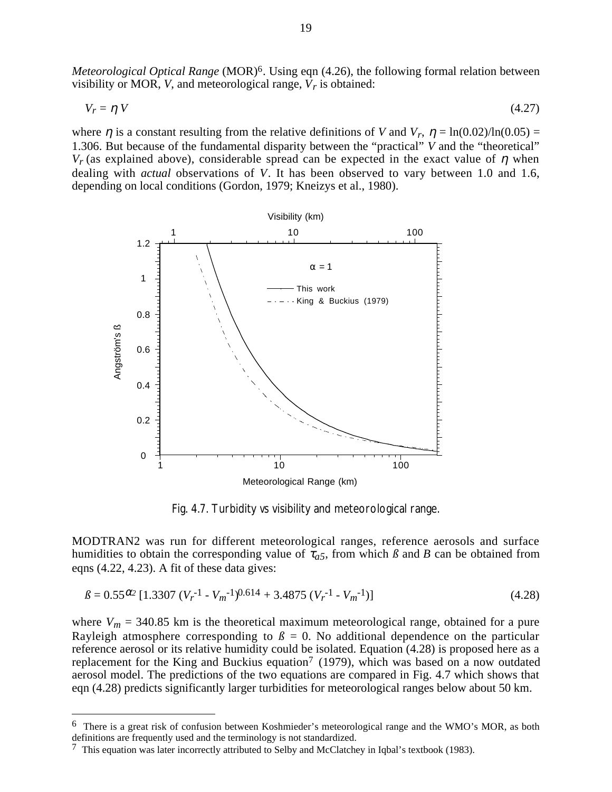*Meteorological Optical Range* (MOR)<sup>6</sup>. Using eqn (4.26), the following formal relation between visibility or MOR, *V*, and meteorological range,  $\overline{V_r}$  is obtained:

$$
V_r = \eta V \tag{4.27}
$$

where  $\eta$  is a constant resulting from the relative definitions of *V* and  $V_r$ ,  $\eta = \ln(0.02)/\ln(0.05)$  = 1.306. But because of the fundamental disparity between the "practical" *V* and the "theoretical"  $V_r$  (as explained above), considerable spread can be expected in the exact value of  $\eta$  when dealing with *actual* observations of *V*. It has been observed to vary between 1.0 and 1.6, depending on local conditions (Gordon, 1979; Kneizys et al., 1980).



Fig. 4.7. Turbidity *vs* visibility and meteorological range.

MODTRAN2 was run for different meteorological ranges, reference aerosols and surface humidities to obtain the corresponding value of  $\tau_{a5}$ , from which  $\beta$  and  $B$  can be obtained from eqns (4.22, 4.23). A fit of these data gives:

$$
\beta = 0.55^{\alpha/2} \left[ 1.3307 \left( V_r^{-1} - V_m^{-1} \right)^{0.614} + 3.4875 \left( V_r^{-1} - V_m^{-1} \right) \right] \tag{4.28}
$$

where  $V_m = 340.85$  km is the theoretical maximum meteorological range, obtained for a pure Rayleigh atmosphere corresponding to  $\beta = 0$ . No additional dependence on the particular reference aerosol or its relative humidity could be isolated. Equation (4.28) is proposed here as a replacement for the King and Buckius equation<sup>7</sup> (1979), which was based on a now outdated aerosol model. The predictions of the two equations are compared in Fig. 4.7 which shows that eqn (4.28) predicts significantly larger turbidities for meteorological ranges below about 50 km.

 $6\,$  There is a great risk of confusion between Koshmieder's meteorological range and the WMO's MOR, as both definitions are frequently used and the terminology is not standardized.

<sup>7</sup> This equation was later incorrectly attributed to Selby and McClatchey in Iqbal's textbook (1983).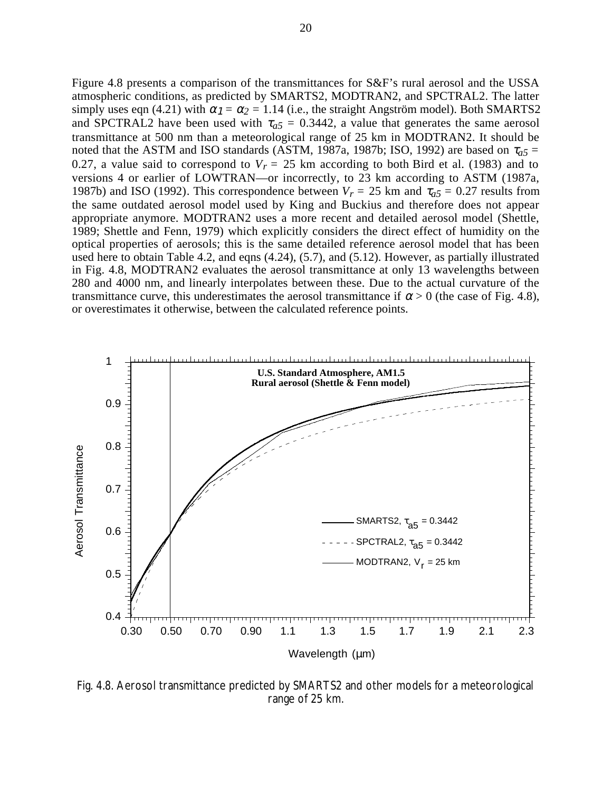Figure 4.8 presents a comparison of the transmittances for S&F's rural aerosol and the USSA atmospheric conditions, as predicted by SMARTS2, MODTRAN2, and SPCTRAL2. The latter simply uses eqn (4.21) with  $\alpha_1 = \alpha_2 = 1.14$  (i.e., the straight Angström model). Both SMARTS2 and SPCTRAL2 have been used with  $\tau_{a5} = 0.3442$ , a value that generates the same aerosol transmittance at 500 nm than a meteorological range of 25 km in MODTRAN2. It should be noted that the ASTM and ISO standards (ASTM, 1987a, 1987b; ISO, 1992) are based on  $\tau_{a5}$  = 0.27, a value said to correspond to  $V_r = 25$  km according to both Bird et al. (1983) and to versions 4 or earlier of LOWTRAN—or incorrectly, to 23 km according to ASTM (1987a, 1987b) and ISO (1992). This correspondence between  $V_r = 25$  km and  $\tau_{a5} = 0.27$  results from the same outdated aerosol model used by King and Buckius and therefore does not appear appropriate anymore. MODTRAN2 uses a more recent and detailed aerosol model (Shettle, 1989; Shettle and Fenn, 1979) which explicitly considers the direct effect of humidity on the optical properties of aerosols; this is the same detailed reference aerosol model that has been used here to obtain Table 4.2, and eqns (4.24), (5.7), and (5.12). However, as partially illustrated in Fig. 4.8, MODTRAN2 evaluates the aerosol transmittance at only 13 wavelengths between 280 and 4000 nm, and linearly interpolates between these. Due to the actual curvature of the transmittance curve, this underestimates the aerosol transmittance if  $\alpha > 0$  (the case of Fig. 4.8), or overestimates it otherwise, between the calculated reference points.



Fig. 4.8. Aerosol transmittance predicted by SMARTS2 and other models for a meteorological range of 25 km.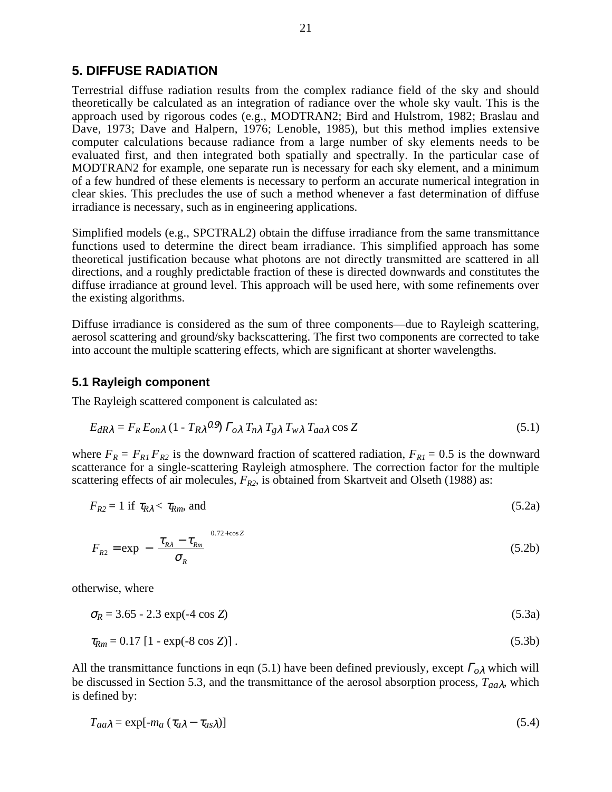## **5. DIFFUSE RADIATION**

Terrestrial diffuse radiation results from the complex radiance field of the sky and should theoretically be calculated as an integration of radiance over the whole sky vault. This is the approach used by rigorous codes (e.g., MODTRAN2; Bird and Hulstrom, 1982; Braslau and Dave, 1973; Dave and Halpern, 1976; Lenoble, 1985), but this method implies extensive computer calculations because radiance from a large number of sky elements needs to be evaluated first, and then integrated both spatially and spectrally. In the particular case of MODTRAN2 for example, one separate run is necessary for each sky element, and a minimum of a few hundred of these elements is necessary to perform an accurate numerical integration in clear skies. This precludes the use of such a method whenever a fast determination of diffuse irradiance is necessary, such as in engineering applications.

Simplified models (e.g., SPCTRAL2) obtain the diffuse irradiance from the same transmittance functions used to determine the direct beam irradiance. This simplified approach has some theoretical justification because what photons are not directly transmitted are scattered in all directions, and a roughly predictable fraction of these is directed downwards and constitutes the diffuse irradiance at ground level. This approach will be used here, with some refinements over the existing algorithms.

Diffuse irradiance is considered as the sum of three components—due to Rayleigh scattering, aerosol scattering and ground/sky backscattering. The first two components are corrected to take into account the multiple scattering effects, which are significant at shorter wavelengths.

## **5.1 Rayleigh component**

The Rayleigh scattered component is calculated as:

$$
E_{dR\lambda} = F_R E_{on\lambda} (1 - T_{R\lambda}{}^{0.9}) \Gamma_{o\lambda} T_{n\lambda} T_{g\lambda} T_{w\lambda} T_{aa\lambda} \cos Z
$$
 (5.1)

where  $F_R = F_{R1} F_{R2}$  is the downward fraction of scattered radiation,  $F_{R1} = 0.5$  is the downward scatterance for a single-scattering Rayleigh atmosphere. The correction factor for the multiple scattering effects of air molecules,  $F_{R2}$ , is obtained from Skartveit and Olseth (1988) as:

 $F_{R2} = 1$  if  $\tau_{R\lambda} < \tau_{Rm}$ , and (5.2a)

$$
F_{R2} = \exp\left[-\left(\frac{\tau_{R\lambda} - \tau_{Rm}}{\sigma_R}\right)^{0.72 + \cos Z}\right]
$$
 (5.2b)

otherwise, where

 $\sigma_R = 3.65 - 2.3 \exp(-4 \cos Z)$  (5.3a)

$$
\tau_{Rm} = 0.17 \left[ 1 - \exp(-8 \cos Z) \right]. \tag{5.3b}
$$

All the transmittance functions in eqn (5.1) have been defined previously, except <sup>Γ</sup>*o*λ which will be discussed in Section 5.3, and the transmittance of the aerosol absorption process, *Taa*λ, which is defined by:

$$
T_{aa\lambda} = \exp[-m_a (\tau_{a\lambda} - \tau_{as\lambda})]
$$
\n(5.4)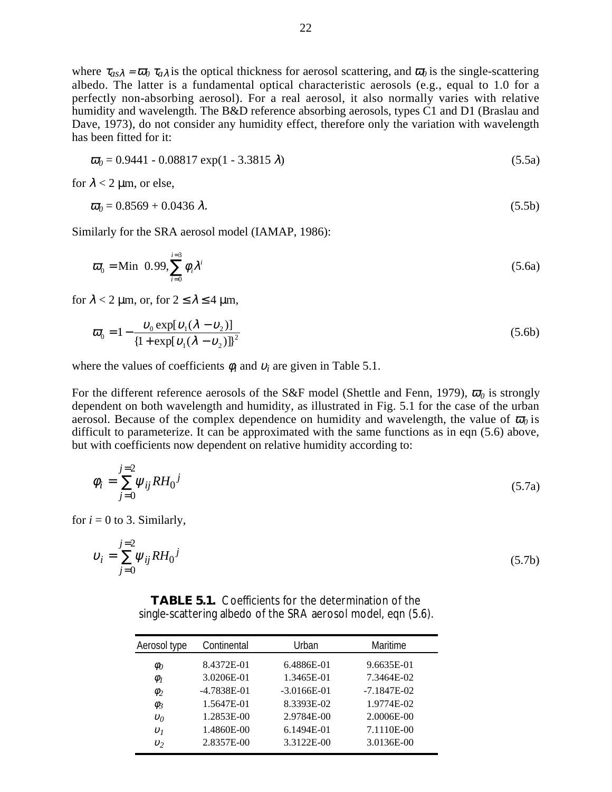where  $\tau_{as}\lambda = \bar{\omega}_0 \tau_{a\lambda}$  is the optical thickness for aerosol scattering, and  $\bar{\omega}_0$  is the single-scattering albedo. The latter is a fundamental optical characteristic aerosols (e.g., equal to 1.0 for a perfectly non-absorbing aerosol). For a real aerosol, it also normally varies with relative humidity and wavelength. The B&D reference absorbing aerosols, types C1 and D1 (Braslau and Dave, 1973), do not consider any humidity effect, therefore only the variation with wavelength has been fitted for it:

$$
\overline{\omega}_0 = 0.9441 - 0.08817 \exp(1 - 3.3815 \lambda)
$$
\n(5.5a)

for  $\lambda < 2 \mu m$ , or else,

$$
\overline{\omega}_0 = 0.8569 + 0.0436 \,\lambda. \tag{5.5b}
$$

Similarly for the SRA aerosol model (IAMAP, 1986):

$$
\varpi_0 = \text{Min}\left(0.99, \sum_{i=0}^{i=3} \phi_i \lambda^i\right) \tag{5.6a}
$$

for  $\lambda < 2$  µm, or, for  $2 \le \lambda \le 4$  µm,

$$
\varpi_0 = 1 - \frac{\upsilon_0 \exp[\upsilon_1(\lambda - \upsilon_2)]}{\{1 + \exp[\upsilon_1(\lambda - \upsilon_2)]\}^2}
$$
\n(5.6b)

where the values of coefficients  $\phi_i$  and  $v_i$  are given in Table 5.1.

For the different reference aerosols of the S&F model (Shettle and Fenn, 1979),  $\bar{\omega}_0$  is strongly dependent on both wavelength and humidity, as illustrated in Fig. 5.1 for the case of the urban aerosol. Because of the complex dependence on humidity and wavelength, the value of  $\overline{\omega}_0$  is difficult to parameterize. It can be approximated with the same functions as in eqn (5.6) above, but with coefficients now dependent on relative humidity according to:

$$
\phi_i = \sum_{j=0}^{j=2} \psi_{ij} R H_0^j \tag{5.7a}
$$

for  $i = 0$  to 3. Similarly,

*j*=2

$$
v_i = \sum_{j=0}^{j=2} \psi_{ij} R H_0^j
$$
 (5.7b)

| <b>TABLE 5.1.</b> Coefficients for the determination of the   |  |  |  |  |
|---------------------------------------------------------------|--|--|--|--|
| single-scattering albedo of the SRA aerosol model, eqn (5.6). |  |  |  |  |

| Aerosol type        | Continental     | Urban         | Maritime      |
|---------------------|-----------------|---------------|---------------|
| $\phi_0$            | 8.4372E-01      | 6.4886E-01    | 9.6635E-01    |
| $\phi$ <sub>1</sub> | 3.0206E-01      | 1.3465E-01    | 7.3464E-02    |
| $\phi_2$            | $-4.7838E - 01$ | $-3.0166E-01$ | $-7.1847E-02$ |
| $\phi_3$            | 1.5647E-01      | 8.3393E-02    | 1.9774E-02    |
| $v_0$               | 1.2853E-00      | 2.9784E-00    | 2.0006E-00    |
| v <sub>1</sub>      | 1.4860E-00      | 6.1494E-01    | 7.1110E-00    |
| $v_2$               | 2.8357E-00      | 3.3122E-00    | 3.0136E-00    |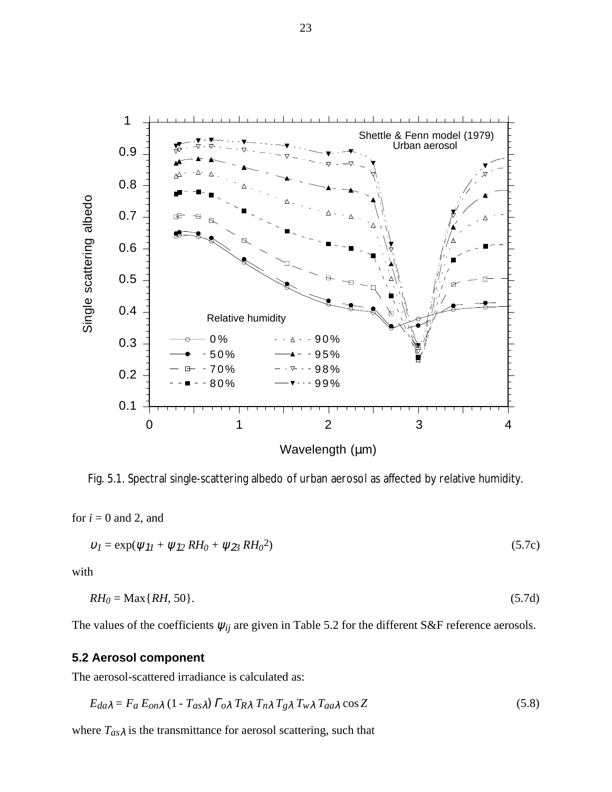

Fig. 5.1. Spectral single-scattering albedo of urban aerosol as affected by relative humidity.

for  $i = 0$  and 2, and

$$
v_1 = \exp(\psi_{11} + \psi_{12} \, RH_0 + \psi_{23} \, RH_0^2) \tag{5.7c}
$$

with

$$
RH_0 = \text{Max}\{RH, 50\}. \tag{5.7d}
$$

The values of the coefficients  $\psi_{ij}$  are given in Table 5.2 for the different S&F reference aerosols.

## **5.2 Aerosol component**

The aerosol-scattered irradiance is calculated as:

$$
E_{da\lambda} = F_a E_{on\lambda} (1 - T_{as\lambda}) \Gamma_{o\lambda} T_{R\lambda} T_{n\lambda} T_{g\lambda} T_{w\lambda} T_{aa\lambda} \cos Z
$$
 (5.8)

where  $T_{as}\lambda$  is the transmittance for aerosol scattering, such that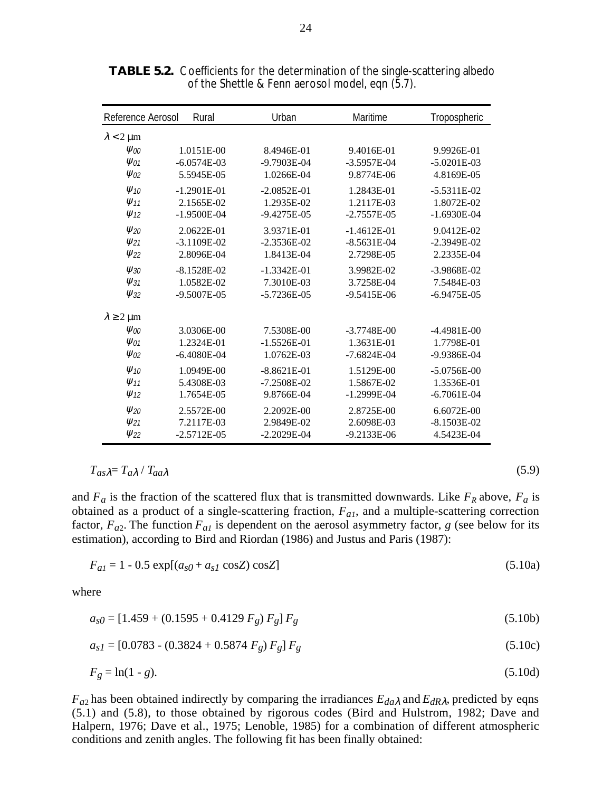| Reference Aerosol                 | Rural         | Urban           | Maritime      | Tropospheric    |
|-----------------------------------|---------------|-----------------|---------------|-----------------|
| $\lambda$ < 2 µm                  |               |                 |               |                 |
| $\psi_{00}$                       | 1.0151E-00    | 8.4946E-01      | 9.4016E-01    | 9.9926E-01      |
| $\Psi_{01}$                       | $-6.0574E-03$ | -9.7903E-04     | $-3.5957E-04$ | $-5.0201E-03$   |
| $\Psi_{02}$                       | 5.5945E-05    | 1.0266E-04      | 9.8774E-06    | 4.8169E-05      |
| $\Psi$ <sub>10</sub>              | $-1.2901E-01$ | $-2.0852E-01$   | 1.2843E-01    | $-5.5311E-02$   |
| $\Psi$ <sub>11</sub>              | 2.1565E-02    | 1.2935E-02      | 1.2117E-03    | 1.8072E-02      |
| $\Psi$ <sub>12</sub>              | $-1.9500E-04$ | $-9.4275E-05$   | $-2.7557E-05$ | $-1.6930E-04$   |
| $V_{20}$                          | 2.0622E-01    | 3.9371E-01      | $-1.4612E-01$ | 9.0412E-02      |
| $\psi_{21}$                       | $-3.1109E-02$ | $-2.3536E-02$   | $-8.5631E-04$ | $-2.3949E - 02$ |
| $\psi_{22}$                       | 2.8096E-04    | 1.8413E-04      | 2.7298E-05    | 2.2335E-04      |
| $\Psi$ <sub>30</sub>              | $-8.1528E-02$ | $-1.3342E - 01$ | 3.9982E-02    | $-3.9868E - 02$ |
| $\Psi_{31}$                       | 1.0582E-02    | 7.3010E-03      | 3.7258E-04    | 7.5484E-03      |
| $\psi_{32}$                       | $-9.5007E-05$ | $-5.7236E - 05$ | $-9.5415E-06$ | $-6.9475E-05$   |
| $\lambda \geq 2 \,\mathrm{\mu m}$ |               |                 |               |                 |
| $\psi_{00}$                       | 3.0306E-00    | 7.5308E-00      | $-3.7748E-00$ | $-4.4981E-00$   |
| $\Psi_{01}$                       | 1.2324E-01    | $-1.5526E-01$   | 1.3631E-01    | 1.7798E-01      |
| $\Psi_{02}$                       | $-6.4080E-04$ | 1.0762E-03      | $-7.6824E-04$ | $-9.9386E - 04$ |
| $\Psi$ <sub>10</sub>              | 1.0949E-00    | $-8.8621E-01$   | 1.5129E-00    | $-5.0756E-00$   |
| $\Psi$ <sub>11</sub>              | 5.4308E-03    | $-7.2508E - 02$ | 1.5867E-02    | 1.3536E-01      |
| $\Psi$ <sub>12</sub>              | 1.7654E-05    | 9.8766E-04      | $-1.2999E-04$ | $-6.7061E-04$   |
| $V_{20}$                          | 2.5572E-00    | 2.2092E-00      | 2.8725E-00    | 6.6072E-00      |
| $\psi_{21}$                       | 7.2117E-03    | 2.9849E-02      | 2.6098E-03    | $-8.1503E-02$   |
| $\psi_{22}$                       | $-2.5712E-05$ | $-2.2029E - 04$ | $-9.2133E-06$ | 4.5423E-04      |

**TABLE 5.2.** Coefficients for the determination of the single-scattering albedo of the Shettle & Fenn aerosol model, eqn (5.7).

 $T_{as} \lambda = T_{a} \lambda / T_{aa} \lambda$  (5.9)

and  $F_a$  is the fraction of the scattered flux that is transmitted downwards. Like  $F_R$  above,  $F_a$  is obtained as a product of a single-scattering fraction,  $F_{aI}$ , and a multiple-scattering correction factor,  $F_{a2}$ . The function  $F_{a1}$  is dependent on the aerosol asymmetry factor, *g* (see below for its estimation), according to Bird and Riordan (1986) and Justus and Paris (1987):

$$
F_{al} = 1 - 0.5 \exp[(a_{s0} + a_{s1} \cos Z) \cos Z]
$$
 (5.10a)

where

$$
a_{s0} = [1.459 + (0.1595 + 0.4129 F_g) F_g] F_g
$$
\n
$$
(5.10b)
$$

$$
a_{sI} = [0.0783 - (0.3824 + 0.5874 F_g) F_g] F_g
$$
\n
$$
(5.10c)
$$

$$
F_g = \ln(1 - g). \tag{5.10d}
$$

 $F_{a2}$  has been obtained indirectly by comparing the irradiances  $E_{da\lambda}$  and  $E_{dR\lambda}$ , predicted by eqns (5.1) and (5.8), to those obtained by rigorous codes (Bird and Hulstrom, 1982; Dave and Halpern, 1976; Dave et al., 1975; Lenoble, 1985) for a combination of different atmospheric conditions and zenith angles. The following fit has been finally obtained: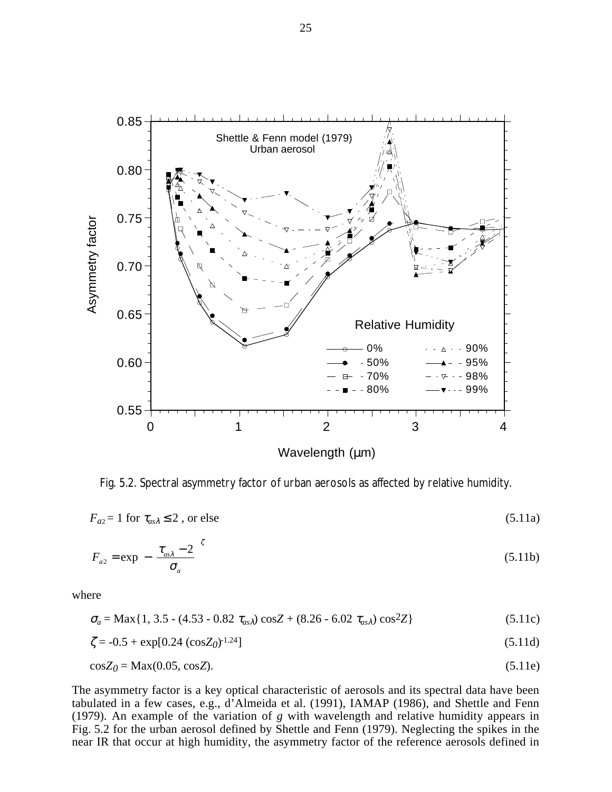

Wavelength (um)

Fig. 5.2. Spectral asymmetry factor of urban aerosols as affected by relative humidity.

 $F_{a2} = 1$  for  $\tau_{as}\geq 2$ , or else (5.11a)

$$
F_{a2} = \exp\left[-\left(\frac{\tau_{as\lambda} - 2}{\sigma_a}\right)^5\right] \tag{5.11b}
$$

where

$$
\sigma_a = \text{Max}\{1, 3.5 - (4.53 - 0.82 \ \tau_{as})\cos Z + (8.26 - 6.02 \ \tau_{as})\cos^2 Z\}
$$
\n(5.11c)

$$
\zeta = -0.5 + \exp[0.24 \, (\cos Z_0)^{-1.24}] \tag{5.11d}
$$

$$
\cos Z_0 = \text{Max}(0.05, \cos Z). \tag{5.11e}
$$

The asymmetry factor is a key optical characteristic of aerosols and its spectral data have been tabulated in a few cases, e.g., d'Almeida et al. (1991), IAMAP (1986), and Shettle and Fenn (1979). An example of the variation of *g* with wavelength and relative humidity appears in Fig. 5.2 for the urban aerosol defined by Shettle and Fenn (1979). Neglecting the spikes in the near IR that occur at high humidity, the asymmetry factor of the reference aerosols defined in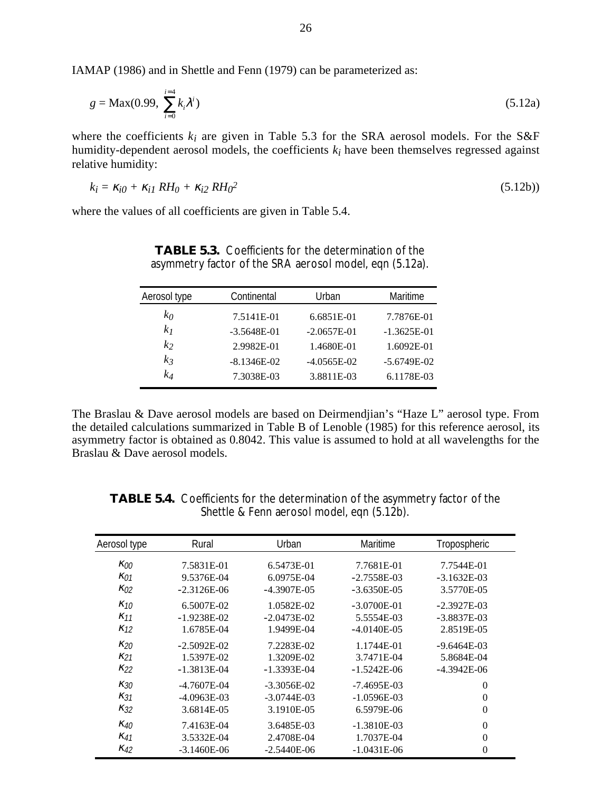IAMAP (1986) and in Shettle and Fenn (1979) can be parameterized as:

$$
g = \text{Max}(0.99, \sum_{i=0}^{i=4} k_i \lambda^i) \tag{5.12a}
$$

where the coefficients  $k_i$  are given in Table 5.3 for the SRA aerosol models. For the S&F humidity-dependent aerosol models, the coefficients *ki* have been themselves regressed against relative humidity:

$$
k_i = \kappa_{i0} + \kappa_{i1} \, RH_0 + \kappa_{i2} \, RH_0^2 \tag{5.12b}
$$

where the values of all coefficients are given in Table 5.4.

| Aerosol type   | Continental   | Urban         | Maritime      |
|----------------|---------------|---------------|---------------|
| $k_0$          | 7.5141E-01    | 6.6851E-01    | 7.7876E-01    |
| k <sub>I</sub> | $-3.5648E-01$ | $-2.0657E-01$ | $-1.3625E-01$ |
| k <sub>2</sub> | 2.9982E-01    | 1.4680E-01    | 1.6092E-01    |
| $k_3$          | $-8.1346E-02$ | $-4.0565E-02$ | $-5.6749E-02$ |
| $k_4$          | 7.3038E-03    | 3.8811E-03    | 6.1178E-03    |

**TABLE 5.3.** Coefficients for the determination of the asymmetry factor of the SRA aerosol model, eqn (5.12a).

The Braslau & Dave aerosol models are based on Deirmendjian's "Haze L" aerosol type. From the detailed calculations summarized in Table B of Lenoble (1985) for this reference aerosol, its asymmetry factor is obtained as 0.8042. This value is assumed to hold at all wavelengths for the Braslau & Dave aerosol models.

| Aerosol type  | Rural         | Urban          | Maritime       | Tropospheric     |
|---------------|---------------|----------------|----------------|------------------|
| $\kappa_{00}$ | 7.5831E-01    | 6.5473E-01     | 7.7681E-01     | 7.7544E-01       |
| $\kappa_{01}$ | 9.5376E-04    | 6.0975E-04     | $-2.7558E-03$  | $-3.1632E-03$    |
| $K_{02}$      | $-2.3126E-06$ | $-4.3907E-0.5$ | $-3.6350E-05$  | 3.5770E-05       |
| $K_{10}$      | 6.5007E-02    | 1.0582E-02     | $-3.0700E-01$  | $-2.3927E-03$    |
| $K_{11}$      | $-1.9238E-02$ | $-2.0473E-02$  | 5.5554E-03     | $-3.8837E-03$    |
| $K_{12}$      | 1.6785E-04    | 1.9499E-04     | $-4.0140E-0.5$ | 2.8519E-05       |
| $\kappa_{20}$ | $-2.5092E-02$ | 7.2283E-02     | 1.1744E-01     | $-9.6464E-03$    |
| $K_{21}$      | 1.5397E-02    | 1.3209E-02     | 3.7471E-04     | 5.8684E-04       |
| $K_{22}$      | $-1.3813E-04$ | $-1.3393E-04$  | $-1.5242E-06$  | $-4.3942E-06$    |
| K30           | $-4.7607E-04$ | $-3.3056E-02$  | -7.4695E-03    | $\boldsymbol{0}$ |
| K31           | $-4.0963E-03$ | $-3.0744E-03$  | $-1.0596E-03$  | $\boldsymbol{0}$ |
| $K_{32}$      | 3.6814E-05    | 3.1910E-05     | 6.5979E-06     | $\boldsymbol{0}$ |
| K40           | 7.4163E-04    | 3.6485E-03     | $-1.3810E-03$  | $\boldsymbol{0}$ |
| $K_{41}$      | 3.5332E-04    | 2.4708E-04     | 1.7037E-04     | $\boldsymbol{0}$ |
| $K_{42}$      | $-3.1460E-06$ | $-2.5440E-06$  | $-1.0431E-06$  | $\boldsymbol{0}$ |

**TABLE 5.4.** Coefficients for the determination of the asymmetry factor of the Shettle & Fenn aerosol model, eqn (5.12b).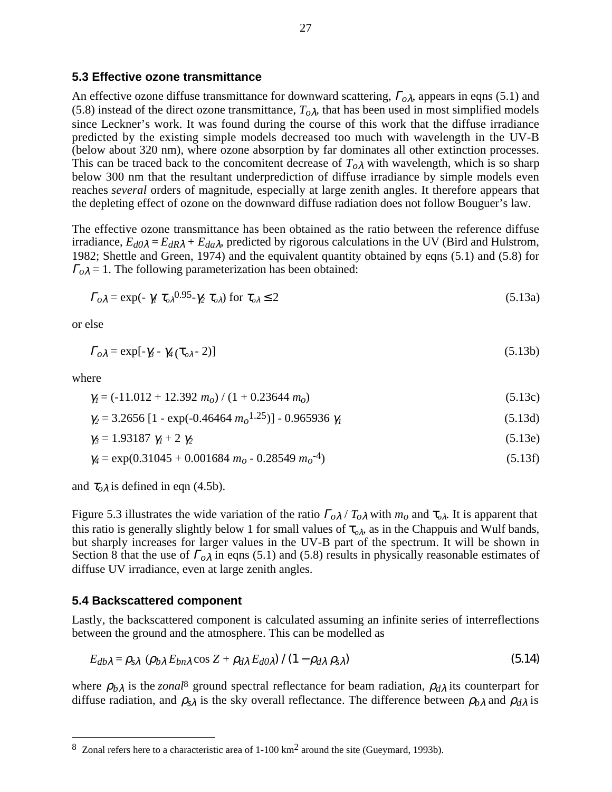## **5.3 Effective ozone transmittance**

An effective ozone diffuse transmittance for downward scattering, <sup>Γ</sup>*o*λ, appears in eqns (5.1) and (5.8) instead of the direct ozone transmittance,  $T_{o\lambda}$ , that has been used in most simplified models since Leckner's work. It was found during the course of this work that the diffuse irradiance predicted by the existing simple models decreased too much with wavelength in the UV-B (below about 320 nm), where ozone absorption by far dominates all other extinction processes. This can be traced back to the concomitent decrease of  $T_{o\lambda}$  with wavelength, which is so sharp below 300 nm that the resultant underprediction of diffuse irradiance by simple models even reaches *several* orders of magnitude, especially at large zenith angles. It therefore appears that the depleting effect of ozone on the downward diffuse radiation does not follow Bouguer's law.

The effective ozone transmittance has been obtained as the ratio between the reference diffuse irradiance,  $E_{d0\lambda} = E_{dR\lambda} + E_{da\lambda}$ , predicted by rigorous calculations in the UV (Bird and Hulstrom, 1982; Shettle and Green, 1974) and the equivalent quantity obtained by eqns (5.1) and (5.8) for  $\Gamma_0 \lambda = 1$ . The following parameterization has been obtained:

$$
\Gamma_{o\lambda} = \exp(-\gamma_1 \tau_{o\lambda}^{0.95} - \gamma_2 \tau_{o\lambda}) \text{ for } \tau_{o\lambda} \le 2
$$
\n(5.13a)

or else

$$
\Gamma_{o\lambda} = \exp[-\gamma_3 - \gamma_4 (\tau_{o\lambda} - 2)] \tag{5.13b}
$$

where

$$
\gamma_l = (-11.012 + 12.392 \, m_o) / (1 + 0.23644 \, m_o) \tag{5.13c}
$$

$$
\gamma_2 = 3.2656 \left[ 1 - \exp(-0.46464 \, m_o^{1.25}) \right] - 0.965936 \, \gamma_1 \tag{5.13d}
$$

$$
\gamma_3 = 1.93187 \ \gamma_1 + 2 \ \gamma_2 \tag{5.13e}
$$

$$
\gamma_4 = \exp(0.31045 + 0.001684 \ m_o - 0.28549 \ m_o^{-4})
$$
\n(5.13f)

and  $\tau_{o\lambda}$  is defined in eqn (4.5b).

Figure 5.3 illustrates the wide variation of the ratio  $\Gamma_{o\lambda}/T_{o\lambda}$  with  $m_o$  and  $\tau_{o\lambda}$ . It is apparent that this ratio is generally slightly below 1 for small values of  $\tau_{o\lambda}$ , as in the Chappuis and Wulf bands, but sharply increases for larger values in the UV-B part of the spectrum. It will be shown in Section 8 that the use of <sup>Γ</sup>*o*λ in eqns (5.1) and (5.8) results in physically reasonable estimates of diffuse UV irradiance, even at large zenith angles.

### **5.4 Backscattered component**

Lastly, the backscattered component is calculated assuming an infinite series of interreflections between the ground and the atmosphere. This can be modelled as

$$
E_{db\lambda} = \rho_{s\lambda} \, (\rho_{b\lambda} \, E_{bn\lambda} \cos Z + \rho_{d\lambda} \, E_{d0\lambda}) \, / \, (1 - \rho_{d\lambda} \, \rho_{s\lambda}) \tag{5.14}
$$

where  $\rho_{b\lambda}$  is the *zonal*<sup>8</sup> ground spectral reflectance for beam radiation,  $\rho_{d\lambda}$  its counterpart for diffuse radiation, and  $\rho_{s\lambda}$  is the sky overall reflectance. The difference between  $\rho_{b\lambda}$  and  $\rho_{d\lambda}$  is

<sup>8</sup> Zonal refers here to a characteristic area of 1-100 km2 around the site (Gueymard, 1993b).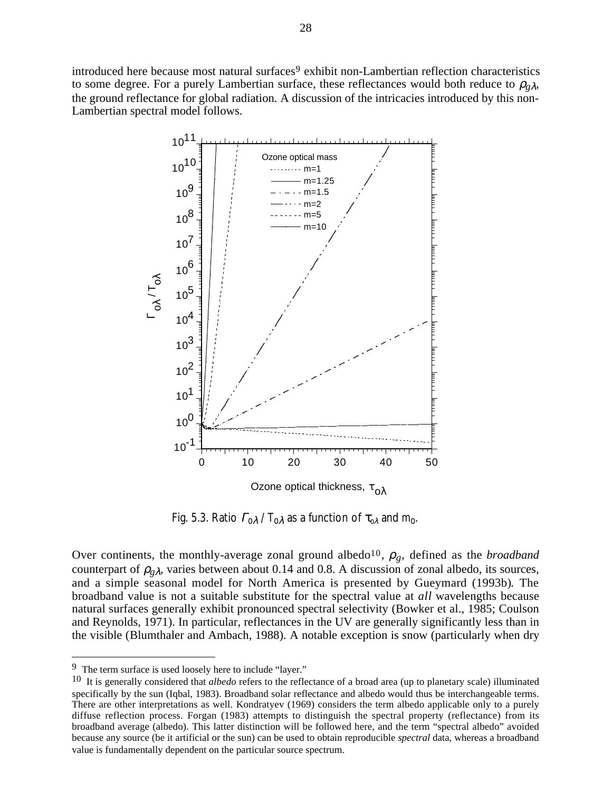introduced here because most natural surfaces<sup>9</sup> exhibit non-Lambertian reflection characteristics to some degree. For a purely Lambertian surface, these reflectances would both reduce to  $\rho_{g\lambda}$ , the ground reflectance for global radiation. A discussion of the intricacies introduced by this non-Lambertian spectral model follows.



Fig. 5.3. Ratio <sup>Γ</sup>*o*λ / *To*λ as a function of τ*<sup>o</sup>*λ and *mo*.

Over continents, the monthly-average zonal ground albedo<sup>10</sup>,  $\rho_g$ , defined as the *broadband* counterpart of  $\rho_{g\lambda}$ , varies between about 0.14 and 0.8. A discussion of zonal albedo, its sources, and a simple seasonal model for North America is presented by Gueymard (1993b). The broadband value is not a suitable substitute for the spectral value at *all* wavelengths because natural surfaces generally exhibit pronounced spectral selectivity (Bowker et al., 1985; Coulson and Reynolds, 1971). In particular, reflectances in the UV are generally significantly less than in the visible (Blumthaler and Ambach, 1988). A notable exception is snow (particularly when dry

<sup>9</sup> The term surface is used loosely here to include "layer."

<sup>10</sup> It is generally considered that *albedo* refers to the reflectance of a broad area (up to planetary scale) illuminated specifically by the sun (Iqbal, 1983). Broadband solar reflectance and albedo would thus be interchangeable terms. There are other interpretations as well. Kondratyev (1969) considers the term albedo applicable only to a purely diffuse reflection process. Forgan (1983) attempts to distinguish the spectral property (reflectance) from its broadband average (albedo). This latter distinction will be followed here, and the term "spectral albedo" avoided because any source (be it artificial or the sun) can be used to obtain reproducible *spectral* data, whereas a broadband value is fundamentally dependent on the particular source spectrum.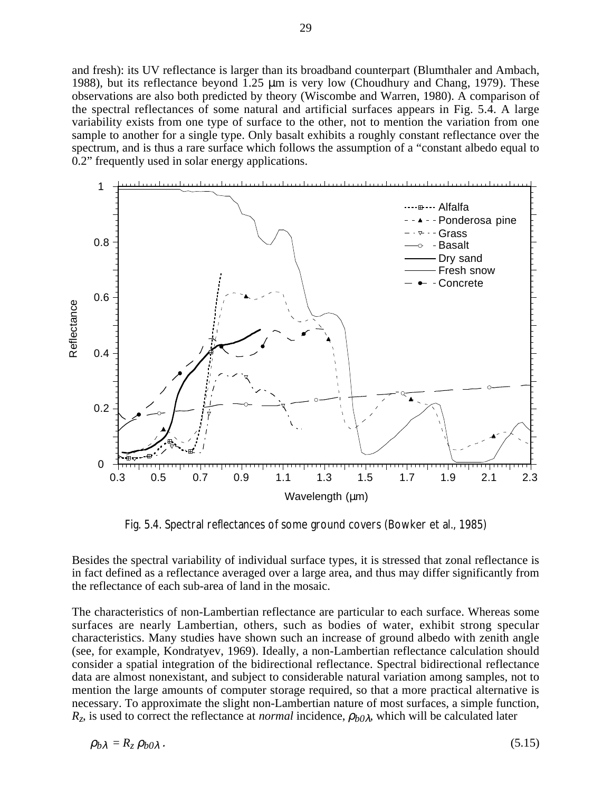and fresh): its UV reflectance is larger than its broadband counterpart (Blumthaler and Ambach, 1988), but its reflectance beyond 1.25 µm is very low (Choudhury and Chang, 1979). These observations are also both predicted by theory (Wiscombe and Warren, 1980). A comparison of the spectral reflectances of some natural and artificial surfaces appears in Fig. 5.4. A large variability exists from one type of surface to the other, not to mention the variation from one sample to another for a single type. Only basalt exhibits a roughly constant reflectance over the spectrum, and is thus a rare surface which follows the assumption of a "constant albedo equal to 0.2" frequently used in solar energy applications.



Fig. 5.4. Spectral reflectances of some ground covers (Bowker et al., 1985)

Besides the spectral variability of individual surface types, it is stressed that zonal reflectance is in fact defined as a reflectance averaged over a large area, and thus may differ significantly from the reflectance of each sub-area of land in the mosaic.

The characteristics of non-Lambertian reflectance are particular to each surface. Whereas some surfaces are nearly Lambertian, others, such as bodies of water, exhibit strong specular characteristics. Many studies have shown such an increase of ground albedo with zenith angle (see, for example, Kondratyev, 1969). Ideally, a non-Lambertian reflectance calculation should consider a spatial integration of the bidirectional reflectance. Spectral bidirectional reflectance data are almost nonexistant, and subject to considerable natural variation among samples, not to mention the large amounts of computer storage required, so that a more practical alternative is necessary. To approximate the slight non-Lambertian nature of most surfaces, a simple function, *R*<sub>z</sub>, is used to correct the reflectance at *normal* incidence,  $ρ<sub>b</sub>0λ$ , which will be calculated later

$$
\rho_{b\lambda} = R_z \, \rho_{b0\lambda} \,. \tag{5.15}
$$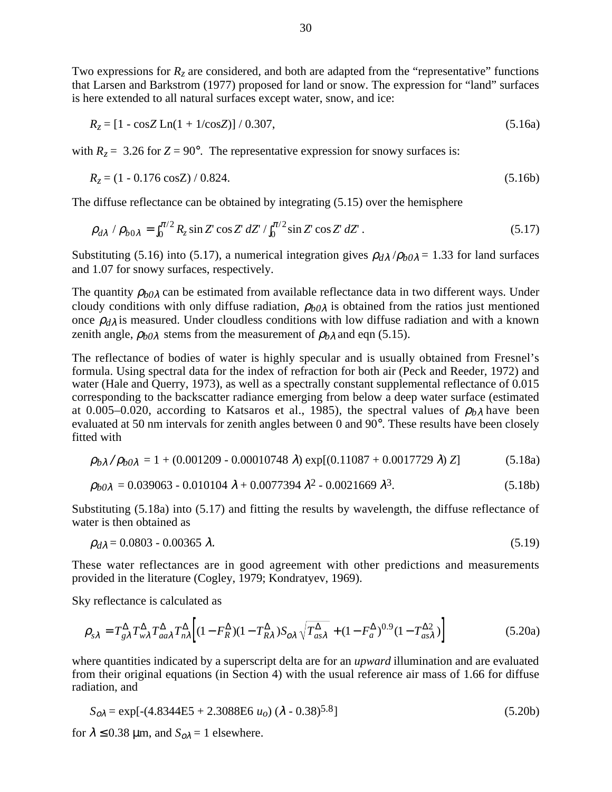Two expressions for  $R_z$  are considered, and both are adapted from the "representative" functions that Larsen and Barkstrom (1977) proposed for land or snow. The expression for "land" surfaces is here extended to all natural surfaces except water, snow, and ice:

$$
R_z = [1 - \cos Z \ln(1 + 1/\cos Z)] / 0.307,
$$
\n(5.16a)

with  $R_z = 3.26$  for  $Z = 90^\circ$ . The representative expression for snowy surfaces is:

$$
R_z = (1 - 0.176 \cos Z) / 0.824. \tag{5.16b}
$$

The diffuse reflectance can be obtained by integrating (5.15) over the hemisphere

$$
\rho_{d\lambda} / \rho_{b0\lambda} = \int_0^{\pi/2} R_z \sin Z \cos Z \, dZ' / \int_0^{\pi/2} \sin Z \cos Z \, dZ \,. \tag{5.17}
$$

Substituting (5.16) into (5.17), a numerical integration gives  $\rho_{d\lambda}/\rho_{b0\lambda} = 1.33$  for land surfaces and 1.07 for snowy surfaces, respectively.

The quantity  $\rho_{b0\lambda}$  can be estimated from available reflectance data in two different ways. Under cloudy conditions with only diffuse radiation, ρ*b0*λ is obtained from the ratios just mentioned once  $\rho_{d\lambda}$  is measured. Under cloudless conditions with low diffuse radiation and with a known zenith angle,  $\rho_{b0\lambda}$  stems from the measurement of  $\rho_{b\lambda}$  and eqn (5.15).

The reflectance of bodies of water is highly specular and is usually obtained from Fresnel's formula. Using spectral data for the index of refraction for both air (Peck and Reeder, 1972) and water (Hale and Querry, 1973), as well as a spectrally constant supplemental reflectance of 0.015 corresponding to the backscatter radiance emerging from below a deep water surface (estimated at 0.005–0.020, according to Katsaros et al., 1985), the spectral values of  $\rho_{b\lambda}$  have been evaluated at 50 nm intervals for zenith angles between 0 and 90°. These results have been closely fitted with

$$
\rho_{b\lambda}/\rho_{b0\lambda} = 1 + (0.001209 - 0.00010748 \,\lambda) \exp[(0.11087 + 0.0017729 \,\lambda) Z] \tag{5.18a}
$$

$$
\rho_{b0\lambda} = 0.039063 - 0.010104 \lambda + 0.0077394 \lambda^2 - 0.0021669 \lambda^3. \tag{5.18b}
$$

Substituting (5.18a) into (5.17) and fitting the results by wavelength, the diffuse reflectance of water is then obtained as

$$
\rho_{d\lambda} = 0.0803 - 0.00365 \lambda. \tag{5.19}
$$

These water reflectances are in good agreement with other predictions and measurements provided in the literature (Cogley, 1979; Kondratyev, 1969).

Sky reflectance is calculated as

$$
\rho_{s\lambda} = T_{g\lambda}^{\Delta} T_{w\lambda}^{\Delta} T_{aa\lambda}^{\Delta} T_{n\lambda}^{\Delta} \left[ (1 - F_R^{\Delta})(1 - T_{R\lambda}^{\Delta}) S_{o\lambda} \sqrt{T_{as\lambda}^{\Delta}} + (1 - F_a^{\Delta})^{0.9} (1 - T_{as\lambda}^{\Delta 2}) \right]
$$
(5.20a)

where quantities indicated by a superscript delta are for an *upward* illumination and are evaluated from their original equations (in Section 4) with the usual reference air mass of 1.66 for diffuse radiation, and

$$
S_{o\lambda} = \exp[-(4.8344E5 + 2.3088E6 \ u_o) (\lambda - 0.38)^{5.8}]
$$
\n(5.20b)

for  $\lambda \le 0.38$  µm, and  $S_{\text{o}}\lambda = 1$  elsewhere.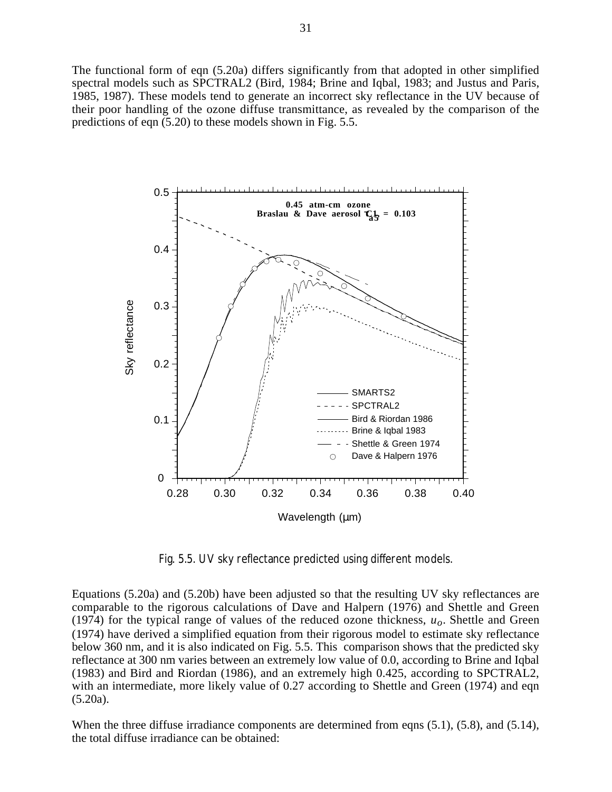The functional form of eqn (5.20a) differs significantly from that adopted in other simplified spectral models such as SPCTRAL2 (Bird, 1984; Brine and Iqbal, 1983; and Justus and Paris, 1985, 1987). These models tend to generate an incorrect sky reflectance in the UV because of their poor handling of the ozone diffuse transmittance, as revealed by the comparison of the predictions of eqn (5.20) to these models shown in Fig. 5.5.



Fig. 5.5. UV sky reflectance predicted using different models.

Equations (5.20a) and (5.20b) have been adjusted so that the resulting UV sky reflectances are comparable to the rigorous calculations of Dave and Halpern (1976) and Shettle and Green (1974) for the typical range of values of the reduced ozone thickness, *uo*. Shettle and Green (1974) have derived a simplified equation from their rigorous model to estimate sky reflectance below 360 nm, and it is also indicated on Fig. 5.5. This comparison shows that the predicted sky reflectance at 300 nm varies between an extremely low value of 0.0, according to Brine and Iqbal (1983) and Bird and Riordan (1986), and an extremely high 0.425, according to SPCTRAL2, with an intermediate, more likely value of 0.27 according to Shettle and Green (1974) and eqn (5.20a).

When the three diffuse irradiance components are determined from eqns  $(5.1)$ ,  $(5.8)$ , and  $(5.14)$ , the total diffuse irradiance can be obtained: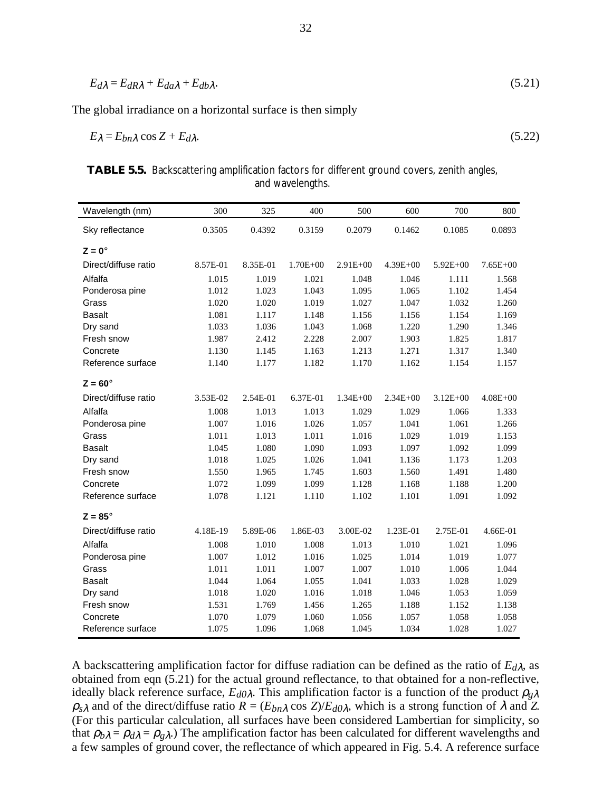$$
E_{d\lambda} = E_{dR\lambda} + E_{da\lambda} + E_{db\lambda}.\tag{5.21}
$$

The global irradiance on a horizontal surface is then simply

$$
E_{\lambda} = E_{bn\lambda} \cos Z + E_{d\lambda}.
$$
\n(5.22)

| <b>TABLE 5.5.</b> Backscattering amplification factors for different ground covers, zenith angles, |  |
|----------------------------------------------------------------------------------------------------|--|
| and wavelengths.                                                                                   |  |

| Wavelength (nm)      | 300      | 325      | 400          | 500          | 600          | 700          | 800          |
|----------------------|----------|----------|--------------|--------------|--------------|--------------|--------------|
| Sky reflectance      | 0.3505   | 0.4392   | 0.3159       | 0.2079       | 0.1462       | 0.1085       | 0.0893       |
| $Z = 0^\circ$        |          |          |              |              |              |              |              |
| Direct/diffuse ratio | 8.57E-01 | 8.35E-01 | $1.70E + 00$ | $2.91E+00$   | $4.39E + 00$ | $5.92E + 00$ | $7.65E + 00$ |
| Alfalfa              | 1.015    | 1.019    | 1.021        | 1.048        | 1.046        | 1.111        | 1.568        |
| Ponderosa pine       | 1.012    | 1.023    | 1.043        | 1.095        | 1.065        | 1.102        | 1.454        |
| Grass                | 1.020    | 1.020    | 1.019        | 1.027        | 1.047        | 1.032        | 1.260        |
| <b>Basalt</b>        | 1.081    | 1.117    | 1.148        | 1.156        | 1.156        | 1.154        | 1.169        |
| Dry sand             | 1.033    | 1.036    | 1.043        | 1.068        | 1.220        | 1.290        | 1.346        |
| Fresh snow           | 1.987    | 2.412    | 2.228        | 2.007        | 1.903        | 1.825        | 1.817        |
| Concrete             | 1.130    | 1.145    | 1.163        | 1.213        | 1.271        | 1.317        | 1.340        |
| Reference surface    | 1.140    | 1.177    | 1.182        | 1.170        | 1.162        | 1.154        | 1.157        |
| $Z = 60^\circ$       |          |          |              |              |              |              |              |
| Direct/diffuse ratio | 3.53E-02 | 2.54E-01 | 6.37E-01     | $1.34E + 00$ | $2.34E + 00$ | $3.12E + 00$ | $4.08E + 00$ |
| Alfalfa              | 1.008    | 1.013    | 1.013        | 1.029        | 1.029        | 1.066        | 1.333        |
| Ponderosa pine       | 1.007    | 1.016    | 1.026        | 1.057        | 1.041        | 1.061        | 1.266        |
| Grass                | 1.011    | 1.013    | 1.011        | 1.016        | 1.029        | 1.019        | 1.153        |
| <b>Basalt</b>        | 1.045    | 1.080    | 1.090        | 1.093        | 1.097        | 1.092        | 1.099        |
| Dry sand             | 1.018    | 1.025    | 1.026        | 1.041        | 1.136        | 1.173        | 1.203        |
| Fresh snow           | 1.550    | 1.965    | 1.745        | 1.603        | 1.560        | 1.491        | 1.480        |
| Concrete             | 1.072    | 1.099    | 1.099        | 1.128        | 1.168        | 1.188        | 1.200        |
| Reference surface    | 1.078    | 1.121    | 1.110        | 1.102        | 1.101        | 1.091        | 1.092        |
| $Z = 85^\circ$       |          |          |              |              |              |              |              |
| Direct/diffuse ratio | 4.18E-19 | 5.89E-06 | 1.86E-03     | 3.00E-02     | 1.23E-01     | 2.75E-01     | 4.66E-01     |
| Alfalfa              | 1.008    | 1.010    | 1.008        | 1.013        | 1.010        | 1.021        | 1.096        |
| Ponderosa pine       | 1.007    | 1.012    | 1.016        | 1.025        | 1.014        | 1.019        | 1.077        |
| Grass                | 1.011    | 1.011    | 1.007        | 1.007        | 1.010        | 1.006        | 1.044        |
| <b>Basalt</b>        | 1.044    | 1.064    | 1.055        | 1.041        | 1.033        | 1.028        | 1.029        |
| Dry sand             | 1.018    | 1.020    | 1.016        | 1.018        | 1.046        | 1.053        | 1.059        |
| Fresh snow           | 1.531    | 1.769    | 1.456        | 1.265        | 1.188        | 1.152        | 1.138        |
| Concrete             | 1.070    | 1.079    | 1.060        | 1.056        | 1.057        | 1.058        | 1.058        |
| Reference surface    | 1.075    | 1.096    | 1.068        | 1.045        | 1.034        | 1.028        | 1.027        |

A backscattering amplification factor for diffuse radiation can be defined as the ratio of  $E_{d\lambda}$ , as obtained from eqn (5.21) for the actual ground reflectance, to that obtained for a non-reflective, ideally black reference surface,  $E_{d0\lambda}$ . This amplification factor is a function of the product  $\rho_{g\lambda}$  $\rho_{s\lambda}$  and of the direct/diffuse ratio  $R = (E_{bn\lambda} \cos Z)/E_{d\lambda}$ , which is a strong function of  $\lambda$  and  $Z$ . (For this particular calculation, all surfaces have been considered Lambertian for simplicity, so that  $\rho_{b\lambda} = \rho_{d\lambda} = \rho_{g\lambda}$ .) The amplification factor has been calculated for different wavelengths and a few samples of ground cover, the reflectance of which appeared in Fig. 5.4. A reference surface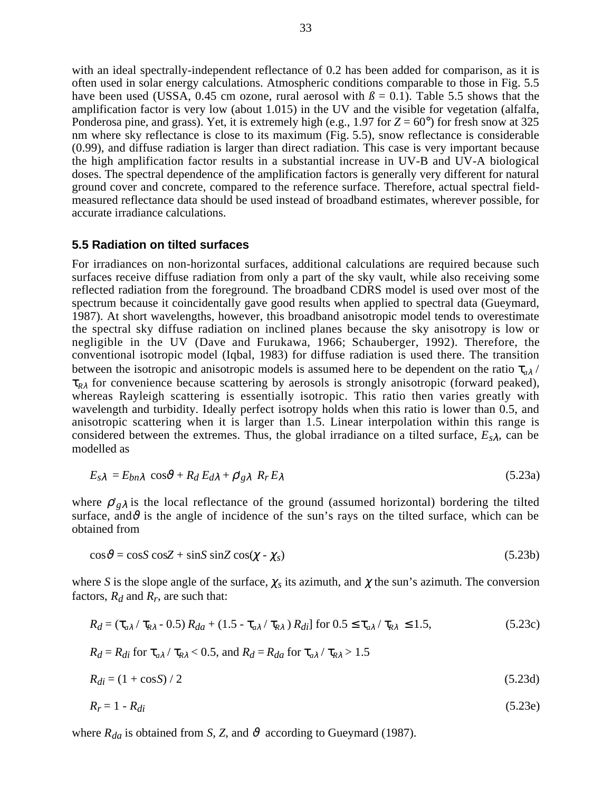with an ideal spectrally-independent reflectance of 0.2 has been added for comparison, as it is often used in solar energy calculations. Atmospheric conditions comparable to those in Fig. 5.5 have been used (USSA, 0.45 cm ozone, rural aerosol with  $\beta = 0.1$ ). Table 5.5 shows that the amplification factor is very low (about 1.015) in the UV and the visible for vegetation (alfalfa, Ponderosa pine, and grass). Yet, it is extremely high (e.g., 1.97 for  $Z = 60^{\circ}$ ) for fresh snow at 325 nm where sky reflectance is close to its maximum (Fig. 5.5), snow reflectance is considerable (0.99), and diffuse radiation is larger than direct radiation. This case is very important because the high amplification factor results in a substantial increase in UV-B and UV-A biological doses. The spectral dependence of the amplification factors is generally very different for natural ground cover and concrete, compared to the reference surface. Therefore, actual spectral fieldmeasured reflectance data should be used instead of broadband estimates, wherever possible, for accurate irradiance calculations.

#### **5.5 Radiation on tilted surfaces**

For irradiances on non-horizontal surfaces, additional calculations are required because such surfaces receive diffuse radiation from only a part of the sky vault, while also receiving some reflected radiation from the foreground. The broadband CDRS model is used over most of the spectrum because it coincidentally gave good results when applied to spectral data (Gueymard, 1987). At short wavelengths, however, this broadband anisotropic model tends to overestimate the spectral sky diffuse radiation on inclined planes because the sky anisotropy is low or negligible in the UV (Dave and Furukawa, 1966; Schauberger, 1992). Therefore, the conventional isotropic model (Iqbal, 1983) for diffuse radiation is used there. The transition between the isotropic and anisotropic models is assumed here to be dependent on the ratio  $\tau_{a\lambda}$  / τ*<sup>R</sup>*λ for convenience because scattering by aerosols is strongly anisotropic (forward peaked), whereas Rayleigh scattering is essentially isotropic. This ratio then varies greatly with wavelength and turbidity. Ideally perfect isotropy holds when this ratio is lower than 0.5, and anisotropic scattering when it is larger than 1.5. Linear interpolation within this range is considered between the extremes. Thus, the global irradiance on a tilted surface,  $E_{s\lambda}$ , can be modelled as

$$
E_{s\lambda} = E_{bn\lambda} \cos\vartheta + R_d E_{d\lambda} + \rho'_{g\lambda} R_r E_{\lambda}
$$
\n(5.23a)

where  $\rho'_{g\lambda}$  is the local reflectance of the ground (assumed horizontal) bordering the tilted surface, and  $\vartheta$  is the angle of incidence of the sun's rays on the tilted surface, which can be obtained from

$$
\cos \vartheta = \cos S \cos Z + \sin S \sin Z \cos(\chi - \chi_s)
$$
\n(5.23b)

where *S* is the slope angle of the surface,  $\chi_s$  its azimuth, and  $\chi$  the sun's azimuth. The conversion factors,  $R_d$  and  $R_r$ , are such that:

$$
R_d = (\tau_{a\lambda} / \tau_{R\lambda} - 0.5) R_{da} + (1.5 - \tau_{a\lambda} / \tau_{R\lambda}) R_{di} \text{ for } 0.5 \le \tau_{a\lambda} / \tau_{R\lambda} \le 1.5,
$$
 (5.23c)

$$
R_d = R_{di}
$$
 for  $\tau_{a\lambda} / \tau_{R\lambda} < 0.5$ , and  $R_d = R_{da}$  for  $\tau_{a\lambda} / \tau_{R\lambda} > 1.5$ 

$$
R_{di} = (1 + \cos S)/2 \tag{5.23d}
$$

$$
R_r = 1 - R_{di} \tag{5.23e}
$$

where  $R_{da}$  is obtained from *S*, *Z*, and  $\vartheta$  according to Gueymard (1987).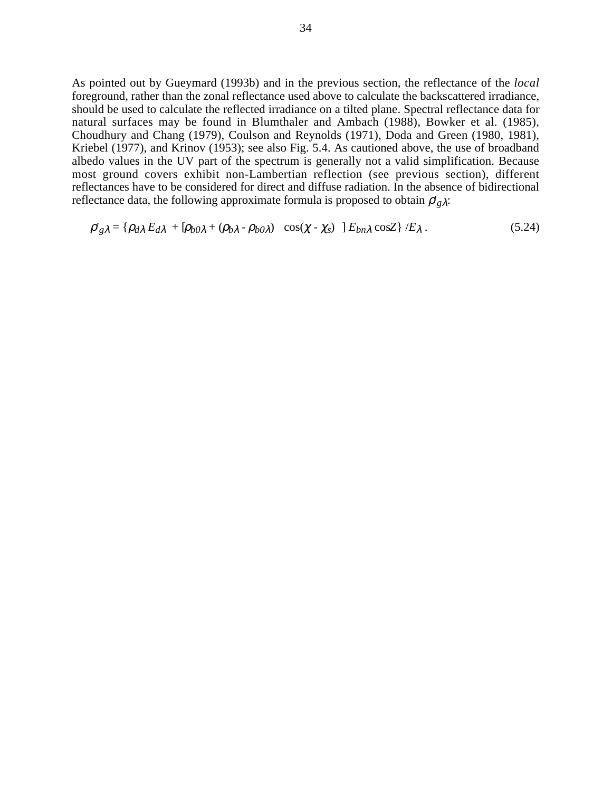As pointed out by Gueymard (1993b) and in the previous section, the reflectance of the *local* foreground, rather than the zonal reflectance used above to calculate the backscattered irradiance, should be used to calculate the reflected irradiance on a tilted plane. Spectral reflectance data for natural surfaces may be found in Blumthaler and Ambach (1988), Bowker et al. (1985), Choudhury and Chang (1979), Coulson and Reynolds (1971), Doda and Green (1980, 1981), Kriebel (1977), and Krinov (1953); see also Fig. 5.4. As cautioned above, the use of broadband albedo values in the UV part of the spectrum is generally not a valid simplification. Because most ground covers exhibit non-Lambertian reflection (see previous section), different reflectances have to be considered for direct and diffuse radiation. In the absence of bidirectional reflectance data, the following approximate formula is proposed to obtain  $\rho'_{g\lambda}$ :

$$
\rho'_{g\lambda} = \{ \rho_{d\lambda} E_{d\lambda} + [\rho_{b0\lambda} + (\rho_{b\lambda} - \rho_{b0\lambda}) \mid \cos(\chi - \chi_s) \mid E_{bn\lambda} \cos Z \} / E_{\lambda} \,.
$$
 (5.24)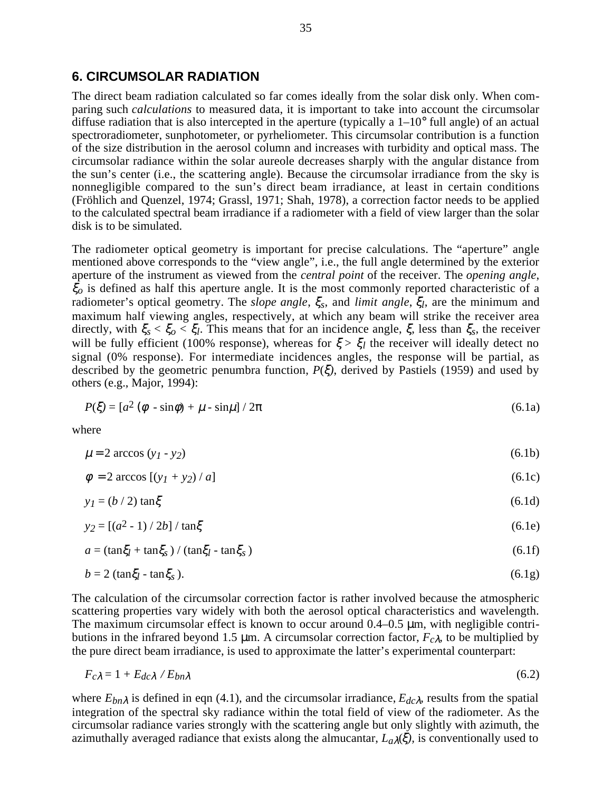### **6. CIRCUMSOLAR RADIATION**

The direct beam radiation calculated so far comes ideally from the solar disk only. When comparing such *calculations* to measured data, it is important to take into account the circumsolar diffuse radiation that is also intercepted in the aperture (typically a  $1-10^{\circ}$  full angle) of an actual spectroradiometer, sunphotometer, or pyrheliometer. This circumsolar contribution is a function of the size distribution in the aerosol column and increases with turbidity and optical mass. The circumsolar radiance within the solar aureole decreases sharply with the angular distance from the sun's center (i.e., the scattering angle). Because the circumsolar irradiance from the sky is nonnegligible compared to the sun's direct beam irradiance, at least in certain conditions (Fröhlich and Quenzel, 1974; Grassl, 1971; Shah, 1978), a correction factor needs to be applied to the calculated spectral beam irradiance if a radiometer with a field of view larger than the solar disk is to be simulated.

The radiometer optical geometry is important for precise calculations. The "aperture" angle mentioned above corresponds to the "view angle", i.e., the full angle determined by the exterior aperture of the instrument as viewed from the *central point* of the receiver. The *opening angle*, ξ*o* is defined as half this aperture angle. It is the most commonly reported characteristic of a radiometer's optical geometry. The *slope angle*, ξ*s*, and *limit angle*, ξ*l*, are the minimum and maximum half viewing angles, respectively, at which any beam will strike the receiver area directly, with ξ*s* < ξ*o* < ξ*l*. This means that for an incidence angle, ξ, less than ξ*s*, the receiver will be fully efficient (100% response), whereas for  $\xi > \xi_l$  the receiver will ideally detect no signal (0% response). For intermediate incidences angles, the response will be partial, as described by the geometric penumbra function, *P*(ξ*)*, derived by Pastiels (1959) and used by others (e.g., Major, 1994):

$$
P(\xi) = [a^2 (\phi - \sin \phi) + \mu - \sin \mu]/2\pi
$$
\n(6.1a)

where

$$
\mu = 2 \arccos(y_1 - y_2) \tag{6.1b}
$$

$$
\phi = 2 \arccos \left[ \left( y_1 + y_2 \right) / a \right] \tag{6.1c}
$$

$$
y_I = (b/2) \tan \xi \tag{6.1d}
$$

$$
y_2 = [(a^2 - 1)/2b] / \tan\xi
$$
 (6.1e)

$$
a = (\tan \xi_l + \tan \xi_s) / (\tan \xi_l - \tan \xi_s)
$$
\n(6.1f)

$$
b = 2 \text{ (tan} \xi_l - \tan \xi_s \text{)}. \tag{6.1g}
$$

The calculation of the circumsolar correction factor is rather involved because the atmospheric scattering properties vary widely with both the aerosol optical characteristics and wavelength. The maximum circumsolar effect is known to occur around 0.4–0.5  $\mu$ m, with negligible contributions in the infrared beyond 1.5  $\mu$ m. A circumsolar correction factor,  $F_{c\lambda}$ , to be multiplied by the pure direct beam irradiance, is used to approximate the latter's experimental counterpart:

$$
F_{c\lambda} = 1 + E_{dc\lambda} / E_{bn\lambda}
$$
 (6.2)

where  $E_{bn\lambda}$  is defined in eqn (4.1), and the circumsolar irradiance,  $E_{dc\lambda}$ , results from the spatial integration of the spectral sky radiance within the total field of view of the radiometer. As the circumsolar radiance varies strongly with the scattering angle but only slightly with azimuth, the azimuthally averaged radiance that exists along the almucantar,  $L_a\lambda(\xi)$ , is conventionally used to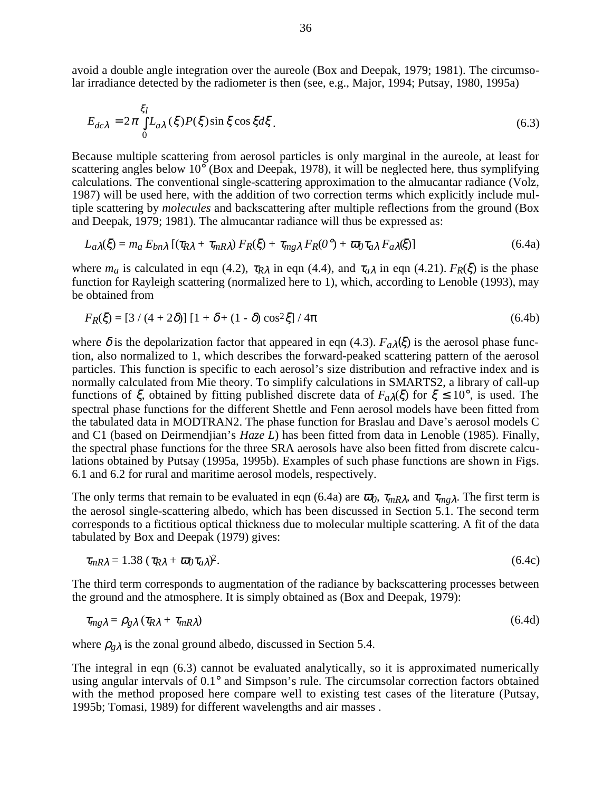avoid a double angle integration over the aureole (Box and Deepak, 1979; 1981). The circumsolar irradiance detected by the radiometer is then (see, e.g., Major, 1994; Putsay, 1980, 1995a)

$$
E_{dc\lambda} = 2\pi \int_{0}^{\xi_I} L_{a\lambda}(\xi) P(\xi) \sin \xi \cos \xi d\xi.
$$
 (6.3)

Because multiple scattering from aerosol particles is only marginal in the aureole, at least for scattering angles below 10° (Box and Deepak, 1978), it will be neglected here, thus symplifying calculations. The conventional single-scattering approximation to the almucantar radiance (Volz, 1987) will be used here, with the addition of two correction terms which explicitly include multiple scattering by *molecules* and backscattering after multiple reflections from the ground (Box and Deepak, 1979; 1981). The almucantar radiance will thus be expressed as:

$$
L_{a\lambda}(\xi) = m_a E_{bn\lambda} \left[ (\tau_{R\lambda} + \tau_{mR\lambda}) F_R(\xi) + \tau_{mg\lambda} F_R(0^{\circ}) + \overline{\omega}_0 \tau_{a\lambda} F_{a\lambda}(\xi) \right]
$$
(6.4a)

where  $m_a$  is calculated in eqn (4.2),  $\tau_{R\lambda}$  in eqn (4.4), and  $\tau_{a\lambda}$  in eqn (4.21).  $F_R(\xi)$  is the phase function for Rayleigh scattering (normalized here to 1), which, according to Lenoble (1993), may be obtained from

$$
F_R(\xi) = [3 / (4 + 2\delta)] [1 + \delta + (1 - \delta) \cos^2 \xi] / 4\pi
$$
 (6.4b)

where  $\delta$  is the depolarization factor that appeared in eqn (4.3).  $F_a\lambda(\xi)$  is the aerosol phase function, also normalized to 1, which describes the forward-peaked scattering pattern of the aerosol particles. This function is specific to each aerosol's size distribution and refractive index and is normally calculated from Mie theory. To simplify calculations in SMARTS2, a library of call-up functions of  $\xi$ , obtained by fitting published discrete data of  $F_{a\lambda}(\xi)$  for  $\xi \le 10^{\circ}$ , is used. The spectral phase functions for the different Shettle and Fenn aerosol models have been fitted from the tabulated data in MODTRAN2. The phase function for Braslau and Dave's aerosol models C and C1 (based on Deirmendjian's *Haze L*) has been fitted from data in Lenoble (1985). Finally, the spectral phase functions for the three SRA aerosols have also been fitted from discrete calculations obtained by Putsay (1995a, 1995b). Examples of such phase functions are shown in Figs. 6.1 and 6.2 for rural and maritime aerosol models, respectively.

The only terms that remain to be evaluated in eqn (6.4a) are  $\bar{\omega}_0$ ,  $\tau_{mR\lambda}$ , and  $\tau_{mg\lambda}$ . The first term is the aerosol single-scattering albedo, which has been discussed in Section 5.1. The second term corresponds to a fictitious optical thickness due to molecular multiple scattering. A fit of the data tabulated by Box and Deepak (1979) gives:

$$
\tau_{mR\lambda} = 1.38 \left( \tau_{R\lambda} + \overline{\omega}_0 \tau_a \lambda \right)^2. \tag{6.4c}
$$

The third term corresponds to augmentation of the radiance by backscattering processes between the ground and the atmosphere. It is simply obtained as (Box and Deepak, 1979):

$$
\tau_{mg\lambda} = \rho_{g\lambda} \left( \tau_{R\lambda} + \tau_{mR\lambda} \right) \tag{6.4d}
$$

where  $\rho_{g\lambda}$  is the zonal ground albedo, discussed in Section 5.4.

The integral in eqn (6.3) cannot be evaluated analytically, so it is approximated numerically using angular intervals of 0.1° and Simpson's rule. The circumsolar correction factors obtained with the method proposed here compare well to existing test cases of the literature (Putsay, 1995b; Tomasi, 1989) for different wavelengths and air masses .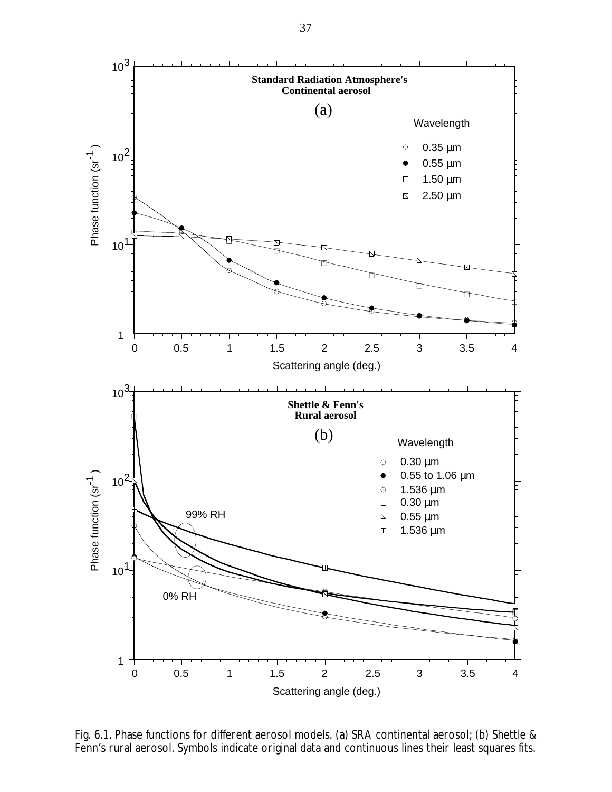

Fig. 6.1. Phase functions for different aerosol models. (a) SRA continental aerosol; (b) Shettle & Fenn's rural aerosol. Symbols indicate original data and continuous lines their least squares fits.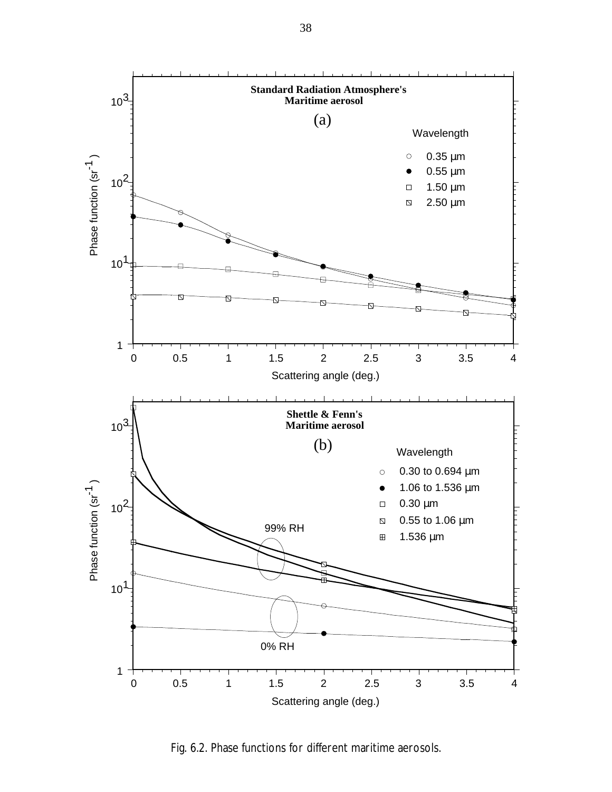

Fig. 6.2. Phase functions for different maritime aerosols.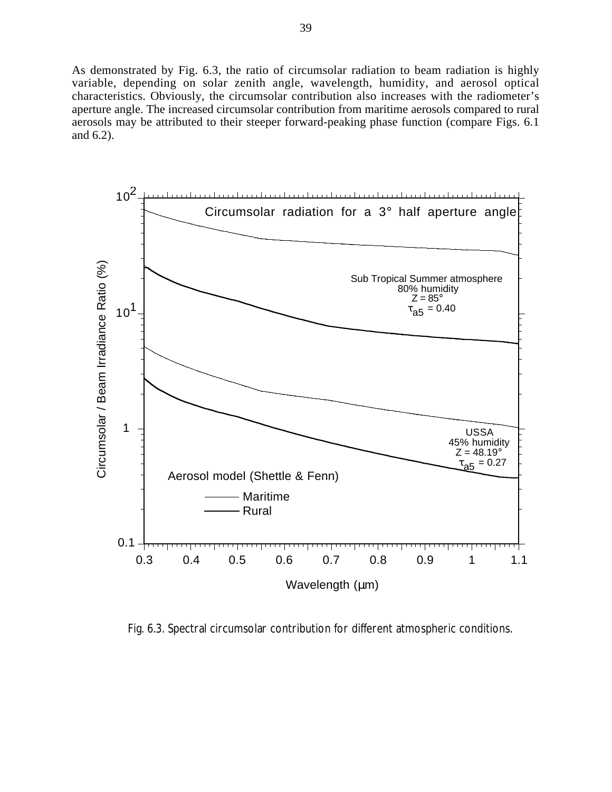As demonstrated by Fig. 6.3, the ratio of circumsolar radiation to beam radiation is highly variable, depending on solar zenith angle, wavelength, humidity, and aerosol optical characteristics. Obviously, the circumsolar contribution also increases with the radiometer's aperture angle. The increased circumsolar contribution from maritime aerosols compared to rural aerosols may be attributed to their steeper forward-peaking phase function (compare Figs. 6.1 and 6.2).



Fig. 6.3. Spectral circumsolar contribution for different atmospheric conditions.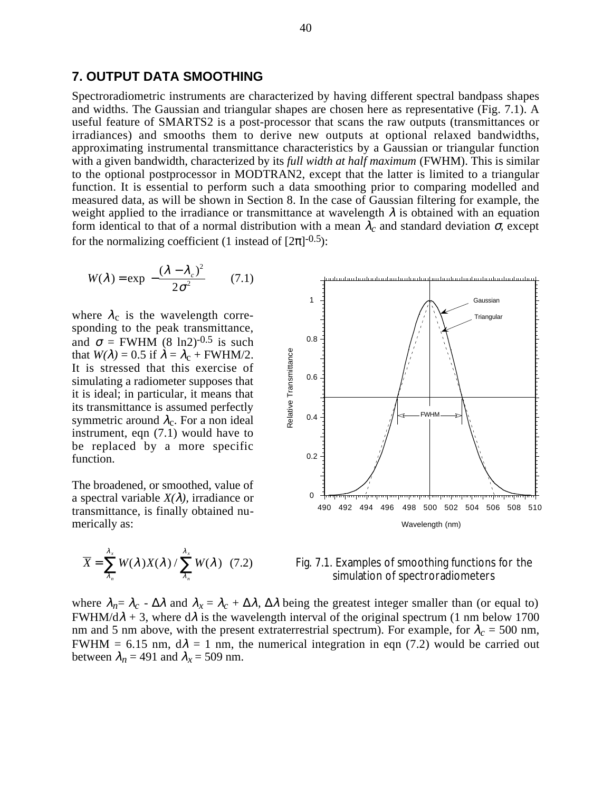### **7. OUTPUT DATA SMOOTHING**

Spectroradiometric instruments are characterized by having different spectral bandpass shapes and widths. The Gaussian and triangular shapes are chosen here as representative (Fig. 7.1). A useful feature of SMARTS2 is a post-processor that scans the raw outputs (transmittances or irradiances) and smooths them to derive new outputs at optional relaxed bandwidths, approximating instrumental transmittance characteristics by a Gaussian or triangular function with a given bandwidth, characterized by its *full width at half maximum* (FWHM). This is similar to the optional postprocessor in MODTRAN2, except that the latter is limited to a triangular function. It is essential to perform such a data smoothing prior to comparing modelled and measured data, as will be shown in Section 8. In the case of Gaussian filtering for example, the weight applied to the irradiance or transmittance at wavelength  $\lambda$  is obtained with an equation form identical to that of a normal distribution with a mean λ*c* and standard deviation σ, except for the normalizing coefficient (1 instead of  $[2\pi]^{-0.5}$ ):

$$
W(\lambda) = \exp\left[-\frac{(\lambda - \lambda_c)^2}{2\sigma^2}\right] \quad (7.1)
$$

where  $\lambda_c$  is the wavelength corresponding to the peak transmittance, and  $\sigma$  = FWHM (8 ln2)<sup>-0.5</sup> is such that  $W(\lambda) = 0.5$  if  $\lambda = \lambda_c + FWHM/2$ . It is stressed that this exercise of simulating a radiometer supposes that it is ideal; in particular, it means that its transmittance is assumed perfectly symmetric around  $\lambda_c$ . For a non ideal instrument, eqn (7.1) would have to be replaced by a more specific function.

The broadened, or smoothed, value of a spectral variable  $X(\lambda)$ , irradiance or transmittance, is finally obtained numerically as:

$$
\overline{X} = \sum_{\lambda_n}^{\lambda_x} W(\lambda) X(\lambda) / \sum_{\lambda_n}^{\lambda_x} W(\lambda) \quad (7.2)
$$





where  $\lambda_n = \lambda_c - \Delta\lambda$  and  $\lambda_x = \lambda_c + \Delta\lambda$ ,  $\Delta\lambda$  being the greatest integer smaller than (or equal to) FWHM/d $\lambda$  + 3, where d $\lambda$  is the wavelength interval of the original spectrum (1 nm below 1700 nm and 5 nm above, with the present extraterrestrial spectrum). For example, for  $\lambda_c = 500$  nm, FWHM = 6.15 nm,  $d\lambda = 1$  nm, the numerical integration in eqn (7.2) would be carried out between  $\lambda_n = 491$  and  $\lambda_x = 509$  nm.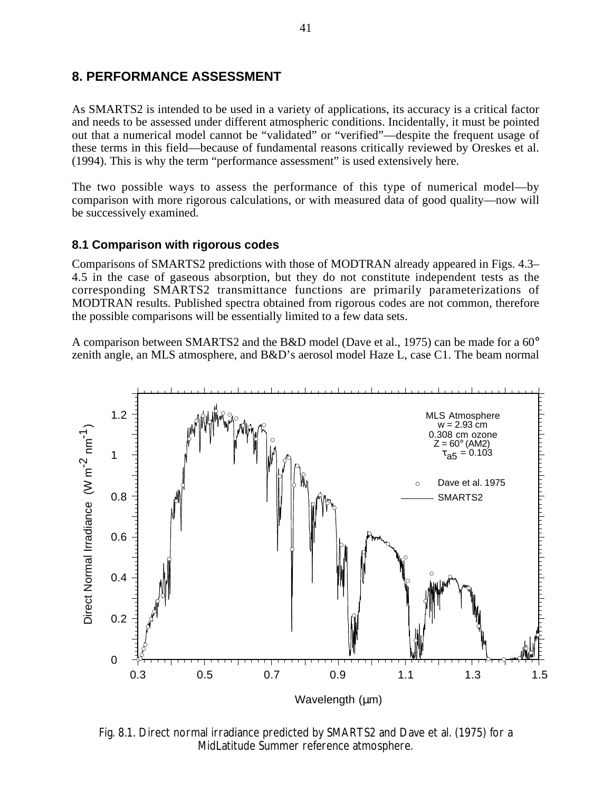# **8. PERFORMANCE ASSESSMENT**

As SMARTS2 is intended to be used in a variety of applications, its accuracy is a critical factor and needs to be assessed under different atmospheric conditions. Incidentally, it must be pointed out that a numerical model cannot be "validated" or "verified"—despite the frequent usage of these terms in this field—because of fundamental reasons critically reviewed by Oreskes et al. (1994). This is why the term "performance assessment" is used extensively here.

The two possible ways to assess the performance of this type of numerical model—by comparison with more rigorous calculations, or with measured data of good quality—now will be successively examined.

## **8.1 Comparison with rigorous codes**

Comparisons of SMARTS2 predictions with those of MODTRAN already appeared in Figs. 4.3– 4.5 in the case of gaseous absorption, but they do not constitute independent tests as the corresponding SMARTS2 transmittance functions are primarily parameterizations of MODTRAN results. Published spectra obtained from rigorous codes are not common, therefore the possible comparisons will be essentially limited to a few data sets.

A comparison between SMARTS2 and the B&D model (Dave et al., 1975) can be made for a 60° zenith angle, an MLS atmosphere, and B&D's aerosol model Haze L, case C1. The beam normal



Fig. 8.1. Direct normal irradiance predicted by SMARTS2 and Dave et al. (1975) for a MidLatitude Summer reference atmosphere.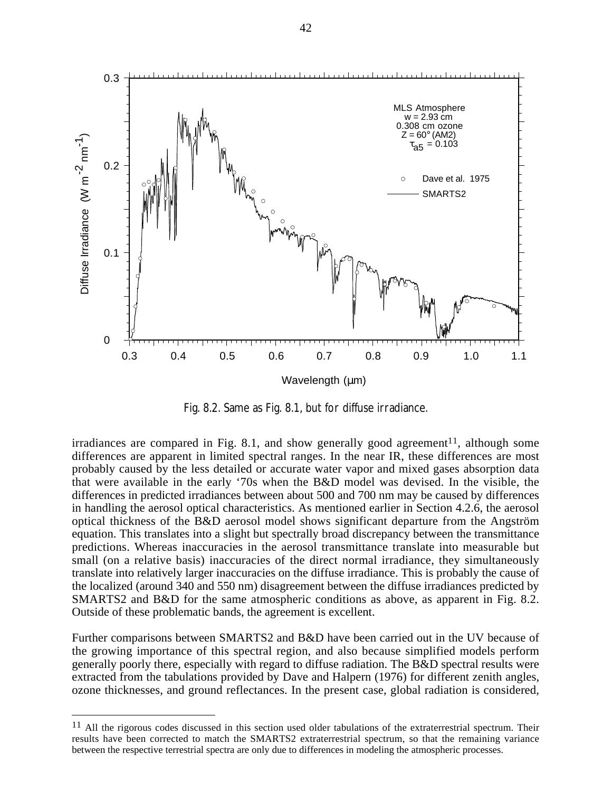

Fig. 8.2. Same as Fig. 8.1, but for diffuse irradiance.

irradiances are compared in Fig. 8.1, and show generally good agreement<sup>11</sup>, although some differences are apparent in limited spectral ranges. In the near IR, these differences are most probably caused by the less detailed or accurate water vapor and mixed gases absorption data that were available in the early '70s when the B&D model was devised. In the visible, the differences in predicted irradiances between about 500 and 700 nm may be caused by differences in handling the aerosol optical characteristics. As mentioned earlier in Section 4.2.6, the aerosol optical thickness of the B&D aerosol model shows significant departure from the Angström equation. This translates into a slight but spectrally broad discrepancy between the transmittance predictions. Whereas inaccuracies in the aerosol transmittance translate into measurable but small (on a relative basis) inaccuracies of the direct normal irradiance, they simultaneously translate into relatively larger inaccuracies on the diffuse irradiance. This is probably the cause of the localized (around 340 and 550 nm) disagreement between the diffuse irradiances predicted by SMARTS2 and B&D for the same atmospheric conditions as above, as apparent in Fig. 8.2. Outside of these problematic bands, the agreement is excellent.

Further comparisons between SMARTS2 and B&D have been carried out in the UV because of the growing importance of this spectral region, and also because simplified models perform generally poorly there, especially with regard to diffuse radiation. The B&D spectral results were extracted from the tabulations provided by Dave and Halpern (1976) for different zenith angles, ozone thicknesses, and ground reflectances. In the present case, global radiation is considered,

 $11$  All the rigorous codes discussed in this section used older tabulations of the extraterrestrial spectrum. Their results have been corrected to match the SMARTS2 extraterrestrial spectrum, so that the remaining variance between the respective terrestrial spectra are only due to differences in modeling the atmospheric processes.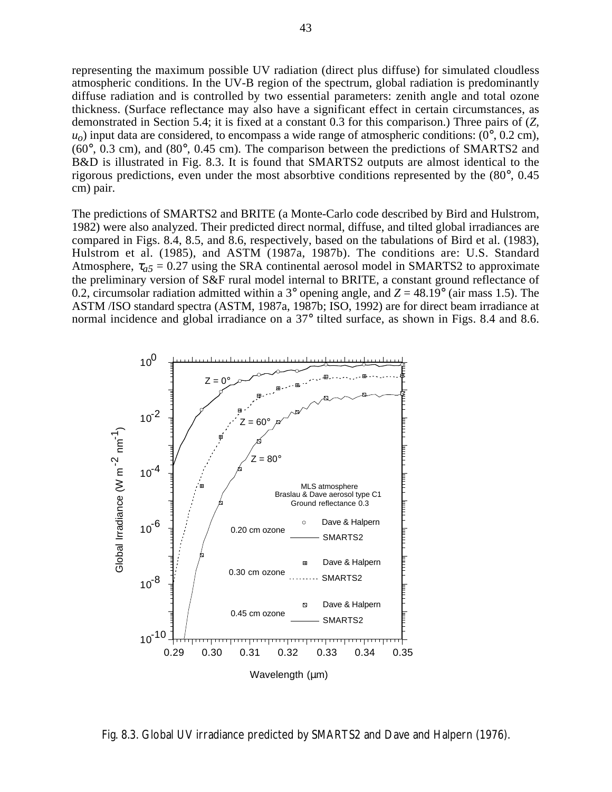representing the maximum possible UV radiation (direct plus diffuse) for simulated cloudless atmospheric conditions. In the UV-B region of the spectrum, global radiation is predominantly diffuse radiation and is controlled by two essential parameters: zenith angle and total ozone thickness. (Surface reflectance may also have a significant effect in certain circumstances, as demonstrated in Section 5.4; it is fixed at a constant 0.3 for this comparison.) Three pairs of (*Z,*  $u<sub>o</sub>$ ) input data are considered, to encompass a wide range of atmospheric conditions: ( $0^{\circ}$ ,  $0.2$  cm), (60°, 0.3 cm), and (80°, 0.45 cm). The comparison between the predictions of SMARTS2 and B&D is illustrated in Fig. 8.3. It is found that SMARTS2 outputs are almost identical to the rigorous predictions, even under the most absorbtive conditions represented by the (80°, 0.45 cm) pair.

The predictions of SMARTS2 and BRITE (a Monte-Carlo code described by Bird and Hulstrom, 1982) were also analyzed. Their predicted direct normal, diffuse, and tilted global irradiances are compared in Figs. 8.4, 8.5, and 8.6, respectively, based on the tabulations of Bird et al. (1983), Hulstrom et al. (1985), and ASTM (1987a, 1987b). The conditions are: U.S. Standard Atmosphere,  $\tau_{a5}$  = 0.27 using the SRA continental aerosol model in SMARTS2 to approximate the preliminary version of S&F rural model internal to BRITE, a constant ground reflectance of 0.2, circumsolar radiation admitted within a 3° opening angle, and  $Z = 48.19$ ° (air mass 1.5). The ASTM /ISO standard spectra (ASTM, 1987a, 1987b; ISO, 1992) are for direct beam irradiance at normal incidence and global irradiance on a 37° tilted surface, as shown in Figs. 8.4 and 8.6.



Fig. 8.3. Global UV irradiance predicted by SMARTS2 and Dave and Halpern (1976).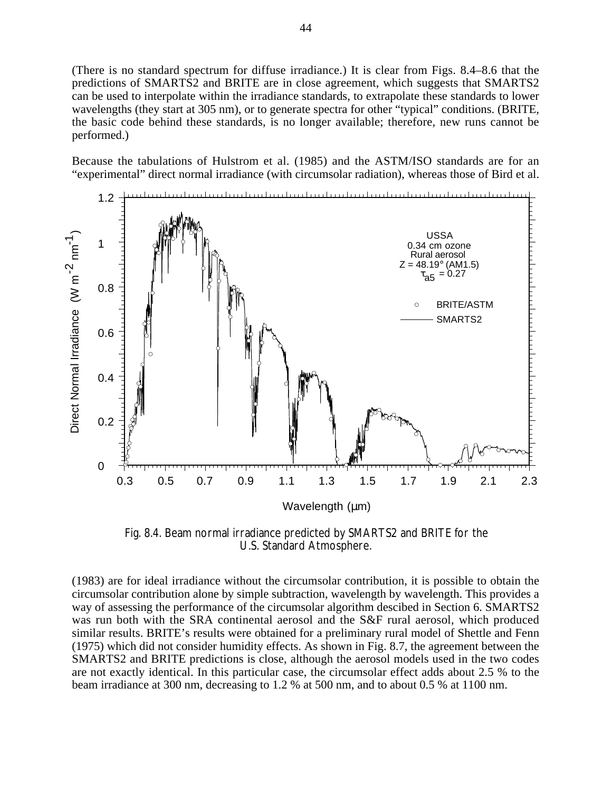(There is no standard spectrum for diffuse irradiance.) It is clear from Figs. 8.4–8.6 that the predictions of SMARTS2 and BRITE are in close agreement, which suggests that SMARTS2 can be used to interpolate within the irradiance standards, to extrapolate these standards to lower wavelengths (they start at 305 nm), or to generate spectra for other "typical" conditions. (BRITE, the basic code behind these standards, is no longer available; therefore, new runs cannot be performed.)

Because the tabulations of Hulstrom et al. (1985) and the ASTM/ISO standards are for an "experimental" direct normal irradiance (with circumsolar radiation), whereas those of Bird et al.



Fig. 8.4. Beam normal irradiance predicted by SMARTS2 and BRITE for the U.S. Standard Atmosphere.

(1983) are for ideal irradiance without the circumsolar contribution, it is possible to obtain the circumsolar contribution alone by simple subtraction, wavelength by wavelength. This provides a way of assessing the performance of the circumsolar algorithm descibed in Section 6. SMARTS2 was run both with the SRA continental aerosol and the S&F rural aerosol, which produced similar results. BRITE's results were obtained for a preliminary rural model of Shettle and Fenn (1975) which did not consider humidity effects. As shown in Fig. 8.7, the agreement between the SMARTS2 and BRITE predictions is close, although the aerosol models used in the two codes are not exactly identical. In this particular case, the circumsolar effect adds about 2.5 % to the beam irradiance at 300 nm, decreasing to 1.2 % at 500 nm, and to about 0.5 % at 1100 nm.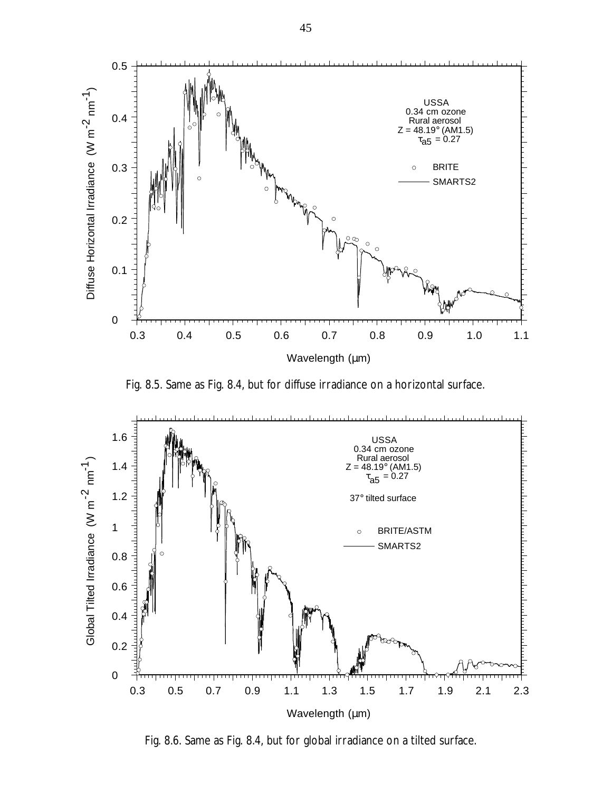

Fig. 8.5. Same as Fig. 8.4, but for diffuse irradiance on a horizontal surface.



Fig. 8.6. Same as Fig. 8.4, but for global irradiance on a tilted surface.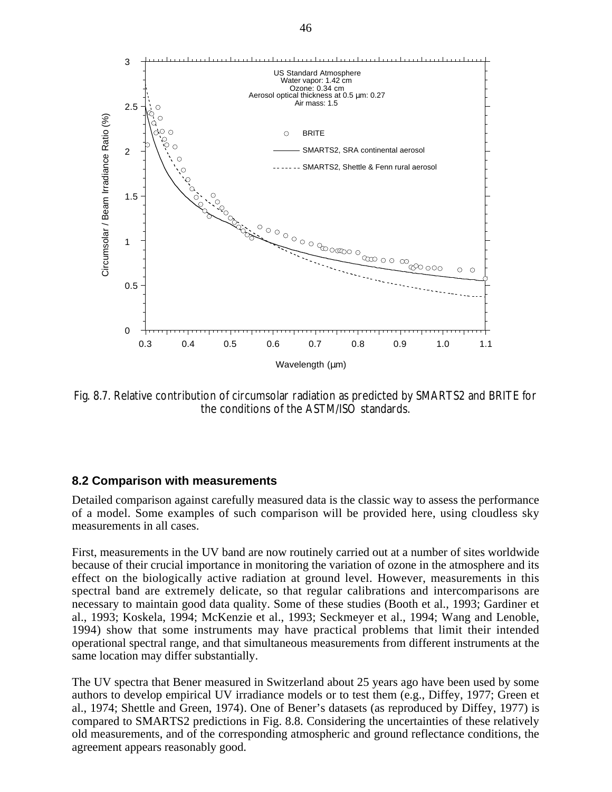

Fig. 8.7. Relative contribution of circumsolar radiation as predicted by SMARTS2 and BRITE for the conditions of the ASTM/ISO standards.

#### **8.2 Comparison with measurements**

Detailed comparison against carefully measured data is the classic way to assess the performance of a model. Some examples of such comparison will be provided here, using cloudless sky measurements in all cases.

First, measurements in the UV band are now routinely carried out at a number of sites worldwide because of their crucial importance in monitoring the variation of ozone in the atmosphere and its effect on the biologically active radiation at ground level. However, measurements in this spectral band are extremely delicate, so that regular calibrations and intercomparisons are necessary to maintain good data quality. Some of these studies (Booth et al., 1993; Gardiner et al., 1993; Koskela, 1994; McKenzie et al., 1993; Seckmeyer et al., 1994; Wang and Lenoble, 1994) show that some instruments may have practical problems that limit their intended operational spectral range, and that simultaneous measurements from different instruments at the same location may differ substantially.

The UV spectra that Bener measured in Switzerland about 25 years ago have been used by some authors to develop empirical UV irradiance models or to test them (e.g., Diffey, 1977; Green et al., 1974; Shettle and Green, 1974). One of Bener's datasets (as reproduced by Diffey, 1977) is compared to SMARTS2 predictions in Fig. 8.8. Considering the uncertainties of these relatively old measurements, and of the corresponding atmospheric and ground reflectance conditions, the agreement appears reasonably good.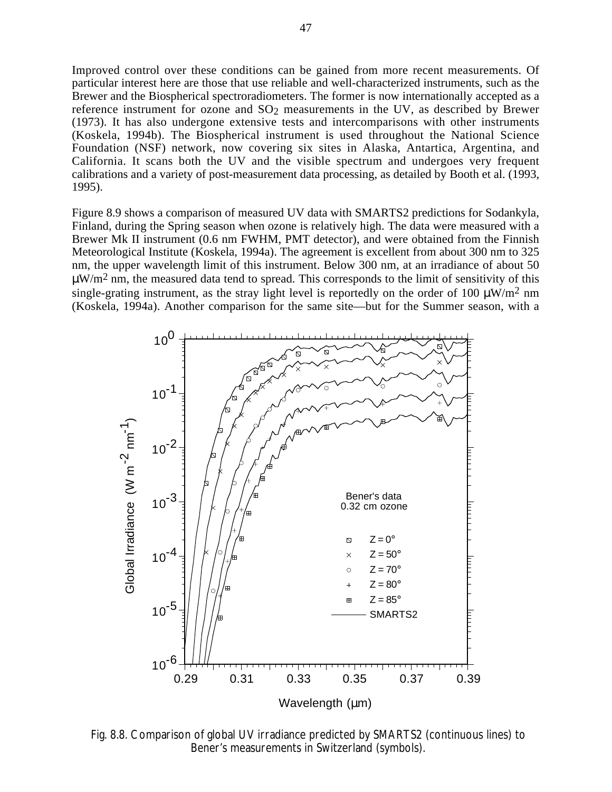Improved control over these conditions can be gained from more recent measurements. Of particular interest here are those that use reliable and well-characterized instruments, such as the Brewer and the Biospherical spectroradiometers. The former is now internationally accepted as a reference instrument for ozone and  $SO_2$  measurements in the UV, as described by Brewer (1973). It has also undergone extensive tests and intercomparisons with other instruments (Koskela, 1994b). The Biospherical instrument is used throughout the National Science Foundation (NSF) network, now covering six sites in Alaska, Antartica, Argentina, and California. It scans both the UV and the visible spectrum and undergoes very frequent calibrations and a variety of post-measurement data processing, as detailed by Booth et al. (1993, 1995).

Figure 8.9 shows a comparison of measured UV data with SMARTS2 predictions for Sodankyla, Finland, during the Spring season when ozone is relatively high. The data were measured with a Brewer Mk II instrument (0.6 nm FWHM, PMT detector), and were obtained from the Finnish Meteorological Institute (Koskela, 1994a). The agreement is excellent from about 300 nm to 325 nm, the upper wavelength limit of this instrument. Below 300 nm, at an irradiance of about 50  $\mu$ W/m<sup>2</sup> nm, the measured data tend to spread. This corresponds to the limit of sensitivity of this single-grating instrument, as the stray light level is reportedly on the order of 100  $\mu$ W/m<sup>2</sup> nm (Koskela, 1994a). Another comparison for the same site—but for the Summer season, with a



Fig. 8.8. Comparison of global UV irradiance predicted by SMARTS2 (continuous lines) to Bener's measurements in Switzerland (symbols).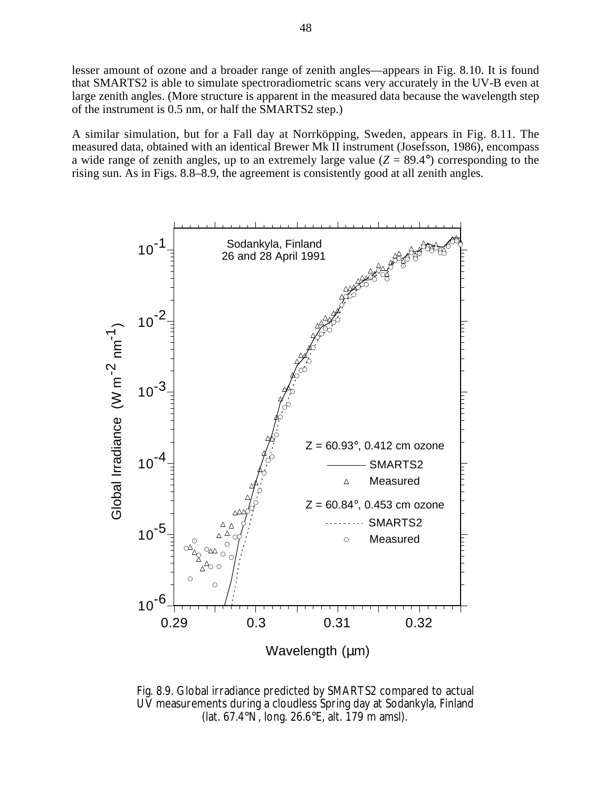lesser amount of ozone and a broader range of zenith angles—appears in Fig. 8.10. It is found that SMARTS2 is able to simulate spectroradiometric scans very accurately in the UV-B even at large zenith angles. (More structure is apparent in the measured data because the wavelength step of the instrument is 0.5 nm, or half the SMARTS2 step.)

A similar simulation, but for a Fall day at Norrköpping, Sweden, appears in Fig. 8.11. The measured data, obtained with an identical Brewer Mk II instrument (Josefsson, 1986), encompass a wide range of zenith angles, up to an extremely large value  $(Z = 89.4^{\circ})$  corresponding to the rising sun. As in Figs. 8.8–8.9, the agreement is consistently good at all zenith angles.



Fig. 8.9. Global irradiance predicted by SMARTS2 compared to actual UV measurements during a cloudless Spring day at Sodankyla, Finland (lat. 67.4°N, long. 26.6°E, alt. 179 m amsl).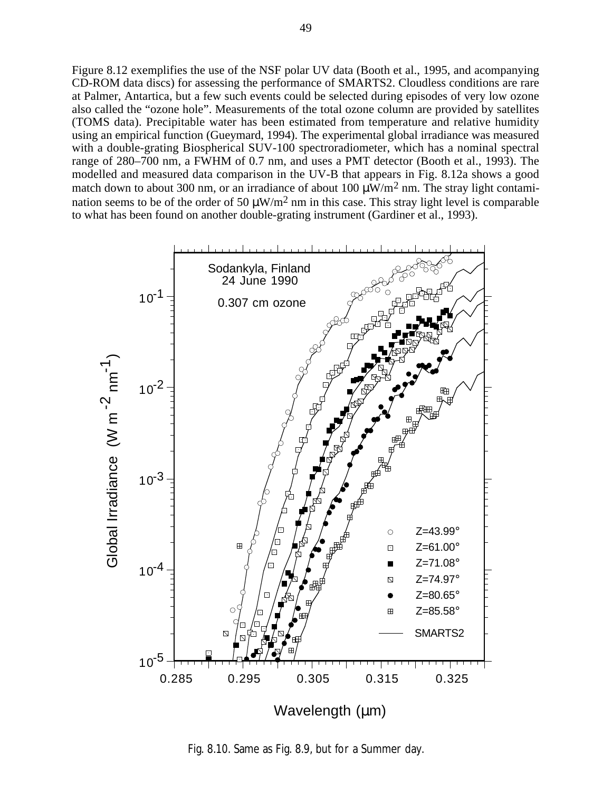Figure 8.12 exemplifies the use of the NSF polar UV data (Booth et al., 1995, and acompanying CD-ROM data discs) for assessing the performance of SMARTS2. Cloudless conditions are rare at Palmer, Antartica, but a few such events could be selected during episodes of very low ozone also called the "ozone hole". Measurements of the total ozone column are provided by satellites (TOMS data). Precipitable water has been estimated from temperature and relative humidity using an empirical function (Gueymard, 1994). The experimental global irradiance was measured with a double-grating Biospherical SUV-100 spectroradiometer, which has a nominal spectral range of 280–700 nm, a FWHM of 0.7 nm, and uses a PMT detector (Booth et al., 1993). The modelled and measured data comparison in the UV-B that appears in Fig. 8.12a shows a good match down to about 300 nm, or an irradiance of about 100  $\mu$ W/m<sup>2</sup> nm. The stray light contamination seems to be of the order of 50  $\mu$ W/m<sup>2</sup> nm in this case. This stray light level is comparable to what has been found on another double-grating instrument (Gardiner et al., 1993).



Fig. 8.10. Same as Fig. 8.9, but for a Summer day.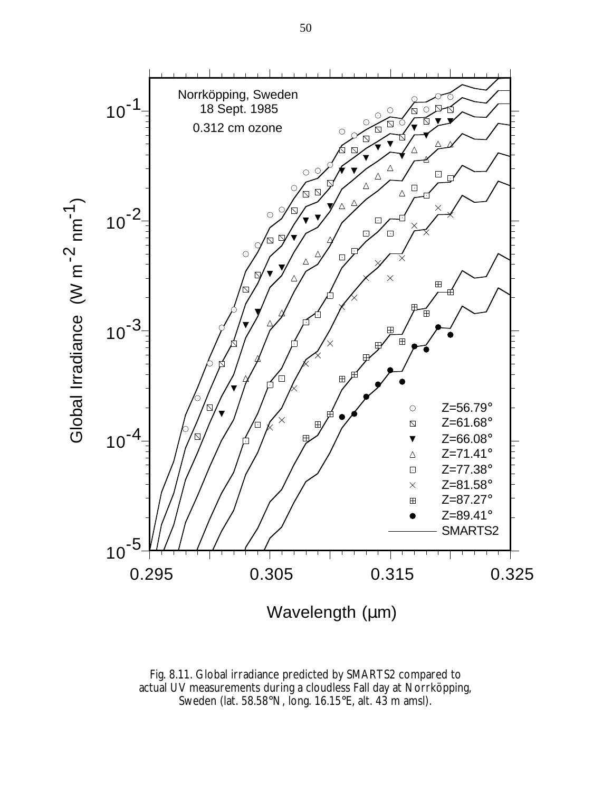

Fig. 8.11. Global irradiance predicted by SMARTS2 compared to actual UV measurements during a cloudless Fall day at Norrköpping, Sweden (lat. 58.58°N, long. 16.15°E, alt. 43 m amsl).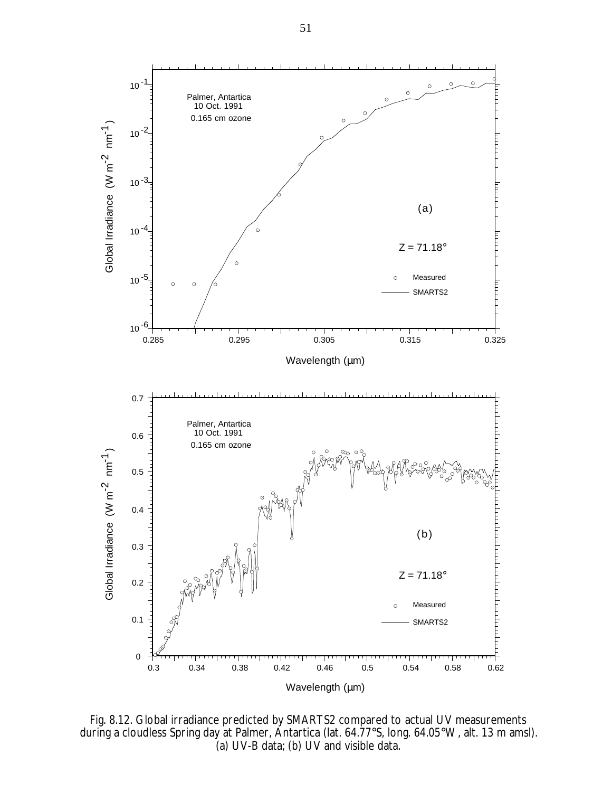

Fig. 8.12. Global irradiance predicted by SMARTS2 compared to actual UV measurements during a cloudless Spring day at Palmer, Antartica (lat. 64.77°S, long. 64.05°W, alt. 13 m amsl). (a) UV-B data; (b) UV and visible data.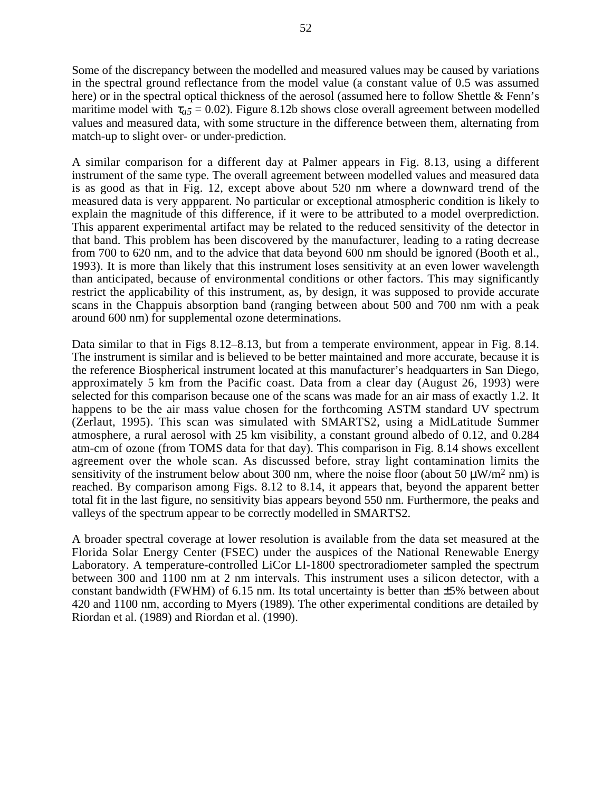Some of the discrepancy between the modelled and measured values may be caused by variations in the spectral ground reflectance from the model value (a constant value of 0.5 was assumed here) or in the spectral optical thickness of the aerosol (assumed here to follow Shettle & Fenn's maritime model with  $\tau_{a5}$  = 0.02). Figure 8.12b shows close overall agreement between modelled values and measured data, with some structure in the difference between them, alternating from match-up to slight over- or under-prediction.

A similar comparison for a different day at Palmer appears in Fig. 8.13, using a different instrument of the same type. The overall agreement between modelled values and measured data is as good as that in Fig. 12, except above about 520 nm where a downward trend of the measured data is very appparent. No particular or exceptional atmospheric condition is likely to explain the magnitude of this difference, if it were to be attributed to a model overprediction. This apparent experimental artifact may be related to the reduced sensitivity of the detector in that band. This problem has been discovered by the manufacturer, leading to a rating decrease from 700 to 620 nm, and to the advice that data beyond 600 nm should be ignored (Booth et al., 1993). It is more than likely that this instrument loses sensitivity at an even lower wavelength than anticipated, because of environmental conditions or other factors. This may significantly restrict the applicability of this instrument, as, by design, it was supposed to provide accurate scans in the Chappuis absorption band (ranging between about 500 and 700 nm with a peak around 600 nm) for supplemental ozone determinations.

Data similar to that in Figs 8.12–8.13, but from a temperate environment, appear in Fig. 8.14. The instrument is similar and is believed to be better maintained and more accurate, because it is the reference Biospherical instrument located at this manufacturer's headquarters in San Diego, approximately 5 km from the Pacific coast. Data from a clear day (August 26, 1993) were selected for this comparison because one of the scans was made for an air mass of exactly 1.2. It happens to be the air mass value chosen for the forthcoming ASTM standard UV spectrum (Zerlaut, 1995). This scan was simulated with SMARTS2, using a MidLatitude Summer atmosphere, a rural aerosol with 25 km visibility, a constant ground albedo of 0.12, and 0.284 atm-cm of ozone (from TOMS data for that day). This comparison in Fig. 8.14 shows excellent agreement over the whole scan. As discussed before, stray light contamination limits the sensitivity of the instrument below about 300 nm, where the noise floor (about 50  $\mu$ W/m<sup>2</sup> nm) is reached. By comparison among Figs. 8.12 to 8.14, it appears that, beyond the apparent better total fit in the last figure, no sensitivity bias appears beyond 550 nm. Furthermore, the peaks and valleys of the spectrum appear to be correctly modelled in SMARTS2.

A broader spectral coverage at lower resolution is available from the data set measured at the Florida Solar Energy Center (FSEC) under the auspices of the National Renewable Energy Laboratory. A temperature-controlled LiCor LI-1800 spectroradiometer sampled the spectrum between 300 and 1100 nm at 2 nm intervals. This instrument uses a silicon detector, with a constant bandwidth (FWHM) of 6.15 nm. Its total uncertainty is better than  $\pm$ 5% between about 420 and 1100 nm, according to Myers (1989). The other experimental conditions are detailed by Riordan et al. (1989) and Riordan et al. (1990).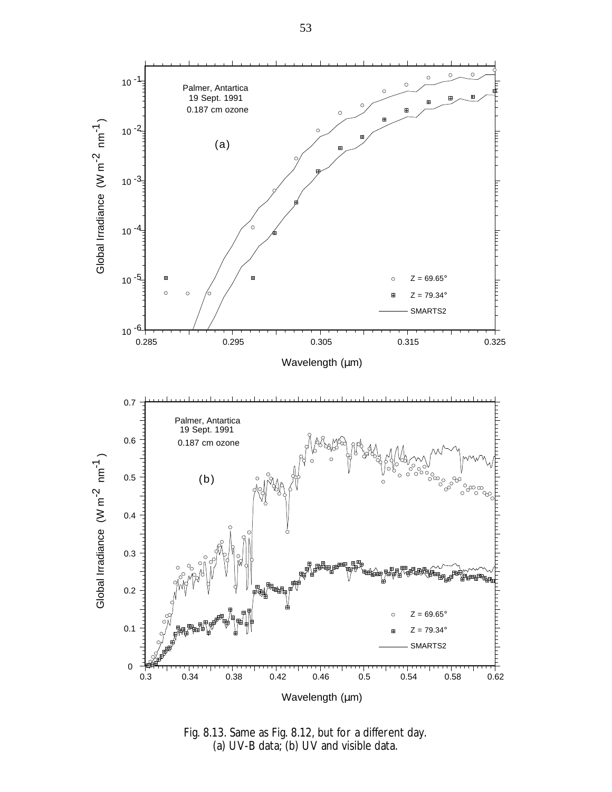

Fig. 8.13. Same as Fig. 8.12, but for a different day. (a) UV-B data; (b) UV and visible data.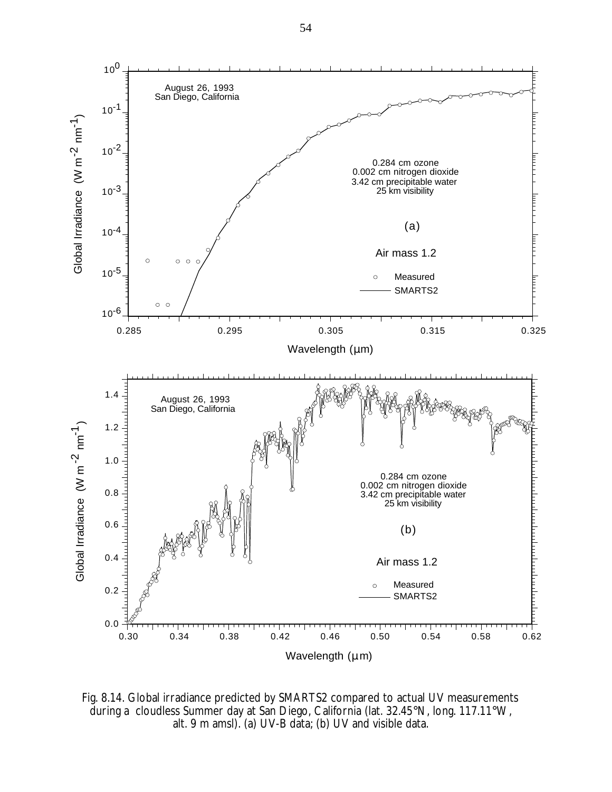

Fig. 8.14. Global irradiance predicted by SMARTS2 compared to actual UV measurements during a cloudless Summer day at San Diego, California (lat. 32.45°N, long. 117.11°W, alt. 9 m amsl). (a) UV-B data; (b) UV and visible data.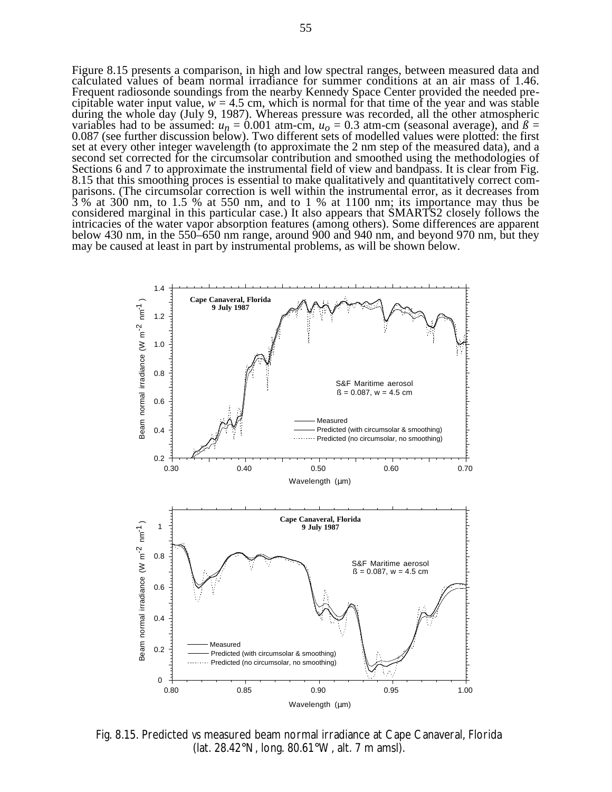Figure 8.15 presents a comparison, in high and low spectral ranges, between measured data and calculated values of beam normal irradiance for summer conditions at an air mass of 1.46. Frequent radiosonde soundings from the nearby Kennedy Space Center provided the needed precipitable water input value,  $w = 4.5$  cm, which is normal for that time of the year and was stable during the whole day (July 9, 1987). Whereas pressure was recorded, all the other atmospheric variables had to be assumed:  $u_n = 0.001$  atm-cm,  $u_0 = 0.3$  atm-cm (seasonal average), and  $\beta =$ 0.087 (see further discussion below). Two different sets of modelled values were plotted: the first set at every other integer wavelength (to approximate the 2 nm step of the measured data), and a second set corrected for the circumsolar contribution and smoothed using the methodologies of Sections 6 and 7 to approximate the instrumental field of view and bandpass. It is clear from Fig. 8.15 that this smoothing proces is essential to make qualitatively and quantitatively correct comparisons. (The circumsolar correction is well within the instrumental error, as it decreases from 3 % at 300 nm, to 1.5 % at 550 nm, and to 1 % at 1100 nm; its importance may thus be considered marginal in this particular case.) It also appears that SMARTS2 closely follows the intricacies of the water vapor absorption features (among others). Some differences are apparent below 430 nm, in the 550–650 nm range, around 900 and 940 nm, and beyond 970 nm, but they may be caused at least in part by instrumental problems, as will be shown below.



Fig. 8.15. Predicted *vs* measured beam normal irradiance at Cape Canaveral, Florida (lat. 28.42°N, long. 80.61°W, alt. 7 m amsl).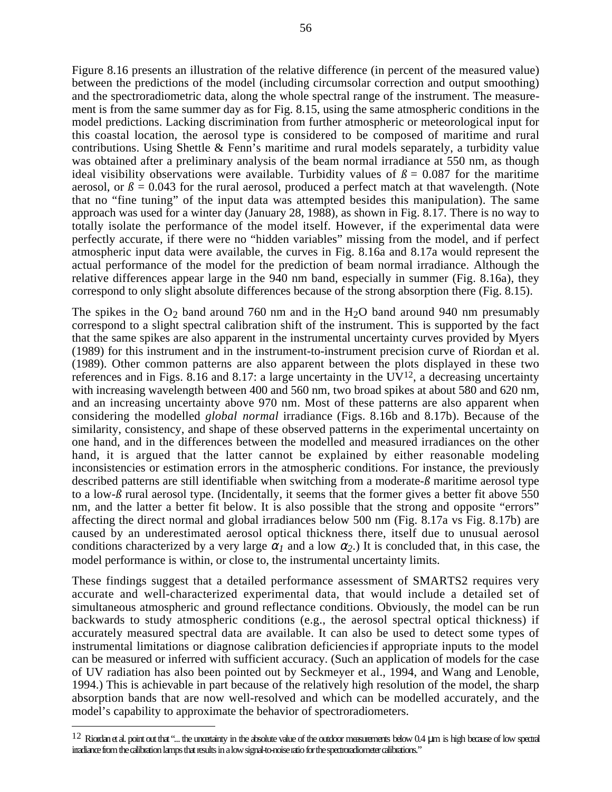Figure 8.16 presents an illustration of the relative difference (in percent of the measured value) between the predictions of the model (including circumsolar correction and output smoothing) and the spectroradiometric data, along the whole spectral range of the instrument. The measurement is from the same summer day as for Fig. 8.15, using the same atmospheric conditions in the model predictions. Lacking discrimination from further atmospheric or meteorological input for this coastal location, the aerosol type is considered to be composed of maritime and rural contributions. Using Shettle & Fenn's maritime and rural models separately, a turbidity value was obtained after a preliminary analysis of the beam normal irradiance at 550 nm, as though ideal visibility observations were available. Turbidity values of  $\beta = 0.087$  for the maritime aerosol, or  $\beta$  = 0.043 for the rural aerosol, produced a perfect match at that wavelength. (Note that no "fine tuning" of the input data was attempted besides this manipulation). The same approach was used for a winter day (January 28, 1988), as shown in Fig. 8.17. There is no way to totally isolate the performance of the model itself. However, if the experimental data were perfectly accurate, if there were no "hidden variables" missing from the model, and if perfect atmospheric input data were available, the curves in Fig. 8.16a and 8.17a would represent the actual performance of the model for the prediction of beam normal irradiance. Although the relative differences appear large in the 940 nm band, especially in summer (Fig. 8.16a), they correspond to only slight absolute differences because of the strong absorption there (Fig. 8.15).

The spikes in the  $O_2$  band around 760 nm and in the H<sub>2</sub>O band around 940 nm presumably correspond to a slight spectral calibration shift of the instrument. This is supported by the fact that the same spikes are also apparent in the instrumental uncertainty curves provided by Myers (1989) for this instrument and in the instrument-to-instrument precision curve of Riordan et al. (1989). Other common patterns are also apparent between the plots displayed in these two references and in Figs. 8.16 and 8.17: a large uncertainty in the  $UV^{12}$ , a decreasing uncertainty with increasing wavelength between 400 and 560 nm, two broad spikes at about 580 and 620 nm, and an increasing uncertainty above 970 nm. Most of these patterns are also apparent when considering the modelled *global normal* irradiance (Figs. 8.16b and 8.17b). Because of the similarity, consistency, and shape of these observed patterns in the experimental uncertainty on one hand, and in the differences between the modelled and measured irradiances on the other hand, it is argued that the latter cannot be explained by either reasonable modeling inconsistencies or estimation errors in the atmospheric conditions. For instance, the previously described patterns are still identifiable when switching from a moderate-*ß* maritime aerosol type to a low- $\beta$  rural aerosol type. (Incidentally, it seems that the former gives a better fit above 550 nm, and the latter a better fit below. It is also possible that the strong and opposite "errors" affecting the direct normal and global irradiances below 500 nm (Fig. 8.17a vs Fig. 8.17b) are caused by an underestimated aerosol optical thickness there, itself due to unusual aerosol conditions characterized by a very large  $\alpha_1$  and a low  $\alpha_2$ .) It is concluded that, in this case, the model performance is within, or close to, the instrumental uncertainty limits.

These findings suggest that a detailed performance assessment of SMARTS2 requires very accurate and well-characterized experimental data, that would include a detailed set of simultaneous atmospheric and ground reflectance conditions. Obviously, the model can be run backwards to study atmospheric conditions (e.g., the aerosol spectral optical thickness) if accurately measured spectral data are available. It can also be used to detect some types of instrumental limitations or diagnose calibration deficienciesif appropriate inputs to the model can be measured or inferred with sufficient accuracy. (Such an application of models for the case of UV radiation has also been pointed out by Seckmeyer et al., 1994, and Wang and Lenoble, 1994.) This is achievable in part because of the relatively high resolution of the model, the sharp absorption bands that are now well-resolved and which can be modelled accurately, and the model's capability to approximate the behavior of spectroradiometers.

 $12$  Riordan et al. point out that "... the uncertainty in the absolute value of the outdoor measurements below 0.4 µm is high because of low spectral irradiance from the calibration lamps that results in a low signal-to-noise ratio for the spectroradiometer calibrations."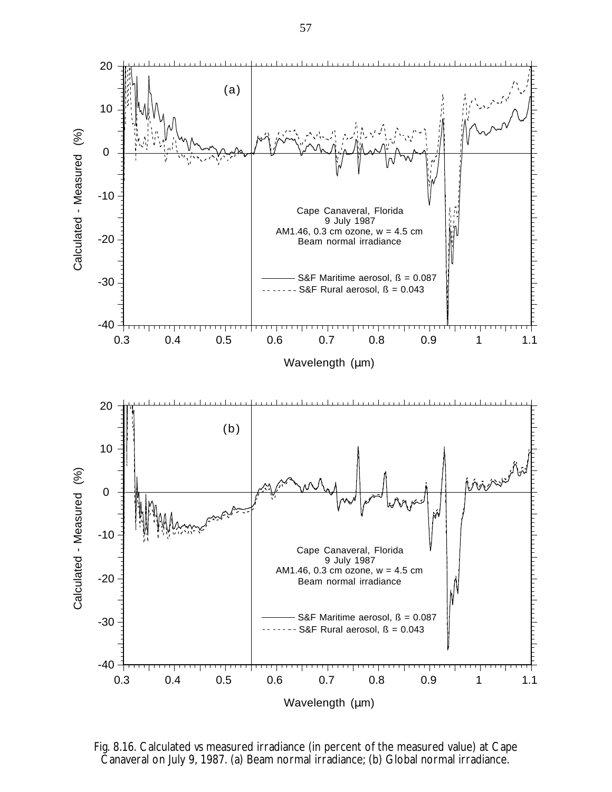

Fig. 8.16. Calculated *vs* measured irradiance (in percent of the measured value) at Cape Canaveral on July 9, 1987. (a) Beam normal irradiance; (b) Global normal irradiance.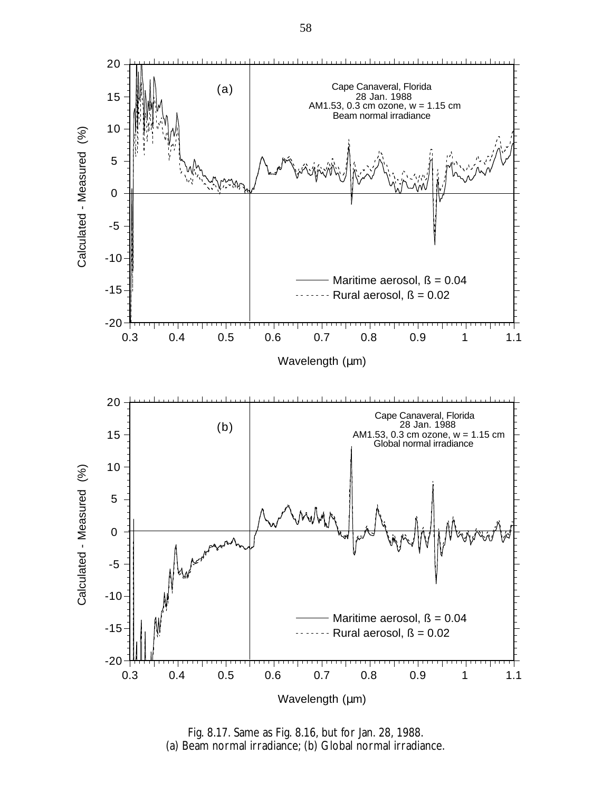

Fig. 8.17. Same as Fig. 8.16, but for Jan. 28, 1988. (a) Beam normal irradiance; (b) Global normal irradiance.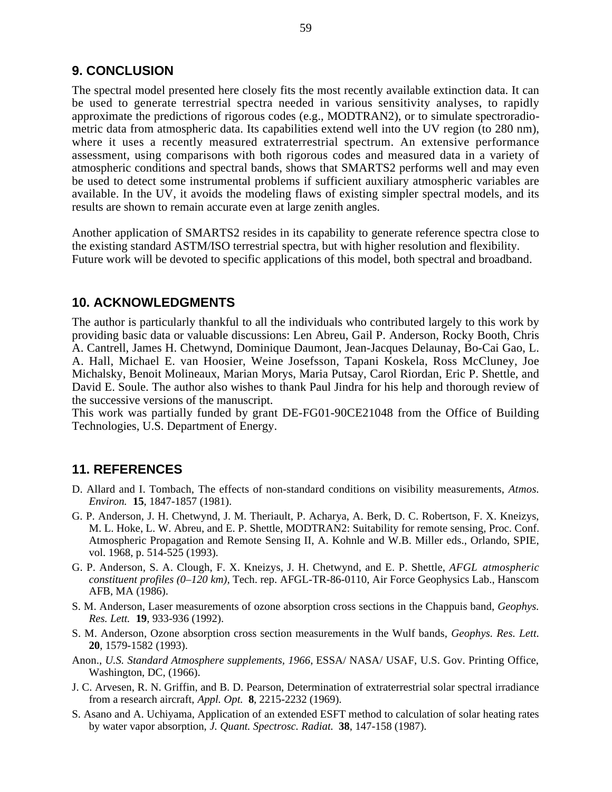## **9. CONCLUSION**

The spectral model presented here closely fits the most recently available extinction data. It can be used to generate terrestrial spectra needed in various sensitivity analyses, to rapidly approximate the predictions of rigorous codes (e.g., MODTRAN2), or to simulate spectroradiometric data from atmospheric data. Its capabilities extend well into the UV region (to 280 nm), where it uses a recently measured extraterrestrial spectrum. An extensive performance assessment, using comparisons with both rigorous codes and measured data in a variety of atmospheric conditions and spectral bands, shows that SMARTS2 performs well and may even be used to detect some instrumental problems if sufficient auxiliary atmospheric variables are available. In the UV, it avoids the modeling flaws of existing simpler spectral models, and its results are shown to remain accurate even at large zenith angles.

Another application of SMARTS2 resides in its capability to generate reference spectra close to the existing standard ASTM/ISO terrestrial spectra, but with higher resolution and flexibility. Future work will be devoted to specific applications of this model, both spectral and broadband.

## **10. ACKNOWLEDGMENTS**

The author is particularly thankful to all the individuals who contributed largely to this work by providing basic data or valuable discussions: Len Abreu, Gail P. Anderson, Rocky Booth, Chris A. Cantrell, James H. Chetwynd, Dominique Daumont, Jean-Jacques Delaunay, Bo-Cai Gao, L. A. Hall, Michael E. van Hoosier, Weine Josefsson, Tapani Koskela, Ross McCluney, Joe Michalsky, Benoit Molineaux, Marian Morys, Maria Putsay, Carol Riordan, Eric P. Shettle, and David E. Soule. The author also wishes to thank Paul Jindra for his help and thorough review of the successive versions of the manuscript.

This work was partially funded by grant DE-FG01-90CE21048 from the Office of Building Technologies, U.S. Department of Energy.

## **11. REFERENCES**

- D. Allard and I. Tombach, The effects of non-standard conditions on visibility measurements, *Atmos. Environ.* **15**, 1847-1857 (1981).
- G. P. Anderson, J. H. Chetwynd, J. M. Theriault, P. Acharya, A. Berk, D. C. Robertson, F. X. Kneizys, M. L. Hoke, L. W. Abreu, and E. P. Shettle, MODTRAN2: Suitability for remote sensing, Proc. Conf. Atmospheric Propagation and Remote Sensing II, A. Kohnle and W.B. Miller eds., Orlando, SPIE, vol. 1968, p. 514-525 (1993).
- G. P. Anderson, S. A. Clough, F. X. Kneizys, J. H. Chetwynd, and E. P. Shettle, *AFGL atmospheric constituent profiles (0–120 km),* Tech. rep. AFGL-TR-86-0110, Air Force Geophysics Lab., Hanscom AFB, MA (1986).
- S. M. Anderson, Laser measurements of ozone absorption cross sections in the Chappuis band, *Geophys. Res. Lett.* **19**, 933-936 (1992).
- S. M. Anderson, Ozone absorption cross section measurements in the Wulf bands, *Geophys. Res. Lett.* **20**, 1579-1582 (1993).
- Anon., *U.S. Standard Atmosphere supplements, 1966,* ESSA/ NASA/ USAF, U.S. Gov. Printing Office, Washington, DC, (1966).
- J. C. Arvesen, R. N. Griffin, and B. D. Pearson, Determination of extraterrestrial solar spectral irradiance from a research aircraft, *Appl. Opt.* **8**, 2215-2232 (1969).
- S. Asano and A. Uchiyama, Application of an extended ESFT method to calculation of solar heating rates by water vapor absorption, *J. Quant. Spectrosc. Radiat.* **38**, 147-158 (1987).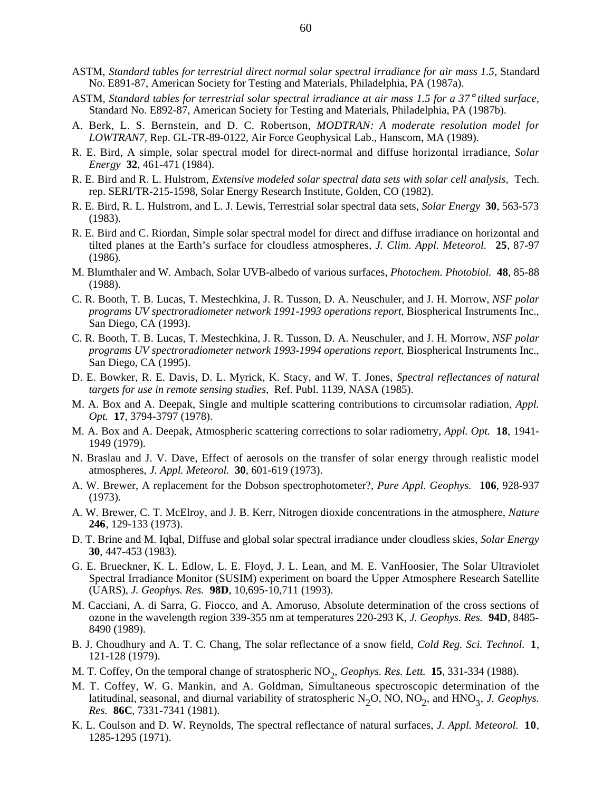- ASTM, *Standard tables for terrestrial direct normal solar spectral irradiance for air mass 1.5,* Standard No. E891-87, American Society for Testing and Materials, Philadelphia, PA (1987a).
- ASTM, *Standard tables for terrestrial solar spectral irradiance at air mass 1.5 for a 37*° *tilted surface,* Standard No. E892-87, American Society for Testing and Materials, Philadelphia, PA (1987b).
- A. Berk, L. S. Bernstein, and D. C. Robertson, *MODTRAN: A moderate resolution model for LOWTRAN7,* Rep. GL-TR-89-0122, Air Force Geophysical Lab., Hanscom, MA (1989).
- R. E. Bird, A simple, solar spectral model for direct-normal and diffuse horizontal irradiance, *Solar Energy* **32**, 461-471 (1984).
- R. E. Bird and R. L. Hulstrom, *Extensive modeled solar spectral data sets with solar cell analysis,* Tech. rep. SERI/TR-215-1598, Solar Energy Research Institute, Golden, CO (1982).
- R. E. Bird, R. L. Hulstrom, and L. J. Lewis, Terrestrial solar spectral data sets, *Solar Energy* **30**, 563-573 (1983).
- R. E. Bird and C. Riordan, Simple solar spectral model for direct and diffuse irradiance on horizontal and tilted planes at the Earth's surface for cloudless atmospheres, *J. Clim. Appl. Meteorol.* **25**, 87-97 (1986).
- M. Blumthaler and W. Ambach, Solar UVB-albedo of various surfaces, *Photochem. Photobiol.* **48**, 85-88 (1988).
- C. R. Booth, T. B. Lucas, T. Mestechkina, J. R. Tusson, D. A. Neuschuler, and J. H. Morrow, *NSF polar programs UV spectroradiometer network 1991-1993 operations report,* Biospherical Instruments Inc., San Diego, CA (1993).
- C. R. Booth, T. B. Lucas, T. Mestechkina, J. R. Tusson, D. A. Neuschuler, and J. H. Morrow, *NSF polar programs UV spectroradiometer network 1993-1994 operations report,* Biospherical Instruments Inc., San Diego, CA (1995).
- D. E. Bowker, R. E. Davis, D. L. Myrick, K. Stacy, and W. T. Jones, *Spectral reflectances of natural targets for use in remote sensing studies,* Ref. Publ. 1139, NASA (1985).
- M. A. Box and A. Deepak, Single and multiple scattering contributions to circumsolar radiation, *Appl. Opt.* **17**, 3794-3797 (1978).
- M. A. Box and A. Deepak, Atmospheric scattering corrections to solar radiometry, *Appl. Opt.* **18**, 1941- 1949 (1979).
- N. Braslau and J. V. Dave, Effect of aerosols on the transfer of solar energy through realistic model atmospheres, *J. Appl. Meteorol.* **30**, 601-619 (1973).
- A. W. Brewer, A replacement for the Dobson spectrophotometer?, *Pure Appl. Geophys.* **106**, 928-937 (1973).
- A. W. Brewer, C. T. McElroy, and J. B. Kerr, Nitrogen dioxide concentrations in the atmosphere, *Nature* **246**, 129-133 (1973).
- D. T. Brine and M. Iqbal, Diffuse and global solar spectral irradiance under cloudless skies, *Solar Energy* **30**, 447-453 (1983).
- G. E. Brueckner, K. L. Edlow, L. E. Floyd, J. L. Lean, and M. E. VanHoosier, The Solar Ultraviolet Spectral Irradiance Monitor (SUSIM) experiment on board the Upper Atmosphere Research Satellite (UARS), *J. Geophys. Res.* **98D**, 10,695-10,711 (1993).
- M. Cacciani, A. di Sarra, G. Fiocco, and A. Amoruso, Absolute determination of the cross sections of ozone in the wavelength region 339-355 nm at temperatures 220-293 K, *J. Geophys. Res.* **94D**, 8485- 8490 (1989).
- B. J. Choudhury and A. T. C. Chang, The solar reflectance of a snow field, *Cold Reg. Sci. Technol.* **1**, 121-128 (1979).
- M. T. Coffey, On the temporal change of stratospheric NO<sub>2</sub>, Geophys. Res. Lett. 15, 331-334 (1988).
- M. T. Coffey, W. G. Mankin, and A. Goldman, Simultaneous spectroscopic determination of the latitudinal, seasonal, and diurnal variability of stratospheric N<sub>2</sub>O, NO, NO<sub>2</sub>, and HNO<sub>3</sub>, *J. Geophys. Res.* **86C**, 7331-7341 (1981).
- K. L. Coulson and D. W. Reynolds, The spectral reflectance of natural surfaces, *J. Appl. Meteorol.* **10**, 1285-1295 (1971).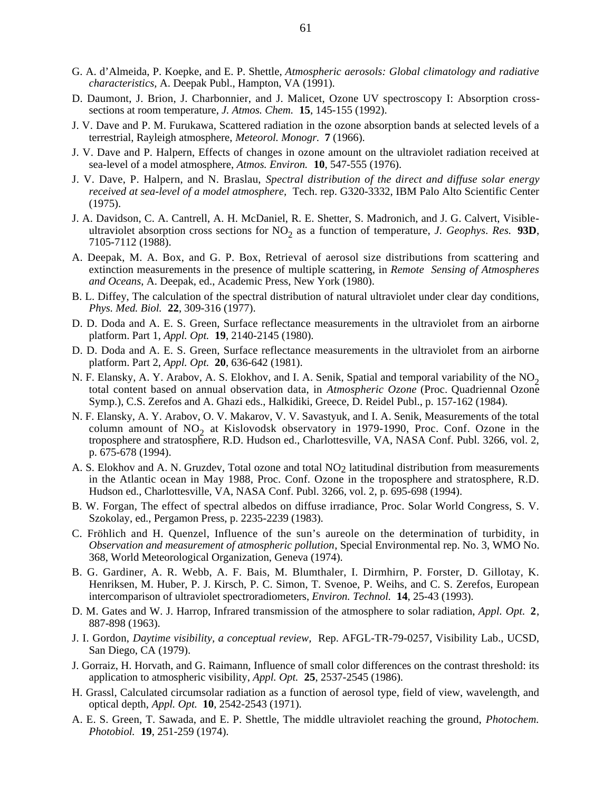- G. A. d'Almeida, P. Koepke, and E. P. Shettle, *Atmospheric aerosols: Global climatology and radiative characteristics,* A. Deepak Publ., Hampton, VA (1991).
- D. Daumont, J. Brion, J. Charbonnier, and J. Malicet, Ozone UV spectroscopy I: Absorption crosssections at room temperature, *J. Atmos. Chem.* **15**, 145-155 (1992).
- J. V. Dave and P. M. Furukawa, Scattered radiation in the ozone absorption bands at selected levels of a terrestrial, Rayleigh atmosphere, *Meteorol. Monogr.* **7** (1966).
- J. V. Dave and P. Halpern, Effects of changes in ozone amount on the ultraviolet radiation received at sea-level of a model atmosphere, *Atmos. Environ.* **10**, 547-555 (1976).
- J. V. Dave, P. Halpern, and N. Braslau, *Spectral distribution of the direct and diffuse solar energy received at sea-level of a model atmosphere,* Tech. rep. G320-3332, IBM Palo Alto Scientific Center (1975).
- J. A. Davidson, C. A. Cantrell, A. H. McDaniel, R. E. Shetter, S. Madronich, and J. G. Calvert, Visibleultraviolet absorption cross sections for NO<sub>2</sub> as a function of temperature, *J. Geophys. Res.* 93D, 7105-7112 (1988).
- A. Deepak, M. A. Box, and G. P. Box, Retrieval of aerosol size distributions from scattering and extinction measurements in the presence of multiple scattering, in *Remote Sensing of Atmospheres and Oceans*, A. Deepak, ed., Academic Press, New York (1980).
- B. L. Diffey, The calculation of the spectral distribution of natural ultraviolet under clear day conditions, *Phys. Med. Biol.* **22**, 309-316 (1977).
- D. D. Doda and A. E. S. Green, Surface reflectance measurements in the ultraviolet from an airborne platform. Part 1, *Appl. Opt.* **19**, 2140-2145 (1980).
- D. D. Doda and A. E. S. Green, Surface reflectance measurements in the ultraviolet from an airborne platform. Part 2, *Appl. Opt.* **20**, 636-642 (1981).
- N. F. Elansky, A. Y. Arabov, A. S. Elokhov, and I. A. Senik, Spatial and temporal variability of the  $NO<sub>2</sub>$ total content based on annual observation data, in *Atmospheric Ozone* (Proc. Quadriennal Ozone Symp.), C.S. Zerefos and A. Ghazi eds., Halkidiki, Greece, D. Reidel Publ., p. 157-162 (1984).
- N. F. Elansky, A. Y. Arabov, O. V. Makarov, V. V. Savastyuk, and I. A. Senik, Measurements of the total column amount of NO<sub>2</sub> at Kislovodsk observatory in 1979-1990, Proc. Conf. Ozone in the troposphere and stratosphere, R.D. Hudson ed., Charlottesville, VA, NASA Conf. Publ. 3266, vol. 2, p. 675-678 (1994).
- A. S. Elokhov and A. N. Gruzdev, Total ozone and total NO2 latitudinal distribution from measurements in the Atlantic ocean in May 1988, Proc. Conf. Ozone in the troposphere and stratosphere, R.D. Hudson ed., Charlottesville, VA, NASA Conf. Publ. 3266, vol. 2, p. 695-698 (1994).
- B. W. Forgan, The effect of spectral albedos on diffuse irradiance, Proc. Solar World Congress, S. V. Szokolay, ed., Pergamon Press, p. 2235-2239 (1983).
- C. Fröhlich and H. Quenzel, Influence of the sun's aureole on the determination of turbidity, in *Observation and measurement of atmospheric pollution*, Special Environmental rep. No. 3, WMO No. 368, World Meteorological Organization, Geneva (1974).
- B. G. Gardiner, A. R. Webb, A. F. Bais, M. Blumthaler, I. Dirmhirn, P. Forster, D. Gillotay, K. Henriksen, M. Huber, P. J. Kirsch, P. C. Simon, T. Svenoe, P. Weihs, and C. S. Zerefos, European intercomparison of ultraviolet spectroradiometers, *Environ. Technol.* **14**, 25-43 (1993).
- D. M. Gates and W. J. Harrop, Infrared transmission of the atmosphere to solar radiation, *Appl. Opt.* **2**, 887-898 (1963).
- J. I. Gordon, *Daytime visibility, a conceptual review,* Rep. AFGL-TR-79-0257, Visibility Lab., UCSD, San Diego, CA (1979).
- J. Gorraiz, H. Horvath, and G. Raimann, Influence of small color differences on the contrast threshold: its application to atmospheric visibility, *Appl. Opt.* **25**, 2537-2545 (1986).
- H. Grassl, Calculated circumsolar radiation as a function of aerosol type, field of view, wavelength, and optical depth, *Appl. Opt.* **10**, 2542-2543 (1971).
- A. E. S. Green, T. Sawada, and E. P. Shettle, The middle ultraviolet reaching the ground, *Photochem. Photobiol.* **19**, 251-259 (1974).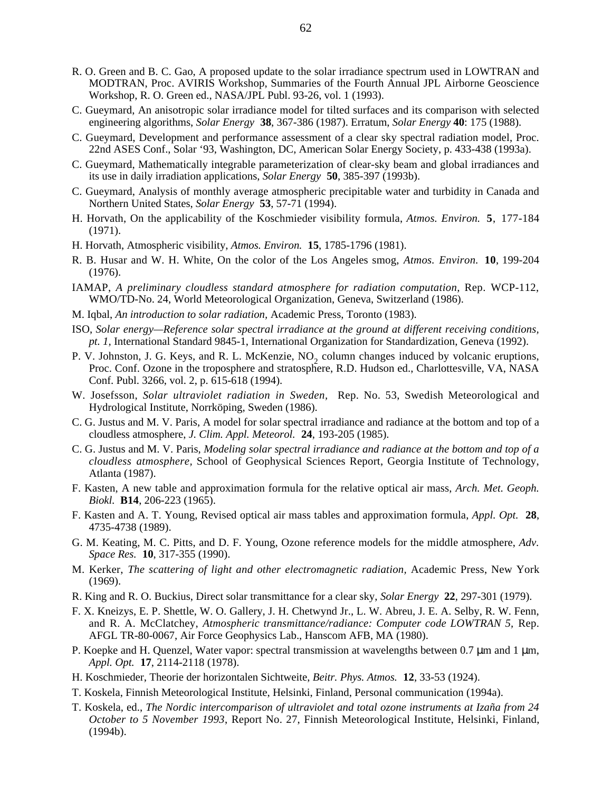- R. O. Green and B. C. Gao, A proposed update to the solar irradiance spectrum used in LOWTRAN and MODTRAN, Proc. AVIRIS Workshop, Summaries of the Fourth Annual JPL Airborne Geoscience Workshop, R. O. Green ed., NASA/JPL Publ. 93-26, vol. 1 (1993).
- C. Gueymard, An anisotropic solar irradiance model for tilted surfaces and its comparison with selected engineering algorithms, *Solar Energy* **38**, 367-386 (1987). Erratum, *Solar Energy* **40**: 175 (1988).
- C. Gueymard, Development and performance assessment of a clear sky spectral radiation model, Proc. 22nd ASES Conf., Solar '93, Washington, DC, American Solar Energy Society, p. 433-438 (1993a).
- C. Gueymard, Mathematically integrable parameterization of clear-sky beam and global irradiances and its use in daily irradiation applications, *Solar Energy* **50**, 385-397 (1993b).
- C. Gueymard, Analysis of monthly average atmospheric precipitable water and turbidity in Canada and Northern United States, *Solar Energy* **53**, 57-71 (1994).
- H. Horvath, On the applicability of the Koschmieder visibility formula, *Atmos. Environ.* **5**, 177-184 (1971).
- H. Horvath, Atmospheric visibility, *Atmos. Environ.* **15**, 1785-1796 (1981).
- R. B. Husar and W. H. White, On the color of the Los Angeles smog, *Atmos. Environ.* **10**, 199-204 (1976).
- IAMAP, *A preliminary cloudless standard atmosphere for radiation computation,* Rep. WCP-112, WMO/TD-No. 24, World Meteorological Organization, Geneva, Switzerland (1986).
- M. Iqbal, *An introduction to solar radiation,* Academic Press, Toronto (1983).
- ISO, *Solar energy—Reference solar spectral irradiance at the ground at different receiving conditions, pt. 1,* International Standard 9845-1, International Organization for Standardization, Geneva (1992).
- P. V. Johnston, J. G. Keys, and R. L. McKenzie, NO<sub>2</sub> column changes induced by volcanic eruptions, Proc. Conf. Ozone in the troposphere and stratosphere, R.D. Hudson ed., Charlottesville, VA, NASA Conf. Publ. 3266, vol. 2, p. 615-618 (1994).
- W. Josefsson, *Solar ultraviolet radiation in Sweden,* Rep. No. 53, Swedish Meteorological and Hydrological Institute, Norrköping, Sweden (1986).
- C. G. Justus and M. V. Paris, A model for solar spectral irradiance and radiance at the bottom and top of a cloudless atmosphere, *J. Clim. Appl. Meteorol.* **24**, 193-205 (1985).
- C. G. Justus and M. V. Paris, *Modeling solar spectral irradiance and radiance at the bottom and top of a cloudless atmosphere,* School of Geophysical Sciences Report, Georgia Institute of Technology, Atlanta (1987).
- F. Kasten, A new table and approximation formula for the relative optical air mass, *Arch. Met. Geoph. Biokl.* **B14**, 206-223 (1965).
- F. Kasten and A. T. Young, Revised optical air mass tables and approximation formula, *Appl. Opt.* **28**, 4735-4738 (1989).
- G. M. Keating, M. C. Pitts, and D. F. Young, Ozone reference models for the middle atmosphere, *Adv. Space Res.* **10**, 317-355 (1990).
- M. Kerker, *The scattering of light and other electromagnetic radiation,* Academic Press, New York (1969).
- R. King and R. O. Buckius, Direct solar transmittance for a clear sky, *Solar Energy* **22**, 297-301 (1979).
- F. X. Kneizys, E. P. Shettle, W. O. Gallery, J. H. Chetwynd Jr., L. W. Abreu, J. E. A. Selby, R. W. Fenn, and R. A. McClatchey, *Atmospheric transmittance/radiance: Computer code LOWTRAN 5,* Rep. AFGL TR-80-0067, Air Force Geophysics Lab., Hanscom AFB, MA (1980).
- P. Koepke and H. Quenzel, Water vapor: spectral transmission at wavelengths between 0.7  $\mu$ m and 1  $\mu$ m, *Appl. Opt.* **17**, 2114-2118 (1978).
- H. Koschmieder, Theorie der horizontalen Sichtweite, *Beitr. Phys. Atmos.* **12**, 33-53 (1924).
- T. Koskela, Finnish Meteorological Institute, Helsinki, Finland, Personal communication (1994a).
- T. Koskela, ed., *The Nordic intercomparison of ultraviolet and total ozone instruments at Izaña from 24 October to 5 November 1993*, Report No. 27, Finnish Meteorological Institute, Helsinki, Finland, (1994b).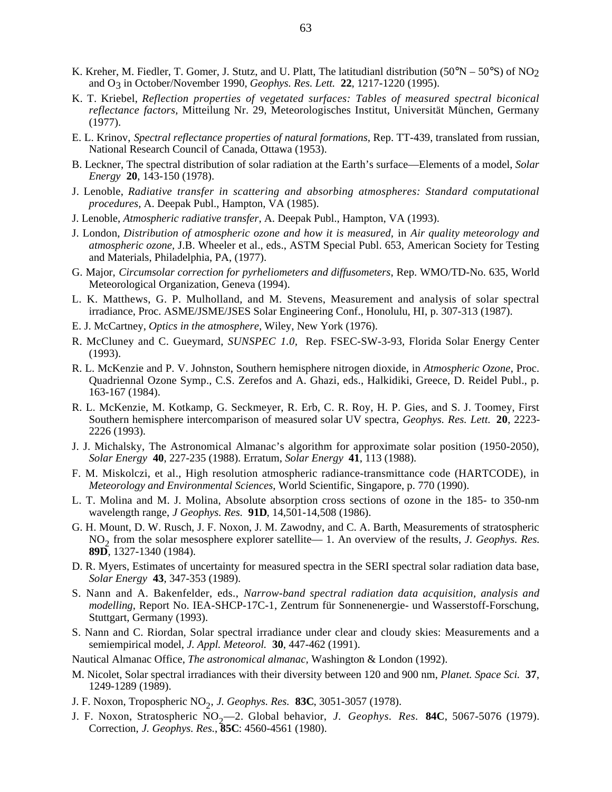- K. Kreher, M. Fiedler, T. Gomer, J. Stutz, and U. Platt, The latitudianl distribution (50°N 50°S) of NO<sub>2</sub> and O3 in October/November 1990, *Geophys. Res. Lett.* **22**, 1217-1220 (1995).
- K. T. Kriebel, *Reflection properties of vegetated surfaces: Tables of measured spectral biconical reflectance factors,* Mitteilung Nr. 29, Meteorologisches Institut, Universität München, Germany (1977).
- E. L. Krinov, *Spectral reflectance properties of natural formations,* Rep. TT-439, translated from russian, National Research Council of Canada, Ottawa (1953).
- B. Leckner, The spectral distribution of solar radiation at the Earth's surface—Elements of a model, *Solar Energy* **20**, 143-150 (1978).
- J. Lenoble, *Radiative transfer in scattering and absorbing atmospheres: Standard computational procedures,* A. Deepak Publ., Hampton, VA (1985).
- J. Lenoble, *Atmospheric radiative transfer*, A. Deepak Publ., Hampton, VA (1993).
- J. London, *Distribution of atmospheric ozone and how it is measured,* in *Air quality meteorology and atmospheric ozone,* J.B. Wheeler et al., eds., ASTM Special Publ. 653, American Society for Testing and Materials, Philadelphia, PA, (1977).
- G. Major, *Circumsolar correction for pyrheliometers and diffusometers*, Rep. WMO/TD-No. 635, World Meteorological Organization, Geneva (1994).
- L. K. Matthews, G. P. Mulholland, and M. Stevens, Measurement and analysis of solar spectral irradiance, Proc. ASME/JSME/JSES Solar Engineering Conf., Honolulu, HI, p. 307-313 (1987).
- E. J. McCartney, *Optics in the atmosphere,* Wiley, New York (1976).
- R. McCluney and C. Gueymard, *SUNSPEC 1.0,* Rep. FSEC-SW-3-93, Florida Solar Energy Center (1993).
- R. L. McKenzie and P. V. Johnston, Southern hemisphere nitrogen dioxide, in *Atmospheric Ozone*, Proc. Quadriennal Ozone Symp., C.S. Zerefos and A. Ghazi, eds., Halkidiki, Greece, D. Reidel Publ., p. 163-167 (1984).
- R. L. McKenzie, M. Kotkamp, G. Seckmeyer, R. Erb, C. R. Roy, H. P. Gies, and S. J. Toomey, First Southern hemisphere intercomparison of measured solar UV spectra, *Geophys. Res. Lett.* **20**, 2223- 2226 (1993).
- J. J. Michalsky, The Astronomical Almanac's algorithm for approximate solar position (1950-2050), *Solar Energy* **40**, 227-235 (1988). Erratum, *Solar Energy* **41**, 113 (1988).
- F. M. Miskolczi, et al., High resolution atmospheric radiance-transmittance code (HARTCODE), in *Meteorology and Environmental Sciences*, World Scientific, Singapore, p. 770 (1990).
- L. T. Molina and M. J. Molina, Absolute absorption cross sections of ozone in the 185- to 350-nm wavelength range, *J Geophys. Res.* **91D**, 14,501-14,508 (1986).
- G. H. Mount, D. W. Rusch, J. F. Noxon, J. M. Zawodny, and C. A. Barth, Measurements of stratospheric NO2 from the solar mesosphere explorer satellite— 1. An overview of the results, *J. Geophys. Res.* **89D**, 1327-1340 (1984).
- D. R. Myers, Estimates of uncertainty for measured spectra in the SERI spectral solar radiation data base, *Solar Energy* **43**, 347-353 (1989).
- S. Nann and A. Bakenfelder, eds., *Narrow-band spectral radiation data acquisition, analysis and modelling*, Report No. IEA-SHCP-17C-1, Zentrum für Sonnenenergie- und Wasserstoff-Forschung, Stuttgart, Germany (1993).
- S. Nann and C. Riordan, Solar spectral irradiance under clear and cloudy skies: Measurements and a semiempirical model, *J. Appl. Meteorol.* **30**, 447-462 (1991).
- Nautical Almanac Office, *The astronomical almanac,* Washington & London (1992).
- M. Nicolet, Solar spectral irradiances with their diversity between 120 and 900 nm, *Planet. Space Sci.* **37**, 1249-1289 (1989).
- J. F. Noxon, Tropospheric NO<sub>2</sub>, *J. Geophys. Res.* **83C**, 3051-3057 (1978).
- J. F. Noxon, Stratospheric NO<sub>2</sub>—2. Global behavior, *J. Geophys. Res.* **84C**, 5067-5076 (1979). Correction, *J. Geophys. Res.*, **85C**: 4560-4561 (1980).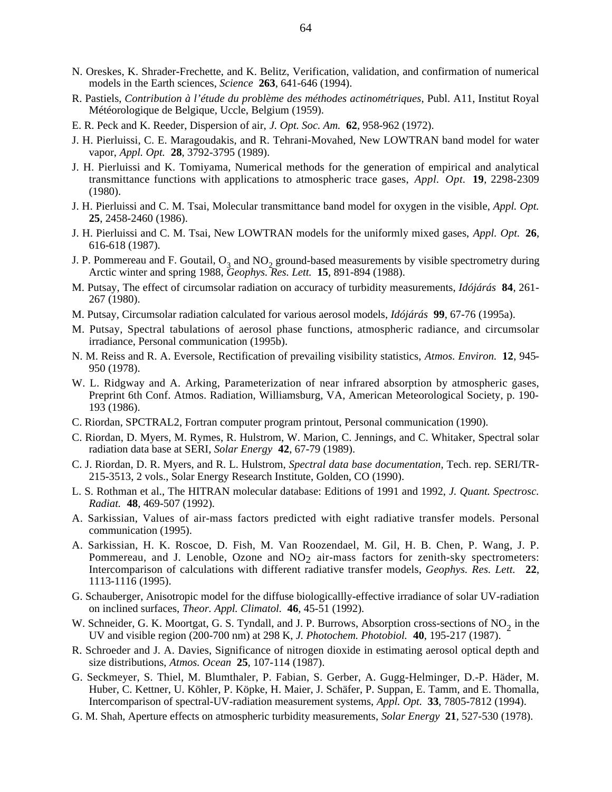- N. Oreskes, K. Shrader-Frechette, and K. Belitz, Verification, validation, and confirmation of numerical models in the Earth sciences, *Science* **263**, 641-646 (1994).
- R. Pastiels, *Contribution à l'étude du problème des méthodes actinométriques*, Publ. A11, Institut Royal Météorologique de Belgique, Uccle, Belgium (1959).
- E. R. Peck and K. Reeder, Dispersion of air, *J. Opt. Soc. Am.* **62**, 958-962 (1972).
- J. H. Pierluissi, C. E. Maragoudakis, and R. Tehrani-Movahed, New LOWTRAN band model for water vapor, *Appl. Opt.* **28**, 3792-3795 (1989).
- J. H. Pierluissi and K. Tomiyama, Numerical methods for the generation of empirical and analytical transmittance functions with applications to atmospheric trace gases, *Appl. Opt.* **19**, 2298-2309 (1980).
- J. H. Pierluissi and C. M. Tsai, Molecular transmittance band model for oxygen in the visible, *Appl. Opt.* **25**, 2458-2460 (1986).
- J. H. Pierluissi and C. M. Tsai, New LOWTRAN models for the uniformly mixed gases, *Appl. Opt.* **26**, 616-618 (1987).
- J. P. Pommereau and F. Goutail,  $O_3$  and  $NO_2$  ground-based measurements by visible spectrometry during Arctic winter and spring 1988, *Geophys. Res. Lett.* **15**, 891-894 (1988).
- M. Putsay, The effect of circumsolar radiation on accuracy of turbidity measurements, *Idójárás* **84**, 261- 267 (1980).
- M. Putsay, Circumsolar radiation calculated for various aerosol models, *Idójárás* **99**, 67-76 (1995a).
- M. Putsay, Spectral tabulations of aerosol phase functions, atmospheric radiance, and circumsolar irradiance, Personal communication (1995b).
- N. M. Reiss and R. A. Eversole, Rectification of prevailing visibility statistics, *Atmos. Environ.* **12**, 945- 950 (1978).
- W. L. Ridgway and A. Arking, Parameterization of near infrared absorption by atmospheric gases, Preprint 6th Conf. Atmos. Radiation, Williamsburg, VA, American Meteorological Society, p. 190- 193 (1986).
- C. Riordan, SPCTRAL2, Fortran computer program printout, Personal communication (1990).
- C. Riordan, D. Myers, M. Rymes, R. Hulstrom, W. Marion, C. Jennings, and C. Whitaker, Spectral solar radiation data base at SERI, *Solar Energy* **42**, 67-79 (1989).
- C. J. Riordan, D. R. Myers, and R. L. Hulstrom, *Spectral data base documentation,* Tech. rep. SERI/TR-215-3513, 2 vols., Solar Energy Research Institute, Golden, CO (1990).
- L. S. Rothman et al., The HITRAN molecular database: Editions of 1991 and 1992, *J. Quant. Spectrosc. Radiat.* **48**, 469-507 (1992).
- A. Sarkissian, Values of air-mass factors predicted with eight radiative transfer models. Personal communication (1995).
- A. Sarkissian, H. K. Roscoe, D. Fish, M. Van Roozendael, M. Gil, H. B. Chen, P. Wang, J. P. Pommereau, and J. Lenoble, Ozone and NO<sub>2</sub> air-mass factors for zenith-sky spectrometers: Intercomparison of calculations with different radiative transfer models, *Geophys. Res. Lett.* **22**, 1113-1116 (1995).
- G. Schauberger, Anisotropic model for the diffuse biologicallly-effective irradiance of solar UV-radiation on inclined surfaces, *Theor. Appl. Climatol.* **46**, 45-51 (1992).
- W. Schneider, G. K. Moortgat, G. S. Tyndall, and J. P. Burrows, Absorption cross-sections of  $NO<sub>2</sub>$  in the UV and visible region (200-700 nm) at 298 K, *J. Photochem. Photobiol.* **40**, 195-217 (1987).
- R. Schroeder and J. A. Davies, Significance of nitrogen dioxide in estimating aerosol optical depth and size distributions, *Atmos. Ocean* **25**, 107-114 (1987).
- G. Seckmeyer, S. Thiel, M. Blumthaler, P. Fabian, S. Gerber, A. Gugg-Helminger, D.-P. Häder, M. Huber, C. Kettner, U. Köhler, P. Köpke, H. Maier, J. Schäfer, P. Suppan, E. Tamm, and E. Thomalla, Intercomparison of spectral-UV-radiation measurement systems, *Appl. Opt.* **33**, 7805-7812 (1994).
- G. M. Shah, Aperture effects on atmospheric turbidity measurements, *Solar Energy* **21**, 527-530 (1978).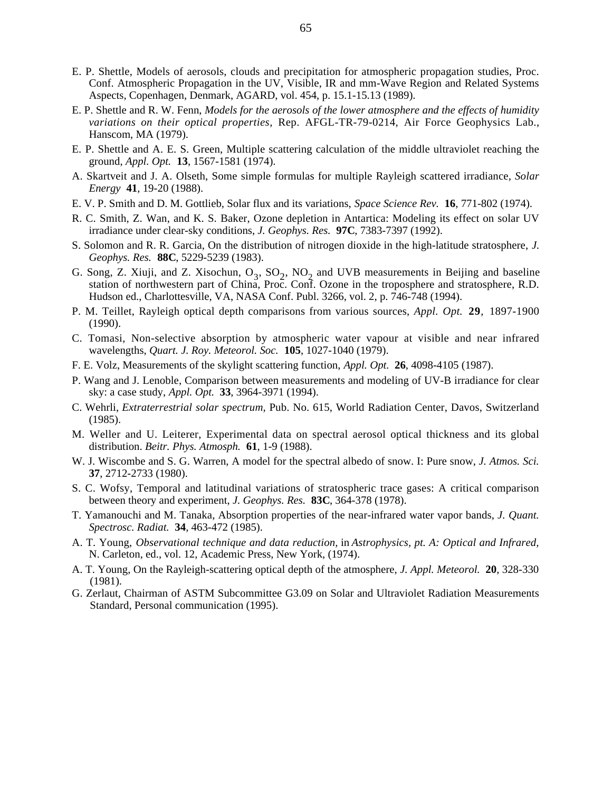- E. P. Shettle, Models of aerosols, clouds and precipitation for atmospheric propagation studies, Proc. Conf. Atmospheric Propagation in the UV, Visible, IR and mm-Wave Region and Related Systems Aspects, Copenhagen, Denmark, AGARD, vol. 454, p. 15.1-15.13 (1989).
- E. P. Shettle and R. W. Fenn, *Models for the aerosols of the lower atmosphere and the effects of humidity variations on their optical properties,* Rep. AFGL-TR-79-0214, Air Force Geophysics Lab., Hanscom, MA (1979).
- E. P. Shettle and A. E. S. Green, Multiple scattering calculation of the middle ultraviolet reaching the ground, *Appl. Opt.* **13**, 1567-1581 (1974).
- A. Skartveit and J. A. Olseth, Some simple formulas for multiple Rayleigh scattered irradiance, *Solar Energy* **41**, 19-20 (1988).
- E. V. P. Smith and D. M. Gottlieb, Solar flux and its variations, *Space Science Rev.* **16**, 771-802 (1974).
- R. C. Smith, Z. Wan, and K. S. Baker, Ozone depletion in Antartica: Modeling its effect on solar UV irradiance under clear-sky conditions, *J. Geophys. Res.* **97C**, 7383-7397 (1992).
- S. Solomon and R. R. Garcia, On the distribution of nitrogen dioxide in the high-latitude stratosphere, *J. Geophys. Res.* **88C**, 5229-5239 (1983).
- G. Song, Z. Xiuji, and Z. Xisochun,  $O_3$ ,  $SO_2$ , NO<sub>2</sub> and UVB measurements in Beijing and baseline station of northwestern part of China, Proc. Conf. Ozone in the troposphere and stratosphere, R.D. Hudson ed., Charlottesville, VA, NASA Conf. Publ. 3266, vol. 2, p. 746-748 (1994).
- P. M. Teillet, Rayleigh optical depth comparisons from various sources, *Appl. Opt.* **29**, 1897-1900 (1990).
- C. Tomasi, Non-selective absorption by atmospheric water vapour at visible and near infrared wavelengths, *Quart. J. Roy. Meteorol. Soc.* **105**, 1027-1040 (1979).
- F. E. Volz, Measurements of the skylight scattering function, *Appl. Opt.* **26**, 4098-4105 (1987).
- P. Wang and J. Lenoble, Comparison between measurements and modeling of UV-B irradiance for clear sky: a case study, *Appl. Opt.* **33**, 3964-3971 (1994).
- C. Wehrli, *Extraterrestrial solar spectrum,* Pub. No. 615, World Radiation Center, Davos, Switzerland (1985).
- M. Weller and U. Leiterer, Experimental data on spectral aerosol optical thickness and its global distribution. *Beitr. Phys. Atmosph.* **61**, 1-9 (1988).
- W. J. Wiscombe and S. G. Warren, A model for the spectral albedo of snow. I: Pure snow, *J. Atmos. Sci.* **37**, 2712-2733 (1980).
- S. C. Wofsy, Temporal and latitudinal variations of stratospheric trace gases: A critical comparison between theory and experiment, *J. Geophys. Res.* **83C**, 364-378 (1978).
- T. Yamanouchi and M. Tanaka, Absorption properties of the near-infrared water vapor bands, *J. Quant. Spectrosc. Radiat.* **34**, 463-472 (1985).
- A. T. Young, *Observational technique and data reduction,* in *Astrophysics, pt. A: Optical and Infrared,* N. Carleton, ed., vol. 12, Academic Press, New York, (1974).
- A. T. Young, On the Rayleigh-scattering optical depth of the atmosphere, *J. Appl. Meteorol.* **20**, 328-330 (1981).
- G. Zerlaut, Chairman of ASTM Subcommittee G3.09 on Solar and Ultraviolet Radiation Measurements Standard, Personal communication (1995).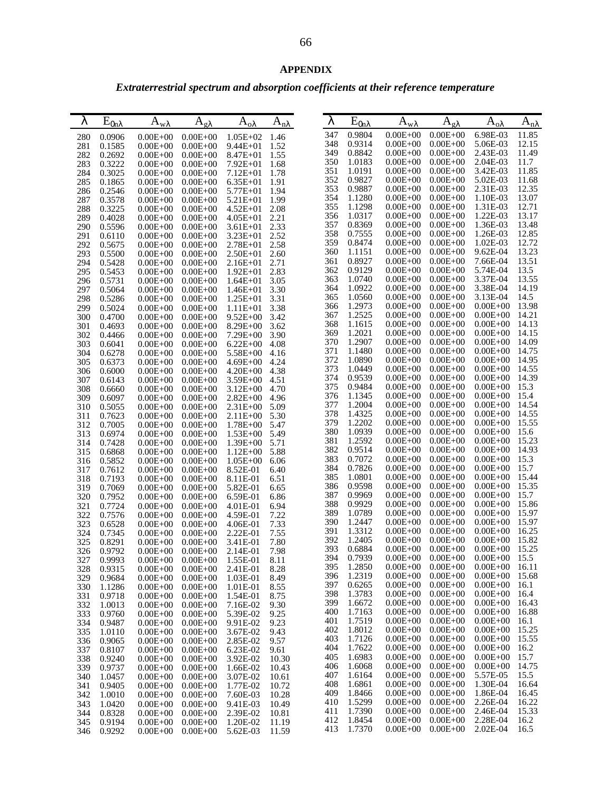# *Extraterrestrial spectrum and absorption coefficients at their reference temperature*

| λ          |                  |                              |                              |                              |                | λ          |                  |                              |                              |                                 |                |
|------------|------------------|------------------------------|------------------------------|------------------------------|----------------|------------|------------------|------------------------------|------------------------------|---------------------------------|----------------|
|            | $E_{0n\lambda}$  | $A_{w\lambda}$               | $A_{\alpha\lambda}$          | $A_{o\lambda}$               | $A_{n\lambda}$ |            | $E_{0n\lambda}$  | $A_{w\lambda}$               | $A_{g\lambda}$               | $A_{o \lambda}$                 | $A_{n\lambda}$ |
| 280        | 0.0906           | $0.00E + 00$                 | $0.00E + 00$                 | $1.05E + 02$                 | 1.46           | 347        | 0.9804           | $0.00E + 00$                 | $0.00E + 00$                 | 6.98E-03                        | 11.85          |
| 281        | 0.1585           | $0.00E + 00$                 | $0.00E + 00$                 | $9.44E + 01$                 | 1.52           | 348        | 0.9314           | $0.00E + 00$                 | $0.00E + 00$                 | 5.06E-03<br>2.43E-03            | 12.15          |
| 282        | 0.2692           | $0.00E + 00$                 | $0.00E + 00$                 | $8.47E + 01$                 | 1.55           | 349<br>350 | 0.8842<br>1.0183 | $0.00E + 00$<br>$0.00E + 00$ | $0.00E + 00$<br>$0.00E + 00$ | 2.04E-03                        | 11.49<br>11.7  |
| 283<br>284 | 0.3222<br>0.3025 | $0.00E + 00$                 | $0.00E + 00$                 | $7.92E + 01$                 | 1.68           | 351        | 1.0191           | $0.00E + 00$                 | $0.00E + 00$                 | 3.42E-03                        | 11.85          |
| 285        | 0.1865           | $0.00E + 00$<br>$0.00E + 00$ | $0.00E + 00$<br>$0.00E + 00$ | $7.12E + 01$<br>$6.35E + 01$ | 1.78<br>1.91   | 352        | 0.9827           | $0.00E + 00$                 | $0.00E + 00$                 | 5.02E-03                        | 11.68          |
| 286        | 0.2546           | $0.00E + 00$                 | $0.00E + 00$                 | $5.77E + 01$                 | 1.94           | 353        | 0.9887           | $0.00E + 00$                 | $0.00E + 00$                 | 2.31E-03                        | 12.35          |
| 287        | 0.3578           | $0.00E + 00$                 | $0.00E + 00$                 | $5.21E + 01$                 | 1.99           | 354        | 1.1280           | $0.00E + 00$                 | $0.00E + 00$                 | 1.10E-03                        | 13.07          |
| 288        | 0.3225           | $0.00E + 00$                 | $0.00E + 00$                 | $4.52E + 01$                 | 2.08           | 355        | 1.1298           | $0.00E + 00$                 | $0.00E + 00$                 | 1.31E-03                        | 12.71          |
| 289        | 0.4028           | $0.00E + 00$                 | $0.00E + 00$                 | $4.05E + 01$                 | 2.21           | 356        | 1.0317           | $0.00E + 00$                 | $0.00E + 00$                 | 1.22E-03                        | 13.17          |
| 290        | 0.5596           | $0.00E + 00$                 | $0.00E + 00$                 | $3.61E + 01$                 | 2.33           | 357<br>358 | 0.8369           | $0.00E + 00$<br>$0.00E + 00$ | $0.00E + 00$<br>$0.00E + 00$ | 1.36E-03                        | 13.48<br>12.85 |
| 291        | 0.6110           | $0.00E + 00$                 | $0.00E + 00$                 | $3.23E + 01$                 | 2.52           | 359        | 0.7555<br>0.8474 | $0.00E + 00$                 | $0.00E + 00$                 | 1.26E-03<br>1.02E-03            | 12.72          |
| 292<br>293 | 0.5675<br>0.5500 | $0.00E + 00$<br>$0.00E + 00$ | $0.00E + 00$<br>$0.00E + 00$ | $2.78E + 01$<br>$2.50E + 01$ | 2.58<br>2.60   | 360        | 1.1151           | $0.00E + 00$                 | $0.00E + 00$                 | 9.62E-04                        | 13.23          |
| 294        | 0.5428           | $0.00E + 00$                 | $0.00E + 00$                 | $2.16E + 01$                 | 2.71           | 361        | 0.8927           | $0.00E + 00$                 | $0.00E + 00$                 | 7.66E-04                        | 13.51          |
| 295        | 0.5453           | $0.00E + 00$                 | $0.00E + 00$                 | $1.92E + 01$                 | 2.83           | 362        | 0.9129           | $0.00E + 00$                 | $0.00E + 00$                 | 5.74E-04                        | 13.5           |
| 296        | 0.5731           | $0.00E + 00$                 | $0.00E + 00$                 | $1.64E + 01$                 | 3.05           | 363        | 1.0740           | $0.00E + 00$                 | $0.00E + 00$                 | 3.37E-04                        | 13.55          |
| 297        | 0.5064           | $0.00E + 00$                 | $0.00E + 00$                 | $1.46E + 01$                 | 3.30           | 364        | 1.0922           | $0.00E + 00$                 | $0.00E + 00$                 | 3.38E-04                        | 14.19          |
| 298        | 0.5286           | $0.00E + 00$                 | $0.00E + 00$                 | $1.25E + 01$                 | 3.31           | 365        | 1.0560           | $0.00E + 00$                 | $0.00E + 00$                 | 3.13E-04                        | 14.5           |
| 299        | 0.5024           | $0.00E + 00$                 | $0.00E + 00$                 | $1.11E + 01$                 | 3.38           | 366        | 1.2973           | $0.00E + 00$                 | $0.00E + 00$                 | $0.00E + 00$                    | 13.98          |
| 300        | 0.4700           | $0.00E + 00$                 | $0.00E + 00$                 | $9.52E + 00$                 | 3.42           | 367<br>368 | 1.2525<br>1.1615 | $0.00E + 00$<br>$0.00E + 00$ | $0.00E + 00$<br>$0.00E + 00$ | $0.00E + 00$<br>$0.00E + 00$    | 14.21<br>14.13 |
| 301        | 0.4693           | $0.00E + 00$                 | $0.00E + 00$                 | $8.29E + 00$<br>$7.29E + 00$ | 3.62           | 369        | 1.2021           | $0.00E + 00$                 | $0.00E + 00$                 | $0.00E + 00$                    | 14.15          |
| 302<br>303 | 0.4466<br>0.6041 | $0.00E + 00$<br>$0.00E + 00$ | $0.00E + 00$<br>$0.00E + 00$ | $6.22E + 00$                 | 3.90<br>4.08   | 370        | 1.2907           | $0.00E + 00$                 | $0.00E + 00$                 | $0.00E + 00$                    | 14.09          |
| 304        | 0.6278           | $0.00E + 00$                 | $0.00E + 00$                 | $5.58E + 00$                 | 4.16           | 371        | 1.1480           | $0.00E + 00$                 | $0.00E + 00$                 | $0.00E + 00$                    | 14.75          |
| 305        | 0.6373           | $0.00E + 00$                 | $0.00E + 00$                 | $4.69E + 00$                 | 4.24           | 372        | 1.0890           | $0.00E + 00$                 | $0.00E + 00$                 | $0.00E + 00$                    | 14.95          |
| 306        | 0.6000           | $0.00E + 00$                 | $0.00E + 00$                 | $4.20E + 00$                 | 4.38           | 373        | 1.0449           | $0.00E + 00$                 | $0.00E + 00$                 | $0.00E + 00$                    | 14.55          |
| 307        | 0.6143           | $0.00E + 00$                 | $0.00E + 00$                 | $3.59E + 00$                 | 4.51           | 374        | 0.9539           | $0.00E + 00$                 | $0.00E + 00$                 | $0.00E + 00$                    | 14.39          |
| 308        | 0.6660           | $0.00E + 00$                 | $0.00E + 00$                 | $3.12E + 00$                 | 4.70           | 375        | 0.9484           | $0.00E + 00$                 | $0.00E + 00$                 | $0.00E + 00$                    | 15.3           |
| 309        | 0.6097           | $0.00E + 00$                 | $0.00E + 00$                 | $2.82E + 00$                 | 4.96           | 376<br>377 | 1.1345<br>1.2004 | $0.00E + 00$<br>$0.00E + 00$ | $0.00E + 00$<br>$0.00E + 00$ | $0.00E + 00$<br>$0.00E + 00$    | 15.4<br>14.54  |
| 310        | 0.5055           | $0.00E + 00$                 | $0.00E + 00$                 | $2.31E + 00$                 | 5.09           | 378        | 1.4325           | $0.00E + 00$                 | $0.00E + 00$                 | $0.00E + 00$                    | 14.55          |
| 311<br>312 | 0.7623<br>0.7005 | $0.00E + 00$<br>$0.00E + 00$ | $0.00E + 00$<br>$0.00E + 00$ | $2.11E + 00$<br>$1.78E + 00$ | 5.30<br>5.47   | 379        | 1.2202           | $0.00E + 00$                 | $0.00E + 00$                 | $0.00E + 00$                    | 15.55          |
| 313        | 0.6974           | $0.00E + 00$                 | $0.00E + 00$                 | $1.53E + 00$                 | 5.49           | 380        | 1.0939           | $0.00E + 00$                 | $0.00E + 00$                 | $0.00E + 00$                    | 15.6           |
| 314        | 0.7428           | $0.00E + 00$                 | $0.00E + 00$                 | $1.39E + 00$                 | 5.71           | 381        | 1.2592           | $0.00E + 00$                 | $0.00E + 00$                 | $0.00E + 00$                    | 15.23          |
| 315        | 0.6868           | $0.00E + 00$                 | $0.00E + 00$                 | $1.12E + 00$                 | 5.88           | 382        | 0.9514           | $0.00E + 00$                 | $0.00E + 00$                 | $0.00E + 00$                    | 14.93          |
| 316        | 0.5852           | $0.00E + 00$                 | $0.00E + 00$                 | $1.05E + 00$                 | 6.06           | 383        | 0.7072           | $0.00E + 00$                 | $0.00E + 00$                 | $0.00E + 00$                    | 15.3           |
| 317        | 0.7612           | $0.00E + 00$                 | $0.00E + 00$                 | 8.52E-01                     | 6.40           | 384        | 0.7826           | $0.00E + 00$                 | $0.00E + 00$                 | $0.00E + 00$                    | 15.7           |
| 318        | 0.7193           | $0.00E + 00$                 | $0.00E + 00$                 | 8.11E-01                     | 6.51           | 385<br>386 | 1.0801<br>0.9598 | $0.00E + 00$<br>$0.00E + 00$ | $0.00E + 00$<br>$0.00E + 00$ | $0.00E + 00$<br>$0.00E + 00$    | 15.44<br>15.35 |
| 319<br>320 | 0.7069<br>0.7952 | $0.00E + 00$<br>$0.00E + 00$ | $0.00E + 00$<br>$0.00E + 00$ | 5.82E-01<br>6.59E-01         | 6.65<br>6.86   | 387        | 0.9969           | $0.00E + 00$                 | $0.00E + 00$                 | $0.00E + 00$                    | 15.7           |
| 321        | 0.7724           | $0.00E + 00$                 | $0.00E + 00$                 | 4.01E-01                     | 6.94           | 388        | 0.9929           | $0.00E + 00$                 | $0.00E + 00$                 | $0.00E + 00$                    | 15.86          |
| 322        | 0.7576           | $0.00E + 00$                 | $0.00E + 00$                 | 4.59E-01                     | 7.22           | 389        | 1.0789           | $0.00E + 00$                 | $0.00E + 00$                 | $0.00E + 00$                    | 15.97          |
| 323        | 0.6528           | $0.00E + 00$                 | $0.00E + 00$                 | 4.06E-01                     | 7.33           | 390        | 1.2447           | $0.00E + 00$                 | $0.00E + 00$                 | $0.00E + 00$                    | 15.97          |
| 324        | 0.7345           | $0.00E + 00$                 | $0.00E + 00$                 | 2.22E-01                     | 7.55           | 391        | 1.3312           | $0.00E + 00$                 | $0.00E + 00$                 | $0.00E + 00$                    | 16.25          |
| 325        | 0.8291           | $0.00E + 00$                 | $0.00E + 00$                 | 3.41E-01                     | 7.80           | 392        | 1.2405           | $0.00E + 00$                 | $0.00E + 00$                 | $0.00E + 00$                    | 15.82          |
| 326        | 0.9792           | $0.00E + 00$                 | $0.00E + 00$                 | 2.14E-01                     | 7.98           | 393<br>394 | 0.6884<br>0.7939 | $0.00E + 00$<br>$0.00E + 00$ | $0.00E + 00$<br>$0.00E + 00$ | $0.00E + 00$<br>$0.00E+00$ 15.5 | 15.25          |
| 327        | 0.9993           | $0.00E + 00$                 | $0.00E + 00$                 | 1.55E-01                     | 8.11           | 395        | 1.2850           | $0.00E + 00$                 | $0.00E + 00$                 | $0.00E + 00$                    | 16.11          |
| 328<br>329 | 0.9315<br>0.9684 | $0.00E + 00$<br>$0.00E + 00$ | $0.00E + 00$<br>$0.00E + 00$ | 2.41E-01<br>1.03E-01         | 8.28<br>8.49   | 396        | 1.2319           | $0.00E + 00$                 | $0.00E + 00$                 | $0.00E + 00$                    | 15.68          |
| 330        | 1.1286           | $0.00E + 00$                 | $0.00E + 00$                 | 1.01E-01                     | 8.55           | 397        | 0.6265           | $0.00E + 00$                 | $0.00E + 00$                 | $0.00E + 00$                    | 16.1           |
| 331        | 0.9718           | $0.00E + 00$                 | $0.00E + 00$                 | 1.54E-01                     | 8.75           | 398        | 1.3783           | $0.00E + 00$                 | $0.00E + 00$                 | $0.00E + 00$                    | 16.4           |
| 332        | 1.0013           | $0.00E + 00$                 | $0.00E + 00$                 | 7.16E-02                     | 9.30           | 399        | 1.6672           | $0.00E + 00$                 | $0.00E + 00$                 | $0.00E + 00$                    | 16.43          |
| 333        | 0.9760           | $0.00E + 00$                 | $0.00E + 00$                 | 5.39E-02                     | 9.25           | 400        | 1.7163           | $0.00E + 00$                 | $0.00E + 00$                 | $0.00E + 00$                    | 16.88          |
| 334        | 0.9487           | $0.00E + 00$                 | $0.00E + 00$                 | 9.91E-02                     | 9.23           | 401        | 1.7519           | $0.00E + 00$                 | $0.00E + 00$                 | $0.00E + 00$                    | 16.1           |
| 335        | 1.0110           | $0.00E + 00$                 | $0.00E + 00$                 | 3.67E-02                     | 9.43           | 402<br>403 | 1.8012<br>1.7126 | $0.00E + 00$<br>$0.00E + 00$ | $0.00E + 00$<br>$0.00E + 00$ | $0.00E + 00$<br>$0.00E + 00$    | 15.25<br>15.55 |
| 336        | 0.9065           | $0.00E + 00$                 | $0.00E + 00$                 | 2.85E-02                     | 9.57           | 404        | 1.7622           | $0.00E + 00$                 | $0.00E + 00$                 | $0.00E + 00$                    | 16.2           |
| 337<br>338 | 0.8107<br>0.9240 | $0.00E + 00$<br>$0.00E + 00$ | $0.00E + 00$<br>$0.00E + 00$ | 6.23E-02<br>3.92E-02         | 9.61<br>10.30  | 405        | 1.6983           | $0.00E + 00$                 | $0.00E + 00$                 | $0.00E + 00$                    | 15.7           |
| 339        | 0.9737           | $0.00E + 00$                 | $0.00E + 00$                 | 1.66E-02                     | 10.43          | 406        | 1.6068           | $0.00E + 00$                 | $0.00E + 00$                 | $0.00E + 00$                    | 14.75          |
| 340        | 1.0457           | $0.00E + 00$                 | $0.00E + 00$                 | 3.07E-02                     | 10.61          | 407        | 1.6164           | $0.00E + 00$                 | $0.00E + 00$                 | 5.57E-05                        | 15.5           |
| 341        | 0.9405           | $0.00E + 00$                 | $0.00E + 00$                 | 1.77E-02                     | 10.72          | 408        | 1.6861           | $0.00E + 00$                 | $0.00E + 00$                 | 1.30E-04                        | 16.64          |
| 342        | 1.0010           | $0.00E + 00$                 | $0.00E + 00$                 | 7.60E-03                     | 10.28          | 409        | 1.8466           | $0.00E + 00$                 | $0.00E + 00$                 | 1.86E-04                        | 16.45          |
| 343        | 1.0420           | $0.00E + 00$                 | $0.00E + 00$                 | 9.41E-03                     | 10.49          | 410        | 1.5299           | $0.00E + 00$                 | $0.00E + 00$                 | 2.26E-04                        | 16.22          |
| 344        | 0.8328           | $0.00E + 00$                 | $0.00E + 00$                 | 2.39E-02                     | 10.81          | 411<br>412 | 1.7390<br>1.8454 | $0.00E + 00$<br>$0.00E + 00$ | $0.00E + 00$<br>$0.00E + 00$ | 2.46E-04<br>2.28E-04            | 15.33<br>16.2  |
| 345<br>346 | 0.9194<br>0.9292 | $0.00E + 00$<br>$0.00E + 00$ | $0.00E + 00$<br>$0.00E + 00$ | 1.20E-02<br>5.62E-03         | 11.19<br>11.59 | 413        | 1.7370           | $0.00E + 00$                 | $0.00E + 00$                 | 2.02E-04                        | 16.5           |
|            |                  |                              |                              |                              |                |            |                  |                              |                              |                                 |                |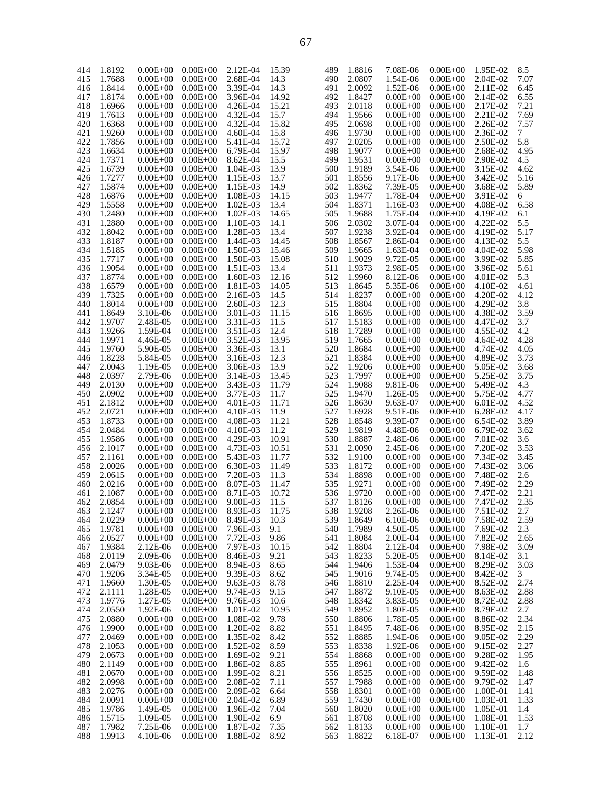| 414 | 1.8192 | $0.00E + 00$ | $0.00E + 00$ | 2.12E-04   | 15.39 | 489 | 1.8816 | 7.08E-06     | $0.00E + 00$ | 1.95E-02 | 8.5    |
|-----|--------|--------------|--------------|------------|-------|-----|--------|--------------|--------------|----------|--------|
| 415 | 1.7688 | $0.00E + 00$ | $0.00E + 00$ | 2.68E-04   | 14.3  | 490 | 2.0807 | 1.54E-06     | $0.00E + 00$ | 2.04E-02 | 7.07   |
| 416 | 1.8414 | $0.00E + 00$ | $0.00E + 00$ | 3.39E-04   | 14.3  | 491 | 2.0092 | 1.52E-06     | $0.00E + 00$ | 2.11E-02 | 6.45   |
|     |        |              |              |            |       |     |        |              |              |          |        |
| 417 | 1.8174 | $0.00E + 00$ | $0.00E + 00$ | 3.96E-04   | 14.92 | 492 | 1.8427 | $0.00E + 00$ | $0.00E + 00$ | 2.14E-02 | 6.55   |
| 418 | 1.6966 | $0.00E + 00$ | $0.00E + 00$ | 4.26E-04   | 15.21 | 493 | 2.0118 | $0.00E + 00$ | $0.00E + 00$ | 2.17E-02 | 7.21   |
| 419 | 1.7613 | $0.00E + 00$ | $0.00E + 00$ | 4.32E-04   | 15.7  | 494 | 1.9566 | $0.00E + 00$ | $0.00E + 00$ | 2.21E-02 | 7.69   |
|     |        |              |              |            |       |     |        |              |              |          |        |
| 420 | 1.6368 | $0.00E + 00$ | $0.00E + 00$ | 4.32E-04   | 15.82 | 495 | 2.0698 | $0.00E + 00$ | $0.00E + 00$ | 2.26E-02 | 7.57   |
| 421 | 1.9260 | $0.00E + 00$ | $0.00E + 00$ | 4.60E-04   | 15.8  | 496 | 1.9730 | $0.00E + 00$ | $0.00E + 00$ | 2.36E-02 | $\tau$ |
| 422 | 1.7856 | $0.00E + 00$ | $0.00E + 00$ | 5.41E-04   | 15.72 | 497 | 2.0205 | $0.00E + 00$ | $0.00E + 00$ | 2.50E-02 | 5.8    |
|     |        |              |              |            |       |     |        |              |              |          |        |
| 423 | 1.6634 | $0.00E + 00$ | $0.00E + 00$ | 6.79E-04   | 15.97 | 498 | 1.9077 | $0.00E + 00$ | $0.00E + 00$ | 2.68E-02 | 4.95   |
| 424 | 1.7371 | $0.00E + 00$ | $0.00E + 00$ | 8.62E-04   | 15.5  | 499 | 1.9531 | $0.00E + 00$ | $0.00E + 00$ | 2.90E-02 | 4.5    |
| 425 | 1.6739 | $0.00E + 00$ | $0.00E + 00$ | 1.04E-03   | 13.9  | 500 | 1.9189 | 3.54E-06     | $0.00E + 00$ | 3.15E-02 | 4.62   |
|     |        |              |              |            |       |     |        |              |              |          |        |
| 426 | 1.7277 | $0.00E + 00$ | $0.00E + 00$ | 1.15E-03   | 13.7  | 501 | 1.8556 | 9.17E-06     | $0.00E + 00$ | 3.42E-02 | 5.16   |
| 427 | 1.5874 | $0.00E + 00$ | $0.00E + 00$ | 1.15E-03   | 14.9  | 502 | 1.8362 | 7.39E-05     | $0.00E + 00$ | 3.68E-02 | 5.89   |
| 428 | 1.6876 | $0.00E + 00$ | $0.00E + 00$ | 1.08E-03   | 14.15 | 503 | 1.9477 | 1.78E-04     | $0.00E + 00$ | 3.91E-02 | 6      |
|     |        |              |              |            |       |     |        |              |              |          |        |
| 429 | 1.5558 | $0.00E + 00$ | $0.00E + 00$ | 1.02E-03   | 13.4  | 504 | 1.8371 | 1.16E-03     | $0.00E + 00$ | 4.08E-02 | 6.58   |
| 430 | 1.2480 | $0.00E + 00$ | $0.00E + 00$ | $1.02E-03$ | 14.65 | 505 | 1.9688 | 1.75E-04     | $0.00E + 00$ | 4.19E-02 | 6.1    |
| 431 | 1.2880 | $0.00E + 00$ | $0.00E + 00$ | 1.10E-03   | 14.1  | 506 | 2.0302 | 3.07E-04     | $0.00E + 00$ | 4.22E-02 | 5.5    |
|     |        |              |              |            |       |     |        |              |              |          |        |
| 432 | 1.8042 | $0.00E + 00$ | $0.00E + 00$ | 1.28E-03   | 13.4  | 507 | 1.9238 | 3.92E-04     | $0.00E + 00$ | 4.19E-02 | 5.17   |
| 433 | 1.8187 | $0.00E + 00$ | $0.00E + 00$ | 1.44E-03   | 14.45 | 508 | 1.8567 | 2.86E-04     | $0.00E + 00$ | 4.13E-02 | 5.5    |
| 434 | 1.5185 | $0.00E + 00$ | $0.00E + 00$ | 1.50E-03   | 15.46 | 509 | 1.9665 | 1.63E-04     | $0.00E + 00$ | 4.04E-02 | 5.98   |
|     |        |              |              |            |       |     |        |              |              |          |        |
| 435 | 1.7717 | $0.00E + 00$ | $0.00E + 00$ | 1.50E-03   | 15.08 | 510 | 1.9029 | 9.72E-05     | $0.00E + 00$ | 3.99E-02 | 5.85   |
| 436 | 1.9054 | $0.00E + 00$ | $0.00E + 00$ | 1.51E-03   | 13.4  | 511 | 1.9373 | 2.98E-05     | $0.00E + 00$ | 3.96E-02 | 5.61   |
| 437 | 1.8774 | $0.00E + 00$ | $0.00E + 00$ | 1.60E-03   | 12.16 | 512 | 1.9960 | 8.12E-06     | $0.00E + 00$ | 4.01E-02 |        |
|     |        |              |              |            |       |     |        |              |              |          | 5.3    |
| 438 | 1.6579 | $0.00E + 00$ | $0.00E + 00$ | 1.81E-03   | 14.05 | 513 | 1.8645 | 5.35E-06     | $0.00E + 00$ | 4.10E-02 | 4.61   |
| 439 | 1.7325 | $0.00E + 00$ | $0.00E + 00$ | 2.16E-03   | 14.5  | 514 | 1.8237 | $0.00E + 00$ | $0.00E + 00$ | 4.20E-02 | 4.12   |
|     |        |              |              |            |       |     |        |              |              |          |        |
| 440 | 1.8014 | $0.00E + 00$ | $0.00E + 00$ | 2.60E-03   | 12.3  | 515 | 1.8804 | $0.00E + 00$ | $0.00E + 00$ | 4.29E-02 | 3.8    |
| 441 | 1.8649 | 3.10E-06     | $0.00E + 00$ | 3.01E-03   | 11.15 | 516 | 1.8695 | $0.00E + 00$ | $0.00E + 00$ | 4.38E-02 | 3.59   |
| 442 | 1.9707 | 2.48E-05     | $0.00E + 00$ | 3.31E-03   | 11.5  | 517 | 1.5183 | $0.00E + 00$ | $0.00E + 00$ | 4.47E-02 | 3.7    |
|     |        |              |              |            |       |     |        |              |              |          |        |
| 443 | 1.9266 | 1.59E-04     | $0.00E + 00$ | 3.51E-03   | 12.4  | 518 | 1.7289 | $0.00E + 00$ | $0.00E + 00$ | 4.55E-02 | 4.2    |
| 444 | 1.9971 | 4.46E-05     | $0.00E + 00$ | 3.52E-03   | 13.95 | 519 | 1.7665 | $0.00E + 00$ | $0.00E + 00$ | 4.64E-02 | 4.28   |
| 445 | 1.9760 | 5.90E-05     | $0.00E + 00$ | 3.36E-03   | 13.1  | 520 | 1.8684 | $0.00E + 00$ | $0.00E + 00$ | 4.74E-02 | 4.05   |
|     |        |              |              |            |       |     |        |              |              |          |        |
| 446 | 1.8228 | 5.84E-05     | $0.00E + 00$ | 3.16E-03   | 12.3  | 521 | 1.8384 | $0.00E + 00$ | $0.00E + 00$ | 4.89E-02 | 3.73   |
| 447 | 2.0043 | 1.19E-05     | $0.00E + 00$ | 3.06E-03   | 13.9  | 522 | 1.9206 | $0.00E + 00$ | $0.00E + 00$ | 5.05E-02 | 3.68   |
| 448 | 2.0397 | 2.79E-06     | $0.00E + 00$ | 3.14E-03   | 13.45 | 523 | 1.7997 | $0.00E + 00$ | $0.00E + 00$ | 5.25E-02 | 3.75   |
|     |        |              |              |            |       |     |        |              |              |          |        |
| 449 | 2.0130 | $0.00E + 00$ | $0.00E + 00$ | 3.43E-03   | 11.79 | 524 | 1.9088 | 9.81E-06     | $0.00E + 00$ | 5.49E-02 | 4.3    |
| 450 | 2.0902 | $0.00E + 00$ | $0.00E + 00$ | 3.77E-03   | 11.7  | 525 | 1.9470 | 1.26E-05     | $0.00E + 00$ | 5.75E-02 | 4.77   |
| 451 | 2.1812 | $0.00E + 00$ | $0.00E + 00$ | 4.01E-03   | 11.71 | 526 | 1.8630 | 9.63E-07     | $0.00E + 00$ | 6.01E-02 | 4.52   |
|     |        |              |              |            |       |     |        |              |              |          |        |
| 452 | 2.0721 | $0.00E + 00$ | $0.00E + 00$ | 4.10E-03   | 11.9  | 527 | 1.6928 | 9.51E-06     | $0.00E + 00$ | 6.28E-02 | 4.17   |
| 453 | 1.8733 | $0.00E + 00$ | $0.00E + 00$ | 4.08E-03   | 11.21 | 528 | 1.8548 | 9.39E-07     | $0.00E + 00$ | 6.54E-02 | 3.89   |
| 454 | 2.0484 | $0.00E + 00$ | $0.00E + 00$ | 4.10E-03   | 11.2  | 529 | 1.9819 | 4.48E-06     | $0.00E + 00$ | 6.79E-02 | 3.62   |
|     |        |              |              |            |       |     |        |              |              |          |        |
| 455 | 1.9586 | $0.00E + 00$ | $0.00E + 00$ | 4.29E-03   | 10.91 | 530 | 1.8887 | 2.48E-06     | $0.00E + 00$ | 7.01E-02 | 3.6    |
| 456 | 2.1017 | $0.00E + 00$ | $0.00E + 00$ | 4.73E-03   | 10.51 | 531 | 2.0090 | 2.45E-06     | $0.00E + 00$ | 7.20E-02 | 3.53   |
| 457 | 2.1161 | $0.00E + 00$ | $0.00E + 00$ | 5.43E-03   | 11.77 | 532 | 1.9100 | $0.00E + 00$ | $0.00E + 00$ | 7.34E-02 | 3.45   |
|     |        |              |              |            |       |     |        |              |              |          |        |
| 458 | 2.0026 | $0.00E + 00$ | $0.00E + 00$ | 6.30E-03   | 11.49 | 533 | 1.8172 | $0.00E + 00$ | $0.00E + 00$ | 7.43E-02 | 3.06   |
| 459 | 2.0615 | $0.00E + 00$ | $0.00E + 00$ | 7.20E-03   | 11.3  | 534 | 1.8898 | $0.00E + 00$ | $0.00E + 00$ | 7.48E-02 | 2.6    |
| 460 | 2.0216 | $0.00E + 00$ | $0.00E + 00$ | 8.07E-03   | 11.47 | 535 | 1.9271 | $0.00E + 00$ | $0.00E + 00$ | 7.49E-02 | 2.29   |
|     |        |              |              |            |       |     |        |              |              |          |        |
| 461 | 2.1087 | $0.00E + 00$ | $0.00E + 00$ | 8.71E-03   | 10.72 | 536 | 1.9720 | $0.00E + 00$ | $0.00E + 00$ | 7.47E-02 | 2.21   |
| 462 | 2.0854 | $0.00E + 00$ | $0.00E + 00$ | 9.00E-03   | 11.5  | 537 | 1.8126 | $0.00E + 00$ | $0.00E + 00$ | 7.47E-02 | 2.35   |
| 463 | 2.1247 | $0.00E + 00$ | $0.00E + 00$ | 8.93E-03   | 11.75 | 538 | 1.9208 | 2.26E-06     | $0.00E + 00$ | 7.51E-02 | 2.7    |
|     |        |              |              |            |       |     |        |              |              |          |        |
| 464 | 2.0229 | $0.00E + 00$ | $0.00E + 00$ | 8.49E-03   | 10.3  | 539 | 1.8649 | 6.10E-06     | $0.00E + 00$ | 7.58E-02 | 2.59   |
| 465 | 1.9781 | $0.00E + 00$ | $0.00E + 00$ | 7.96E-03   | 9.1   | 540 | 1.7989 | 4.50E-05     | $0.00E + 00$ | 7.69E-02 | 2.3    |
| 466 | 2.0527 | $0.00E + 00$ | $0.00E + 00$ | 7.72E-03   | 9.86  | 541 | 1.8084 | 2.00E-04     | $0.00E + 00$ | 7.82E-02 | 2.65   |
|     |        |              |              |            |       |     |        |              |              |          |        |
| 467 | 1.9384 | 2.12E-06     | $0.00E + 00$ | 7.97E-03   | 10.15 | 542 | 1.8804 | 2.12E-04     | $0.00E + 00$ | 7.98E-02 | 3.09   |
| 468 | 2.0119 | 2.09E-06     | $0.00E + 00$ | 8.46E-03   | 9.21  | 543 | 1.8233 | 5.20E-05     | $0.00E + 00$ | 8.14E-02 | 3.1    |
| 469 | 2.0479 | 9.03E-06     | $0.00E + 00$ | 8.94E-03   | 8.65  | 544 | 1.9406 | 1.53E-04     | $0.00E + 00$ | 8.29E-02 | 3.03   |
|     |        |              |              |            |       |     |        |              |              |          |        |
| 470 | 1.9206 | 3.34E-05     | $0.00E + 00$ | 9.39E-03   | 8.62  | 545 | 1.9016 | 9.74E-05     | $0.00E + 00$ | 8.42E-02 | 3      |
| 471 | 1.9660 | 1.30E-05     | $0.00E + 00$ | 9.63E-03   | 8.78  | 546 | 1.8810 | 2.25E-04     | $0.00E + 00$ | 8.52E-02 | 2.74   |
| 472 | 2.1111 | 1.28E-05     | $0.00E + 00$ | 9.74E-03   | 9.15  | 547 | 1.8872 | 9.10E-05     | $0.00E + 00$ | 8.63E-02 | 2.88   |
|     |        |              |              |            |       |     |        |              |              |          |        |
| 473 | 1.9776 | 1.27E-05     | $0.00E + 00$ | 9.76E-03   | 10.6  | 548 | 1.8342 | 3.83E-05     | $0.00E + 00$ | 8.72E-02 | 2.88   |
| 474 | 2.0550 | 1.92E-06     | $0.00E + 00$ | 1.01E-02   | 10.95 | 549 | 1.8952 | 1.80E-05     | $0.00E + 00$ | 8.79E-02 | 2.7    |
| 475 | 2.0880 | $0.00E + 00$ | $0.00E + 00$ | 1.08E-02   | 9.78  | 550 | 1.8806 | 1.78E-05     | $0.00E + 00$ | 8.86E-02 | 2.34   |
|     |        |              |              |            |       |     |        |              |              |          |        |
| 476 | 1.9900 | $0.00E + 00$ | $0.00E + 00$ | 1.20E-02   | 8.82  | 551 | 1.8495 | 7.48E-06     | $0.00E + 00$ | 8.95E-02 | 2.15   |
| 477 | 2.0469 | $0.00E + 00$ | $0.00E + 00$ | 1.35E-02   | 8.42  | 552 | 1.8885 | 1.94E-06     | $0.00E + 00$ | 9.05E-02 | 2.29   |
|     | 2.1053 | $0.00E + 00$ | $0.00E + 00$ | 1.52E-02   | 8.59  | 553 | 1.8338 | 1.92E-06     | $0.00E + 00$ | 9.15E-02 |        |
| 478 |        |              |              |            |       |     |        |              |              |          | 2.27   |
| 479 | 2.0673 | $0.00E + 00$ | $0.00E + 00$ | 1.69E-02   | 9.21  | 554 | 1.8868 | $0.00E + 00$ | $0.00E + 00$ | 9.28E-02 | 1.95   |
| 480 | 2.1149 | $0.00E + 00$ | $0.00E + 00$ | 1.86E-02   | 8.85  | 555 | 1.8961 | $0.00E + 00$ | $0.00E + 00$ | 9.42E-02 | 1.6    |
|     | 2.0670 | $0.00E + 00$ | $0.00E + 00$ | 1.99E-02   | 8.21  | 556 |        | $0.00E + 00$ | $0.00E + 00$ | 9.59E-02 |        |
| 481 |        |              |              |            |       |     | 1.8525 |              |              |          | 1.48   |
| 482 | 2.0998 | $0.00E + 00$ | $0.00E + 00$ | 2.08E-02   | 7.11  | 557 | 1.7988 | $0.00E + 00$ | $0.00E + 00$ | 9.79E-02 | 1.47   |
| 483 | 2.0276 | $0.00E + 00$ | $0.00E + 00$ | 2.09E-02   | 6.64  | 558 | 1.8301 | $0.00E + 00$ | $0.00E + 00$ | 1.00E-01 | 1.41   |
|     |        |              |              |            |       |     |        |              |              |          |        |
| 484 | 2.0091 | $0.00E + 00$ | $0.00E + 00$ | 2.04E-02   | 6.89  | 559 | 1.7430 | $0.00E + 00$ | $0.00E + 00$ | 1.03E-01 | 1.33   |
| 485 | 1.9786 | 1.49E-05     | $0.00E + 00$ | 1.96E-02   | 7.04  | 560 | 1.8020 | $0.00E + 00$ | $0.00E + 00$ | 1.05E-01 | 1.4    |
| 486 | 1.5715 | 1.09E-05     | $0.00E + 00$ | 1.90E-02   | 6.9   | 561 | 1.8708 | $0.00E + 00$ | $0.00E + 00$ | 1.08E-01 | 1.53   |
|     |        |              |              |            |       |     |        |              |              |          |        |
| 487 | 1.7982 | 7.25E-06     | $0.00E + 00$ | 1.87E-02   | 7.35  | 562 | 1.8133 | $0.00E + 00$ | $0.00E + 00$ | 1.10E-01 | 1.7    |
| 488 | 1.9913 | 4.10E-06     | $0.00E + 00$ | 1.88E-02   | 8.92  | 563 | 1.8822 | 6.18E-07     | $0.00E + 00$ | 1.13E-01 | 2.12   |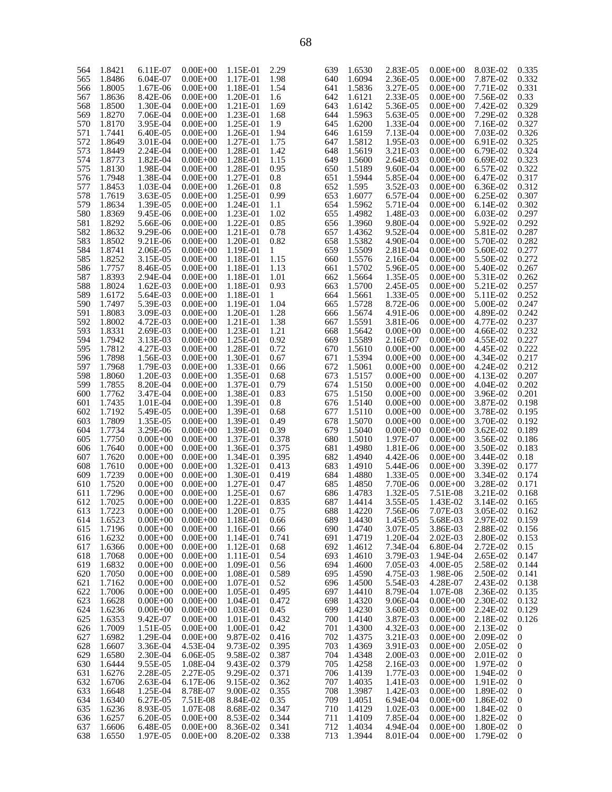| 564 | 1.8421 | 6.11E-07     | $0.00E + 00$ | 1.15E-01 | 2.29  | 639 | 1.6530 | 2.83E-05     | $0.00E + 00$ | 8.03E-02   | 0.335            |
|-----|--------|--------------|--------------|----------|-------|-----|--------|--------------|--------------|------------|------------------|
| 565 | 1.8486 | 6.04E-07     | $0.00E + 00$ | 1.17E-01 | 1.98  | 640 | 1.6094 | 2.36E-05     | $0.00E + 00$ | 7.87E-02   | 0.332            |
| 566 | 1.8005 | 1.67E-06     | $0.00E + 00$ | 1.18E-01 | 1.54  | 641 | 1.5836 | 3.27E-05     | $0.00E + 00$ | 7.71E-02   | 0.331            |
| 567 | 1.8636 | 8.42E-06     | $0.00E + 00$ | 1.20E-01 | 1.6   | 642 | 1.6121 | 2.33E-05     | $0.00E + 00$ | 7.56E-02   | 0.33             |
|     |        | 1.30E-04     | $0.00E + 00$ | 1.21E-01 | 1.69  | 643 | 1.6142 | 5.36E-05     | $0.00E + 00$ | 7.42E-02   | 0.329            |
| 568 | 1.8500 |              |              |          |       |     |        |              |              |            |                  |
| 569 | 1.8270 | 7.06E-04     | $0.00E + 00$ | 1.23E-01 | 1.68  | 644 | 1.5963 | 5.63E-05     | $0.00E + 00$ | 7.29E-02   | 0.328            |
| 570 | 1.8170 | 3.95E-04     | $0.00E + 00$ | 1.25E-01 | 1.9   | 645 | 1.6200 | 1.33E-04     | $0.00E + 00$ | 7.16E-02   | 0.327            |
| 571 | 1.7441 | 6.40E-05     | $0.00E + 00$ | 1.26E-01 | 1.94  | 646 | 1.6159 | 7.13E-04     | $0.00E + 00$ | 7.03E-02   | 0.326            |
| 572 | 1.8649 | 3.01E-04     | $0.00E + 00$ | 1.27E-01 | 1.75  | 647 | 1.5812 | 1.95E-03     | $0.00E + 00$ | 6.91E-02   | 0.325            |
| 573 | 1.8449 | 2.24E-04     | $0.00E + 00$ | 1.28E-01 | 1.42  | 648 | 1.5619 | 3.21E-03     | $0.00E + 00$ | 6.79E-02   | 0.324            |
|     |        |              |              |          |       |     |        |              |              |            |                  |
| 574 | 1.8773 | 1.82E-04     | $0.00E + 00$ | 1.28E-01 | 1.15  | 649 | 1.5600 | 2.64E-03     | $0.00E + 00$ | 6.69E-02   | 0.323            |
| 575 | 1.8130 | 1.98E-04     | $0.00E + 00$ | 1.28E-01 | 0.95  | 650 | 1.5189 | 9.60E-04     | $0.00E + 00$ | 6.57E-02   | 0.322            |
| 576 | 1.7948 | 1.38E-04     | $0.00E + 00$ | 1.27E-01 | 0.8   | 651 | 1.5944 | 5.85E-04     | $0.00E + 00$ | 6.47E-02   | 0.317            |
| 577 | 1.8453 | 1.03E-04     | $0.00E + 00$ | 1.26E-01 | 0.8   | 652 | 1.595  | 3.52E-03     | $0.00E + 00$ | 6.36E-02   | 0.312            |
| 578 | 1.7619 | 3.63E-05     | $0.00E + 00$ | 1.25E-01 | 0.99  | 653 | 1.6077 | 6.57E-04     | $0.00E + 00$ | 6.25E-02   | 0.307            |
|     |        |              |              |          |       |     |        |              |              |            |                  |
| 579 | 1.8634 | 1.39E-05     | $0.00E + 00$ | 1.24E-01 | 1.1   | 654 | 1.5962 | 5.71E-04     | $0.00E + 00$ | 6.14E-02   | 0.302            |
| 580 | 1.8369 | 9.45E-06     | $0.00E + 00$ | 1.23E-01 | 1.02  | 655 | 1.4982 | 1.48E-03     | $0.00E + 00$ | 6.03E-02   | 0.297            |
| 581 | 1.8292 | 5.66E-06     | $0.00E + 00$ | 1.22E-01 | 0.85  | 656 | 1.3960 | 9.80E-04     | $0.00E + 00$ | 5.92E-02   | 0.292            |
| 582 | 1.8632 | 9.29E-06     | $0.00E + 00$ | 1.21E-01 | 0.78  | 657 | 1.4362 | 9.52E-04     | $0.00E + 00$ | 5.81E-02   | 0.287            |
| 583 | 1.8502 | 9.21E-06     | $0.00E + 00$ | 1.20E-01 | 0.82  | 658 | 1.5382 | 4.90E-04     | $0.00E + 00$ | 5.70E-02   | 0.282            |
|     | 1.8741 | 2.06E-05     | $0.00E + 00$ | 1.19E-01 | 1     | 659 | 1.5509 | 2.81E-04     | $0.00E + 00$ | 5.60E-02   | 0.277            |
| 584 |        |              |              |          |       |     |        |              |              |            |                  |
| 585 | 1.8252 | 3.15E-05     | $0.00E + 00$ | 1.18E-01 | 1.15  | 660 | 1.5576 | 2.16E-04     | $0.00E + 00$ | 5.50E-02   | 0.272            |
| 586 | 1.7757 | 8.46E-05     | $0.00E + 00$ | 1.18E-01 | 1.13  | 661 | 1.5702 | 5.96E-05     | $0.00E + 00$ | 5.40E-02   | 0.267            |
| 587 | 1.8393 | 2.94E-04     | $0.00E + 00$ | 1.18E-01 | 1.01  | 662 | 1.5664 | 1.35E-05     | $0.00E + 00$ | 5.31E-02   | 0.262            |
| 588 | 1.8024 | $1.62E-03$   | $0.00E + 00$ | 1.18E-01 | 0.93  | 663 | 1.5700 | 2.45E-05     | $0.00E + 00$ | 5.21E-02   | 0.257            |
| 589 | 1.6172 | 5.64E-03     | $0.00E + 00$ | 1.18E-01 | 1     | 664 | 1.5661 | 1.33E-05     | $0.00E + 00$ | 5.11E-02   | 0.252            |
|     |        |              |              |          |       |     |        |              |              |            |                  |
| 590 | 1.7497 | 5.39E-03     | $0.00E + 00$ | 1.19E-01 | 1.04  | 665 | 1.5728 | 8.72E-06     | $0.00E + 00$ | 5.00E-02   | 0.247            |
| 591 | 1.8083 | 3.09E-03     | $0.00E + 00$ | 1.20E-01 | 1.28  | 666 | 1.5674 | 4.91E-06     | $0.00E + 00$ | 4.89E-02   | 0.242            |
| 592 | 1.8002 | 4.72E-03     | $0.00E + 00$ | 1.21E-01 | 1.38  | 667 | 1.5591 | 3.81E-06     | $0.00E + 00$ | 4.77E-02   | 0.237            |
| 593 | 1.8331 | 2.69E-03     | $0.00E + 00$ | 1.23E-01 | 1.21  | 668 | 1.5642 | $0.00E + 00$ | $0.00E + 00$ | 4.66E-02   | 0.232            |
| 594 | 1.7942 | 3.13E-03     | $0.00E + 00$ | 1.25E-01 | 0.92  | 669 | 1.5589 | 2.16E-07     | $0.00E + 00$ | 4.55E-02   | 0.227            |
|     |        |              |              |          |       |     |        |              |              |            |                  |
| 595 | 1.7812 | 4.27E-03     | $0.00E + 00$ | 1.28E-01 | 0.72  | 670 | 1.5610 | $0.00E + 00$ | $0.00E + 00$ | 4.45E-02   | 0.222            |
| 596 | 1.7898 | 1.56E-03     | $0.00E + 00$ | 1.30E-01 | 0.67  | 671 | 1.5394 | $0.00E + 00$ | $0.00E + 00$ | 4.34E-02   | 0.217            |
| 597 | 1.7968 | 1.79E-03     | $0.00E + 00$ | 1.33E-01 | 0.66  | 672 | 1.5061 | $0.00E + 00$ | $0.00E + 00$ | 4.24E-02   | 0.212            |
| 598 | 1.8060 | 1.20E-03     | $0.00E + 00$ | 1.35E-01 | 0.68  | 673 | 1.5157 | $0.00E + 00$ | $0.00E + 00$ | 4.13E-02   | 0.207            |
| 599 | 1.7855 | 8.20E-04     | $0.00E + 00$ | 1.37E-01 | 0.79  | 674 | 1.5150 | $0.00E + 00$ | $0.00E + 00$ | 4.04E-02   | 0.202            |
| 600 | 1.7762 | 3.47E-04     | $0.00E + 00$ | 1.38E-01 | 0.83  | 675 | 1.5150 | $0.00E + 00$ | $0.00E + 00$ | 3.96E-02   | 0.201            |
|     |        |              |              |          |       |     |        |              |              |            |                  |
| 601 | 1.7435 | 1.01E-04     | $0.00E + 00$ | 1.39E-01 | 0.8   | 676 | 1.5140 | $0.00E + 00$ | $0.00E + 00$ | 3.87E-02   | 0.198            |
| 602 | 1.7192 | 5.49E-05     | $0.00E + 00$ | 1.39E-01 | 0.68  | 677 | 1.5110 | $0.00E + 00$ | $0.00E + 00$ | 3.78E-02   | 0.195            |
| 603 | 1.7809 | 1.35E-05     | $0.00E + 00$ | 1.39E-01 | 0.49  | 678 | 1.5070 | $0.00E + 00$ | $0.00E + 00$ | 3.70E-02   | 0.192            |
| 604 | 1.7734 | 3.29E-06     | $0.00E + 00$ | 1.39E-01 | 0.39  | 679 | 1.5040 | $0.00E + 00$ | $0.00E + 00$ | $3.62E-02$ | 0.189            |
| 605 | 1.7750 | $0.00E + 00$ | $0.00E + 00$ | 1.37E-01 | 0.378 | 680 | 1.5010 | 1.97E-07     | $0.00E + 00$ | 3.56E-02   | 0.186            |
|     |        |              |              |          |       |     |        |              |              |            |                  |
| 606 | 1.7640 | $0.00E + 00$ | $0.00E + 00$ | 1.36E-01 | 0.375 | 681 | 1.4980 | 1.81E-06     | $0.00E + 00$ | 3.50E-02   | 0.183            |
| 607 | 1.7620 | $0.00E + 00$ | $0.00E + 00$ | 1.34E-01 | 0.395 | 682 | 1.4940 | 4.42E-06     | $0.00E + 00$ | 3.44E-02   | 0.18             |
| 608 | 1.7610 | $0.00E + 00$ | $0.00E + 00$ | 1.32E-01 | 0.413 | 683 | 1.4910 | 5.44E-06     | $0.00E + 00$ | 3.39E-02   | 0.177            |
| 609 | 1.7239 | $0.00E + 00$ | $0.00E + 00$ | 1.30E-01 | 0.419 | 684 | 1.4880 | 1.33E-05     | $0.00E + 00$ | 3.34E-02   | 0.174            |
| 610 | 1.7520 | $0.00E + 00$ | $0.00E + 00$ | 1.27E-01 | 0.47  | 685 | 1.4850 | 7.70E-06     | $0.00E + 00$ | 3.28E-02   | 0.171            |
| 611 | 1.7296 | $0.00E + 00$ | $0.00E + 00$ | 1.25E-01 | 0.67  | 686 | 1.4783 | 1.32E-05     | 7.51E-08     | 3.21E-02   | 0.168            |
|     |        |              |              |          |       |     |        |              |              |            |                  |
| 612 | 1.7025 | $0.00E + 00$ | $0.00E + 00$ | 1.22E-01 | 0.835 | 687 | 1.4414 | 3.55E-05     | 1.43E-02     | 3.14E-02   | 0.165            |
| 613 | 1.7223 | $0.00E + 00$ | $0.00E + 00$ | 1.20E-01 | 0.75  | 688 | 1.4220 | 7.56E-06     | 7.07E-03     | 3.05E-02   | 0.162            |
| 614 | 1.6523 | $0.00E + 00$ | $0.00E + 00$ | 1.18E-01 | 0.66  | 689 | 1.4430 | 1.45E-05     | 5.68E-03     | 2.97E-02   | 0.159            |
| 615 | 1.7196 | $0.00E + 00$ | $0.00E + 00$ | 1.16E-01 | 0.66  | 690 | 1.4740 | 3.07E-05     | 3.86E-03     | 2.88E-02   | 0.156            |
| 616 | 1.6232 | $0.00E + 00$ | $0.00E + 00$ | 1.14E-01 | 0.741 | 691 | 1.4719 | 1.20E-04     | 2.02E-03     | 2.80E-02   | 0.153            |
|     | 1.6366 |              |              | 1.12E-01 |       | 692 | 1.4612 |              |              |            |                  |
| 617 |        | $0.00E + 00$ | $0.00E + 00$ |          | 0.68  |     |        | 7.34E-04     | 6.80E-04     | 2.72E-02   | 0.15             |
| 618 | 1.7068 | $0.00E + 00$ | $0.00E + 00$ | 1.11E-01 | 0.54  | 693 | 1.4610 | 3.79E-03     | 1.94E-04     | 2.65E-02   | 0.147            |
| 619 | 1.6832 | $0.00E + 00$ | $0.00E + 00$ | 1.09E-01 | 0.56  | 694 | 1.4600 | 7.05E-03     | 4.00E-05     | 2.58E-02   | 0.144            |
| 620 | 1.7050 | $0.00E + 00$ | $0.00E + 00$ | 1.08E-01 | 0.589 | 695 | 1.4590 | 4.75E-03     | 1.98E-06     | 2.50E-02   | 0.141            |
| 621 | 1.7162 | $0.00E + 00$ | $0.00E + 00$ | 1.07E-01 | 0.52  | 696 | 1.4500 | 5.54E-03     | 4.28E-07     | 2.43E-02   | 0.138            |
| 622 | 1.7006 | $0.00E + 00$ | $0.00E + 00$ | 1.05E-01 | 0.495 | 697 | 1.4410 | 8.79E-04     | 1.07E-08     | 2.36E-02   | 0.135            |
|     |        |              |              |          |       |     |        |              |              |            |                  |
| 623 | 1.6628 | $0.00E + 00$ | $0.00E + 00$ | 1.04E-01 | 0.472 | 698 | 1.4320 | 9.06E-04     | $0.00E + 00$ | 2.30E-02   | 0.132            |
| 624 | 1.6236 | $0.00E + 00$ | $0.00E + 00$ | 1.03E-01 | 0.45  | 699 | 1.4230 | 3.60E-03     | $0.00E + 00$ | 2.24E-02   | 0.129            |
| 625 | 1.6353 | 9.42E-07     | $0.00E + 00$ | 1.01E-01 | 0.432 | 700 | 1.4140 | 3.87E-03     | $0.00E + 00$ | 2.18E-02   | 0.126            |
| 626 | 1.7009 | 1.51E-05     | $0.00E + 00$ | 1.00E-01 | 0.42  | 701 | 1.4300 | 4.32E-03     | $0.00E + 00$ | 2.13E-02   | $\boldsymbol{0}$ |
| 627 | 1.6982 | 1.29E-04     | $0.00E + 00$ | 9.87E-02 | 0.416 | 702 | 1.4375 | 3.21E-03     | $0.00E + 00$ | 2.09E-02   | $\boldsymbol{0}$ |
| 628 | 1.6607 | 3.36E-04     | 4.53E-04     | 9.73E-02 | 0.395 | 703 | 1.4369 | 3.91E-03     | $0.00E + 00$ | 2.05E-02   | $\boldsymbol{0}$ |
|     |        |              |              |          |       |     |        |              |              |            |                  |
| 629 | 1.6580 | 2.30E-04     | 6.06E-05     | 9.58E-02 | 0.387 | 704 | 1.4348 | 2.00E-03     | $0.00E + 00$ | 2.01E-02   | $\boldsymbol{0}$ |
| 630 | 1.6444 | 9.55E-05     | 1.08E-04     | 9.43E-02 | 0.379 | 705 | 1.4258 | 2.16E-03     | $0.00E + 00$ | 1.97E-02   | $\boldsymbol{0}$ |
| 631 | 1.6276 | 2.28E-05     | 2.27E-05     | 9.29E-02 | 0.371 | 706 | 1.4139 | 1.77E-03     | $0.00E + 00$ | 1.94E-02   | $\boldsymbol{0}$ |
| 632 | 1.6706 | 2.63E-04     | 6.17E-06     | 9.15E-02 | 0.362 | 707 | 1.4035 | 1.41E-03     | $0.00E + 00$ | 1.91E-02   | $\boldsymbol{0}$ |
| 633 | 1.6648 | 1.25E-04     | 8.78E-07     | 9.00E-02 | 0.355 | 708 | 1.3987 | 1.42E-03     | $0.00E + 00$ | 1.89E-02   | $\boldsymbol{0}$ |
| 634 | 1.6340 | 6.27E-05     | 7.51E-08     | 8.84E-02 | 0.35  | 709 | 1.4051 | 6.94E-04     | $0.00E + 00$ | 1.86E-02   | $\boldsymbol{0}$ |
|     |        |              |              |          |       |     |        |              |              |            |                  |
| 635 | 1.6236 | 8.93E-05     | 1.07E-08     | 8.68E-02 | 0.347 | 710 | 1.4129 | 1.02E-03     | $0.00E + 00$ | 1.84E-02   | $\boldsymbol{0}$ |
| 636 | 1.6257 | 6.20E-05     | $0.00E + 00$ | 8.53E-02 | 0.344 | 711 | 1.4109 | 7.85E-04     | $0.00E + 00$ | 1.82E-02   | $\boldsymbol{0}$ |
| 637 | 1.6606 | 6.48E-05     | $0.00E + 00$ | 8.36E-02 | 0.341 | 712 | 1.4034 | 4.94E-04     | $0.00E + 00$ | 1.80E-02   | $\boldsymbol{0}$ |
| 638 | 1.6550 | 1.97E-05     | $0.00E + 00$ | 8.20E-02 | 0.338 | 713 | 1.3944 | 8.01E-04     | $0.00E + 00$ | 1.79E-02   | $\boldsymbol{0}$ |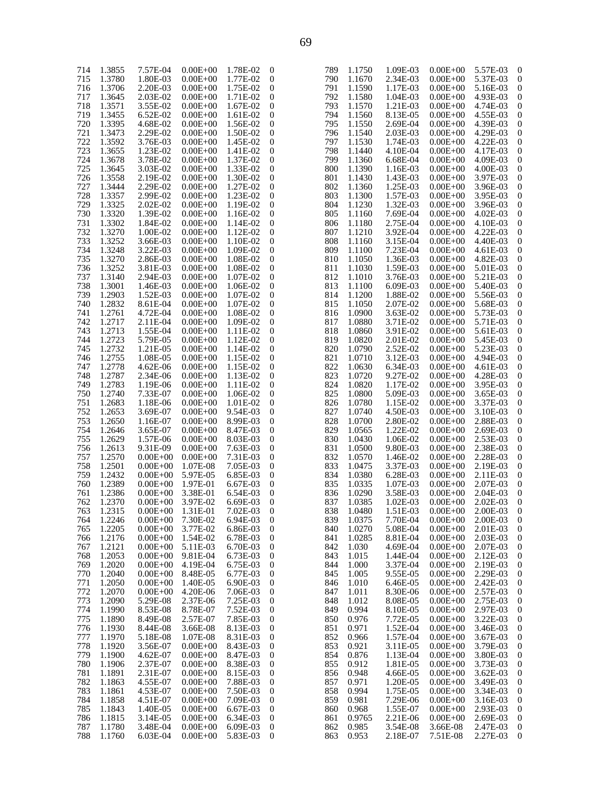| 714 | 1.3855 | 7.57E-04     | $0.00E + 00$ | 1.78E-02 | $\boldsymbol{0}$ | 7                        |
|-----|--------|--------------|--------------|----------|------------------|--------------------------|
| 715 | 1.3780 | 1.80E-03     | $0.00E + 00$ | 1.77E-02 | 0                | 7                        |
| 716 | 1.3706 | 2.20E-03     | $0.00E + 00$ | 1.75E-02 | 0                | 7                        |
| 717 | 1.3645 | 2.03E-02     | $0.00E + 00$ | 1.71E-02 | 0                | 7                        |
| 718 | 1.3571 | 3.55E-02     | $0.00E + 00$ | 1.67E-02 | 0                | 7                        |
| 719 | 1.3455 | 6.52E-02     | $0.00E + 00$ | 1.61E-02 | 0                | 7                        |
| 720 | 1.3395 | 4.68E-02     | $0.00E + 00$ | 1.56E-02 | 0                | 7                        |
| 721 |        |              |              |          |                  |                          |
|     | 1.3473 | 2.29E-02     | $0.00E + 00$ | 1.50E-02 | 0                | 7                        |
| 722 | 1.3592 | 3.76E-03     | $0.00E + 00$ | 1.45E-02 | 0                | $\overline{\mathcal{L}}$ |
| 723 | 1.3655 | 1.23E-02     | $0.00E + 00$ | 1.41E-02 | 0                | 7                        |
| 724 | 1.3678 | 3.78E-02     | $0.00E + 00$ | 1.37E-02 | 0                | 7                        |
| 725 | 1.3645 | 3.03E-02     | $0.00E + 00$ | 1.33E-02 | 0                | 8                        |
| 726 | 1.3558 | 2.19E-02     | $0.00E + 00$ | 1.30E-02 | 0                | 8                        |
| 727 | 1.3444 | 2.29E-02     | $0.00E + 00$ | 1.27E-02 | 0                | 8                        |
| 728 | 1.3357 | 2.99E-02     | $0.00E + 00$ | 1.23E-02 | 0                | 8                        |
| 729 | 1.3325 | 2.02E-02     | $0.00E + 00$ | 1.19E-02 | 0                | 8                        |
| 730 | 1.3320 | 1.39E-02     | $0.00E + 00$ | 1.16E-02 | 0                | 8                        |
| 731 | 1.3302 | 1.84E-02     | $0.00E + 00$ | 1.14E-02 | 0                | 8                        |
|     |        |              |              |          |                  |                          |
| 732 | 1.3270 | 1.00E-02     | $0.00E + 00$ | 1.12E-02 | 0                | 8                        |
| 733 | 1.3252 | 3.66E-03     | $0.00E + 00$ | 1.10E-02 | 0                | 8                        |
| 734 | 1.3248 | 3.22E-03     | $0.00E + 00$ | 1.09E-02 | 0                | 8                        |
| 735 | 1.3270 | 2.86E-03     | $0.00E + 00$ | 1.08E-02 | 0                | 8                        |
| 736 | 1.3252 | 3.81E-03     | $0.00E + 00$ | 1.08E-02 | 0                | 8                        |
| 737 | 1.3140 | 2.94E-03     | $0.00E + 00$ | 1.07E-02 | 0                | 8                        |
| 738 | 1.3001 | 1.46E-03     | $0.00E + 00$ | 1.06E-02 | 0                | 8                        |
| 739 | 1.2903 | 1.52E-03     | $0.00E + 00$ | 1.07E-02 | 0                | 8                        |
| 740 | 1.2832 | 8.61E-04     | $0.00E + 00$ | 1.07E-02 | 0                | 8                        |
| 741 | 1.2761 | 4.72E-04     | $0.00E + 00$ | 1.08E-02 | 0                | 8                        |
| 742 | 1.2717 | 2.11E-04     | $0.00E + 00$ | 1.09E-02 | 0                | 8                        |
|     |        |              |              |          |                  |                          |
| 743 | 1.2713 | 1.55E-04     | $0.00E + 00$ | 1.11E-02 | 0                | 8                        |
| 744 | 1.2723 | 5.79E-05     | $0.00E + 00$ | 1.12E-02 | 0                | 8                        |
| 745 | 1.2732 | 1.21E-05     | $0.00E + 00$ | 1.14E-02 | 0                | 8                        |
| 746 | 1.2755 | 1.08E-05     | $0.00E + 00$ | 1.15E-02 | 0                | 8                        |
| 747 | 1.2778 | 4.62E-06     | $0.00E + 00$ | 1.15E-02 | 0                | 8                        |
| 748 | 1.2787 | 2.34E-06     | $0.00E + 00$ | 1.13E-02 | 0                | 8                        |
| 749 | 1.2783 | 1.19E-06     | $0.00E + 00$ | 1.11E-02 | 0                | 8                        |
| 750 | 1.2740 | 7.33E-07     | $0.00E + 00$ | 1.06E-02 | 0                | 8                        |
| 751 | 1.2683 | 1.18E-06     | $0.00E + 00$ | 1.01E-02 | 0                | 8                        |
| 752 | 1.2653 | 3.69E-07     | $0.00E + 00$ | 9.54E-03 | 0                | 8                        |
| 753 | 1.2650 | 1.16E-07     | $0.00E + 00$ | 8.99E-03 | 0                | 8                        |
| 754 |        |              |              |          |                  | 8                        |
|     | 1.2646 | 3.65E-07     | $0.00E + 00$ | 8.47E-03 | 0                |                          |
| 755 | 1.2629 | 1.57E-06     | $0.00E + 00$ | 8.03E-03 | 0                | 8                        |
| 756 | 1.2613 | 9.31E-09     | $0.00E + 00$ | 7.63E-03 | 0                | 8                        |
| 757 | 1.2570 | $0.00E + 00$ | $0.00E + 00$ | 7.31E-03 | 0                | 8                        |
| 758 | 1.2501 | $0.00E + 00$ | 1.07E-08     | 7.05E-03 | 0                | 8                        |
| 759 | 1.2432 | $0.00E + 00$ | 5.97E-05     | 6.85E-03 | 0                | 8                        |
| 760 | 1.2389 | $0.00E + 00$ | 1.97E-01     | 6.67E-03 | 0                | 8                        |
| 761 | 1.2386 | $0.00E + 00$ | 3.38E-01     | 6.54E-03 | 0                | 8                        |
| 762 | 1.2370 | $0.00E + 00$ | 3.97E-02     | 6.69E-03 | 0                | 8                        |
| 763 | 1.2315 | $0.00E + 00$ | 1.31E-01     | 7.02E-03 | 0                | 8                        |
| 764 | 1.2246 | $0.00E + 00$ | 7.30E-02     | 6.94E-03 | 0                | 8                        |
| 765 | 1.2205 | $0.00E + 00$ | 3.77E-02     | 6.86E-03 | 0                | 8                        |
| 766 | 1.2176 | $0.00E + 00$ | 1.54E-02     | 6.78E-03 | 0                | 8                        |
|     |        |              |              |          |                  |                          |
| 767 | 1.2121 | $0.00E + 00$ | 5.11E-03     | 6.70E-03 | 0                | 8                        |
| 768 | 1.2053 | $0.00E + 00$ | 9.81E-04     | 6.73E-03 | 0                | 8                        |
| 769 | 1.2020 | $0.00E + 00$ | 4.19E-04     | 6.75E-03 | 0                | 8                        |
| 770 | 1.2040 | $0.00E + 00$ | 8.48E-05     | 6.77E-03 | 0                | 8                        |
| 771 | 1.2050 | $0.00E + 00$ | 1.40E-05     | 6.90E-03 | 0                | 8                        |
| 772 | 1.2070 | $0.00E + 00$ | 4.20E-06     | 7.06E-03 | 0                | 8                        |
| 773 | 1.2090 | 5.29E-08     | 2.37E-06     | 7.25E-03 | 0                | 8                        |
| 774 | 1.1990 | 8.53E-08     | 8.78E-07     | 7.52E-03 | 0                | 8                        |
| 775 | 1.1890 | 8.49E-08     | 2.57E-07     | 7.85E-03 | 0                | 8                        |
| 776 | 1.1930 | 8.44E-08     | 3.66E-08     | 8.13E-03 | 0                | 8                        |
| 777 | 1.1970 | 5.18E-08     | 1.07E-08     | 8.31E-03 | 0                | 8                        |
|     |        |              |              |          |                  |                          |
| 778 | 1.1920 | 3.56E-07     | $0.00E + 00$ | 8.43E-03 | $\boldsymbol{0}$ | 8                        |
| 779 | 1.1900 | 4.62E-07     | $0.00E + 00$ | 8.47E-03 | 0                | 8                        |
| 780 | 1.1906 | 2.37E-07     | $0.00E + 00$ | 8.38E-03 | 0                | 8                        |
| 781 | 1.1891 | 2.31E-07     | $0.00E + 00$ | 8.15E-03 | 0                | 8                        |
| 782 | 1.1863 | 4.55E-07     | $0.00E + 00$ | 7.88E-03 | $\boldsymbol{0}$ | 8                        |
| 783 | 1.1861 | 4.53E-07     | $0.00E + 00$ | 7.50E-03 | 0                | 8                        |
| 784 | 1.1858 | 4.51E-07     | $0.00E + 00$ | 7.09E-03 | 0                | 8                        |
| 785 | 1.1843 | 1.40E-05     | $0.00E + 00$ | 6.67E-03 | 0                | 8                        |
| 786 | 1.1815 | 3.14E-05     | $0.00E + 00$ | 6.34E-03 | 0                | 8                        |
| 787 | 1.1780 | 3.48E-04     | $0.00E + 00$ | 6.09E-03 | 0                | 8                        |
| 788 | 1.1760 | 6.03E-04     | $0.00E + 00$ | 5.83E-03 | 0                | 8                        |
|     |        |              |              |          |                  |                          |

| 789 | 1.1750 | 1.09E-03             | $0.00E + 00$                 | 5.57E-03             | 0              |
|-----|--------|----------------------|------------------------------|----------------------|----------------|
| 790 | 1.1670 | 2.34E-03             | $0.00E + 00$                 | 5.37E-03             | 0              |
| 791 | 1.1590 | 1.17E-03             | $0.00E + 00$                 | 5.16E-03             | 0              |
| 792 | 1.1580 | 1.04E-03             | $0.00E + 00$                 | 4.93E-03             | 0              |
|     |        |                      |                              |                      |                |
| 793 | 1.1570 | 1.21E-03             | $0.00E + 00$                 | 4.74E-03             | 0              |
| 794 | 1.1560 | 8.13E-05             | $0.00E + 00$                 | 4.55E-03             | 0              |
| 795 | 1.1550 | 2.69E-04             | $0.00E + 00$                 | 4.39E-03             | 0              |
| 796 | 1.1540 | 2.03E-03             | $0.00E + 00$                 | 4.29E-03             | 0              |
| 797 | 1.1530 | 1.74E-03             | $0.00E + 00$                 | 4.22E-03             | $\overline{0}$ |
| 798 | 1.1440 | 4.10E-04             | $0.00E + 00$                 | 4.17E-03             | 0              |
| 799 | 1.1360 | 6.68E-04             | $0.00E + 00$                 | 4.09E-03             | 0              |
| 800 | 1.1390 | 1.16E-03             | $0.00E + 00$                 | 4.00E-03             | 0              |
| 801 | 1.1430 | 1.43E-03             | $0.00E + 00$                 | 3.97E-03             | $\overline{0}$ |
| 802 | 1.1360 | 1.25E-03             | $0.00E + 00$                 | 3.96E-03             | 0              |
| 803 | 1.1300 | 1.57E-03             | $0.00E + 00$                 | 3.95E-03             | 0              |
| 804 | 1.1230 | 1.32E-03             | $0.00E + 00$                 | 3.96E-03             | 0              |
| 805 | 1.1160 | 7.69E-04             | $0.00E + 00$                 | 4.02E-03             | $\overline{0}$ |
| 806 |        |                      |                              |                      | 0              |
|     | 1.1180 | 2.75E-04             | $0.00E + 00$                 | 4.10E-03             |                |
| 807 | 1.1210 | 3.92E-04             | $0.00E + 00$                 | 4.22E-03             | 0              |
| 808 | 1.1160 | 3.15E-04             | $0.00E + 00$                 | 4.40E-03             | 0              |
| 809 | 1.1100 | 7.23E-04             | $0.00E + 00$                 | 4.61E-03             | $\overline{0}$ |
| 810 | 1.1050 | 1.36E-03             | $0.00E + 00$                 | 4.82E-03             | 0              |
| 811 | 1.1030 | 1.59E-03             | $0.00E + 00$                 | 5.01E-03             | 0              |
| 812 | 1.1010 | 3.76E-03             | $0.00E + 00$                 | 5.21E-03             | 0              |
| 813 | 1.1100 | 6.09E-03             | $0.00E + 00$                 | 5.40E-03             | $\overline{0}$ |
| 814 | 1.1200 | 1.88E-02             | $0.00E + 00$                 | 5.56E-03             | 0              |
| 815 | 1.1050 | 2.07E-02             | $0.00E + 00$                 | 5.68E-03             | 0              |
| 816 | 1.0900 | 3.63E-02             | $0.00E + 00$                 | 5.73E-03             | 0              |
| 817 | 1.0880 | 3.71E-02             | $0.00E + 00$                 | 5.71E-03             | $\overline{0}$ |
| 818 | 1.0860 | 3.91E-02             | $0.00E + 00$                 | 5.61E-03             | 0              |
| 819 | 1.0820 | 2.01E-02             | $0.00E + 00$                 | 5.45E-03             | 0              |
| 820 | 1.0790 | 2.52E-02             | $0.00E + 00$                 | 5.23E-03             | 0              |
| 821 | 1.0710 | 3.12E-03             | $0.00E + 00$                 | 4.94E-03             | $\overline{0}$ |
| 822 | 1.0630 | 6.34E-03             | $0.00E + 00$                 | 4.61E-03             | 0              |
| 823 | 1.0720 | 9.27E-02             | $0.00E + 00$                 | 4.28E-03             | 0              |
| 824 | 1.0820 | 1.17E-02             | $0.00E + 00$                 | 3.95E-03             | 0              |
| 825 | 1.0800 | 5.09E-03             | $0.00E + 00$                 | 3.65E-03             | $\overline{0}$ |
| 826 | 1.0780 | 1.15E-02             | $0.00E + 00$                 | 3.37E-03             | 0              |
| 827 | 1.0740 | 4.50E-03             | $0.00E + 00$                 | 3.10E-03             | 0              |
| 828 | 1.0700 | 2.80E-02             | $0.00E + 00$                 | 2.88E-03             | 0              |
| 829 | 1.0565 | 1.22E-02             | $0.00E + 00$                 | 2.69E-03             | 0              |
| 830 | 1.0430 |                      |                              | 2.53E-03             | 0              |
| 831 | 1.0500 | 1.06E-02             | $0.00E + 00$                 | 2.38E-03             |                |
| 832 | 1.0570 | 9.80E-03<br>1.46E-02 | $0.00E + 00$<br>$0.00E + 00$ |                      | 0              |
| 833 | 1.0475 |                      |                              | 2.28E-03<br>2.19E-03 | 0              |
|     |        | 3.37E-03             | $0.00E + 00$                 |                      | 0              |
| 834 | 1.0380 | 6.28E-03             | $0.00E + 00$                 | 2.11E-03             | 0              |
| 835 | 1.0335 | 1.07E-03             | $0.00E + 00$                 | 2.07E-03             | 0              |
| 836 | 1.0290 | 3.58E-03             | $0.00E + 00$                 | 2.04E-03             | 0              |
| 837 | 1.0385 | 1.02E-03             | $0.00E + 00$                 | 2.02E-03             | 0              |
| 838 | 1.0480 | 1.51E-03             | $0.00E + 00$                 | 2.00E-03             | 0              |
| 839 | 1.0375 | 7.70E-04             | $0.00E + 00$                 | 2.00E-03             | 0              |
| 840 | 1.0270 | 5.08E-04             | $0.00E + 00$                 | 2.01E-03             | 0              |
| 841 | 1.0285 | 8.81E-04             | $0.00E + 00$                 | 2.03E-03             | 0              |
| 842 | 1.030  | 4.69E-04             | $0.00E + 00$                 | 2.07E-03             | 0              |
| 843 | 1.015  | 1.44E-04             | $0.00E + 00$                 | 2.12E-03             | 0              |
| 844 | 1.000  | 3.37E-04             | $0.00E + 00$                 | 2.19E-03             | 0              |
| 845 | 1.005  | 9.55E-05             | $0.00E + 00$                 | 2.29E-03             | 0              |
| 846 | 1.010  | 6.46E-05             | $0.00E + 00$                 | 2.42E-03             | 0              |
| 847 | 1.011  | 8.30E-06             | $0.00E + 00$                 | 2.57E-03             | 0              |
| 848 | 1.012  | 8.08E-05             | $0.00E + 00$                 | 2.75E-03             | 0              |
| 849 | 0.994  | 8.10E-05             | $0.00E + 00$                 | 2.97E-03             | 0              |
| 850 | 0.976  | 7.72E-05             | $0.00E + 00$                 | 3.22E-03             | 0              |
| 851 | 0.971  | 1.52E-04             | $0.00E + 00$                 | 3.46E-03             | 0              |
| 852 | 0.966  | 1.57E-04             | $0.00E + 00$                 | 3.67E-03             | 0              |
| 853 | 0.921  | 3.11E-05             | $0.00E + 00$                 | 3.79E-03             | 0              |
| 854 | 0.876  | 1.13E-04             | $0.00E + 00$                 | 3.80E-03             | 0              |
| 855 | 0.912  | 1.81E-05             | $0.00E + 00$                 | 3.73E-03             | 0              |
| 856 | 0.948  | 4.66E-05             | $0.00E + 00$                 | 3.62E-03             | 0              |
| 857 | 0.971  | 1.20E-05             | $0.00E + 00$                 | 3.49E-03             | 0              |
| 858 | 0.994  | 1.75E-05             | $0.00E + 00$                 | 3.34E-03             | 0              |
| 859 | 0.981  | 7.29E-06             | $0.00E + 00$                 | 3.16E-03             | 0              |
| 860 | 0.968  | 1.55E-07             | $0.00E + 00$                 | 2.93E-03             | 0              |
| 861 | 0.9765 | 2.21E-06             | $0.00E + 00$                 | 2.69E-03             | 0              |
| 862 | 0.985  | 3.54E-08             | 3.66E-08                     | 2.47E-03             | 0              |
| 863 | 0.953  | 2.18E-07             | 7.51E-08                     | 2.27E-03             | 0              |
|     |        |                      |                              |                      |                |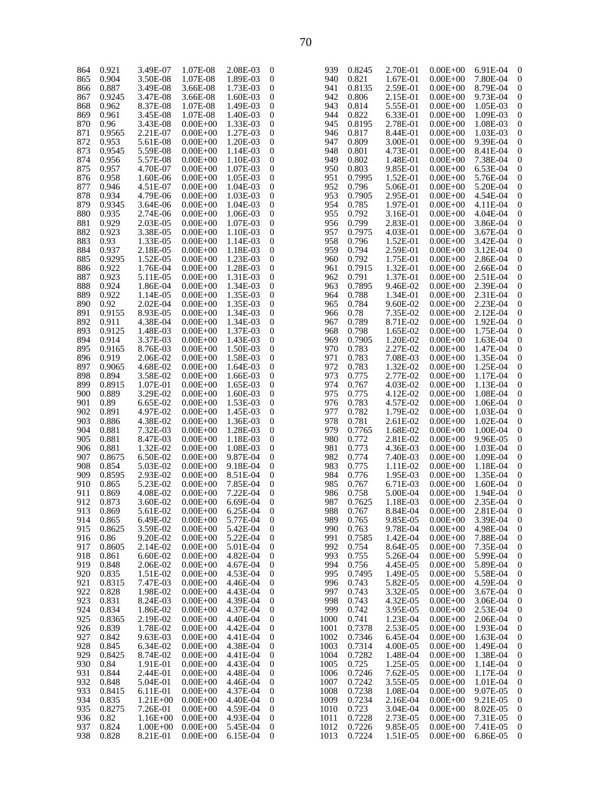| 864 | 0.921  | 3.49E-07     | 1.07E-08     | 2.08E-03 | $\mathbf{0}$     | 939  | 0.8245 | 2.70E-01 | $0.00E + 00$ | 6.91E-04 | 0 |
|-----|--------|--------------|--------------|----------|------------------|------|--------|----------|--------------|----------|---|
| 865 | 0.904  | 3.50E-08     | 1.07E-08     | 1.89E-03 | $\mathbf{0}$     | 940  | 0.821  | 1.67E-01 | $0.00E + 00$ | 7.80E-04 | 0 |
|     |        |              |              |          |                  |      |        |          |              |          |   |
| 866 | 0.887  | 3.49E-08     | 3.66E-08     | 1.73E-03 | $\mathbf{0}$     | 941  | 0.8135 | 2.59E-01 | $0.00E + 00$ | 8.79E-04 | 0 |
| 867 | 0.9245 | 3.47E-08     | 3.66E-08     | 1.60E-03 | $\mathbf{0}$     | 942  | 0.806  | 2.15E-01 | $0.00E + 00$ | 9.73E-04 | 0 |
|     |        |              |              |          |                  |      |        |          |              |          |   |
| 868 | 0.962  | 8.37E-08     | 1.07E-08     | 1.49E-03 | $\mathbf{0}$     | 943  | 0.814  | 5.55E-01 | $0.00E + 00$ | 1.05E-03 | 0 |
| 869 | 0.961  | 3.45E-08     | 1.07E-08     | 1.40E-03 | $\mathbf{0}$     | 944  | 0.822  | 6.33E-01 | $0.00E + 00$ | 1.09E-03 | 0 |
|     |        |              |              |          | $\mathbf{0}$     | 945  |        |          |              |          |   |
| 870 | 0.96   | 3.43E-08     | $0.00E + 00$ | 1.33E-03 |                  |      | 0.8195 | 2.78E-01 | $0.00E + 00$ | 1.08E-03 | 0 |
| 871 | 0.9565 | 2.21E-07     | $0.00E + 00$ | 1.27E-03 | $\mathbf{0}$     | 946  | 0.817  | 8.44E-01 | $0.00E + 00$ | 1.03E-03 | 0 |
|     |        |              |              |          | $\mathbf{0}$     | 947  |        |          |              |          | 0 |
| 872 | 0.953  | 5.61E-08     | $0.00E + 00$ | 1.20E-03 |                  |      | 0.809  | 3.00E-01 | $0.00E + 00$ | 9.39E-04 |   |
| 873 | 0.9545 | 5.59E-08     | $0.00E + 00$ | 1.14E-03 | $\mathbf{0}$     | 948  | 0.801  | 4.73E-01 | $0.00E + 00$ | 8.41E-04 | 0 |
| 874 | 0.956  | 5.57E-08     | $0.00E + 00$ | 1.10E-03 | $\mathbf{0}$     | 949  | 0.802  | 1.48E-01 | $0.00E + 00$ | 7.38E-04 | 0 |
|     |        |              |              |          |                  |      |        |          |              |          |   |
| 875 | 0.957  | 4.70E-07     | $0.00E + 00$ | 1.07E-03 | $\mathbf{0}$     | 950  | 0.803  | 9.85E-01 | $0.00E + 00$ | 6.53E-04 | 0 |
| 876 | 0.958  | 1.60E-06     | $0.00E + 00$ | 1.05E-03 | $\mathbf{0}$     | 951  | 0.7995 | 1.52E-01 | $0.00E + 00$ | 5.76E-04 | 0 |
|     |        |              |              |          |                  |      |        |          |              |          |   |
| 877 | 0.946  | 4.51E-07     | $0.00E + 00$ | 1.04E-03 | $\mathbf{0}$     | 952  | 0.796  | 5.06E-01 | $0.00E + 00$ | 5.20E-04 | 0 |
| 878 | 0.934  | 4.79E-06     | $0.00E + 00$ | 1.03E-03 | $\mathbf{0}$     | 953  | 0.7905 | 2.95E-01 | $0.00E + 00$ | 4.54E-04 | 0 |
|     |        |              |              |          |                  |      |        |          |              |          |   |
| 879 | 0.9345 | 3.64E-06     | $0.00E + 00$ | 1.04E-03 | $\mathbf{0}$     | 954  | 0.785  | 1.97E-01 | $0.00E + 00$ | 4.11E-04 | 0 |
| 880 | 0.935  | 2.74E-06     | $0.00E + 00$ | 1.06E-03 | $\mathbf{0}$     | 955  | 0.792  | 3.16E-01 | $0.00E + 00$ | 4.04E-04 | 0 |
| 881 | 0.929  | 2.03E-05     | $0.00E + 00$ | 1.07E-03 | $\mathbf{0}$     | 956  | 0.799  | 2.83E-01 | $0.00E + 00$ | 3.86E-04 | 0 |
|     |        |              |              |          |                  |      |        |          |              |          |   |
| 882 | 0.923  | 3.38E-05     | $0.00E + 00$ | 1.10E-03 | $\mathbf{0}$     | 957  | 0.7975 | 4.03E-01 | $0.00E + 00$ | 3.67E-04 | 0 |
| 883 | 0.93   | 1.33E-05     | $0.00E + 00$ | 1.14E-03 | $\mathbf{0}$     | 958  | 0.796  | 1.52E-01 | $0.00E + 00$ | 3.42E-04 | 0 |
|     |        |              |              |          |                  |      |        |          |              |          |   |
| 884 | 0.937  | 2.18E-05     | $0.00E + 00$ | 1.18E-03 | $\mathbf{0}$     | 959  | 0.794  | 2.59E-01 | $0.00E + 00$ | 3.12E-04 | 0 |
| 885 | 0.9295 | 1.52E-05     | $0.00E + 00$ | 1.23E-03 | $\mathbf{0}$     | 960  | 0.792  | 1.75E-01 | $0.00E + 00$ | 2.86E-04 | 0 |
|     | 0.922  | 1.76E-04     | $0.00E + 00$ | 1.28E-03 | $\mathbf{0}$     | 961  | 0.7915 | 1.32E-01 | $0.00E + 00$ | 2.66E-04 | 0 |
| 886 |        |              |              |          |                  |      |        |          |              |          |   |
| 887 | 0.923  | 5.11E-05     | $0.00E + 00$ | 1.31E-03 | $\mathbf{0}$     | 962  | 0.791  | 1.37E-01 | $0.00E + 00$ | 2.51E-04 | 0 |
| 888 | 0.924  | 1.86E-04     | $0.00E + 00$ | 1.34E-03 | $\mathbf{0}$     | 963  | 0.7895 | 9.46E-02 | $0.00E + 00$ | 2.39E-04 | 0 |
|     |        |              |              |          |                  |      |        |          |              |          |   |
| 889 | 0.922  | 1.14E-05     | $0.00E + 00$ | 1.35E-03 | $\mathbf{0}$     | 964  | 0.788  | 1.34E-01 | $0.00E + 00$ | 2.31E-04 | 0 |
| 890 | 0.92   | $2.02E-04$   | $0.00E + 00$ | 1.35E-03 | $\mathbf{0}$     | 965  | 0.784  | 9.60E-02 | $0.00E + 00$ | 2.23E-04 | 0 |
|     |        |              |              |          |                  |      |        |          |              |          |   |
| 891 | 0.9155 | 8.93E-05     | $0.00E + 00$ | 1.34E-03 | $\mathbf{0}$     | 966  | 0.78   | 7.35E-02 | $0.00E + 00$ | 2.12E-04 | 0 |
| 892 | 0.911  | 4.38E-04     | $0.00E + 00$ | 1.34E-03 | $\mathbf{0}$     | 967  | 0.789  | 8.71E-02 | $0.00E + 00$ | 1.92E-04 | 0 |
| 893 | 0.9125 | 1.48E-03     | $0.00E + 00$ | 1.37E-03 | $\mathbf{0}$     | 968  | 0.798  | 1.65E-02 | $0.00E + 00$ | 1.75E-04 | 0 |
|     |        |              |              |          |                  |      |        |          |              |          |   |
| 894 | 0.914  | 3.37E-03     | $0.00E + 00$ | 1.43E-03 | $\mathbf{0}$     | 969  | 0.7905 | 1.20E-02 | $0.00E + 00$ | 1.63E-04 | 0 |
| 895 | 0.9165 | 8.76E-03     | $0.00E + 00$ | 1.50E-03 | $\mathbf{0}$     | 970  | 0.783  | 2.27E-02 | $0.00E + 00$ | 1.47E-04 | 0 |
|     |        |              |              |          |                  |      |        |          |              |          |   |
| 896 | 0.919  | 2.06E-02     | $0.00E + 00$ | 1.58E-03 | $\mathbf{0}$     | 971  | 0.783  | 7.08E-03 | $0.00E + 00$ | 1.35E-04 | 0 |
| 897 | 0.9065 | 4.68E-02     | $0.00E + 00$ | 1.64E-03 | $\mathbf{0}$     | 972  | 0.783  | 1.32E-02 | $0.00E + 00$ | 1.25E-04 | 0 |
|     |        |              |              |          |                  |      |        |          |              |          |   |
| 898 | 0.894  | 3.58E-02     | $0.00E + 00$ | 1.66E-03 | $\mathbf{0}$     | 973  | 0.775  | 2.77E-02 | $0.00E + 00$ | 1.17E-04 | 0 |
| 899 | 0.8915 | 1.07E-01     | $0.00E + 00$ | 1.65E-03 | $\mathbf{0}$     | 974  | 0.767  | 4.03E-02 | $0.00E + 00$ | 1.13E-04 | 0 |
| 900 | 0.889  | 3.29E-02     | $0.00E + 00$ | 1.60E-03 | $\mathbf{0}$     | 975  | 0.775  | 4.12E-02 | $0.00E + 00$ | 1.08E-04 | 0 |
|     |        |              |              |          |                  |      |        |          |              |          |   |
| 901 | 0.89   | 6.65E-02     | $0.00E + 00$ | 1.53E-03 | $\mathbf{0}$     | 976  | 0.783  | 4.57E-02 | $0.00E + 00$ | 1.06E-04 | 0 |
| 902 | 0.891  | 4.97E-02     | $0.00E + 00$ | 1.45E-03 | $\mathbf{0}$     | 977  | 0.782  | 1.79E-02 | $0.00E + 00$ | 1.03E-04 | 0 |
|     |        |              |              |          |                  |      |        |          |              |          |   |
| 903 | 0.886  | 4.38E-02     | $0.00E + 00$ | 1.36E-03 | $\mathbf{0}$     | 978  | 0.781  | 2.61E-02 | $0.00E + 00$ | 1.02E-04 | 0 |
| 904 | 0.881  | 7.32E-03     | $0.00E + 00$ | 1.28E-03 | $\mathbf{0}$     | 979  | 0.7765 | 1.68E-02 | $0.00E + 00$ | 1.00E-04 | 0 |
|     |        |              |              |          |                  |      |        |          |              |          |   |
| 905 | 0.881  | 8.47E-03     | $0.00E + 00$ | 1.18E-03 | $\mathbf{0}$     | 980  | 0.772  | 2.81E-02 | $0.00E + 00$ | 9.96E-05 | 0 |
| 906 | 0.881  | 1.32E-02     | $0.00E + 00$ | 1.08E-03 | $\mathbf{0}$     | 981  | 0.773  | 4.36E-03 | $0.00E + 00$ | 1.03E-04 | 0 |
| 907 | 0.8675 | 6.50E-02     | $0.00E + 00$ | 9.87E-04 | $\mathbf{0}$     | 982  | 0.774  | 7.40E-03 | $0.00E + 00$ | 1.09E-04 | 0 |
|     |        |              |              |          |                  |      |        |          |              |          |   |
| 908 | 0.854  | 5.03E-02     | $0.00E + 00$ | 9.18E-04 | $\mathbf{0}$     | 983  | 0.775  | 1.11E-02 | $0.00E + 00$ | 1.18E-04 | 0 |
| 909 | 0.8595 | 2.93E-02     | $0.00E + 00$ | 8.51E-04 | $\mathbf{0}$     | 984  | 0.776  | 1.95E-03 | $0.00E + 00$ | 1.35E-04 | 0 |
|     |        |              |              |          |                  |      |        |          |              |          |   |
| 910 | 0.865  | 5.23E-02     | $0.00E + 00$ | 7.85E-04 | $\mathbf{0}$     | 985  | 0.767  | 6.71E-03 | $0.00E + 00$ | 1.60E-04 | 0 |
| 911 | 0.869  | 4.08E-02     | $0.00E + 00$ | 7.22E-04 | $\boldsymbol{0}$ | 986  | 0.758  | 5.00E-04 | $0.00E + 00$ | 1.94E-04 | 0 |
| 912 |        |              |              |          | $\theta$         | 987  |        |          |              |          | 0 |
|     | 0.873  | 3.60E-02     | $0.00E + 00$ | 6.69E-04 |                  |      | 0.7625 | 1.18E-03 | $0.00E + 00$ | 2.35E-04 |   |
| 913 | 0.869  | 5.61E-02     | $0.00E + 00$ | 6.25E-04 | $\theta$         | 988  | 0.767  | 8.84E-04 | $0.00E + 00$ | 2.81E-04 | 0 |
| 914 | 0.865  | 6.49E-02     | $0.00E + 00$ | 5.77E-04 | $\mathbf{0}$     | 989  | 0.765  | 9.85E-05 | $0.00E + 00$ | 3.39E-04 | 0 |
|     |        |              |              |          |                  |      |        |          |              |          |   |
| 915 | 0.8625 | 3.59E-02     | $0.00E + 00$ | 5.42E-04 | $\boldsymbol{0}$ | 990  | 0.763  | 9.78E-04 | $0.00E + 00$ | 4.98E-04 | 0 |
| 916 | 0.86   | 9.20E-02     | $0.00E + 00$ | 5.22E-04 | $\boldsymbol{0}$ | 991  | 0.7585 | 1.42E-04 | $0.00E + 00$ | 7.88E-04 | 0 |
| 917 | 0.8605 | 2.14E-02     | $0.00E + 00$ | 5.01E-04 | 0                | 992  | 0.754  | 8.64E-05 | $0.00E + 00$ | 7.35E-04 | 0 |
|     |        |              |              |          |                  |      |        |          |              |          |   |
| 918 | 0.861  | 6.60E-02     | $0.00E + 00$ | 4.82E-04 | $\boldsymbol{0}$ | 993  | 0.755  | 5.26E-04 | $0.00E + 00$ | 5.99E-04 | 0 |
| 919 | 0.848  | 2.06E-02     | $0.00E + 00$ | 4.67E-04 | 0                | 994  | 0.756  | 4.45E-05 | $0.00E + 00$ | 5.89E-04 | 0 |
|     |        |              |              |          |                  |      |        |          |              |          |   |
| 920 | 0.835  | 1.51E-02     | $0.00E + 00$ | 4.53E-04 | $\mathbf{0}$     | 995  | 0.7495 | 1.49E-05 | $0.00E + 00$ | 5.58E-04 | 0 |
| 921 | 0.8315 | 7.47E-03     | $0.00E + 00$ | 4.46E-04 | 0                | 996  | 0.743  | 5.82E-05 | $0.00E + 00$ | 4.59E-04 | 0 |
| 922 | 0.828  |              |              | 4.43E-04 | $\boldsymbol{0}$ | 997  | 0.743  | 3.32E-05 | $0.00E + 00$ |          | 0 |
|     |        | 1.98E-02     | $0.00E + 00$ |          |                  |      |        |          |              | 3.67E-04 |   |
| 923 | 0.831  | 8.24E-03     | $0.00E + 00$ | 4.39E-04 | 0                | 998  | 0.743  | 4.32E-05 | $0.00E + 00$ | 3.06E-04 | 0 |
| 924 | 0.834  | 1.86E-02     | $0.00E + 00$ | 4.37E-04 | $\mathbf{0}$     | 999  | 0.742  | 3.95E-05 | $0.00E + 00$ | 2.53E-04 | 0 |
|     |        |              |              |          |                  |      |        |          |              |          |   |
| 925 | 0.8365 | 2.19E-02     | $0.00E + 00$ | 4.40E-04 | 0                | 1000 | 0.741  | 1.23E-04 | $0.00E + 00$ | 2.06E-04 | 0 |
| 926 | 0.839  | 1.78E-02     | $0.00E + 00$ | 4.42E-04 | $\boldsymbol{0}$ | 1001 | 0.7378 | 2.53E-05 | $0.00E + 00$ | 1.93E-04 | 0 |
|     |        |              |              |          |                  |      |        |          |              |          |   |
| 927 | 0.842  | 9.63E-03     | $0.00E + 00$ | 4.41E-04 | 0                | 1002 | 0.7346 | 6.45E-04 | $0.00E + 00$ | 1.63E-04 | 0 |
| 928 | 0.845  | 6.34E-02     | $0.00E + 00$ | 4.38E-04 | $\boldsymbol{0}$ | 1003 | 0.7314 | 4.00E-05 | $0.00E + 00$ | 1.49E-04 | 0 |
| 929 | 0.8425 | 8.74E-02     | $0.00E + 00$ | 4.41E-04 | 0                | 1004 | 0.7282 | 1.48E-04 | $0.00E + 00$ | 1.38E-04 | 0 |
|     |        |              |              |          |                  |      |        |          |              |          |   |
| 930 | 0.84   | 1.91E-01     | $0.00E + 00$ | 4.43E-04 | $\mathbf 0$      | 1005 | 0.725  | 1.25E-05 | $0.00E + 00$ | 1.14E-04 | 0 |
| 931 | 0.844  | 2.44E-01     | $0.00E + 00$ | 4.48E-04 | 0                | 1006 | 0.7246 | 7.62E-05 | $0.00E + 00$ | 1.17E-04 | 0 |
|     |        |              |              |          |                  |      |        |          |              |          |   |
| 932 | 0.848  | 5.04E-01     | $0.00E + 00$ | 4.46E-04 | $\mathbf 0$      | 1007 | 0.7242 | 3.55E-05 | $0.00E + 00$ | 1.01E-04 | 0 |
| 933 | 0.8415 | 6.11E-01     | $0.00E + 00$ | 4.37E-04 | 0                | 1008 | 0.7238 | 1.08E-04 | $0.00E + 00$ | 9.07E-05 | 0 |
| 934 | 0.835  | $1.21E + 00$ | $0.00E + 00$ | 4.40E-04 | $\mathbf 0$      | 1009 | 0.7234 | 2.16E-04 | $0.00E + 00$ | 9.21E-05 | 0 |
|     |        |              |              |          |                  |      |        |          |              |          |   |
| 935 | 0.8275 | 7.26E-01     | $0.00E + 00$ | 4.59E-04 | $\mathbf 0$      | 1010 | 0.723  | 3.04E-04 | $0.00E + 00$ | 8.02E-05 | 0 |
| 936 | 0.82   | $1.16E + 00$ | $0.00E + 00$ | 4.93E-04 | $\mathbf 0$      | 1011 | 0.7228 | 2.73E-05 | $0.00E + 00$ | 7.31E-05 | 0 |
| 937 | 0.824  | $1.00E + 00$ | $0.00E + 00$ | 5.45E-04 | $\mathbf 0$      | 1012 | 0.7226 | 9.85E-05 | $0.00E + 00$ | 7.41E-05 | 0 |
|     |        |              |              |          |                  |      |        |          |              |          |   |
| 938 | 0.828  | 8.21E-01     | $0.00E + 00$ | 6.15E-04 | $\boldsymbol{0}$ | 1013 | 0.7224 | 1.51E-05 | $0.00E + 00$ | 6.86E-05 | 0 |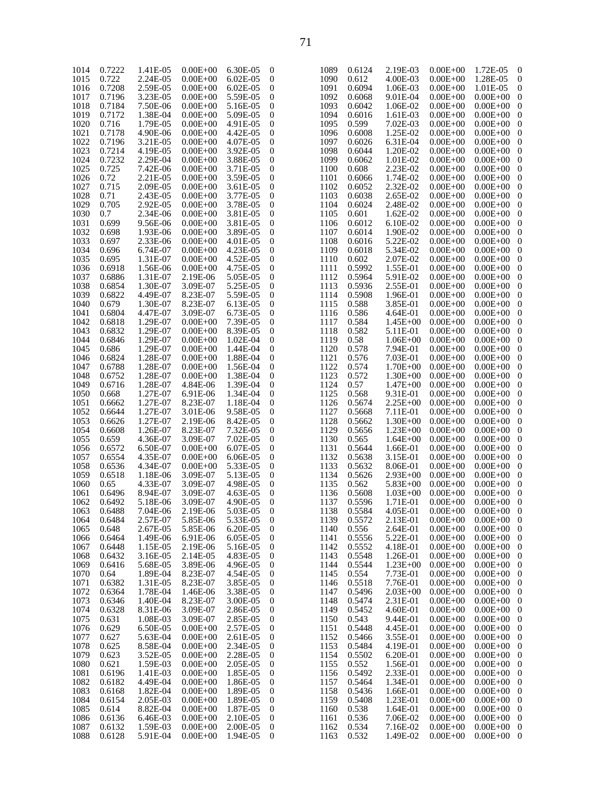|      |        |          |              |               |                  |      |        | 2.19E-03     |              |                    |                         |
|------|--------|----------|--------------|---------------|------------------|------|--------|--------------|--------------|--------------------|-------------------------|
| 1014 | 0.7222 | 1.41E-05 | $0.00E + 00$ | 6.30E-05      | $\mathbf{0}$     | 1089 | 0.6124 |              | $0.00E + 00$ | 1.72E-05           | $\mathbf{0}$            |
| 1015 | 0.722  | 2.24E-05 | $0.00E + 00$ | $6.02E-05$    | $\boldsymbol{0}$ | 1090 | 0.612  | 4.00E-03     | $0.00E + 00$ | 1.28E-05           | $\mathbf{0}$            |
| 1016 | 0.7208 | 2.59E-05 | $0.00E + 00$ | $6.02E - 0.5$ | $\boldsymbol{0}$ | 1091 | 0.6094 | 1.06E-03     | $0.00E + 00$ | 1.01E-05           | $\boldsymbol{0}$        |
| 1017 | 0.7196 | 3.23E-05 | $0.00E + 00$ | 5.59E-05      | $\mathbf{0}$     | 1092 | 0.6068 | 9.01E-04     | $0.00E + 00$ | $0.00E + 00$       | $\boldsymbol{0}$        |
|      |        |          |              |               |                  |      |        |              |              |                    |                         |
| 1018 | 0.7184 | 7.50E-06 | $0.00E + 00$ | 5.16E-05      | $\mathbf{0}$     | 1093 | 0.6042 | 1.06E-02     | $0.00E + 00$ | $0.00E + 00$       | $\overline{0}$          |
| 1019 | 0.7172 | 1.38E-04 | $0.00E + 00$ | 5.09E-05      | $\mathbf{0}$     | 1094 | 0.6016 | 1.61E-03     | $0.00E + 00$ | $0.00E + 00$ 0     |                         |
| 1020 | 0.716  | 1.79E-05 | $0.00E + 00$ | 4.91E-05      | $\mathbf{0}$     | 1095 | 0.599  | 7.02E-03     | $0.00E + 00$ | $0.00E + 00$       | $\overline{\mathbf{0}}$ |
|      |        |          |              |               |                  |      |        |              |              |                    |                         |
| 1021 | 0.7178 | 4.90E-06 | $0.00E + 00$ | 4.42E-05      | $\mathbf{0}$     | 1096 | 0.6008 | 1.25E-02     | $0.00E + 00$ | $0.00E + 00$       | $\overline{\mathbf{0}}$ |
| 1022 | 0.7196 | 3.21E-05 | $0.00E + 00$ | 4.07E-05      | $\mathbf{0}$     | 1097 | 0.6026 | 6.31E-04     | $0.00E + 00$ | $0.00E + 00$       | $\bf{0}$                |
| 1023 | 0.7214 | 4.19E-05 | $0.00E + 00$ | 3.92E-05      | $\mathbf{0}$     | 1098 | 0.6044 | 1.20E-02     | $0.00E + 00$ | $0.00E + 00$ 0     |                         |
|      |        |          |              |               |                  |      |        |              |              |                    |                         |
| 1024 | 0.7232 | 2.29E-04 | $0.00E + 00$ | 3.88E-05      | $\mathbf{0}$     | 1099 | 0.6062 | 1.01E-02     | $0.00E + 00$ | $0.00E + 00$       | $\overline{\mathbf{0}}$ |
| 1025 | 0.725  | 7.42E-06 | $0.00E + 00$ | 3.71E-05      | $\mathbf{0}$     | 1100 | 0.608  | 2.23E-02     | $0.00E + 00$ | $0.00E + 00$       | $\overline{\mathbf{0}}$ |
| 1026 | 0.72   | 2.21E-05 | $0.00E + 00$ | 3.59E-05      | $\mathbf{0}$     | 1101 | 0.6066 | 1.74E-02     | $0.00E + 00$ | $0.00E + 00$       | $\bf{0}$                |
|      |        |          |              |               |                  |      |        |              |              |                    |                         |
| 1027 | 0.715  | 2.09E-05 | $0.00E + 00$ | 3.61E-05      | $\mathbf{0}$     | 1102 | 0.6052 | 2.32E-02     | $0.00E + 00$ | $0.00E + 00$ 0     |                         |
| 1028 | 0.71   | 2.43E-05 | $0.00E + 00$ | 3.77E-05      | $\mathbf{0}$     | 1103 | 0.6038 | 2.65E-02     | $0.00E + 00$ | $0.00E + 00$       | $\overline{\mathbf{0}}$ |
| 1029 | 0.705  | 2.92E-05 | $0.00E + 00$ | 3.78E-05      | $\mathbf{0}$     | 1104 | 0.6024 | 2.48E-02     | $0.00E + 00$ | $0.00E + 00$ 0     |                         |
|      |        |          |              |               |                  |      |        |              |              |                    |                         |
| 1030 | 0.7    | 2.34E-06 | $0.00E + 00$ | 3.81E-05      | $\mathbf{0}$     | 1105 | 0.601  | 1.62E-02     | $0.00E + 00$ | $0.00E + 00$       | $\bf{0}$                |
| 1031 | 0.699  | 9.56E-06 | $0.00E + 00$ | 3.81E-05      | $\mathbf{0}$     | 1106 | 0.6012 | 6.10E-02     | $0.00E + 00$ | $0.00E + 00$ 0     |                         |
| 1032 | 0.698  | 1.93E-06 | $0.00E + 00$ | 3.89E-05      | $\mathbf{0}$     | 1107 | 0.6014 | 1.90E-02     | $0.00E + 00$ | $0.00E + 00$       | $\overline{\mathbf{0}}$ |
|      |        |          |              |               |                  |      |        |              |              |                    |                         |
| 1033 | 0.697  | 2.33E-06 | $0.00E + 00$ | 4.01E-05      | $\mathbf{0}$     | 1108 | 0.6016 | 5.22E-02     | $0.00E + 00$ | $0.00E + 00$       | $\overline{\mathbf{0}}$ |
| 1034 | 0.696  | 6.74E-07 | $0.00E + 00$ | 4.23E-05      | $\mathbf{0}$     | 1109 | 0.6018 | 5.34E-02     | $0.00E + 00$ | $0.00E + 00$       | $\bf{0}$                |
| 1035 | 0.695  | 1.31E-07 | $0.00E + 00$ | 4.52E-05      | $\mathbf{0}$     | 1110 | 0.602  | 2.07E-02     | $0.00E + 00$ | $0.00E + 00$ 0     |                         |
| 1036 | 0.6918 | 1.56E-06 | $0.00E + 00$ | 4.75E-05      | $\mathbf{0}$     | 1111 | 0.5992 | 1.55E-01     | $0.00E + 00$ | $0.00E + 00$       | $\overline{\mathbf{0}}$ |
|      |        |          |              |               |                  |      |        |              |              |                    |                         |
| 1037 | 0.6886 | 1.31E-07 | 2.19E-06     | 5.05E-05      | $\mathbf{0}$     | 1112 | 0.5964 | 5.91E-02     | $0.00E + 00$ | $0.00E + 00$       | $\overline{\mathbf{0}}$ |
| 1038 | 0.6854 | 1.30E-07 | 3.09E-07     | 5.25E-05      | $\mathbf{0}$     | 1113 | 0.5936 | 2.55E-01     | $0.00E + 00$ | $0.00E + 00$       | $\bf{0}$                |
| 1039 | 0.6822 | 4.49E-07 | 8.23E-07     | 5.59E-05      | $\mathbf{0}$     | 1114 | 0.5908 | 1.96E-01     | $0.00E + 00$ | $0.00E + 00$ 0     |                         |
|      |        |          |              |               |                  |      |        |              |              |                    |                         |
| 1040 | 0.679  | 1.30E-07 | 8.23E-07     | 6.13E-05      | $\mathbf{0}$     | 1115 | 0.588  | 3.85E-01     | $0.00E + 00$ | $0.00E + 00$       | $\bf{0}$                |
| 1041 | 0.6804 | 4.47E-07 | 3.09E-07     | 6.73E-05      | $\mathbf{0}$     | 1116 | 0.586  | 4.64E-01     | $0.00E + 00$ | $0.00E + 00$ 0     |                         |
| 1042 | 0.6818 | 1.29E-07 | $0.00E + 00$ | 7.39E-05      | $\mathbf{0}$     | 1117 | 0.584  | $1.45E + 00$ | $0.00E + 00$ | $0.00E + 00$       | $\overline{\mathbf{0}}$ |
|      |        |          |              |               |                  |      |        |              |              |                    |                         |
| 1043 | 0.6832 | 1.29E-07 | $0.00E + 00$ | 8.39E-05      | $\mathbf{0}$     | 1118 | 0.582  | 5.11E-01     | $0.00E + 00$ | $0.00E + 00$ 0     |                         |
| 1044 | 0.6846 | 1.29E-07 | $0.00E + 00$ | 1.02E-04      | $\mathbf{0}$     | 1119 | 0.58   | $1.06E + 00$ | $0.00E + 00$ | $0.00E + 00$       | $\bf{0}$                |
| 1045 | 0.686  | 1.29E-07 | $0.00E + 00$ | 1.44E-04      | $\mathbf{0}$     | 1120 | 0.578  | 7.94E-01     | $0.00E + 00$ | $0.00E + 00$ 0     |                         |
|      |        | 1.28E-07 |              | 1.88E-04      | $\mathbf{0}$     | 1121 | 0.576  | 7.03E-01     | $0.00E + 00$ |                    |                         |
| 1046 | 0.6824 |          | $0.00E + 00$ |               |                  |      |        |              |              | $0.00E + 00$       | $\overline{\mathbf{0}}$ |
| 1047 | 0.6788 | 1.28E-07 | $0.00E + 00$ | 1.56E-04      | $\mathbf{0}$     | 1122 | 0.574  | $1.70E + 00$ | $0.00E + 00$ | $0.00E + 00$ 0     |                         |
| 1048 | 0.6752 | 1.28E-07 | $0.00E + 00$ | 1.38E-04      | $\mathbf{0}$     | 1123 | 0.572  | $1.30E + 00$ | $0.00E + 00$ | $0.00E + 00$       | $\overline{\mathbf{0}}$ |
| 1049 | 0.6716 | 1.28E-07 | 4.84E-06     | 1.39E-04      | $\mathbf{0}$     | 1124 | 0.57   | $1.47E + 00$ | $0.00E + 00$ | $0.00E + 00$       | $\overline{\mathbf{0}}$ |
|      |        |          |              |               |                  |      |        |              |              |                    |                         |
| 1050 | 0.668  | 1.27E-07 | 6.91E-06     | 1.34E-04      | $\mathbf{0}$     | 1125 | 0.568  | 9.31E-01     | $0.00E + 00$ | $0.00E + 00$       | $\bf{0}$                |
| 1051 | 0.6662 | 1.27E-07 | 8.23E-07     | 1.18E-04      | $\mathbf{0}$     | 1126 | 0.5674 | 2.25E+00     | $0.00E + 00$ | $0.00E + 00$ 0     |                         |
| 1052 | 0.6644 | 1.27E-07 | 3.01E-06     | 9.58E-05      | $\mathbf{0}$     | 1127 | 0.5668 | 7.11E-01     | $0.00E + 00$ | $0.00E + 00$       | $\bf{0}$                |
|      |        |          |              |               |                  |      |        |              |              |                    |                         |
| 1053 | 0.6626 | 1.27E-07 | 2.19E-06     | 8.42E-05      | $\mathbf{0}$     | 1128 | 0.5662 | $1.30E + 00$ | $0.00E + 00$ | $0.00E + 00$       | $\overline{\mathbf{0}}$ |
| 1054 | 0.6608 | 1.26E-07 | 8.23E-07     | 7.32E-05      | $\mathbf{0}$     | 1129 | 0.5656 | $1.23E + 00$ | $0.00E + 00$ | $0.00E + 00$       | $\bf{0}$                |
| 1055 | 0.659  | 4.36E-07 | 3.09E-07     | 7.02E-05      | $\mathbf{0}$     | 1130 | 0.565  | $1.64E + 00$ | $0.00E + 00$ | $0.00E + 00$ 0     |                         |
|      |        |          |              | 6.07E-05      |                  |      |        |              |              |                    |                         |
| 1056 | 0.6572 | 6.50E-07 | $0.00E + 00$ |               | $\mathbf{0}$     | 1131 | 0.5644 | 1.66E-01     | $0.00E + 00$ | $0.00E + 00$       | $\bf{0}$                |
| 1057 | 0.6554 | 4.35E-07 | $0.00E + 00$ | 6.06E-05      | $\mathbf{0}$     | 1132 | 0.5638 | 3.15E-01     | $0.00E + 00$ | $0.00E + 00$ 0     |                         |
| 1058 | 0.6536 | 4.34E-07 | $0.00E + 00$ | 5.33E-05      | $\mathbf{0}$     | 1133 | 0.5632 | 8.06E-01     | $0.00E + 00$ | $0.00E + 00$       | $\overline{\mathbf{0}}$ |
| 1059 | 0.6518 | 1.18E-06 | 3.09E-07     | 5.13E-05      | $\mathbf{0}$     | 1134 | 0.5626 | $2.93E+00$   | $0.00E + 00$ | $0.00E + 00$ 0     |                         |
|      |        |          |              |               |                  |      |        |              |              |                    |                         |
| 1060 | 0.65   | 4.33E-07 | 3.09E-07     | 4.98E-05      | $\mathbf{0}$     | 1135 | 0.562  | $5.83E + 00$ | $0.00E + 00$ | $0.00E + 00$       | $\bf{0}$                |
| 1061 | 0.6496 | 8.94E-07 | 3.09E-07     | 4.63E-05      | $\mathbf{0}$     | 1136 | 0.5608 | $1.03E + 00$ | $0.00E + 00$ | $0.00E + 00$       | $\overline{\mathbf{0}}$ |
| 1062 | 0.6492 | 5.18E-06 | 3.09E-07     | 4.90E-05      | $\boldsymbol{0}$ | 1137 | 0.5596 | 1.71E-01     | $0.00E + 00$ | $0.00E + 00$ 0     |                         |
|      |        |          |              |               |                  |      |        |              |              |                    |                         |
| 1063 | 0.6488 | 7.04E-06 | 2.19E-06     | 5.03E-05      | $\mathbf{0}$     | 1138 | 0.5584 | 4.05E-01     | $0.00E + 00$ | $0.00E{+}00\quad0$ |                         |
| 1064 | 0.6484 | 2.57E-07 | 5.85E-06     | 5.33E-05      | $\mathbf{0}$     | 1139 | 0.5572 | 2.13E-01     | $0.00E + 00$ | $0.00E + 00$ 0     |                         |
| 1065 | 0.648  | 2.67E-05 | 5.85E-06     | 6.20E-05      | $\boldsymbol{0}$ | 1140 | 0.556  | 2.64E-01     | $0.00E + 00$ | $0.00E + 00$ 0     |                         |
| 1066 | 0.6464 | 1.49E-06 | 6.91E-06     | 6.05E-05      | $\boldsymbol{0}$ | 1141 | 0.5556 | 5.22E-01     | $0.00E + 00$ | $0.00E + 00$ 0     |                         |
|      |        |          |              |               |                  |      |        |              |              |                    |                         |
| 1067 | 0.6448 | 1.15E-05 | 2.19E-06     | 5.16E-05      | $\boldsymbol{0}$ | 1142 | 0.5552 | 4.18E-01     | $0.00E + 00$ | $0.00E + 00$ 0     |                         |
| 1068 | 0.6432 | 3.16E-05 | 2.14E-05     | 4.83E-05      | $\boldsymbol{0}$ | 1143 | 0.5548 | 1.26E-01     | $0.00E + 00$ | $0.00E + 00$ 0     |                         |
| 1069 | 0.6416 | 5.68E-05 | 3.89E-06     | 4.96E-05      | $\boldsymbol{0}$ | 1144 | 0.5544 | $1.23E + 00$ | $0.00E + 00$ | $0.00E + 00$ 0     |                         |
|      |        |          |              |               |                  |      |        |              |              |                    |                         |
| 1070 | 0.64   | 1.89E-04 | 8.23E-07     | 4.54E-05      | $\mathbf{0}$     | 1145 | 0.554  | 7.73E-01     | $0.00E + 00$ | $0.00E + 00$ 0     |                         |
| 1071 | 0.6382 | 1.31E-05 | 8.23E-07     | 3.85E-05      | $\mathbf{0}$     | 1146 | 0.5518 | 7.76E-01     | $0.00E + 00$ | $0.00E + 00$ 0     |                         |
| 1072 | 0.6364 | 1.78E-04 | 1.46E-06     | 3.38E-05      | $\boldsymbol{0}$ | 1147 | 0.5496 | $2.03E + 00$ | $0.00E + 00$ | $0.00E + 00$ 0     |                         |
|      |        |          |              |               |                  |      |        |              |              |                    |                         |
| 1073 | 0.6346 | 1.40E-04 | 8.23E-07     | 3.00E-05      | $\boldsymbol{0}$ | 1148 | 0.5474 | 2.31E-01     | $0.00E + 00$ | $0.00E + 00$ 0     |                         |
| 1074 | 0.6328 | 8.31E-06 | 3.09E-07     | 2.86E-05      | $\boldsymbol{0}$ | 1149 | 0.5452 | 4.60E-01     | $0.00E + 00$ | $0.00E + 00$ 0     |                         |
| 1075 | 0.631  | 1.08E-03 | 3.09E-07     | 2.85E-05      | $\boldsymbol{0}$ | 1150 | 0.543  | 9.44E-01     | $0.00E + 00$ | $0.00E + 00$ 0     |                         |
|      |        | 6.50E-05 |              |               |                  |      | 0.5448 |              | $0.00E + 00$ |                    |                         |
| 1076 | 0.629  |          | $0.00E + 00$ | 2.57E-05      | $\boldsymbol{0}$ | 1151 |        | 4.45E-01     |              | $0.00E + 00$ 0     |                         |
| 1077 | 0.627  | 5.63E-04 | $0.00E + 00$ | 2.61E-05      | $\boldsymbol{0}$ | 1152 | 0.5466 | 3.55E-01     | $0.00E + 00$ | $0.00E + 00$ 0     |                         |
| 1078 | 0.625  | 8.58E-04 | $0.00E + 00$ | 2.34E-05      | $\boldsymbol{0}$ | 1153 | 0.5484 | 4.19E-01     | $0.00E + 00$ | $0.00E + 00$ 0     |                         |
| 1079 | 0.623  | 3.52E-05 | $0.00E + 00$ | 2.28E-05      |                  | 1154 | 0.5502 | 6.20E-01     | $0.00E + 00$ | $0.00E + 00$ 0     |                         |
|      |        |          |              |               | $\mathbf{0}$     |      |        |              |              |                    |                         |
| 1080 | 0.621  | 1.59E-03 | $0.00E + 00$ | 2.05E-05      | $\boldsymbol{0}$ | 1155 | 0.552  | 1.56E-01     | $0.00E + 00$ | $0.00E + 00$ 0     |                         |
| 1081 | 0.6196 | 1.41E-03 | $0.00E + 00$ | 1.85E-05      | $\boldsymbol{0}$ | 1156 | 0.5492 | 2.33E-01     | $0.00E + 00$ | $0.00E + 00$ 0     |                         |
| 1082 | 0.6182 | 4.49E-04 | $0.00E + 00$ | 1.86E-05      | $\boldsymbol{0}$ | 1157 | 0.5464 | 1.34E-01     | $0.00E + 00$ | $0.00E + 00$ 0     |                         |
|      |        |          |              |               |                  |      |        |              |              |                    |                         |
| 1083 | 0.6168 | 1.82E-04 | $0.00E + 00$ | 1.89E-05      | $\boldsymbol{0}$ | 1158 | 0.5436 | 1.66E-01     | $0.00E + 00$ | $0.00E + 00$ 0     |                         |
| 1084 | 0.6154 | 2.05E-03 | $0.00E + 00$ | 1.89E-05      | $\boldsymbol{0}$ | 1159 | 0.5408 | 1.23E-01     | $0.00E + 00$ | $0.00E + 00$ 0     |                         |
| 1085 | 0.614  | 8.82E-04 | $0.00E + 00$ | 1.87E-05      | $\boldsymbol{0}$ | 1160 | 0.538  | 1.64E-01     | $0.00E + 00$ | $0.00E + 00$ 0     |                         |
|      |        |          |              |               |                  |      |        |              |              |                    |                         |
| 1086 | 0.6136 | 6.46E-03 | $0.00E + 00$ | 2.10E-05      | $\mathbf{0}$     | 1161 | 0.536  | 7.06E-02     | $0.00E + 00$ | $0.00E + 00$ 0     |                         |
| 1087 | 0.6132 | 1.59E-03 | $0.00E + 00$ | 2.00E-05      | $\mathbf{0}$     | 1162 | 0.534  | 7.16E-02     | $0.00E + 00$ | $0.00E + 00$ 0     |                         |
| 1088 | 0.6128 | 5.91E-04 | $0.00E + 00$ | 1.94E-05      | $\mathbf{0}$     | 1163 | 0.532  | 1.49E-02     | $0.00E + 00$ | $0.00E + 00$ 0     |                         |
|      |        |          |              |               |                  |      |        |              |              |                    |                         |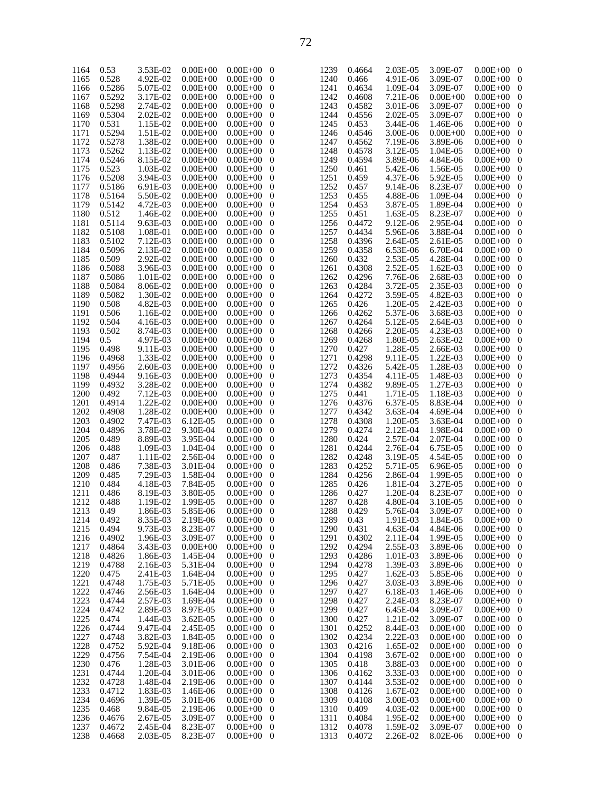| 1164 | 0.53   | 3.53E-02 | $0.00E + 00$ | $0.00E + 00$ | 0 | 1239 | €                           |
|------|--------|----------|--------------|--------------|---|------|-----------------------------|
| 1165 | 0.528  | 4.92E-02 | $0.00E + 00$ | $0.00E + 00$ | 0 | 1240 | 0                           |
| 1166 | 0.5286 | 5.07E-02 | $0.00E + 00$ | $0.00E + 00$ | 0 | 1241 | 0                           |
| 1167 | 0.5292 | 3.17E-02 | $0.00E + 00$ | $0.00E + 00$ | 0 | 1242 | C                           |
|      |        |          |              |              |   |      |                             |
| 1168 | 0.5298 | 2.74E-02 | $0.00E + 00$ | $0.00E + 00$ | 0 | 1243 | 0                           |
| 1169 | 0.5304 | 2.02E-02 | $0.00E + 00$ | $0.00E + 00$ | 0 | 1244 | C                           |
| 1170 | 0.531  | 1.15E-02 | $0.00E + 00$ | $0.00E + 00$ | 0 | 1245 | 0                           |
| 1171 | 0.5294 | 1.51E-02 | $0.00E + 00$ | $0.00E + 00$ | 0 | 1246 | C                           |
| 1172 | 0.5278 | 1.38E-02 | $0.00E + 00$ | $0.00E + 00$ | 0 | 1247 | C                           |
| 1173 | 0.5262 | 1.13E-02 | $0.00E + 00$ | $0.00E + 00$ | 0 | 1248 | C                           |
| 1174 | 0.5246 | 8.15E-02 | $0.00E + 00$ | $0.00E + 00$ | 0 | 1249 | €                           |
| 1175 | 0.523  | 1.03E-02 | $0.00E + 00$ | $0.00E + 00$ | 0 | 1250 | C                           |
| 1176 | 0.5208 | 3.94E-03 | $0.00E + 00$ | $0.00E + 00$ | 0 | 1251 | C                           |
| 1177 | 0.5186 | 6.91E-03 | $0.00E + 00$ | $0.00E + 00$ | 0 | 1252 | C                           |
|      | 0.5164 | 5.50E-02 |              |              |   | 1253 |                             |
| 1178 |        |          | $0.00E + 00$ | $0.00E + 00$ | 0 |      | C                           |
| 1179 | 0.5142 | 4.72E-03 | $0.00E + 00$ | $0.00E + 00$ | 0 | 1254 | C                           |
| 1180 | 0.512  | 1.46E-02 | $0.00E + 00$ | $0.00E + 00$ | 0 | 1255 | C                           |
| 1181 | 0.5114 | 9.63E-03 | $0.00E + 00$ | $0.00E + 00$ | 0 | 1256 | C                           |
| 1182 | 0.5108 | 1.08E-01 | $0.00E + 00$ | $0.00E + 00$ | 0 | 1257 | C                           |
| 1183 | 0.5102 | 7.12E-03 | $0.00E + 00$ | $0.00E + 00$ | 0 | 1258 | C                           |
| 1184 | 0.5096 | 2.13E-02 | $0.00E + 00$ | $0.00E + 00$ | 0 | 1259 | 0                           |
| 1185 | 0.509  | 2.92E-02 | $0.00E + 00$ | $0.00E + 00$ | 0 | 1260 | C                           |
| 1186 | 0.5088 | 3.96E-03 | $0.00E + 00$ | $0.00E + 00$ | 0 | 1261 | C                           |
| 1187 | 0.5086 | 1.01E-02 | $0.00E + 00$ | $0.00E + 00$ | 0 | 1262 | C                           |
| 1188 | 0.5084 | 8.06E-02 | $0.00E + 00$ | $0.00E + 00$ | 0 | 1263 | C                           |
|      |        | 1.30E-02 |              |              |   |      |                             |
| 1189 | 0.5082 |          | $0.00E + 00$ | $0.00E + 00$ | 0 | 1264 | C                           |
| 1190 | 0.508  | 4.82E-03 | $0.00E + 00$ | $0.00E + 00$ | 0 | 1265 | C                           |
| 1191 | 0.506  | 1.16E-02 | $0.00E + 00$ | $0.00E + 00$ | 0 | 1266 | C                           |
| 1192 | 0.504  | 4.16E-03 | $0.00E + 00$ | $0.00E + 00$ | 0 | 1267 | 0                           |
| 1193 | 0.502  | 8.74E-03 | $0.00E + 00$ | $0.00E + 00$ | 0 | 1268 | C                           |
| 1194 | 0.5    | 4.97E-03 | $0.00E + 00$ | $0.00E + 00$ | 0 | 1269 | C                           |
| 1195 | 0.498  | 9.11E-03 | $0.00E + 00$ | $0.00E + 00$ | 0 | 1270 | C                           |
| 1196 | 0.4968 | 1.33E-02 | $0.00E + 00$ | $0.00E + 00$ | 0 | 1271 | C                           |
| 1197 | 0.4956 | 2.60E-03 | $0.00E + 00$ | $0.00E + 00$ | 0 | 1272 | C                           |
| 1198 | 0.4944 | 9.16E-03 | $0.00E + 00$ | $0.00E + 00$ | 0 | 1273 | C                           |
| 1199 | 0.4932 | 3.28E-02 | $0.00E + 00$ | $0.00E + 00$ | 0 | 1274 | C                           |
| 1200 | 0.492  | 7.12E-03 | $0.00E + 00$ | $0.00E + 00$ | 0 | 1275 |                             |
|      |        |          |              |              |   |      | C                           |
| 1201 | 0.4914 | 1.22E-02 | $0.00E + 00$ | $0.00E + 00$ | 0 | 1276 | C                           |
| 1202 | 0.4908 | 1.28E-02 | $0.00E + 00$ | $0.00E + 00$ | 0 | 1277 | C                           |
| 1203 | 0.4902 | 7.47E-03 | 6.12E-05     | $0.00E + 00$ | 0 | 1278 | C                           |
| 1204 | 0.4896 | 3.78E-02 | 9.30E-04     | $0.00E + 00$ | 0 | 1279 | 0                           |
| 1205 | 0.489  | 8.89E-03 | 3.95E-04     | $0.00E + 00$ | 0 | 1280 | C                           |
| 1206 | 0.488  | 1.09E-03 | 1.04E-04     | $0.00E + 00$ | 0 | 1281 | C                           |
| 1207 | 0.487  | 1.11E-02 | 2.56E-04     | $0.00E + 00$ | 0 | 1282 | C                           |
| 1208 | 0.486  | 7.38E-03 | 3.01E-04     | $0.00E + 00$ | 0 | 1283 | C                           |
| 1209 | 0.485  | 7.29E-03 | 1.58E-04     | $0.00E + 00$ | 0 | 1284 | C                           |
| 1210 | 0.484  | 4.18E-03 | 7.84E-05     | $0.00E + 00$ | 0 | 1285 | C                           |
| 1211 | 0.486  | 8.19E-03 | 3.80E-05     | $0.00E + 00$ | 0 | 1286 | C                           |
| 1212 | 0.488  | 1.19E-02 | 1.99E-05     | $0.00E + 00$ | 0 | 1287 | 0                           |
| 1213 | 0.49   | 1.86E-03 | 5.85E-06     |              |   | 1288 | $\mathcal{L}_{\mathcal{L}}$ |
|      |        |          |              | $0.00E + 00$ | 0 |      |                             |
| 1214 | 0.492  | 8.35E-03 | 2.19E-06     | $0.00E + 00$ | 0 | 1289 | (                           |
| 1215 | 0.494  | 9.73E-03 | 8.23E-07     | $0.00E + 00$ | 0 | 1290 | C                           |
| 1216 | 0.4902 | 1.96E-03 | 3.09E-07     | $0.00E + 00$ | 0 | 1291 | 0                           |
| 1217 | 0.4864 | 3.43E-03 | $0.00E + 00$ | $0.00E + 00$ | 0 | 1292 | C                           |
| 1218 | 0.4826 | 1.86E-03 | 1.45E-04     | $0.00E + 00$ | 0 | 1293 | C                           |
| 1219 | 0.4788 | 2.16E-03 | 5.31E-04     | $0.00E + 00$ | 0 | 1294 | C                           |
| 1220 | 0.475  | 2.41E-03 | 1.64E-04     | $0.00E + 00$ | 0 | 1295 | C                           |
| 1221 | 0.4748 | 1.75E-03 | 5.71E-05     | $0.00E + 00$ | 0 | 1296 | 0                           |
| 1222 | 0.4746 | 2.56E-03 | 1.64E-04     | $0.00E + 00$ | 0 | 1297 | C                           |
| 1223 | 0.4744 | 2.57E-03 | 1.69E-04     | $0.00E + 00$ | 0 | 1298 | C                           |
| 1224 | 0.4742 | 2.89E-03 | 8.97E-05     | $0.00E + 00$ | 0 | 1299 | 0                           |
| 1225 | 0.474  | 1.44E-03 | 3.62E-05     | $0.00E + 00$ | 0 | 1300 | C                           |
| 1226 | 0.4744 | 9.47E-04 | 2.45E-05     | $0.00E + 00$ |   | 1301 |                             |
|      |        |          |              |              | 0 |      | C                           |
| 1227 | 0.4748 | 3.82E-03 | 1.84E-05     | $0.00E + 00$ | 0 | 1302 | C                           |
| 1228 | 0.4752 | 5.92E-04 | 9.18E-06     | $0.00E + 00$ | 0 | 1303 | C                           |
| 1229 | 0.4756 | 7.54E-04 | 2.19E-06     | $0.00E + 00$ | 0 | 1304 | C                           |
| 1230 | 0.476  | 1.28E-03 | 3.01E-06     | $0.00E + 00$ | 0 | 1305 | C                           |
| 1231 | 0.4744 | 1.20E-04 | 3.01E-06     | $0.00E + 00$ | 0 | 1306 | 0                           |
| 1232 | 0.4728 | 1.48E-04 | 2.19E-06     | $0.00E + 00$ | 0 | 1307 | 0                           |
| 1233 | 0.4712 | 1.83E-03 | 1.46E-06     | $0.00E + 00$ | 0 | 1308 | C                           |
| 1234 | 0.4696 | 1.39E-05 | 3.01E-06     | $0.00E + 00$ | 0 | 1309 | 0                           |
| 1235 | 0.468  | 9.84E-05 | 2.19E-06     | $0.00E + 00$ | 0 | 1310 | C                           |
| 1236 | 0.4676 | 2.67E-05 | 3.09E-07     | $0.00E + 00$ | 0 | 1311 | 0                           |
| 1237 | 0.4672 | 2.45E-04 | 8.23E-07     | $0.00E + 00$ | 0 | 1312 | 0                           |
| 1238 | 0.4668 | 2.03E-05 | 8.23E-07     | $0.00E + 00$ | 0 | 1313 | 0                           |
|      |        |          |              |              |   |      |                             |

| 1239                 | 0.4664           | 2.03E-05             | 3.09E-07                     | $0.00E + 00$                 | 0                                |
|----------------------|------------------|----------------------|------------------------------|------------------------------|----------------------------------|
| 1240                 | 0.466            | 4.91E-06             | 3.09E-07                     | $0.00E + 00$                 | 0                                |
| 1241                 | 0.4634           | 1.09E-04             | 3.09E-07                     | $0.00E + 00$                 | $\boldsymbol{0}$                 |
| 1242                 | 0.4608           | 7.21E-06             | $0.00E + 00$                 | $0.00E + 00$                 | 0                                |
| 1243<br>1244         | 0.4582<br>0.4556 | 3.01E-06             | 3.09E-07                     | $0.00E + 00$                 | $\mathbf{0}$<br>$\mathbf{0}$     |
| 1245                 | 0.453            | 2.02E-05<br>3.44E-06 | 3.09E-07<br>1.46E-06         | $0.00E + 00$<br>$0.00E + 00$ | $\mathbf{0}$                     |
| 1246                 | 0.4546           | 3.00E-06             | $0.00E + 00$                 | $0.00E + 00$                 | $\boldsymbol{0}$                 |
| 1247                 | 0.4562           | 7.19E-06             | 3.89E-06                     | $0.00E + 00$                 | $\mathbf{0}$                     |
| 1248                 | 0.4578           | 3.12E-05             | 1.04E-05                     | $0.00E + 00$                 | $\mathbf{0}$                     |
| 1249                 | 0.4594           | 3.89E-06             | 4.84E-06                     | $0.00E + 00$                 | $\mathbf{0}$                     |
| 1250                 | 0.461            | 5.42E-06             | 1.56E-05                     | $0.00E + 00$                 | $\boldsymbol{0}$                 |
| 1251                 | 0.459            | 4.37E-06             | 5.92E-05                     | $0.00E + 00$                 | $\mathbf{0}$                     |
| 1252                 | 0.457            | 9.14E-06             | 8.23E-07                     | $0.00E + 00$                 | $\mathbf{0}$                     |
| 1253                 | 0.455            | 4.88E-06             | 1.09E-04                     | $0.00E + 00$                 | $\mathbf{0}$                     |
| 1254                 | 0.453            | 3.87E-05             | 1.89E-04                     | $0.00E + 00$                 | $\boldsymbol{0}$                 |
| 1255<br>1256         | 0.451<br>0.4472  | 1.63E-05<br>9.12E-06 | 8.23E-07<br>2.95E-04         | $0.00E + 00$<br>$0.00E + 00$ | $\mathbf{0}$<br>$\mathbf{0}$     |
| 1257                 | 0.4434           | 5.96E-06             | 3.88E-04                     | $0.00E + 00$                 | $\mathbf{0}$                     |
| 1258                 | 0.4396           | 2.64E-05             | 2.61E-05                     | $0.00E + 00$                 | $\boldsymbol{0}$                 |
| 1259                 | 0.4358           | 6.53E-06             | 6.70E-04                     | $0.00E + 00$                 | $\mathbf{0}$                     |
| 1260                 | 0.432            | 2.53E-05             | 4.28E-04                     | $0.00E + 00$                 | $\mathbf{0}$                     |
| 1261                 | 0.4308           | 2.52E-05             | 1.62E-03                     | $0.00E + 00$                 | $\mathbf{0}$                     |
| 1262                 | 0.4296           | 7.76E-06             | 2.68E-03                     | $0.00E + 00$                 | $\boldsymbol{0}$                 |
| 1263                 | 0.4284           | 3.72E-05             | 2.35E-03                     | $0.00E + 00$                 | $\mathbf{0}$                     |
| 1264                 | 0.4272           | 3.59E-05             | 4.82E-03                     | $0.00E + 00$                 | $\mathbf{0}$                     |
| 1265                 | 0.426            | 1.20E-05             | 2.42E-03                     | $0.00E + 00$                 | $\mathbf{0}$                     |
| 1266                 | 0.4262           | 5.37E-06             | 3.68E-03                     | $0.00E + 00$                 | $\boldsymbol{0}$                 |
| 1267<br>1268         | 0.4264<br>0.4266 | 5.12E-05<br>2.20E-05 | 2.64E-03<br>4.23E-03         | $0.00E + 00$<br>$0.00E + 00$ | $\mathbf{0}$<br>$\mathbf{0}$     |
| 1269                 | 0.4268           | 1.80E-05             | 2.63E-02                     | $0.00E + 00$                 | $\mathbf{0}$                     |
| 1270                 | 0.427            | 1.28E-05             | 2.66E-03                     | $0.00E + 00$                 | $\boldsymbol{0}$                 |
| 1271                 | 0.4298           | 9.11E-05             | 1.22E-03                     | $0.00E + 00$                 | $\mathbf{0}$                     |
| 1272                 | 0.4326           | 5.42E-05             | 1.28E-03                     | $0.00E + 00$                 | $\mathbf{0}$                     |
| 1273                 | 0.4354           | 4.11E-05             | 1.48E-03                     | $0.00E + 00$                 | $\mathbf{0}$                     |
| 1274                 | 0.4382           | 9.89E-05             | 1.27E-03                     | $0.00E + 00$                 | $\boldsymbol{0}$                 |
| 1275<br>1276         | 0.441<br>0.4376  | 1.71E-05<br>6.37E-05 | 1.18E-03<br>8.83E-04         | $0.00E + 00$<br>$0.00E + 00$ | $\mathbf{0}$<br>$\mathbf{0}$     |
| 1277                 | 0.4342           | 3.63E-04             | 4.69E-04                     | $0.00E + 00$                 | $\mathbf{0}$                     |
| 1278                 | 0.4308           | 1.20E-05             | 3.63E-04                     | $0.00E + 00$                 | $\boldsymbol{0}$                 |
| 1279                 | 0.4274           | 2.12E-04             | 1.98E-04                     | $0.00E + 00$                 | $\mathbf{0}$                     |
| 1280                 | 0.424            | 2.57E-04             | 2.07E-04                     | $0.00E + 00$                 | $\boldsymbol{0}$                 |
| 1281                 | 0.4244           | 2.76E-04             | 6.75E-05                     | $0.00E + 00$                 | $\mathbf{0}$                     |
| 1282<br>1283         | 0.4248<br>0.4252 | 3.19E-05             | 4.54E-05                     | $0.00E + 00$<br>$0.00E + 00$ | $\boldsymbol{0}$<br>$\mathbf{0}$ |
| 1284                 | 0.4256           | 5.71E-05<br>2.86E-04 | 6.96E-05<br>1.99E-05         | $0.00E + 00$                 | 0                                |
| 1285                 | 0.426            | 1.81E-04             | 3.27E-05                     | $0.00E + 00$                 | $\mathbf{0}$                     |
| 1286                 | 0.427            | 1.20E-04             | 8.23E-07                     | $0.00E + 00$                 | 0                                |
| 1287                 | 0.428            | 4.80E-04             | 3.10E-05                     | $0.00E + 00$                 | $\mathbf{0}$                     |
| 1288                 | 0.429            | 5.76E-04             | 3.09E-07                     | $0.00E + 00$                 | 0                                |
| 1289                 | 0.43             | 1.91E-03             | 1.84E-05                     | $0.00E + 00$                 | $\boldsymbol{0}$                 |
| 1290                 | 0.431            | 4.63E-04             | 4.84E-06                     | $0.00E + 00$                 | 0                                |
| 1291<br>1292         | 0.4302<br>0.4294 | 2.11E-04<br>2.55E-03 | 1.99E-05<br>3.89E-06         | $0.00E + 00$<br>$0.00E + 00$ | 0<br>0                           |
| 1293                 | 0.4286           | 1.01E-03             | 3.89E-06                     | $0.00E + 00$                 | 0                                |
| 1294                 | 0.4278           | 1.39E-03             | 3.89E-06                     | $0.00E + 00$                 | $\boldsymbol{0}$                 |
| 1295                 | 0.427            | 1.62E-03             | 5.85E-06                     | $0.00E + 00$                 | 0                                |
| 1296                 | 0.427            | 3.03E-03             | 3.89E-06                     | $0.00E + 00$                 | 0                                |
| 1297                 | 0.427            | 6.18E-03             | 1.46E-06                     | $0.00E + 00$                 | 0                                |
| 1298                 | 0.427            | 2.24E-03             | 8.23E-07                     | $0.00E + 00$                 | $\boldsymbol{0}$                 |
| 1299                 | 0.427            | 6.45E-04             | 3.09E-07                     | $0.00E + 00$                 | 0                                |
| 1300<br>1301         | 0.427<br>0.4252  | 1.21E-02<br>8.44E-03 | 3.09E-07<br>$0.00E + 00$     | $0.00E + 00$<br>$0.00E + 00$ | 0<br>0                           |
| 1302                 | 0.4234           | 2.22E-03             | $0.00E + 00$                 | $0.00E + 00$                 | 0                                |
| 1303                 | 0.4216           | 1.65E-02             | $0.00E + 00$                 | $0.00E + 00$                 | 0                                |
| 1304                 | 0.4198           | 3.67E-02             | $0.00E + 00$                 | $0.00E + 00$                 | 0                                |
| 1305                 | 0.418            | 3.88E-03             | $0.00E + 00$                 | $0.00E + 00$                 | 0                                |
| 1306                 | 0.4162           | 3.33E-03             | $0.00E + 00$                 | $0.00E + 00$                 | 0                                |
| 1307                 | 0.4144           | 3.53E-02             | $0.00E + 00$                 | $0.00E + 00$                 | 0                                |
| 1308                 | 0.4126           | 1.67E-02             | $0.00E + 00$                 | $0.00E + 00$                 | 0                                |
| 1309<br>1310         | 0.4108<br>0.409  | 3.00E-03<br>4.03E-02 | $0.00E + 00$<br>$0.00E + 00$ | $0.00E + 00$<br>$0.00E + 00$ | 0<br>0                           |
|                      |                  |                      |                              |                              |                                  |
|                      |                  |                      |                              |                              |                                  |
| 1311<br>1312<br>1313 | 0.4084<br>0.4078 | 1.95E-02<br>1.59E-02 | $0.00E + 00$<br>3.09E-07     | $0.00E + 00$<br>$0.00E + 00$ | 0<br>0                           |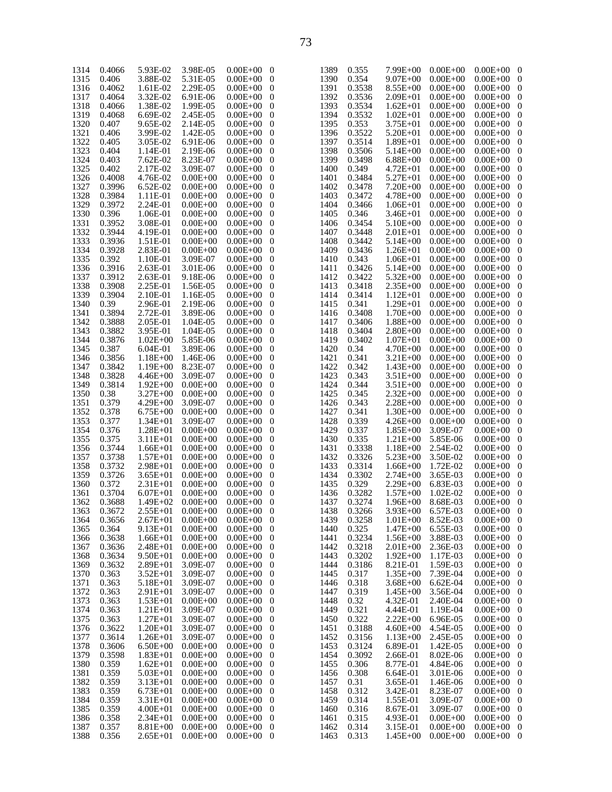| 1314 | 0.4066 | 5.93E-02           | 3.98E-05     | $0.00E + 00$   | $\overline{\phantom{0}}$ | 1389        | 0.355  | $7.99E + 00$      | $0.00E + 00$ | $0.00E + 00$ 0   |                  |
|------|--------|--------------------|--------------|----------------|--------------------------|-------------|--------|-------------------|--------------|------------------|------------------|
|      |        | 3.88E-02           | 5.31E-05     | $0.00E + 00$   | $\overline{0}$           | 1390        | 0.354  | $9.07E + 00$      |              | $0.00E + 00$     |                  |
| 1315 | 0.406  |                    |              |                |                          |             |        |                   | $0.00E + 00$ |                  | $\mathbf 0$      |
| 1316 | 0.4062 | 1.61E-02           | 2.29E-05     | $0.00E + 00$   | $\overline{0}$           | 1391        | 0.3538 | $8.55E + 00$      | $0.00E + 00$ | $0.00E + 00$     | 0                |
| 1317 | 0.4064 | 3.32E-02           | 6.91E-06     | $0.00E + 00$   | $\overline{0}$           | 1392        | 0.3536 | $2.09E + 01$      | $0.00E + 00$ | $0.00E + 00$     | $\mathbf 0$      |
| 1318 | 0.4066 | 1.38E-02           | 1.99E-05     | $0.00E + 00$   | $\overline{0}$           | 1393        | 0.3534 | $1.62E + 01$      | $0.00E + 00$ | $0.00E + 00$     | 0                |
| 1319 | 0.4068 | 6.69E-02           | 2.45E-05     | $0.00E + 00$   | $\overline{0}$           | 1394        | 0.3532 | $1.02E + 01$      | $0.00E + 00$ | $0.00E + 00$     | $\mathbf 0$      |
| 1320 | 0.407  | 9.65E-02           | 2.14E-05     | $0.00E + 00$   | $\overline{0}$           | 1395        | 0.353  | $3.75E + 01$      | $0.00E + 00$ | $0.00E + 00$     | 0                |
|      |        |                    |              |                |                          |             |        |                   |              |                  |                  |
| 1321 | 0.406  | 3.99E-02           | 1.42E-05     | $0.00E + 00$   | $\overline{0}$           | 1396        | 0.3522 | $5.20E + 01$      | $0.00E + 00$ | $0.00E + 00$     | $\mathbf 0$      |
| 1322 | 0.405  | 3.05E-02           | 6.91E-06     | $0.00E + 00$   | $\overline{0}$           | 1397        | 0.3514 | $1.89E + 01$      | $0.00E + 00$ | $0.00E + 00$     | 0                |
| 1323 | 0.404  | 1.14E-01           | 2.19E-06     | $0.00E + 00$   | $\overline{0}$           | 1398        | 0.3506 | $5.14E + 00$      | $0.00E + 00$ | $0.00E + 00$     | $\mathbf 0$      |
| 1324 | 0.403  | 7.62E-02           | 8.23E-07     | $0.00E + 00$   | $\overline{0}$           | 1399        | 0.3498 | $6.88E + 00$      | $0.00E + 00$ | $0.00E + 00$     | 0                |
| 1325 | 0.402  | 2.17E-02           | 3.09E-07     | $0.00E + 00$   | $\overline{0}$           | 1400        | 0.349  | $4.72E + 01$      | $0.00E + 00$ | $0.00E + 00$     | $\mathbf 0$      |
| 1326 | 0.4008 | 4.76E-02           | $0.00E + 00$ | $0.00E + 00$   | $\overline{0}$           | 1401        | 0.3484 | $5.27E + 01$      | $0.00E + 00$ | $0.00E + 00$     |                  |
|      |        |                    |              |                |                          |             |        |                   |              |                  | 0                |
| 1327 | 0.3996 | $6.52E-02$         | $0.00E + 00$ | $0.00E + 00$   | $\overline{0}$           | 1402        | 0.3478 | $7.20E + 00$      | $0.00E + 00$ | $0.00E + 00$     | $\mathbf 0$      |
| 1328 | 0.3984 | 1.11E-01           | $0.00E + 00$ | $0.00E + 00$   | $\overline{0}$           | 1403        | 0.3472 | $4.78E + 00$      | $0.00E + 00$ | $0.00E + 00$     | 0                |
| 1329 | 0.3972 | 2.24E-01           | $0.00E + 00$ | $0.00E + 00$   | $\overline{0}$           | 1404        | 0.3466 | $1.06E + 01$      | $0.00E + 00$ | $0.00E + 00$     | $\mathbf 0$      |
| 1330 | 0.396  | 1.06E-01           | $0.00E + 00$ | $0.00E + 00$   | $\overline{0}$           | 1405        | 0.346  | $3.46E + 01$      | $0.00E + 00$ | $0.00E + 00$     | 0                |
| 1331 | 0.3952 | 3.08E-01           | $0.00E + 00$ | $0.00E + 00$   | $\overline{0}$           | 1406        | 0.3454 | $5.10E + 00$      | $0.00E + 00$ | $0.00E + 00$     | $\mathbf 0$      |
| 1332 | 0.3944 | 4.19E-01           | $0.00E + 00$ | $0.00E + 00$   | $\overline{0}$           | 1407        | 0.3448 | $2.01E + 01$      | $0.00E + 00$ | $0.00E + 00$     |                  |
|      |        |                    |              |                |                          |             |        |                   |              |                  | 0                |
| 1333 | 0.3936 | 1.51E-01           | $0.00E + 00$ | $0.00E + 00$   | $\overline{0}$           | 1408        | 0.3442 | $5.14E + 00$      | $0.00E + 00$ | $0.00E + 00$     | $\mathbf 0$      |
| 1334 | 0.3928 | 2.83E-01           | $0.00E + 00$ | $0.00E + 00$   | $\overline{0}$           | 1409        | 0.3436 | $1.26E + 01$      | $0.00E + 00$ | $0.00E + 00$     | 0                |
| 1335 | 0.392  | 1.10E-01           | 3.09E-07     | $0.00E + 00$   | $\overline{0}$           | 1410        | 0.343  | $1.06E + 01$      | $0.00E + 00$ | $0.00E + 00$     | $\mathbf 0$      |
| 1336 | 0.3916 | 2.63E-01           | 3.01E-06     | $0.00E + 00$   | $\overline{0}$           | 1411        | 0.3426 | $5.14E + 00$      | $0.00E + 00$ | $0.00E + 00$     | 0                |
| 1337 | 0.3912 | 2.63E-01           | 9.18E-06     | $0.00E + 00$   | $\overline{0}$           | 1412        | 0.3422 | $5.32E + 00$      | $0.00E + 00$ | $0.00E + 00$     | $\mathbf 0$      |
| 1338 | 0.3908 | 2.25E-01           | 1.56E-05     | $0.00E + 00$   | $\overline{0}$           | 1413        | 0.3418 | $2.35E+00$        | $0.00E + 00$ | $0.00E + 00$     | 0                |
|      |        |                    |              |                |                          |             |        |                   |              |                  |                  |
| 1339 | 0.3904 | 2.10E-01           | 1.16E-05     | $0.00E + 00$   | $\overline{0}$           | 1414        | 0.3414 | $1.12E + 01$      | $0.00E + 00$ | $0.00E + 00$     | $\mathbf 0$      |
| 1340 | 0.39   | 2.96E-01           | 2.19E-06     | $0.00E + 00$   | $\overline{0}$           | 1415        | 0.341  | $1.29E + 01$      | $0.00E + 00$ | $0.00E + 00$     | 0                |
| 1341 | 0.3894 | 2.72E-01           | 3.89E-06     | $0.00E + 00$   | $\overline{0}$           | 1416        | 0.3408 | $1.70E + 00$      | $0.00E + 00$ | $0.00E + 00$     | $\mathbf 0$      |
| 1342 | 0.3888 | 2.05E-01           | 1.04E-05     | $0.00E + 00$   | $\overline{0}$           | 1417        | 0.3406 | $1.88E + 00$      | $0.00E + 00$ | $0.00E + 00$     | 0                |
| 1343 | 0.3882 | 3.95E-01           | 1.04E-05     | $0.00E + 00$   | $\overline{0}$           | 1418        | 0.3404 | $2.80E + 00$      | $0.00E + 00$ | $0.00E + 00$     | $\mathbf 0$      |
| 1344 | 0.3876 | $1.02E + 00$       | 5.85E-06     | $0.00E + 00$   | $\overline{0}$           | 1419        | 0.3402 | $1.07E + 01$      | $0.00E + 00$ | $0.00E + 00$     | 0                |
|      |        |                    |              |                |                          |             |        |                   |              |                  |                  |
| 1345 | 0.387  | $6.04E-01$         | 3.89E-06     | $0.00E + 00$   | $\overline{0}$           | 1420        | 0.34   | $4.70E + 00$      | $0.00E + 00$ | $0.00E + 00$     | $\mathbf 0$      |
| 1346 | 0.3856 | $1.18E + 00$       | 1.46E-06     | $0.00E + 00$   | $\overline{0}$           | 1421        | 0.341  | $3.21E + 00$      | $0.00E + 00$ | $0.00E + 00$     | 0                |
| 1347 | 0.3842 | $1.19E + 00$       | 8.23E-07     | $0.00E + 00$   | $\overline{0}$           | 1422        | 0.342  | $1.43E + 00$      | $0.00E + 00$ | $0.00E + 00$     | $\mathbf 0$      |
| 1348 | 0.3828 | $4.46E + 00$       | 3.09E-07     | $0.00E + 00$   | $\overline{0}$           | 1423        | 0.343  | $3.51E + 00$      | $0.00E + 00$ | $0.00E + 00$     | 0                |
| 1349 | 0.3814 | $1.92E + 00$       | $0.00E + 00$ | $0.00E + 00$   | $\overline{0}$           | 1424        | 0.344  | $3.51E + 00$      | $0.00E + 00$ | $0.00E + 00$     | $\mathbf 0$      |
| 1350 | 0.38   | $3.27E + 00$       | $0.00E + 00$ | $0.00E + 00$   | $\overline{0}$           | 1425        | 0.345  | $2.32E + 00$      | $0.00E + 00$ | $0.00E + 00$     | 0                |
|      |        |                    |              |                |                          |             |        |                   |              |                  |                  |
| 1351 | 0.379  | $4.29E + 00$       | 3.09E-07     | $0.00E + 00$   | $\overline{0}$           | 1426        | 0.343  | $2.28E + 00$      | $0.00E + 00$ | $0.00E + 00$     | $\mathbf 0$      |
| 1352 | 0.378  | $6.75E + 00$       | $0.00E + 00$ | $0.00E + 00$   | $\overline{0}$           | 1427        | 0.341  | $1.30E + 00$      | $0.00E + 00$ | $0.00E + 00$     | 0                |
| 1353 | 0.377  | $1.34E + 01$       | 3.09E-07     | $0.00E + 00$   | $\overline{0}$           | 1428        | 0.339  | $4.26E + 00$      | $0.00E + 00$ | $0.00E + 00$     | $\mathbf 0$      |
| 1354 | 0.376  | $1.28E + 01$       | $0.00E + 00$ | $0.00E + 00$   | $\overline{0}$           | 1429        | 0.337  | $1.85E + 00$      | 3.09E-07     | $0.00E + 00$     | 0                |
| 1355 | 0.375  | $3.11E + 01$       | $0.00E + 00$ | $0.00E + 00$   | $\overline{0}$           | 1430        | 0.335  | $1.21E + 00$      | 5.85E-06     | $0.00E + 00$     | $\mathbf 0$      |
| 1356 | 0.3744 | $1.66E + 01$       | $0.00E + 00$ | $0.00E + 00$   | $\overline{0}$           | 1431        | 0.3338 | $1.18E + 00$      | 2.54E-02     | $0.00E + 00$     | 0                |
|      | 0.3738 |                    | $0.00E + 00$ |                |                          |             | 0.3326 | $5.23E + 00$      | 3.50E-02     | $0.00E + 00$     |                  |
| 1357 |        | $1.57E + 01$       |              | $0.00E + 00$   | $\overline{0}$           | 1432        |        |                   |              |                  | $\mathbf 0$      |
| 1358 | 0.3732 | $2.98E + 01$       | $0.00E + 00$ | $0.00E + 00$   | $\overline{0}$           | 1433        | 0.3314 | $1.66E + 00$      | 1.72E-02     | $0.00E + 00$     | 0                |
| 1359 | 0.3726 | $3.65E + 01$       | $0.00E + 00$ | $0.00E + 00$   | $\overline{0}$           | 1434        | 0.3302 | $2.74E + 00$      | 3.65E-03     | $0.00E + 00$     | $\mathbf 0$      |
| 1360 | 0.372  | $2.31E + 01$       | $0.00E + 00$ | $0.00E + 00$   | $\overline{0}$           | 1435        | 0.329  | $2.29E + 00$      | 6.83E-03     | $0.00E + 00$     | $\boldsymbol{0}$ |
| 1361 | 0.3704 | $6.07E + 01$       | $0.00E + 00$ | $0.00E + 00$   | $\bf{0}$                 | 1436        | 0.3282 | $1.57E + 00$      | 1.02E-02     | $0.00E + 00$     | $\mathbf 0$      |
| 1362 | 0.3688 | $1.49E + 02$       | $0.00E + 00$ | $0.00E + 00$ 0 |                          | 1437        | 0.3274 | $1.96E + 00$      | 8.68E-03     | $0.00E + 00 = 0$ |                  |
| 1363 | 0.3672 | 2.55E+01  0.00E+00 |              | $0.00E + 00$ 0 |                          | 1438 0.3266 |        | 3.93E+00 6.57E-03 |              | $0.00E + 00$ 0   |                  |
|      |        |                    |              | $0.00E + 00$ 0 |                          |             |        |                   |              | $0.00E + 00$ 0   |                  |
| 1364 | 0.3656 | $2.67E + 01$       | $0.00E + 00$ |                |                          | 1439        | 0.3258 | $1.01E + 00$      | 8.52E-03     |                  |                  |
| 1365 | 0.364  | $9.13E + 01$       | $0.00E + 00$ | $0.00E + 00$ 0 |                          | 1440        | 0.325  | $1.47E + 00$      | 6.55E-03     | $0.00E + 00$     | $\mathbf 0$      |
| 1366 | 0.3638 | $1.66E + 01$       | $0.00E + 00$ | $0.00E + 00$ 0 |                          | 1441        | 0.3234 | $1.56E + 00$      | 3.88E-03     | $0.00E + 00$     | $\boldsymbol{0}$ |
| 1367 | 0.3636 | $2.48E + 01$       | $0.00E + 00$ | $0.00E + 00$ 0 |                          | 1442        | 0.3218 | $2.01E + 00$      | 2.36E-03     | $0.00E + 00$     | $\mathbf 0$      |
| 1368 | 0.3634 | $9.50E + 01$       | $0.00E + 00$ | $0.00E + 00$ 0 |                          | 1443        | 0.3202 | $1.92E + 00$      | 1.17E-03     | $0.00E + 00$     | $\boldsymbol{0}$ |
| 1369 | 0.3632 | $2.89E + 01$       | 3.09E-07     | $0.00E + 00$ 0 |                          | 1444        | 0.3186 | 8.21E-01          | 1.59E-03     | $0.00E + 00$     | $\mathbf 0$      |
| 1370 | 0.363  | $3.52E + 01$       | 3.09E-07     | $0.00E + 00$ 0 |                          | 1445        | 0.317  | $1.35E + 00$      | 7.39E-04     | $0.00E + 00$     | $\boldsymbol{0}$ |
|      |        |                    |              |                |                          |             |        |                   |              |                  |                  |
| 1371 | 0.363  | $5.18E + 01$       | 3.09E-07     | $0.00E + 00$ 0 |                          | 1446        | 0.318  | $3.68E + 00$      | 6.62E-04     | $0.00E + 00$     | $\mathbf 0$      |
| 1372 | 0.363  | $2.91E+01$         | 3.09E-07     | $0.00E + 00$ 0 |                          | 1447        | 0.319  | $1.45E + 00$      | 3.56E-04     | $0.00E + 00$     | $\boldsymbol{0}$ |
| 1373 | 0.363  | $1.53E + 01$       | $0.00E + 00$ | $0.00E + 00$ 0 |                          | 1448        | 0.32   | 4.32E-01          | 2.40E-04     | $0.00E + 00$     | $\mathbf 0$      |
| 1374 | 0.363  | $1.21E + 01$       | 3.09E-07     | $0.00E + 00$ 0 |                          | 1449        | 0.321  | 4.44E-01          | 1.19E-04     | $0.00E + 00$     | $\boldsymbol{0}$ |
| 1375 | 0.363  | $1.27E + 01$       | 3.09E-07     | $0.00E + 00$ 0 |                          | 1450        | 0.322  | $2.22E + 00$      | 6.96E-05     | $0.00E + 00$     | $\mathbf 0$      |
| 1376 | 0.3622 | $1.20E + 01$       | 3.09E-07     | $0.00E + 00$ 0 |                          | 1451        | 0.3188 | $4.60E + 00$      | 4.54E-05     | $0.00E + 00$     | $\boldsymbol{0}$ |
| 1377 | 0.3614 | $1.26E + 01$       | 3.09E-07     | $0.00E + 00$ 0 |                          | 1452        | 0.3156 | $1.13E + 00$      | 2.45E-05     | $0.00E + 00$     | $\mathbf 0$      |
|      |        |                    |              |                |                          |             |        |                   |              |                  |                  |
| 1378 | 0.3606 | $6.50E + 00$       | $0.00E + 00$ | $0.00E + 00$ 0 |                          | 1453        | 0.3124 | 6.89E-01          | 1.42E-05     | $0.00E + 00$     | $\boldsymbol{0}$ |
| 1379 | 0.3598 | $1.83E + 01$       | $0.00E + 00$ | $0.00E + 00$ 0 |                          | 1454        | 0.3092 | 2.66E-01          | 8.02E-06     | $0.00E + 00$     | $\mathbf 0$      |
| 1380 | 0.359  | $1.62E + 01$       | $0.00E + 00$ | $0.00E + 00$ 0 |                          | 1455        | 0.306  | 8.77E-01          | 4.84E-06     | $0.00E + 00$     | $\boldsymbol{0}$ |
| 1381 | 0.359  | $5.03E + 01$       | $0.00E + 00$ | $0.00E + 00$ 0 |                          | 1456        | 0.308  | 6.64E-01          | 3.01E-06     | $0.00E + 00$     | $\mathbf 0$      |
| 1382 | 0.359  | $3.13E + 01$       | $0.00E + 00$ | $0.00E + 00$ 0 |                          | 1457        | 0.31   | 3.65E-01          | 1.46E-06     | $0.00E + 00$     | $\boldsymbol{0}$ |
| 1383 | 0.359  | $6.73E + 01$       | $0.00E + 00$ | $0.00E + 00$ 0 |                          | 1458        | 0.312  | 3.42E-01          | 8.23E-07     | $0.00E + 00$     | $\mathbf 0$      |
| 1384 | 0.359  | $3.31E + 01$       | $0.00E + 00$ | $0.00E + 00$ 0 |                          | 1459        | 0.314  | 1.55E-01          | 3.09E-07     | $0.00E + 00$     | $\boldsymbol{0}$ |
|      |        |                    |              |                |                          |             |        |                   |              |                  |                  |
| 1385 | 0.359  | $4.00E + 01$       | $0.00E + 00$ | $0.00E + 00$ 0 |                          | 1460        | 0.316  | 8.67E-01          | 3.09E-07     | $0.00E + 00$     | $\mathbf 0$      |
| 1386 | 0.358  | $2.34E + 01$       | $0.00E + 00$ | $0.00E + 00$ 0 |                          | 1461        | 0.315  | 4.93E-01          | $0.00E + 00$ | $0.00E + 00$     | $\boldsymbol{0}$ |
| 1387 | 0.357  | $8.81E + 00$       | $0.00E + 00$ | $0.00E + 00$ 0 |                          | 1462        | 0.314  | 3.15E-01          | $0.00E + 00$ | $0.00E + 00$     | $\mathbf 0$      |
| 1388 | 0.356  | $2.65E+01$         | $0.00E + 00$ | $0.00E + 00$ 0 |                          | 1463        | 0.313  | $1.45E + 00$      | $0.00E + 00$ | $0.00E + 00$ 0   |                  |

| 1391         | 0.3538           | 8.55E+00                     | $0.00E + 00$                 | $0.00E + 00$                 | 0                     |
|--------------|------------------|------------------------------|------------------------------|------------------------------|-----------------------|
| 1392         | 0.3536           | $2.09E + 01$                 | $0.00E + 00$                 | $0.00E{+}00$                 | 0                     |
| 1393         | 0.3534           | $1.62E + 01$                 | $0.00E + 00$                 | $0.00E{+}00$                 | 0                     |
| 1394<br>1395 | 0.3532           | $1.02E + 01$<br>3.75E+01     | $0.00E + 00$                 | $0.00E{+}00$<br>$0.00E + 00$ | 0<br>$\boldsymbol{0}$ |
| 1396         | 0.353<br>0.3522  | $5.20E + 01$                 | $0.00E + 00$<br>$0.00E + 00$ | $0.00E + 00$                 | 0                     |
| 1397         | 0.3514           | $1.89E + 01$                 | $0.00E + 00$                 | $0.00E + 00$                 | $\boldsymbol{0}$      |
| 1398         | 0.3506           | 5.14E+00                     | $0.00E + 00$                 | $0.00E{+}00$                 | 0                     |
| 1399         | 0.3498           | $6.88E + 00$                 | $0.00E + 00$                 | $0.00E + 00$                 | $\boldsymbol{0}$      |
| 1400         | 0.349            | $4.72E + 01$                 | $0.00E + 00$                 | $0.00E + 00$                 | 0                     |
| 1401         | 0.3484           | 5.27E+01                     | $0.00E + 00$                 | $0.00E + 00$                 | $\boldsymbol{0}$      |
| 1402         | 0.3478           | $7.20E + 00$                 | $0.00E + 00$                 | $0.00E + 00$                 | 0                     |
| 1403         | 0.3472           | $4.78E + 00$                 | $0.00E + 00$                 | $0.00E + 00$                 | $\boldsymbol{0}$      |
| 1404         | 0.3466           | $1.06E + 01$                 | $0.00E + 00$                 | $0.00E + 00$                 | 0                     |
| 1405<br>1406 | 0.346<br>0.3454  | 3.46E+01<br>$5.10E + 00$     | $0.00E + 00$<br>$0.00E + 00$ | $0.00E + 00$<br>$0.00E{+}00$ | $\boldsymbol{0}$<br>0 |
| 1407         | 0.3448           | $2.01E + 01$                 | $0.00E + 00$                 | $0.00E + 00$                 | $\boldsymbol{0}$      |
| 1408         | 0.3442           | $5.14E + 00$                 | $0.00E + 00$                 | $0.00E + 00$                 | 0                     |
| 1409         | 0.3436           | $1.26E + 01$                 | $0.00E + 00$                 | $0.00E + 00$                 | $\boldsymbol{0}$      |
| 1410         | 0.343            | $1.06E + 01$                 | $0.00E + 00$                 | $0.00E{+}00$                 | 0                     |
| 1411         | 0.3426           | 5.14E+00                     | $0.00E + 00$                 | $0.00E + 00$                 | $\boldsymbol{0}$      |
| 1412         | 0.3422           | $5.32E + 00$                 | $0.00E + 00$                 | $0.00E + 00$                 | 0                     |
| 1413         | 0.3418           | $2.35E + 00$                 | $0.00E + 00$                 | $0.00E + 00$                 | $\boldsymbol{0}$      |
| 1414         | 0.3414           | $1.12E + 01$                 | $0.00E + 00$                 | $0.00E{+}00$                 | 0                     |
| 1415<br>1416 | 0.341<br>0.3408  | $1.29E + 01$<br>$1.70E + 00$ | $0.00E + 00$<br>$0.00E + 00$ | $0.00E + 00$<br>$0.00E + 00$ | $\boldsymbol{0}$<br>0 |
| 1417         | 0.3406           | $1.88E + 00$                 | $0.00E + 00$                 | $0.00E + 00$                 | $\boldsymbol{0}$      |
| 1418         | 0.3404           | $2.80E + 00$                 | $0.00E + 00$                 | $0.00E{+}00$                 | 0                     |
| 1419         | 0.3402           | $1.07E + 01$                 | $0.00E + 00$                 | $0.00E + 00$                 | $\boldsymbol{0}$      |
| 1420         | 0.34             | 4.70E+00                     | $0.00E + 00$                 | $0.00E + 00$                 | 0                     |
| 1421         | 0.341            | $3.21E + 00$                 | $0.00E + 00$                 | $0.00E + 00$                 | $\boldsymbol{0}$      |
| 1422         | 0.342            | $1.43E + 00$                 | $0.00E + 00$                 | $0.00E + 00$                 | 0                     |
| 1423         | 0.343            | 3.51E+00                     | $0.00E + 00$                 | $0.00E + 00$                 | $\boldsymbol{0}$      |
| 1424         | 0.344            | $3.51E + 00$                 | $0.00E + 00$                 | $0.00E + 00$                 | 0                     |
| 1425<br>1426 | 0.345<br>0.343   | $2.32E + 00$<br>$2.28E + 00$ | $0.00E + 00$<br>$0.00E + 00$ | $0.00E{+}00$<br>$0.00E{+}00$ | $\boldsymbol{0}$<br>0 |
| 1427         | 0.341            | $1.30E + 00$                 | $0.00E + 00$                 | $0.00E + 00$                 | $\boldsymbol{0}$      |
| 1428         | 0.339            | $4.26E + 00$                 | $0.00E + 00$                 | $0.00E + 00$                 | 0                     |
| 1429         | 0.337            | $1.85E + 00$                 | 3.09E-07                     | $0.00E{+}00$                 | 0                     |
| 1430         | 0.335            | $1.21E + 00$                 | 5.85E-06                     | $0.00E + 00$                 | 0                     |
| 1431         | 0.3338           | $1.18E + 00$                 | 2.54E-02                     | $0.00E + 00$                 | 0                     |
| 1432         | 0.3326           | $5.23E + 00$                 | 3.50E-02                     | $0.00E + 00$                 | 0                     |
| 1433<br>1434 | 0.3314<br>0.3302 | $1.66E + 00$<br>$2.74E + 00$ | 1.72E-02<br>3.65E-03         | $0.00E{+}00$<br>$0.00E + 00$ | 0<br>0                |
| 1435         | 0.329            | $2.29E + 00$                 | 6.83E-03                     | $0.00E + 00$                 | 0                     |
| 1436         | 0.3282           | $1.57E + 00$                 | 1.02E-02                     | $0.00E + 00$                 | 0                     |
| 1437         | 0.3274           | $1.96E + 00$                 | 8.68E-03                     | $0.00E{+}00$                 | $\boldsymbol{0}$      |
| 1438         | 0.3266           | $3.93E + 00$                 | 6.57E-03                     | $0.00E + 00$                 | 0                     |
| 1439         | 0.3258           | $1.01E + 00$                 | 8.52E-03                     | $0.00E + 00$                 | $\boldsymbol{0}$      |
| 1440         | 0.325            | $1.47E + 00$                 | 6.55E-03                     | $0.00E{+}00$                 | 0                     |
| 1441         | 0.3234           | $1.56E + 00$                 | 3.88E-03                     | $0.00E + 00$                 | 0                     |
| 1442<br>1443 | 0.3218<br>0.3202 | $2.01E + 00$<br>$1.92E + 00$ | 2.36E-03<br>1.17E-03         | $0.00E + 00$<br>$0.00E{+}00$ | 0<br>0                |
| 1444         | 0.3186           | 8.21E-01                     | 1.59E-03                     | $0.00E + 00$                 | 0                     |
| 1445         | 0.317            | $1.35E + 00$                 | 7.39E-04                     | $0.00E + 00$                 | 0                     |
| 1446         | 0.318            | $3.68E + 00$                 | $6.62E-04$                   | $0.00E{+}00$                 | 0                     |
| 1447         | 0.319            | $1.45E + 00$                 | 3.56E-04                     | $0.00E{+}00$                 | 0                     |
| 1448         | 0.32             | 4.32E-01                     | 2.40E-04                     | $0.00E + 00$                 | 0                     |
| 1449         | 0.321            | 4.44E-01                     | 1.19E-04                     | $0.00E + 00$                 | 0                     |
| 1450         | 0.322            | $2.22E + 00$                 | 6.96E-05                     | $0.00E{+}00$                 | 0                     |
| 1451         | 0.3188           | $4.60E + 00$                 | 4.54E-05                     | $0.00E{+}00$                 | 0                     |
| 1452<br>1453 | 0.3156<br>0.3124 | $1.13E + 00$<br>6.89E-01     | 2.45E-05<br>1.42E-05         | $0.00E{+}00$<br>$0.00E + 00$ | 0<br>0                |
| 1454         | 0.3092           | 2.66E-01                     | 8.02E-06                     | $0.00E + 00$                 | 0                     |
| 1455         | 0.306            | 8.77E-01                     | 4.84E-06                     | $0.00E{+}00$                 | 0                     |
| 1456         | 0.308            | 6.64E-01                     | 3.01E-06                     | $0.00E{+}00$                 | 0                     |
| 1457         | 0.31             | 3.65E-01                     | 1.46E-06                     | $0.00E{+}00$                 | 0                     |
| 1458         | 0.312            | 3.42E-01                     | 8.23E-07                     | $0.00E{+}00$                 | 0                     |
| 1459         | 0.314            | 1.55E-01                     | 3.09E-07                     | $0.00E{+}00$                 | 0                     |
| 1460         | 0.316            | 8.67E-01                     | 3.09E-07                     | $0.00E{+}00$                 | 0                     |
| 1461         | 0.315            | 4.93E-01                     | $0.00E + 00$                 | $0.00E{+}00$                 | 0                     |
| 1462         | 0.314            | 3.15E-01                     | $0.00E + 00$                 | $0.00E + 00$                 | 0                     |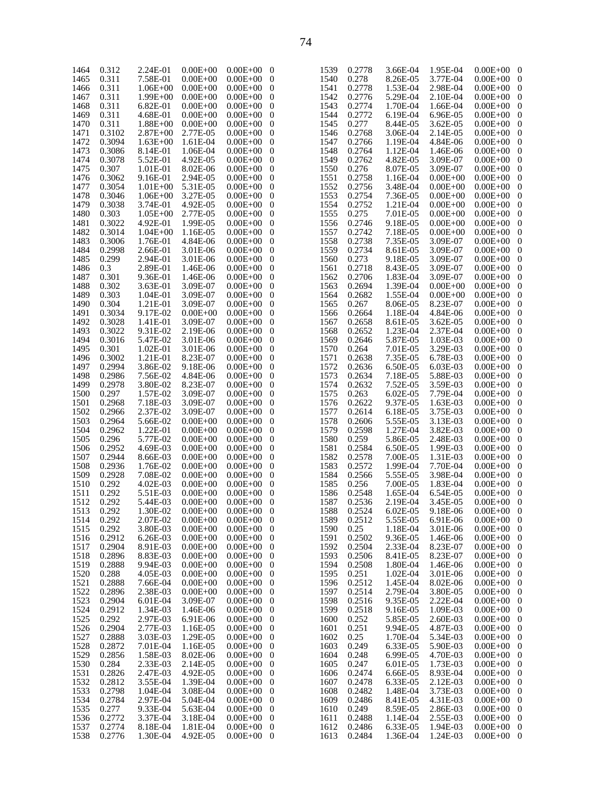| 1465<br>0.311<br>7.58E-01<br>$0.00E + 00$<br>0.311<br>1466<br>$1.06E + 00$<br>$0.00E + 00$<br>0.311<br>1467<br>1.99E+00<br>$0.00E + 00$<br>0.311<br>1468<br>6.82E-01<br>$0.00E + 00$ | $0.00E + 00$<br>$0.00E + 00$<br>0      |
|--------------------------------------------------------------------------------------------------------------------------------------------------------------------------------------|----------------------------------------|
|                                                                                                                                                                                      | $0.00E + 00$<br>0                      |
|                                                                                                                                                                                      | $0.00E + 00$<br>0                      |
|                                                                                                                                                                                      | $0.00E + 00$<br>0                      |
|                                                                                                                                                                                      | $0.00E + 00$<br>0                      |
| 0.311<br>1469<br>4.68E-01<br>$0.00E + 00$                                                                                                                                            | $0.00E + 00$<br>0                      |
| 0.311<br>1470<br>$1.88E + 00$<br>$0.00E + 00$                                                                                                                                        | $0.00E + 00$<br>0                      |
| 1471<br>0.3102<br>$2.87E + 00$<br>2.77E-05                                                                                                                                           | $0.00E + 00$<br>0                      |
| 1472<br>0.3094<br>$1.63E + 00$<br>1.61E-04                                                                                                                                           | $0.00E + 00$<br>0                      |
| 1473<br>0.3086<br>8.14E-01<br>1.06E-04                                                                                                                                               | $0.00E + 00$<br>0                      |
| 1474<br>0.3078<br>5.52E-01<br>4.92E-05                                                                                                                                               | $0.00E + 00$<br>0                      |
| 1475<br>0.307<br>1.01E-01<br>8.02E-06                                                                                                                                                | $0.00E + 00$<br>0                      |
| 1476<br>0.3062<br>9.16E-01<br>2.94E-05<br>1477<br>0.3054                                                                                                                             | $0.00E + 00$<br>0<br>$0.00E + 00$      |
| 5.31E-05<br>$1.01E + 00$<br>1478<br>3.27E-05<br>$1.06E + 00$                                                                                                                         | 0                                      |
| 0.3046<br>1479<br>4.92E-05<br>0.3038<br>3.74E-01                                                                                                                                     | $0.00E + 00$<br>0<br>$0.00E + 00$<br>0 |
| 1480<br>0.303<br>2.77E-05<br>$1.05E + 00$                                                                                                                                            | $0.00E + 00$<br>0                      |
| 0.3022<br>1481<br>4.92E-01<br>1.99E-05                                                                                                                                               | $0.00E + 00$<br>0                      |
| 0.3014<br>1482<br>$1.04E + 00$<br>1.16E-05                                                                                                                                           | $0.00E + 00$<br>0                      |
| 1483<br>0.3006<br>1.76E-01<br>4.84E-06                                                                                                                                               | $0.00E + 00$<br>0                      |
| 1484<br>0.2998<br>2.66E-01<br>3.01E-06                                                                                                                                               | $0.00E + 00$<br>0                      |
| 1485<br>0.299<br>2.94E-01<br>3.01E-06                                                                                                                                                | $0.00E + 00$<br>0                      |
| 1486<br>0.3<br>2.89E-01<br>1.46E-06                                                                                                                                                  | $0.00E + 00$<br>0                      |
| 1487<br>0.301<br>9.36E-01<br>1.46E-06                                                                                                                                                | $0.00E + 00$<br>0                      |
| 1488<br>0.302<br>3.63E-01<br>3.09E-07                                                                                                                                                | $0.00E + 00$<br>0                      |
| 0.303<br>1489<br>1.04E-01<br>3.09E-07                                                                                                                                                | $0.00E + 00$<br>0                      |
| 1490<br>0.304<br>1.21E-01<br>3.09E-07                                                                                                                                                | $0.00E + 00$<br>0                      |
| 1491<br>9.17E-02<br>0.3034<br>$0.00E + 00$                                                                                                                                           | $0.00E + 00$<br>0                      |
| 1492<br>0.3028<br>1.41E-01<br>3.09E-07                                                                                                                                               | $0.00E + 00$<br>0                      |
| 1493<br>0.3022<br>9.31E-02<br>2.19E-06                                                                                                                                               | $0.00E + 00$<br>0                      |
| 1494<br>0.3016<br>3.01E-06<br>5.47E-02                                                                                                                                               | $0.00E + 00$<br>0                      |
| 1495<br>0.301<br>1.02E-01<br>3.01E-06                                                                                                                                                | $0.00E + 00$<br>0                      |
| 1496<br>0.3002<br>1.21E-01<br>8.23E-07                                                                                                                                               | $0.00E + 00$<br>0                      |
| 0.2994<br>1497<br>3.86E-02<br>9.18E-06                                                                                                                                               | $0.00E + 00$<br>0                      |
| 1498<br>0.2986<br>7.56E-02<br>4.84E-06                                                                                                                                               | $0.00E + 00$<br>0                      |
| 1499<br>0.2978<br>8.23E-07<br>3.80E-02                                                                                                                                               | $0.00E + 00$<br>0                      |
| 1500<br>0.297<br>1.57E-02<br>3.09E-07                                                                                                                                                | $0.00E + 00$<br>0                      |
| 1501<br>0.2968<br>7.18E-03<br>3.09E-07                                                                                                                                               | $0.00E + 00$<br>0                      |
| 0.2966<br>1502<br>2.37E-02<br>3.09E-07                                                                                                                                               | $0.00E + 00$<br>0                      |
| 1503<br>0.2964<br>5.66E-02<br>$0.00E + 00$<br>1504<br>0.2962<br>1.22E-01                                                                                                             | $0.00E + 00$<br>0                      |
| $0.00E + 00$<br>1505<br>0.296                                                                                                                                                        | $0.00E + 00$<br>0                      |
| 5.77E-02<br>$0.00E + 00$<br>1506<br>0.2952<br>4.69E-03<br>$0.00E + 00$                                                                                                               | $0.00E + 00$<br>0<br>$0.00E + 00$<br>0 |
| 1507<br>0.2944<br>8.66E-03<br>$0.00E + 00$                                                                                                                                           | $0.00E + 00$<br>0                      |
| 1508<br>0.2936<br>1.76E-02<br>$0.00E + 00$                                                                                                                                           | $0.00E + 00$<br>0                      |
|                                                                                                                                                                                      |                                        |
|                                                                                                                                                                                      |                                        |
| 1509<br>0.2928<br>7.08E-02<br>$0.00E + 00$                                                                                                                                           | $0.00E + 00$<br>0                      |
| 1510<br>0.292<br>4.02E-03<br>$0.00E + 00$                                                                                                                                            | $0.00E + 00$<br>0                      |
| 1511<br>0.292<br>5.51E-03<br>$0.00E + 00$                                                                                                                                            | $0.00E + 00$<br>0                      |
| 0.292<br>1512<br>5.44E-03<br>$0.00E + 00$                                                                                                                                            | $0.00E + 00$<br>0                      |
| 1513<br>0.292<br>1.30E-02<br>$0.00E + 00$                                                                                                                                            | $0.00E + 00$<br>0                      |
| 1514<br>0.292<br>2.07E-02<br>$0.00E + 00$<br>0.292<br>3.80E-03<br>$0.00E + 00$                                                                                                       | $0.00E + 00$<br>0<br>$0.00E + 00$<br>0 |
| 1515<br>1516<br>0.2912<br>6.26E-03<br>$0.00E + 00$                                                                                                                                   | $0.00E + 00$<br>0                      |
| 1517<br>0.2904<br>8.91E-03<br>$0.00E + 00$                                                                                                                                           | $0.00E + 00$<br>0                      |
| 1518<br>0.2896<br>8.83E-03<br>$0.00E + 00$                                                                                                                                           | $0.00E + 00$<br>0                      |
| 1519<br>0.2888<br>9.94E-03<br>$0.00E + 00$                                                                                                                                           | $0.00E + 00$<br>0                      |
| 1520<br>0.288<br>4.05E-03<br>$0.00E + 00$                                                                                                                                            | $0.00E + 00$<br>0                      |
| 1521<br>0.2888<br>7.66E-04<br>$0.00E + 00$                                                                                                                                           | $0.00E + 00$<br>0                      |
| 1522<br>0.2896<br>2.38E-03<br>$0.00E + 00$                                                                                                                                           | $0.00E + 00$<br>0                      |
| 1523<br>0.2904<br>6.01E-04<br>3.09E-07                                                                                                                                               | $0.00E + 00$<br>0                      |
| 1524<br>0.2912<br>1.34E-03<br>1.46E-06                                                                                                                                               | $0.00E + 00$<br>0                      |
| 1525<br>0.292<br>2.97E-03<br>6.91E-06                                                                                                                                                | $0.00E + 00$<br>0                      |
| 1526<br>0.2904<br>2.77E-03<br>1.16E-05                                                                                                                                               | $0.00E + 00$<br>0                      |
| 1527<br>3.03E-03<br>0.2888<br>1.29E-05                                                                                                                                               | $0.00E + 00$<br>0                      |
| 1528<br>0.2872<br>7.01E-04<br>1.16E-05                                                                                                                                               | $0.00E + 00$<br>0                      |
| 1529<br>0.2856<br>1.58E-03<br>8.02E-06                                                                                                                                               | $0.00E + 00$<br>0                      |
| 1530<br>0.284<br>2.33E-03<br>2.14E-05                                                                                                                                                | $0.00E + 00$<br>0                      |
| 1531<br>0.2826<br>2.47E-03<br>4.92E-05                                                                                                                                               | $0.00E + 00$<br>0                      |
| 1532<br>0.2812<br>3.55E-04<br>1.39E-04                                                                                                                                               | $0.00E + 00$<br>0                      |
| 1533<br>0.2798<br>1.04E-04<br>3.08E-04                                                                                                                                               | $0.00E + 00$<br>0                      |
| 1534<br>0.2784<br>2.97E-04<br>5.04E-04                                                                                                                                               | $0.00E + 00$<br>0                      |
| 1535<br>0.277<br>9.33E-04<br>5.63E-04                                                                                                                                                | $0.00E + 00$<br>0                      |
| 1536<br>0.2772<br>3.37E-04<br>3.18E-04<br>1537<br>0.2774<br>8.18E-04<br>1.81E-04                                                                                                     | $0.00E + 00$<br>0<br>$0.00E + 00$<br>0 |

| 1539 | 0.2778 | 3.66E-04 | 1.95E-04     | $0.00E + 00$ | 0 |
|------|--------|----------|--------------|--------------|---|
| 1540 | 0.278  | 8.26E-05 | 3.77E-04     | $0.00E + 00$ | 0 |
| 1541 | 0.2778 | 1.53E-04 | 2.98E-04     | $0.00E + 00$ | 0 |
| 1542 | 0.2776 | 5.29E-04 | 2.10E-04     | $0.00E + 00$ | 0 |
| 1543 | 0.2774 | 1.70E-04 | 1.66E-04     | $0.00E + 00$ | 0 |
| 1544 | 0.2772 | 6.19E-04 | 6.96E-05     | $0.00E + 00$ | 0 |
| 1545 | 0.277  |          |              | $0.00E + 00$ |   |
|      |        | 8.44E-05 | 3.62E-05     |              | 0 |
| 1546 | 0.2768 | 3.06E-04 | 2.14E-05     | $0.00E + 00$ | 0 |
| 1547 | 0.2766 | 1.19E-04 | 4.84E-06     | $0.00E + 00$ | 0 |
| 1548 | 0.2764 | 1.12E-04 | 1.46E-06     | $0.00E + 00$ | 0 |
| 1549 | 0.2762 | 4.82E-05 | 3.09E-07     | $0.00E + 00$ | 0 |
| 1550 | 0.276  | 8.07E-05 | 3.09E-07     | $0.00E + 00$ | 0 |
| 1551 | 0.2758 | 1.16E-04 | $0.00E + 00$ | $0.00E + 00$ | 0 |
| 1552 | 0.2756 | 3.48E-04 | $0.00E + 00$ | $0.00E + 00$ | 0 |
| 1553 | 0.2754 | 7.36E-05 | $0.00E + 00$ | $0.00E + 00$ | 0 |
| 1554 | 0.2752 | 1.21E-04 | $0.00E + 00$ | $0.00E + 00$ | 0 |
| 1555 | 0.275  | 7.01E-05 | $0.00E + 00$ | $0.00E + 00$ | 0 |
| 1556 | 0.2746 | 9.18E-05 | $0.00E + 00$ | $0.00E + 00$ | 0 |
| 1557 | 0.2742 | 7.18E-05 | $0.00E + 00$ | $0.00E + 00$ | 0 |
| 1558 | 0.2738 | 7.35E-05 | 3.09E-07     | $0.00E + 00$ | 0 |
| 1559 | 0.2734 | 8.61E-05 | 3.09E-07     | $0.00E + 00$ | 0 |
| 1560 | 0.273  | 9.18E-05 | 3.09E-07     | $0.00E + 00$ | 0 |
| 1561 | 0.2718 | 8.43E-05 | 3.09E-07     | $0.00E + 00$ | 0 |
| 1562 | 0.2706 | 1.83E-04 | 3.09E-07     | $0.00E + 00$ | 0 |
| 1563 | 0.2694 | 1.39E-04 | $0.00E + 00$ | $0.00E + 00$ | 0 |
| 1564 | 0.2682 | 1.55E-04 | $0.00E + 00$ | $0.00E + 00$ | 0 |
| 1565 | 0.267  | 8.06E-05 | 8.23E-07     | $0.00E + 00$ | 0 |
|      |        |          | 4.84E-06     |              |   |
| 1566 | 0.2664 | 1.18E-04 | 3.62E-05     | $0.00E + 00$ | 0 |
| 1567 | 0.2658 | 8.61E-05 |              | $0.00E + 00$ | 0 |
| 1568 | 0.2652 | 1.23E-04 | 2.37E-04     | $0.00E + 00$ | 0 |
| 1569 | 0.2646 | 5.87E-05 | 1.03E-03     | $0.00E + 00$ | 0 |
| 1570 | 0.264  | 7.01E-05 | 3.29E-03     | $0.00E + 00$ | 0 |
| 1571 | 0.2638 | 7.35E-05 | 6.78E-03     | $0.00E + 00$ | 0 |
| 1572 | 0.2636 | 6.50E-05 | 6.03E-03     | $0.00E + 00$ | 0 |
| 1573 | 0.2634 | 7.18E-05 | 5.88E-03     | $0.00E + 00$ | 0 |
| 1574 | 0.2632 | 7.52E-05 | 3.59E-03     | $0.00E + 00$ | 0 |
| 1575 | 0.263  | 6.02E-05 | 7.79E-04     | $0.00E + 00$ | 0 |
| 1576 | 0.2622 | 9.37E-05 | 1.63E-03     | $0.00E + 00$ | 0 |
| 1577 | 0.2614 | 6.18E-05 | 3.75E-03     | $0.00E + 00$ | 0 |
| 1578 | 0.2606 | 5.55E-05 | 3.13E-03     | $0.00E + 00$ | 0 |
| 1579 | 0.2598 | 1.27E-04 | 3.82E-03     | $0.00E + 00$ | 0 |
| 1580 | 0.259  | 5.86E-05 | 2.48E-03     | $0.00E + 00$ | 0 |
| 1581 | 0.2584 | 6.50E-05 | 1.99E-03     | $0.00E + 00$ | 0 |
| 1582 | 0.2578 | 7.00E-05 | 1.31E-03     | $0.00E + 00$ | 0 |
| 1583 | 0.2572 | 1.99E-04 | 7.70E-04     | $0.00E + 00$ | 0 |
| 1584 | 0.2566 | 5.55E-05 | 3.98E-04     | $0.00E + 00$ | 0 |
| 1585 | 0.256  | 7.00E-05 | 1.83E-04     | $0.00E + 00$ | 0 |
| 1586 | 0.2548 | 1.65E-04 | 6.54E-05     | $0.00E + 00$ | 0 |
| 1587 | 0.2536 | 2.19E-04 | 3.45E-05     | $0.00E + 00$ | 0 |
| 1588 | 0.2524 | 6.02E-05 | 9.18E-06     | $0.00E + 00$ | 0 |
| 1589 | 0.2512 | 5.55E-05 | 6.91E-06     | $0.00E + 00$ | 0 |
| 1590 | 0.25   | 1.18E-04 | 3.01E-06     | $0.00E + 00$ | 0 |
| 1591 | 0.2502 | 9.36E-05 | 1.46E-06     | $0.00E + 00$ | 0 |
| 1592 | 0.2504 | 2.33E-04 | 8.23E-07     | $0.00E + 00$ | 0 |
| 1593 | 0.2506 | 8.41E-05 | 8.23E-07     | $0.00E + 00$ | 0 |
| 1594 | 0.2508 | 1.80E-04 | 1.46E-06     | $0.00E + 00$ | 0 |
| 1595 | 0.251  | 1.02E-04 | 3.01E-06     | $0.00E + 00$ | 0 |
| 1596 | 0.2512 | 1.45E-04 | 8.02E-06     | $0.00E + 00$ | 0 |
| 1597 | 0.2514 | 2.79E-04 | 3.80E-05     | $0.00E + 00$ | 0 |
| 1598 | 0.2516 | 9.35E-05 | 2.22E-04     | $0.00E + 00$ | 0 |
| 1599 | 0.2518 | 9.16E-05 | 1.09E-03     | $0.00E + 00$ | 0 |
| 1600 | 0.252  | 5.85E-05 | 2.60E-03     | $0.00E + 00$ | 0 |
| 1601 | 0.251  | 9.94E-05 | 4.87E-03     | $0.00E + 00$ | 0 |
| 1602 | 0.25   | 1.70E-04 | 5.34E-03     | $0.00E + 00$ | 0 |
| 1603 | 0.249  | 6.33E-05 | 5.90E-03     | $0.00E + 00$ | 0 |
| 1604 | 0.248  | 6.99E-05 | 4.70E-03     | $0.00E + 00$ | 0 |
| 1605 | 0.247  | 6.01E-05 | 1.73E-03     | $0.00E + 00$ | 0 |
| 1606 | 0.2474 | 6.66E-05 | 8.93E-04     | $0.00E + 00$ | 0 |
| 1607 | 0.2478 | 6.33E-05 | 2.12E-03     | $0.00E + 00$ | 0 |
| 1608 | 0.2482 | 1.48E-04 | 3.73E-03     | $0.00E + 00$ | 0 |
| 1609 | 0.2486 | 8.41E-05 | 4.31E-03     | $0.00E + 00$ | 0 |
| 1610 | 0.249  | 8.59E-05 | 2.86E-03     | $0.00E + 00$ | 0 |
| 1611 | 0.2488 | 1.14E-04 | 2.55E-03     | $0.00E + 00$ | 0 |
| 1612 | 0.2486 | 6.33E-05 | 1.94E-03     | $0.00E + 00$ | 0 |
| 1613 | 0.2484 | 1.36E-04 | 1.24E-03     | $0.00E + 00$ | 0 |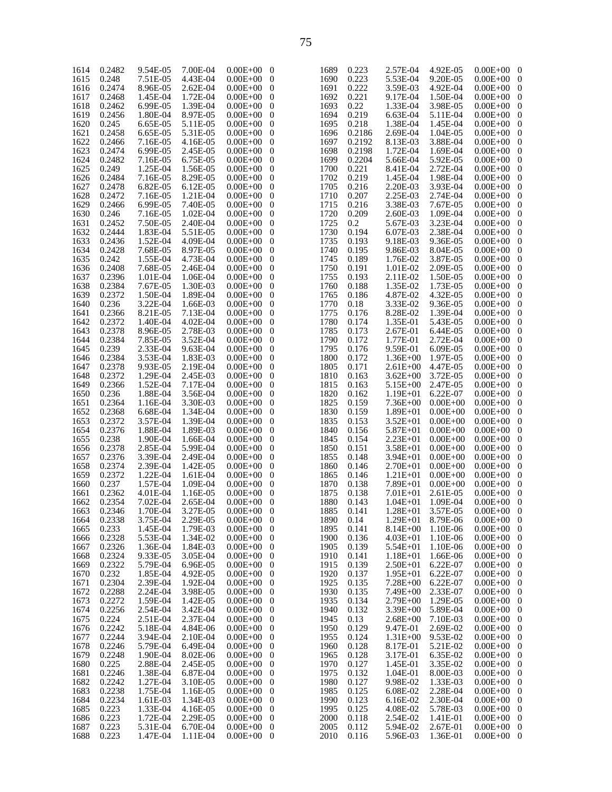| 1614 | 0.2482 | 9.54E-05 | 7.00E-04 | $0.00E + 00$ | $\boldsymbol{0}$ | 1689 | 0.223  | 2.57E-04     | 4.92E-05     | $0.00E + 00$       | $\bf{0}$         |
|------|--------|----------|----------|--------------|------------------|------|--------|--------------|--------------|--------------------|------------------|
| 1615 | 0.248  | 7.51E-05 | 4.43E-04 | $0.00E + 00$ | $\mathbf{0}$     | 1690 | 0.223  | 5.53E-04     | 9.20E-05     | $0.00E + 00$       | $\boldsymbol{0}$ |
| 1616 | 0.2474 | 8.96E-05 | 2.62E-04 | $0.00E + 00$ | $\mathbf{0}$     | 1691 | 0.222  | 3.59E-03     | 4.92E-04     | $0.00E + 00$       | $\boldsymbol{0}$ |
|      |        |          |          |              |                  |      |        |              |              |                    |                  |
| 1617 | 0.2468 | 1.45E-04 | 1.72E-04 | $0.00E + 00$ | $\mathbf{0}$     | 1692 | 0.221  | 9.17E-04     | 1.50E-04     | $0.00E + 00$       | $\boldsymbol{0}$ |
| 1618 | 0.2462 | 6.99E-05 | 1.39E-04 | $0.00E + 00$ | $\mathbf{0}$     | 1693 | 0.22   | 1.33E-04     | 3.98E-05     | $0.00E + 00$       | $\boldsymbol{0}$ |
|      |        |          |          |              |                  |      |        |              |              |                    |                  |
| 1619 | 0.2456 | 1.80E-04 | 8.97E-05 | $0.00E + 00$ | $\mathbf{0}$     | 1694 | 0.219  | 6.63E-04     | 5.11E-04     | $0.00E + 00$       | $\mathbf{0}$     |
| 1620 | 0.245  | 6.65E-05 | 5.11E-05 | $0.00E + 00$ | $\mathbf{0}$     | 1695 | 0.218  | 1.38E-04     | 1.45E-04     | $0.00E + 00$       | $\boldsymbol{0}$ |
|      | 0.2458 |          | 5.31E-05 | $0.00E + 00$ | $\mathbf{0}$     |      |        | 2.69E-04     |              |                    | $\mathbf{0}$     |
| 1621 |        | 6.65E-05 |          |              |                  | 1696 | 0.2186 |              | 1.04E-05     | $0.00E + 00$       |                  |
| 1622 | 0.2466 | 7.16E-05 | 4.16E-05 | $0.00E + 00$ | $\mathbf 0$      | 1697 | 0.2192 | 8.13E-03     | 3.88E-04     | $0.00E + 00$       | $\boldsymbol{0}$ |
| 1623 | 0.2474 | 6.99E-05 | 2.45E-05 | $0.00E + 00$ | $\boldsymbol{0}$ | 1698 | 0.2198 | 1.72E-04     | 1.69E-04     | $0.00E + 00$       | $\mathbf{0}$     |
|      |        |          |          |              |                  |      |        |              |              |                    |                  |
| 1624 | 0.2482 | 7.16E-05 | 6.75E-05 | $0.00E + 00$ | $\mathbf 0$      | 1699 | 0.2204 | 5.66E-04     | 5.92E-05     | $0.00E + 00$       | $\boldsymbol{0}$ |
| 1625 | 0.249  | 1.25E-04 | 1.56E-05 | $0.00E + 00$ | $\boldsymbol{0}$ | 1700 | 0.221  | 8.41E-04     | 2.72E-04     | $0.00E + 00$       | $\mathbf{0}$     |
|      |        |          |          |              |                  |      |        |              |              |                    |                  |
| 1626 | 0.2484 | 7.16E-05 | 8.29E-05 | $0.00E + 00$ | $\mathbf 0$      | 1702 | 0.219  | 1.45E-04     | 1.98E-04     | $0.00E + 00$       | $\boldsymbol{0}$ |
| 1627 | 0.2478 | 6.82E-05 | 6.12E-05 | $0.00E + 00$ | $\boldsymbol{0}$ | 1705 | 0.216  | 2.20E-03     | 3.93E-04     | $0.00E + 00$       | $\mathbf{0}$     |
|      | 0.2472 |          |          |              |                  |      |        |              |              |                    |                  |
| 1628 |        | 7.16E-05 | 1.21E-04 | $0.00E + 00$ | $\mathbf 0$      | 1710 | 0.207  | 2.25E-03     | 2.74E-04     | $0.00E + 00$       | $\boldsymbol{0}$ |
| 1629 | 0.2466 | 6.99E-05 | 7.40E-05 | $0.00E + 00$ | $\boldsymbol{0}$ | 1715 | 0.216  | 3.38E-03     | 7.67E-05     | $0.00E + 00$       | $\mathbf{0}$     |
| 1630 | 0.246  | 7.16E-05 | 1.02E-04 | $0.00E + 00$ | $\mathbf 0$      | 1720 | 0.209  | 2.60E-03     | 1.09E-04     | $0.00E + 00$       | $\boldsymbol{0}$ |
|      |        |          |          |              |                  |      |        |              |              |                    |                  |
| 1631 | 0.2452 | 7.50E-05 | 2.40E-04 | $0.00E + 00$ | $\boldsymbol{0}$ | 1725 | 0.2    | 5.67E-03     | 3.23E-04     | $0.00E + 00$       | $\mathbf{0}$     |
| 1632 | 0.2444 | 1.83E-04 | 5.51E-05 | $0.00E + 00$ | $\mathbf 0$      | 1730 | 0.194  | 6.07E-03     | 2.38E-04     | $0.00E + 00$       | $\boldsymbol{0}$ |
|      |        |          |          |              |                  |      |        |              |              |                    |                  |
| 1633 | 0.2436 | 1.52E-04 | 4.09E-04 | $0.00E + 00$ | $\boldsymbol{0}$ | 1735 | 0.193  | 9.18E-03     | 9.36E-05     | $0.00E + 00$       | $\mathbf{0}$     |
| 1634 | 0.2428 | 7.68E-05 | 8.97E-05 | $0.00E + 00$ | $\mathbf 0$      | 1740 | 0.195  | 9.86E-03     | 8.04E-05     | $0.00E + 00$       | $\boldsymbol{0}$ |
| 1635 | 0.242  | 1.55E-04 | 4.73E-04 | $0.00E + 00$ | $\boldsymbol{0}$ | 1745 | 0.189  | 1.76E-02     | 3.87E-05     | $0.00E + 00$       | $\mathbf{0}$     |
|      |        |          |          |              |                  |      |        |              |              |                    |                  |
| 1636 | 0.2408 | 7.68E-05 | 2.46E-04 | $0.00E + 00$ | $\mathbf 0$      | 1750 | 0.191  | 1.01E-02     | 2.09E-05     | $0.00E + 00$       | $\boldsymbol{0}$ |
| 1637 | 0.2396 | 1.01E-04 | 1.06E-04 | $0.00E + 00$ | $\boldsymbol{0}$ | 1755 | 0.193  | 2.11E-02     | 1.50E-05     | $0.00E + 00$       | $\mathbf{0}$     |
|      |        |          |          |              |                  |      |        |              |              |                    |                  |
| 1638 | 0.2384 | 7.67E-05 | 1.30E-03 | $0.00E + 00$ | $\mathbf 0$      | 1760 | 0.188  | 1.35E-02     | 1.73E-05     | $0.00E + 00$       | $\boldsymbol{0}$ |
| 1639 | 0.2372 | 1.50E-04 | 1.89E-04 | $0.00E + 00$ | $\boldsymbol{0}$ | 1765 | 0.186  | 4.87E-02     | 4.32E-05     | $0.00E + 00$       | $\mathbf{0}$     |
|      | 0.236  | 3.22E-04 | 1.66E-03 |              |                  |      |        | 3.33E-02     |              | $0.00E + 00$       |                  |
| 1640 |        |          |          | $0.00E + 00$ | $\mathbf 0$      | 1770 | 0.18   |              | 9.36E-05     |                    | $\boldsymbol{0}$ |
| 1641 | 0.2366 | 8.21E-05 | 7.13E-04 | $0.00E + 00$ | $\boldsymbol{0}$ | 1775 | 0.176  | 8.28E-02     | 1.39E-04     | $0.00E + 00$       | $\mathbf{0}$     |
| 1642 | 0.2372 | 1.40E-04 | 4.02E-04 | $0.00E + 00$ | $\mathbf 0$      | 1780 | 0.174  | 1.35E-01     | 5.43E-05     | $0.00E + 00$       | $\boldsymbol{0}$ |
|      |        |          |          |              |                  |      |        |              |              |                    |                  |
| 1643 | 0.2378 | 8.96E-05 | 2.78E-03 | $0.00E + 00$ | $\boldsymbol{0}$ | 1785 | 0.173  | 2.67E-01     | 6.44E-05     | $0.00E + 00$       | $\mathbf{0}$     |
| 1644 | 0.2384 | 7.85E-05 | 3.52E-04 | $0.00E + 00$ | $\mathbf{0}$     | 1790 | 0.172  | 1.77E-01     | 2.72E-04     | $0.00E + 00$       | $\boldsymbol{0}$ |
|      |        |          |          |              |                  |      |        |              |              |                    |                  |
| 1645 | 0.239  | 2.33E-04 | 9.63E-04 | $0.00E + 00$ | $\mathbf{0}$     | 1795 | 0.176  | 9.59E-01     | 6.09E-05     | $0.00E + 00$       | $\mathbf{0}$     |
| 1646 | 0.2384 | 3.53E-04 | 1.83E-03 | $0.00E + 00$ | $\mathbf 0$      | 1800 | 0.172  | $1.36E + 00$ | 1.97E-05     | $0.00E + 00$       | $\boldsymbol{0}$ |
| 1647 | 0.2378 | 9.93E-05 | 2.19E-04 | $0.00E + 00$ | $\boldsymbol{0}$ | 1805 | 0.171  | $2.61E + 00$ | 4.47E-05     | $0.00E + 00$       | $\mathbf{0}$     |
|      |        |          |          |              |                  |      |        |              |              |                    |                  |
| 1648 | 0.2372 | 1.29E-04 | 2.45E-03 | $0.00E + 00$ | $\mathbf 0$      | 1810 | 0.163  | $3.62E + 00$ | 3.72E-05     | $0.00E + 00$       | $\boldsymbol{0}$ |
| 1649 | 0.2366 | 1.52E-04 | 7.17E-04 | $0.00E + 00$ | $\mathbf{0}$     | 1815 | 0.163  | $5.15E + 00$ | 2.47E-05     | $0.00E + 00$       | $\mathbf{0}$     |
|      | 0.236  |          | 3.56E-04 |              |                  |      |        |              | 6.22E-07     | $0.00E + 00$       |                  |
| 1650 |        | 1.88E-04 |          | $0.00E + 00$ | $\mathbf 0$      | 1820 | 0.162  | $1.19E + 01$ |              |                    | $\boldsymbol{0}$ |
| 1651 | 0.2364 | 1.16E-04 | 3.30E-03 | $0.00E + 00$ | $\boldsymbol{0}$ | 1825 | 0.159  | 7.36E+00     | $0.00E + 00$ | $0.00E + 00$       | $\mathbf{0}$     |
| 1652 | 0.2368 | 6.68E-04 | 1.34E-04 | $0.00E + 00$ | $\mathbf 0$      | 1830 | 0.159  | $1.89E + 01$ | $0.00E + 00$ | $0.00E + 00$       | $\boldsymbol{0}$ |
|      |        |          |          |              |                  |      |        |              |              |                    |                  |
| 1653 | 0.2372 | 3.57E-04 | 1.39E-04 | $0.00E + 00$ | $\mathbf{0}$     | 1835 | 0.153  | $3.52E + 01$ | $0.00E + 00$ | $0.00E + 00$       | $\mathbf{0}$     |
| 1654 | 0.2376 | 1.88E-04 | 1.89E-03 | $0.00E + 00$ | $\mathbf 0$      | 1840 | 0.156  | 5.87E+01     | $0.00E + 00$ | $0.00E + 00$       | $\boldsymbol{0}$ |
|      |        |          |          |              |                  |      |        |              |              |                    |                  |
| 1655 | 0.238  | 1.90E-04 | 1.66E-04 | $0.00E + 00$ | $\boldsymbol{0}$ | 1845 | 0.154  | $2.23E + 01$ | $0.00E + 00$ | $0.00E + 00$       | $\mathbf{0}$     |
| 1656 | 0.2378 | 2.85E-04 | 5.99E-04 | $0.00E + 00$ | $\mathbf 0$      | 1850 | 0.151  | 3.58E+01     | $0.00E + 00$ | $0.00E + 00$       | $\boldsymbol{0}$ |
| 1657 | 0.2376 | 3.39E-04 | 2.49E-04 | $0.00E + 00$ | $\mathbf{0}$     | 1855 | 0.148  | $3.94E + 01$ | $0.00E + 00$ | $0.00E + 00$       | $\mathbf{0}$     |
|      |        |          |          |              |                  |      |        |              |              |                    |                  |
| 1658 | 0.2374 | 2.39E-04 | 1.42E-05 | $0.00E + 00$ | $\mathbf 0$      | 1860 | 0.146  | 2.70E+01     | $0.00E + 00$ | $0.00E + 00$       | $\boldsymbol{0}$ |
| 1659 | 0.2372 | 1.22E-04 | 1.61E-04 | $0.00E + 00$ | $\boldsymbol{0}$ | 1865 | 0.146  | 1.21E+01     | $0.00E + 00$ | $0.00E + 00$       | $\mathbf{0}$     |
| 1660 | 0.237  | 1.57E-04 | 1.09E-04 | $0.00E + 00$ | $\mathbf{0}$     | 1870 | 0.138  | 7.89E+01     | $0.00E + 00$ | $0.00E + 00$       | $\mathbf{0}$     |
|      |        |          |          |              |                  |      |        |              |              |                    |                  |
| 1661 | 0.2362 | 4.01E-04 | 1.16E-05 | $0.00E + 00$ | $\mathbf{0}$     | 1875 | 0.138  | $7.01E + 01$ | 2.61E-05     | $0.00E + 00$       | $\mathbf{0}$     |
| 1662 | 0.2354 | 7.02E-04 | 2.65E-04 | $0.00E + 00$ | $\mathbf 0$      | 1880 | 0.143  | $1.04E + 01$ | 1.09E-04     | $0.00E + 00$ 0     |                  |
|      |        |          |          |              |                  |      |        |              |              |                    |                  |
| 1663 | 0.2346 | 1.70E-04 | 3.27E-05 | $0.00E + 00$ | $\overline{0}$   | 1885 | 0.141  | $1.28E + 01$ | 3.57E-05     | $0.00E + 00$ 0     |                  |
| 1664 | 0.2338 | 3.75E-04 | 2.29E-05 | $0.00E + 00$ | $\overline{0}$   | 1890 | 0.14   | 1.29E+01     | 8.79E-06     | $0.00E + 00$ 0     |                  |
| 1665 | 0.233  | 1.45E-04 | 1.79E-03 | $0.00E + 00$ | $\overline{0}$   | 1895 | 0.141  | $8.14E + 00$ | 1.10E-06     | $0.00E + 00$ 0     |                  |
|      |        |          |          |              |                  |      |        |              |              |                    |                  |
| 1666 | 0.2328 | 5.53E-04 | 1.34E-02 | $0.00E + 00$ | $\overline{0}$   | 1900 | 0.136  | $4.03E + 01$ | 1.10E-06     | $0.00E + 00$ 0     |                  |
| 1667 | 0.2326 | 1.36E-04 | 1.84E-03 | $0.00E + 00$ | $\overline{0}$   | 1905 | 0.139  | $5.54E + 01$ | 1.10E-06     | $0.00E + 00$ 0     |                  |
| 1668 | 0.2324 | 9.33E-05 | 3.05E-04 | $0.00E + 00$ | $\overline{0}$   | 1910 | 0.141  | $1.18E + 01$ | 1.66E-06     | $0.00E + 00$ 0     |                  |
|      |        |          |          |              |                  |      |        |              |              |                    |                  |
| 1669 | 0.2322 | 5.79E-04 | 6.96E-05 | $0.00E + 00$ | $\overline{0}$   | 1915 | 0.139  | $2.50E + 01$ | 6.22E-07     | $0.00E + 00$ 0     |                  |
| 1670 | 0.232  | 1.85E-04 | 4.92E-05 | $0.00E + 00$ | $\overline{0}$   | 1920 | 0.137  | 1.95E+01     | 6.22E-07     | $0.00E + 00$ 0     |                  |
|      |        |          |          |              |                  |      |        |              |              |                    |                  |
| 1671 | 0.2304 | 2.39E-04 | 1.92E-04 | $0.00E + 00$ | $\overline{0}$   | 1925 | 0.135  | 7.28E+00     | 6.22E-07     | $0.00E + 00$ 0     |                  |
| 1672 | 0.2288 | 2.24E-04 | 3.98E-05 | $0.00E + 00$ | $\overline{0}$   | 1930 | 0.135  | 7.49E+00     | 2.33E-07     | $0.00E + 00$ 0     |                  |
| 1673 | 0.2272 | 1.59E-04 | 1.42E-05 | $0.00E + 00$ | $\overline{0}$   | 1935 | 0.134  | 2.79E+00     | 1.29E-05     | $0.00E + 00$ 0     |                  |
|      |        |          |          |              |                  |      |        |              |              |                    |                  |
| 1674 | 0.2256 | 2.54E-04 | 3.42E-04 | $0.00E + 00$ | $\overline{0}$   | 1940 | 0.132  | 3.39E+00     | 5.89E-04     | $0.00E{+}00\quad0$ |                  |
| 1675 | 0.224  | 2.51E-04 | 2.37E-04 | $0.00E + 00$ | $\overline{0}$   | 1945 | 0.13   | $2.68E + 00$ | 7.10E-03     | $0.00E + 00$ 0     |                  |
| 1676 | 0.2242 | 5.18E-04 | 4.84E-06 | $0.00E + 00$ | $\overline{0}$   | 1950 | 0.129  | 9.47E-01     | 2.69E-02     | $0.00E + 00$ 0     |                  |
|      |        |          |          |              |                  |      |        |              |              |                    |                  |
| 1677 | 0.2244 | 3.94E-04 | 2.10E-04 | $0.00E + 00$ | $\overline{0}$   | 1955 | 0.124  | $1.31E + 00$ | 9.53E-02     | $0.00E + 00$ 0     |                  |
| 1678 | 0.2246 | 5.79E-04 | 6.49E-04 | $0.00E + 00$ | $\overline{0}$   | 1960 | 0.128  | 8.17E-01     | 5.21E-02     | $0.00E + 00$ 0     |                  |
|      |        |          |          |              |                  |      |        |              |              |                    |                  |
| 1679 | 0.2248 | 1.90E-04 | 8.02E-06 | $0.00E + 00$ | $\overline{0}$   | 1965 | 0.128  | 3.17E-01     | 6.35E-02     | $0.00E + 00$ 0     |                  |
| 1680 | 0.225  | 2.88E-04 | 2.45E-05 | $0.00E + 00$ | $\overline{0}$   | 1970 | 0.127  | 1.45E-01     | 3.35E-02     | $0.00E + 00$ 0     |                  |
| 1681 | 0.2246 | 1.38E-04 | 6.87E-04 | $0.00E + 00$ | $\overline{0}$   | 1975 | 0.132  | 1.04E-01     | 8.00E-03     | $0.00E + 00$ 0     |                  |
|      |        |          |          |              |                  |      |        |              |              |                    |                  |
| 1682 | 0.2242 | 1.27E-04 | 3.10E-05 | $0.00E + 00$ | $\overline{0}$   | 1980 | 0.127  | 9.98E-02     | 1.33E-03     | $0.00E + 00$ 0     |                  |
| 1683 | 0.2238 | 1.75E-04 | 1.16E-05 | $0.00E + 00$ | $\overline{0}$   | 1985 | 0.125  | 6.08E-02     | 2.28E-04     | $0.00E + 00$ 0     |                  |
|      |        |          |          |              |                  | 1990 |        |              | 2.30E-04     |                    |                  |
| 1684 | 0.2234 | 1.61E-03 | 1.34E-03 | $0.00E + 00$ | $\overline{0}$   |      | 0.123  | 6.16E-02     |              | $0.00E + 00$ 0     |                  |
| 1685 | 0.223  | 1.33E-04 | 4.16E-05 | $0.00E + 00$ | $\overline{0}$   | 1995 | 0.125  | 4.08E-02     | 5.78E-03     | $0.00E + 00$ 0     |                  |
| 1686 | 0.223  | 1.72E-04 | 2.29E-05 | $0.00E + 00$ | $\overline{0}$   | 2000 | 0.118  | 2.54E-02     | 1.41E-01     | $0.00E + 00$ 0     |                  |
|      |        |          |          |              |                  |      |        |              |              |                    |                  |
| 1687 | 0.223  | 5.31E-04 | 6.70E-04 | $0.00E + 00$ | $\overline{0}$   | 2005 | 0.112  | 5.94E-02     | 2.67E-01     | $0.00E + 00$ 0     |                  |
| 1688 | 0.223  | 1.47E-04 | 1.11E-04 | $0.00E + 00$ | $\overline{0}$   | 2010 | 0.116  | 5.96E-03     | 1.36E-01     | $0.00E + 00$ 0     |                  |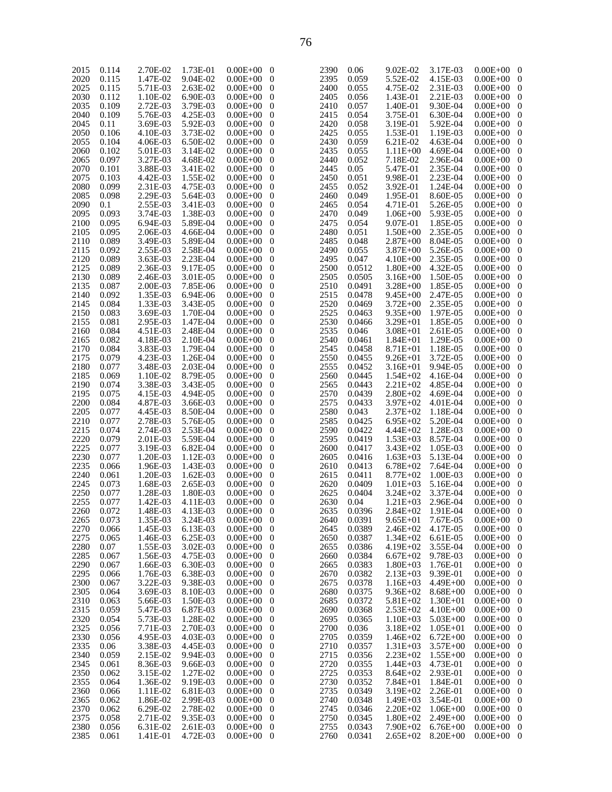| 2015 | 0.114 | 2.70E-02 | 1.73E-01 | $0.00E + 00$   | $\theta$         | 2390 | 0.06   | 9.02E-02     | 3.17E-03     | $0.00E + 00$   | - 0                      |
|------|-------|----------|----------|----------------|------------------|------|--------|--------------|--------------|----------------|--------------------------|
| 2020 | 0.115 | 1.47E-02 | 9.04E-02 | $0.00E + 00$   | $\mathbf{0}$     | 2395 | 0.059  | 5.52E-02     | 4.15E-03     | $0.00E + 00$   | $\bf{0}$                 |
| 2025 | 0.115 | 5.71E-03 | 2.63E-02 | $0.00E + 00$   | $\mathbf 0$      | 2400 | 0.055  | 4.75E-02     | 2.31E-03     | $0.00E + 00$   | $\overline{\phantom{0}}$ |
| 2030 | 0.112 | 1.10E-02 | 6.90E-03 | $0.00E + 00$   | $\theta$         | 2405 | 0.056  | 1.43E-01     | 2.21E-03     | $0.00E + 00$   | $\bf{0}$                 |
| 2035 | 0.109 | 2.72E-03 | 3.79E-03 | $0.00E + 00$   | $\theta$         | 2410 | 0.057  | 1.40E-01     | 9.30E-04     | $0.00E + 00$   | $\bf{0}$                 |
| 2040 | 0.109 | 5.76E-03 | 4.25E-03 | $0.00E + 00$   | $\theta$         | 2415 | 0.054  | 3.75E-01     | 6.30E-04     | $0.00E + 00$   | $\bf{0}$                 |
| 2045 | 0.11  | 3.69E-03 | 5.92E-03 | $0.00E + 00$   | $\theta$         | 2420 | 0.058  | 3.19E-01     | 5.92E-04     | $0.00E + 00$   | $\bf{0}$                 |
|      |       |          |          |                |                  |      |        |              |              |                |                          |
| 2050 | 0.106 | 4.10E-03 | 3.73E-02 | $0.00E + 00$   | $\theta$         | 2425 | 0.055  | 1.53E-01     | 1.19E-03     | $0.00E + 00$   | $\bf{0}$                 |
| 2055 | 0.104 | 4.06E-03 | 6.50E-02 | $0.00E + 00$   | $\theta$         | 2430 | 0.059  | 6.21E-02     | 4.63E-04     | $0.00E + 00$   | $\bf{0}$                 |
| 2060 | 0.102 | 5.01E-03 | 3.14E-02 | $0.00E + 00$   | $\theta$         | 2435 | 0.055  | $1.11E + 00$ | 4.69E-04     | $0.00E + 00$   | $\bf{0}$                 |
| 2065 | 0.097 | 3.27E-03 | 4.68E-02 | $0.00E + 00$   | $\theta$         | 2440 | 0.052  | 7.18E-02     | 2.96E-04     | $0.00E + 00$   | $\bf{0}$                 |
| 2070 | 0.101 | 3.88E-03 | 3.41E-02 | $0.00E + 00$   | $\theta$         | 2445 | 0.05   | 5.47E-01     | 2.35E-04     | $0.00E + 00$   | $\bf{0}$                 |
| 2075 | 0.103 | 4.42E-03 | 1.55E-02 | $0.00E + 00$   | $\theta$         | 2450 | 0.051  | 9.98E-01     | 2.23E-04     | $0.00E + 00$   | $\bf{0}$                 |
| 2080 | 0.099 | 2.31E-03 | 4.75E-03 | $0.00E + 00$   | $\theta$         | 2455 | 0.052  | 3.92E-01     | 1.24E-04     | $0.00E + 00$   | $\bf{0}$                 |
|      | 0.098 | 2.29E-03 | 5.64E-03 | $0.00E + 00$   | $\theta$         | 2460 | 0.049  | 1.95E-01     | 8.60E-05     | $0.00E + 00$   | $\bf{0}$                 |
| 2085 |       |          |          |                |                  |      |        |              |              |                |                          |
| 2090 | 0.1   | 2.55E-03 | 3.41E-03 | $0.00E + 00$   | $\theta$         | 2465 | 0.054  | 4.71E-01     | 5.26E-05     | $0.00E + 00$   | $\bf{0}$                 |
| 2095 | 0.093 | 3.74E-03 | 1.38E-03 | $0.00E + 00$   | $\theta$         | 2470 | 0.049  | $1.06E + 00$ | 5.93E-05     | $0.00E + 00$   | $\bf{0}$                 |
| 2100 | 0.095 | 6.94E-03 | 5.89E-04 | $0.00E + 00$   | $\theta$         | 2475 | 0.054  | 9.07E-01     | 1.85E-05     | $0.00E + 00$   | $\bf{0}$                 |
| 2105 | 0.095 | 2.06E-03 | 4.66E-04 | $0.00E + 00$   | $\theta$         | 2480 | 0.051  | $1.50E + 00$ | 2.35E-05     | $0.00E + 00$   | $\bf{0}$                 |
| 2110 | 0.089 | 3.49E-03 | 5.89E-04 | $0.00E + 00$   | $\theta$         | 2485 | 0.048  | $2.87E + 00$ | 8.04E-05     | $0.00E + 00$   | $\bf{0}$                 |
| 2115 | 0.092 | 2.55E-03 | 2.58E-04 | $0.00E + 00$   | $\theta$         | 2490 | 0.055  | $3.87E + 00$ | 5.26E-05     | $0.00E + 00$   | $\bf{0}$                 |
| 2120 | 0.089 | 3.63E-03 | 2.23E-04 | $0.00E + 00$   | $\overline{0}$   | 2495 | 0.047  | $4.10E + 00$ | 2.35E-05     | $0.00E + 00$   | $\bf{0}$                 |
| 2125 | 0.089 | 2.36E-03 | 9.17E-05 | $0.00E + 00$   | $\theta$         | 2500 | 0.0512 | $1.80E + 00$ | 4.32E-05     | $0.00E + 00$   | $\bf{0}$                 |
|      |       |          |          |                |                  |      |        |              |              |                |                          |
| 2130 | 0.089 | 2.46E-03 | 3.01E-05 | $0.00E + 00$   | $\theta$         | 2505 | 0.0505 | $3.16E + 00$ | 1.50E-05     | $0.00E + 00$   | $\bf{0}$                 |
| 2135 | 0.087 | 2.00E-03 | 7.85E-06 | $0.00E + 00$   | $\theta$         | 2510 | 0.0491 | $3.28E + 00$ | 1.85E-05     | $0.00E + 00$   | $\bf{0}$                 |
| 2140 | 0.092 | 1.35E-03 | 6.94E-06 | $0.00E + 00$   | $\theta$         | 2515 | 0.0478 | $9.45E + 00$ | 2.47E-05     | $0.00E + 00$   | $\bf{0}$                 |
| 2145 | 0.084 | 1.33E-03 | 3.43E-05 | $0.00E + 00$   | $\theta$         | 2520 | 0.0469 | $3.72E + 00$ | 2.35E-05     | $0.00E + 00$   | $\bf{0}$                 |
| 2150 | 0.083 | 3.69E-03 | 1.70E-04 | $0.00E + 00$   | $\theta$         | 2525 | 0.0463 | $9.35E + 00$ | 1.97E-05     | $0.00E + 00$   | $\bf{0}$                 |
| 2155 | 0.081 | 2.95E-03 | 1.47E-04 | $0.00E + 00$   | $\theta$         | 2530 | 0.0466 | $3.29E + 01$ | 1.85E-05     | $0.00E + 00$   | $\bf{0}$                 |
| 2160 | 0.084 | 4.51E-03 | 2.48E-04 | $0.00E + 00$   | $\theta$         | 2535 | 0.046  | $3.08E + 01$ | 2.61E-05     | $0.00E + 00$   | $\bf{0}$                 |
| 2165 | 0.082 | 4.18E-03 | 2.10E-04 | $0.00E + 00$   | $\theta$         | 2540 | 0.0461 | $1.84E + 01$ | 1.29E-05     | $0.00E + 00$   | $\bf{0}$                 |
|      | 0.084 | 3.83E-03 | 1.79E-04 | $0.00E + 00$   | $\theta$         | 2545 | 0.0458 | $8.71E + 01$ | 1.18E-05     | $0.00E + 00$   | $\bf{0}$                 |
| 2170 |       |          |          |                |                  |      |        |              |              |                |                          |
| 2175 | 0.079 | 4.23E-03 | 1.26E-04 | $0.00E + 00$   | $\theta$         | 2550 | 0.0455 | $9.26E + 01$ | 3.72E-05     | $0.00E + 00$   | $\bf{0}$                 |
| 2180 | 0.077 | 3.48E-03 | 2.03E-04 | $0.00E + 00$   | $\theta$         | 2555 | 0.0452 | $3.16E + 01$ | 9.94E-05     | $0.00E + 00$   | $\bf{0}$                 |
| 2185 | 0.069 | 1.10E-02 | 8.79E-05 | $0.00E + 00$   | $\theta$         | 2560 | 0.0445 | $1.54E + 02$ | 4.16E-04     | $0.00E + 00$   | $\bf{0}$                 |
| 2190 | 0.074 | 3.38E-03 | 3.43E-05 | $0.00E + 00$   | $\theta$         | 2565 | 0.0443 | $2.21E + 02$ | 4.85E-04     | $0.00E + 00$   | $\bf{0}$                 |
| 2195 | 0.075 | 4.15E-03 | 4.94E-05 | $0.00E + 00$   | $\theta$         | 2570 | 0.0439 | $2.80E + 02$ | 4.69E-04     | $0.00E + 00$   | $\bf{0}$                 |
| 2200 | 0.084 | 4.87E-03 | 3.66E-03 | $0.00E + 00$   | $\theta$         | 2575 | 0.0433 | $3.97E + 02$ | 4.01E-04     | $0.00E + 00$   | $\bf{0}$                 |
| 2205 | 0.077 | 4.45E-03 | 8.50E-04 | $0.00E + 00$   | $\theta$         | 2580 | 0.043  | $2.37E + 02$ | 1.18E-04     | $0.00E + 00$   | $\bf{0}$                 |
| 2210 | 0.077 | 2.78E-03 | 5.76E-05 | $0.00E + 00$   | $\theta$         | 2585 | 0.0425 | $6.95E+02$   | 5.20E-04     | $0.00E + 00$   | $\bf{0}$                 |
|      |       |          |          |                |                  |      |        |              |              |                |                          |
| 2215 | 0.074 | 2.74E-03 | 2.53E-04 | $0.00E + 00$   | $\theta$         | 2590 | 0.0422 | $4.44E + 02$ | 1.28E-03     | $0.00E + 00$   | $\bf{0}$                 |
| 2220 | 0.079 | 2.01E-03 | 5.59E-04 | $0.00E + 00$   | $\theta$         | 2595 | 0.0419 | $1.53E+03$   | 8.57E-04     | $0.00E + 00$   | $\bf{0}$                 |
| 2225 | 0.077 | 3.19E-03 | 6.82E-04 | $0.00E + 00$   | $\theta$         | 2600 | 0.0417 | $3.43E+02$   | 1.05E-03     | $0.00E + 00$   | $\bf{0}$                 |
| 2230 | 0.077 | 1.20E-03 | 1.12E-03 | $0.00E + 00$   | $\theta$         | 2605 | 0.0416 | $1.63E + 03$ | 5.13E-04     | $0.00E + 00$   | $\bf{0}$                 |
| 2235 | 0.066 | 1.96E-03 | 1.43E-03 | $0.00E + 00$   | $\mathbf 0$      | 2610 | 0.0413 | $6.78E + 02$ | 7.64E-04     | $0.00E + 00$   | $\bf{0}$                 |
| 2240 | 0.061 | 1.20E-03 | 1.62E-03 | $0.00E + 00$   | $\theta$         | 2615 | 0.0411 | $8.77E + 02$ | 1.00E-03     | $0.00E + 00$   | $\bf{0}$                 |
| 2245 | 0.073 | 1.68E-03 | 2.65E-03 | $0.00E + 00$   | $\theta$         | 2620 | 0.0409 | $1.01E + 03$ | 5.16E-04     | $0.00E + 00$   | $\bf{0}$                 |
| 2250 | 0.077 | 1.28E-03 | 1.80E-03 | $0.00E + 00$   | $\overline{0}$   | 2625 | 0.0404 | $3.24E + 02$ | 3.37E-04     | $0.00E + 00$   | $\bf{0}$                 |
| 2255 | 0.077 | 1.42E-03 | 4.11E-03 | $0.00E + 00$   | $\theta$         | 2630 | 0.04   | $1.21E + 03$ | 2.96E-04     | $0.00E + 00$ 0 |                          |
|      |       |          |          |                |                  |      |        |              |              |                |                          |
| 2260 | 0.072 | 1.48E-03 | 4.13E-03 | $0.00E + 00$ 0 |                  | 2635 | 0.0396 | $2.84E+02$   | 1.91E-04     | $0.00E + 00$   | $\overline{0}$           |
| 2265 | 0.073 | 1.35E-03 | 3.24E-03 | $0.00E + 00$ 0 |                  | 2640 | 0.0391 | $9.65E + 01$ | 7.67E-05     | $0.00E + 00$ 0 |                          |
| 2270 | 0.066 | 1.45E-03 | 6.13E-03 | $0.00E + 00$   | $\boldsymbol{0}$ | 2645 | 0.0389 | $2.46E + 02$ | 4.17E-05     | $0.00E + 00$ 0 |                          |
| 2275 | 0.065 | 1.46E-03 | 6.25E-03 | $0.00E + 00$   | $\boldsymbol{0}$ | 2650 | 0.0387 | $1.34E + 02$ | 6.61E-05     | $0.00E + 00$ 0 |                          |
| 2280 | 0.07  | 1.55E-03 | 3.02E-03 | $0.00E + 00$   | $\boldsymbol{0}$ | 2655 | 0.0386 | $4.19E + 02$ | 3.55E-04     | $0.00E + 00$ 0 |                          |
| 2285 | 0.067 | 1.56E-03 | 4.75E-03 | $0.00E + 00$   | $\boldsymbol{0}$ | 2660 | 0.0384 | $6.67E + 02$ | 9.78E-03     | $0.00E + 00$ 0 |                          |
| 2290 | 0.067 | 1.66E-03 | 6.30E-03 | $0.00E + 00$   | $\boldsymbol{0}$ | 2665 | 0.0383 | $1.80E + 03$ | 1.76E-01     | $0.00E + 00$ 0 |                          |
| 2295 | 0.066 | 1.76E-03 | 6.38E-03 | $0.00E + 00$   | $\boldsymbol{0}$ | 2670 | 0.0382 | $2.13E+03$   | 9.39E-01     | $0.00E + 00$ 0 |                          |
| 2300 | 0.067 | 3.22E-03 | 9.38E-03 | $0.00E + 00$   | $\boldsymbol{0}$ | 2675 | 0.0378 | $1.16E + 03$ | $4.49E + 00$ | $0.00E + 00$ 0 |                          |
|      |       |          |          |                |                  | 2680 |        |              |              |                |                          |
| 2305 | 0.064 | 3.69E-03 | 8.10E-03 | $0.00E + 00$   | $\boldsymbol{0}$ |      | 0.0375 | $9.36E + 02$ | $8.68E + 00$ | $0.00E + 00$ 0 |                          |
| 2310 | 0.063 | 5.66E-03 | 1.50E-03 | $0.00E + 00$   | $\boldsymbol{0}$ | 2685 | 0.0372 | $5.81E + 02$ | $1.30E + 01$ | $0.00E + 00$ 0 |                          |
| 2315 | 0.059 | 5.47E-03 | 6.87E-03 | $0.00E + 00$   | $\boldsymbol{0}$ | 2690 | 0.0368 | $2.53E+02$   | $4.10E + 00$ | $0.00E + 00$ 0 |                          |
| 2320 | 0.054 | 5.73E-03 | 1.28E-02 | $0.00E + 00$   | $\boldsymbol{0}$ | 2695 | 0.0365 | $1.10E + 03$ | $5.03E + 00$ | $0.00E + 00$ 0 |                          |
| 2325 | 0.056 | 7.71E-03 | 2.70E-03 | $0.00E + 00$   | $\boldsymbol{0}$ | 2700 | 0.036  | $3.18E + 02$ | $1.05E + 01$ | $0.00E + 00$ 0 |                          |
| 2330 | 0.056 | 4.95E-03 | 4.03E-03 | $0.00E + 00$   | $\boldsymbol{0}$ | 2705 | 0.0359 | $1.46E+02$   | $6.72E+00$   | $0.00E + 00$ 0 |                          |
| 2335 | 0.06  | 3.38E-03 | 4.45E-03 | $0.00E + 00$   | $\boldsymbol{0}$ | 2710 | 0.0357 | $1.31E + 03$ | $3.57E + 00$ | $0.00E + 00$ 0 |                          |
| 2340 | 0.059 | 2.15E-02 | 9.94E-03 | $0.00E + 00$   | $\boldsymbol{0}$ | 2715 | 0.0356 | $2.23E+02$   | $1.55E+00$   | $0.00E + 00$ 0 |                          |
|      |       |          |          |                |                  |      |        |              |              |                |                          |
| 2345 | 0.061 | 8.36E-03 | 9.66E-03 | $0.00E + 00$   | $\boldsymbol{0}$ | 2720 | 0.0355 | $1.44E + 03$ | 4.73E-01     | $0.00E + 00$ 0 |                          |
| 2350 | 0.062 | 3.15E-02 | 1.27E-02 | $0.00E + 00$   | $\boldsymbol{0}$ | 2725 | 0.0353 | $8.64E + 02$ | 2.93E-01     | $0.00E + 00$ 0 |                          |
| 2355 | 0.064 | 1.36E-02 | 9.19E-03 | $0.00E + 00$   | $\boldsymbol{0}$ | 2730 | 0.0352 | $7.84E + 01$ | 1.84E-01     | $0.00E + 00$ 0 |                          |
| 2360 | 0.066 | 1.11E-02 | 6.81E-03 | $0.00E + 00$   | $\boldsymbol{0}$ | 2735 | 0.0349 | $3.19E + 02$ | 2.26E-01     | $0.00E + 00$ 0 |                          |
| 2365 | 0.062 | 1.86E-02 | 2.99E-03 | $0.00E + 00$   | $\boldsymbol{0}$ | 2740 | 0.0348 | $1.49E + 03$ | 3.54E-01     | $0.00E + 00$ 0 |                          |
| 2370 | 0.062 | 6.29E-02 | 2.78E-02 | $0.00E + 00$   | $\boldsymbol{0}$ | 2745 | 0.0346 | $2.20E + 02$ | $1.06E + 00$ | $0.00E + 00$ 0 |                          |
| 2375 | 0.058 | 2.71E-02 | 9.35E-03 | $0.00E + 00$   | $\boldsymbol{0}$ | 2750 | 0.0345 | $1.80E + 02$ | $2.49E + 00$ | $0.00E + 00$ 0 |                          |
| 2380 | 0.056 | 6.31E-02 | 2.61E-03 | $0.00E + 00$   | $\boldsymbol{0}$ | 2755 | 0.0343 | $7.90E + 02$ | $6.76E+00$   | $0.00E + 00$ 0 |                          |
| 2385 | 0.061 | 1.41E-01 | 4.72E-03 | $0.00E + 00$   | $\boldsymbol{0}$ | 2760 | 0.0341 | $2.65E+02$   | $8.20E + 00$ | $0.00E + 00$ 0 |                          |
|      |       |          |          |                |                  |      |        |              |              |                |                          |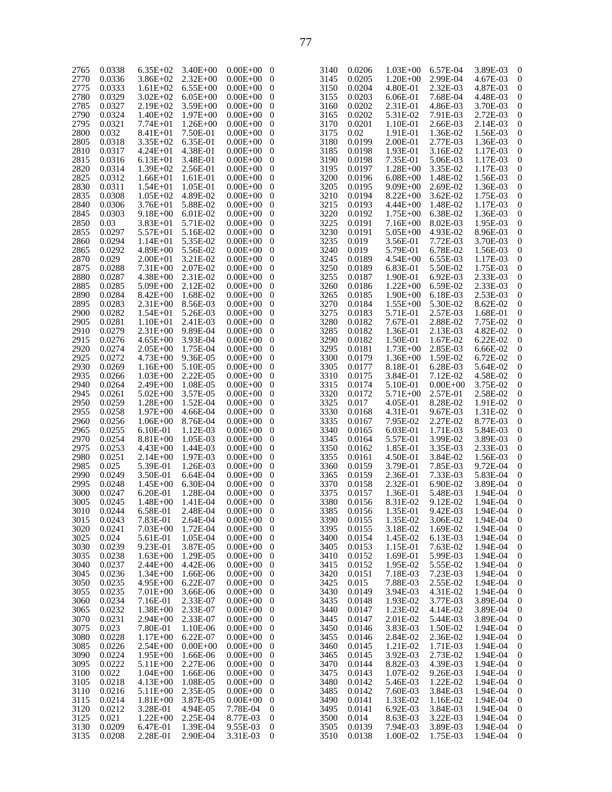| 2765 | 0.0338 | $6.35E+02$   | $3.40E + 00$ | $0.00E + 00$   | - 0              | 3140 | 0.0206 | $1.03E + 00$ | 6.57E-04     | 3.89E-03 | $\boldsymbol{0}$ |
|------|--------|--------------|--------------|----------------|------------------|------|--------|--------------|--------------|----------|------------------|
| 2770 | 0.0336 | $3.86E + 02$ | $2.32E + 00$ | $0.00E + 00$   | $\overline{0}$   | 3145 | 0.0205 | $1.20E + 00$ | 2.99E-04     | 4.67E-03 | $\boldsymbol{0}$ |
| 2775 | 0.0333 | $1.61E + 02$ | $6.55E+00$   | $0.00E + 00$   | $\mathbf{0}$     | 3150 | 0.0204 | 4.80E-01     | 2.32E-03     | 4.87E-03 | $\mathbf{0}$     |
|      |        |              |              |                |                  |      |        |              |              |          |                  |
| 2780 | 0.0329 | $3.02E + 02$ | $6.05E + 00$ | $0.00E + 00$   | $\boldsymbol{0}$ | 3155 | 0.0203 | 6.06E-01     | 7.68E-04     | 4.48E-03 | 0                |
| 2785 | 0.0327 | $2.19E + 02$ | $3.59E + 00$ | $0.00E + 00$   | $\mathbf{0}$     | 3160 | 0.0202 | 2.31E-01     | 4.86E-03     | 3.70E-03 | $\boldsymbol{0}$ |
|      |        |              |              |                |                  |      |        |              |              |          |                  |
| 2790 | 0.0324 | $1.40E + 02$ | $1.97E + 00$ | $0.00E + 00$   | $\boldsymbol{0}$ | 3165 | 0.0202 | 5.31E-02     | 7.91E-03     | 2.72E-03 | 0                |
| 2795 | 0.0321 | $7.74E + 01$ | $1.26E + 00$ | $0.00E + 00$   | $\overline{0}$   | 3170 | 0.0201 | 1.10E-01     | 2.66E-03     | 2.14E-03 | $\boldsymbol{0}$ |
|      |        |              |              |                |                  |      |        |              |              |          |                  |
| 2800 | 0.032  | $8.41E + 01$ | 7.50E-01     | $0.00E + 00$   | $\boldsymbol{0}$ | 3175 | 0.02   | 1.91E-01     | 1.36E-02     | 1.56E-03 | 0                |
| 2805 | 0.0318 | $3.35E+02$   | 6.35E-01     | $0.00E + 00$   | $\mathbf{0}$     | 3180 | 0.0199 | 2.00E-01     | 2.77E-03     | 1.36E-03 | $\boldsymbol{0}$ |
|      |        |              |              |                |                  |      |        |              |              |          |                  |
| 2810 | 0.0317 | $4.24E + 01$ | 4.38E-01     | $0.00E + 00$   | $\boldsymbol{0}$ | 3185 | 0.0198 | 1.93E-01     | 3.16E-02     | 1.17E-03 | 0                |
| 2815 | 0.0316 | $6.13E + 01$ | 3.48E-01     | $0.00E + 00$   | $\overline{0}$   | 3190 | 0.0198 | 7.35E-01     | 5.06E-03     | 1.17E-03 | $\mathbf{0}$     |
| 2820 | 0.0314 | $1.39E + 02$ | 2.56E-01     | $0.00E + 00$   | $\overline{0}$   | 3195 | 0.0197 | $1.28E + 00$ | 3.35E-02     | 1.17E-03 | 0                |
|      |        |              |              |                |                  |      |        |              |              |          |                  |
| 2825 | 0.0312 | $1.66E + 01$ | 1.61E-01     | $0.00E + 00$   | $\mathbf{0}$     | 3200 | 0.0196 | $6.08E + 00$ | 1.48E-02     | 1.56E-03 | $\boldsymbol{0}$ |
| 2830 | 0.0311 | $1.54E + 01$ | 1.05E-01     | $0.00E + 00$   | $\boldsymbol{0}$ | 3205 | 0.0195 | $9.09E + 00$ | 2.69E-02     | 1.36E-03 | 0                |
|      |        |              |              |                |                  |      |        |              |              |          |                  |
| 2835 | 0.0308 | $1.05E + 02$ | 4.89E-02     | $0.00E + 00$   | $\overline{0}$   | 3210 | 0.0194 | $8.22E + 00$ | 3.62E-02     | 1.75E-03 | $\boldsymbol{0}$ |
| 2840 | 0.0306 | $3.76E + 01$ | 5.88E-02     | $0.00E + 00$   | $\boldsymbol{0}$ | 3215 | 0.0193 | $4.44E + 00$ | 1.48E-02     | 1.17E-03 | 0                |
| 2845 | 0.0303 | $9.18E + 00$ | $6.01E-02$   | $0.00E + 00$   | $\mathbf{0}$     | 3220 | 0.0192 | $1.75E + 00$ | 6.38E-02     | 1.36E-03 | $\boldsymbol{0}$ |
|      |        |              |              |                |                  |      |        |              |              |          |                  |
| 2850 | 0.03   | $3.83E + 01$ | 5.71E-02     | $0.00E + 00$   | $\boldsymbol{0}$ | 3225 | 0.0191 | $7.16E + 00$ | 8.02E-03     | 1.95E-03 | 0                |
| 2855 | 0.0297 | $5.57E + 01$ | 5.16E-02     | $0.00E + 00$   | $\overline{0}$   | 3230 | 0.0191 | $5.05E + 00$ | 4.93E-02     | 8.96E-03 | $\boldsymbol{0}$ |
|      |        |              |              |                |                  |      |        |              |              |          |                  |
| 2860 | 0.0294 | $1.14E + 01$ | 5.35E-02     | $0.00E + 00$   | $\boldsymbol{0}$ | 3235 | 0.019  | 3.56E-01     | 7.72E-03     | 3.70E-03 | 0                |
| 2865 | 0.0292 | $4.89E + 00$ | 5.56E-02     | $0.00E + 00$   | $\mathbf{0}$     | 3240 | 0.019  | 5.79E-01     | 6.78E-02     | 1.56E-03 | $\boldsymbol{0}$ |
|      |        |              |              |                |                  | 3245 |        |              |              |          |                  |
| 2870 | 0.029  | $2.00E + 01$ | 3.21E-02     | $0.00E + 00$   | $\boldsymbol{0}$ |      | 0.0189 | $4.54E + 00$ | 6.55E-03     | 1.17E-03 | 0                |
| 2875 | 0.0288 | $7.31E + 00$ | 2.07E-02     | $0.00E + 00$   | $\overline{0}$   | 3250 | 0.0189 | 6.83E-01     | 5.50E-02     | 1.75E-03 | $\boldsymbol{0}$ |
| 2880 | 0.0287 | $4.38E + 00$ | 2.31E-02     | $0.00E + 00$   | $\boldsymbol{0}$ | 3255 | 0.0187 | 1.90E-01     | 6.92E-03     | 2.33E-03 | 0                |
|      |        |              |              |                |                  |      |        |              |              |          |                  |
| 2885 | 0.0285 | $5.09E + 00$ | 2.12E-02     | $0.00E + 00$   | $\mathbf{0}$     | 3260 | 0.0186 | $1.22E + 00$ | 6.59E-02     | 2.33E-03 | $\boldsymbol{0}$ |
| 2890 | 0.0284 | $8.42E + 00$ | 1.68E-02     | $0.00E + 00$   | $\boldsymbol{0}$ | 3265 | 0.0185 | $1.90E + 00$ | 6.18E-03     | 2.53E-03 | 0                |
|      |        |              |              |                |                  |      |        |              |              |          |                  |
| 2895 | 0.0283 | $2.31E + 00$ | 8.56E-03     | $0.00E + 00$   | $\overline{0}$   | 3270 | 0.0184 | $1.55E+00$   | 5.30E-02     | 8.62E-02 | $\boldsymbol{0}$ |
| 2900 | 0.0282 | $1.54E + 01$ | 5.26E-03     | $0.00E + 00$   | $\boldsymbol{0}$ | 3275 | 0.0183 | 5.71E-01     | 2.57E-03     | 1.68E-01 | 0                |
| 2905 | 0.0281 | $1.10E + 01$ | 2.41E-03     | $0.00E + 00$   | $\mathbf{0}$     | 3280 | 0.0182 | 7.67E-01     | 2.88E-02     | 7.75E-02 | $\boldsymbol{0}$ |
|      |        |              |              |                |                  |      |        |              |              |          |                  |
| 2910 | 0.0279 | $2.31E + 00$ | 9.89E-04     | $0.00E + 00$   | $\boldsymbol{0}$ | 3285 | 0.0182 | 1.36E-01     | 2.13E-03     | 4.82E-02 | $\boldsymbol{0}$ |
| 2915 | 0.0276 | $4.65E + 00$ | 3.93E-04     | $0.00E + 00$   | $\overline{0}$   | 3290 | 0.0182 | 1.50E-01     | 1.67E-02     | 6.22E-02 | $\boldsymbol{0}$ |
|      |        |              |              |                |                  |      |        |              |              |          |                  |
| 2920 | 0.0274 | $2.05E + 00$ | 1.75E-04     | $0.00E + 00$   | $\overline{0}$   | 3295 | 0.0181 | $1.73E + 00$ | 2.85E-03     | 6.66E-02 | 0                |
| 2925 | 0.0272 | $4.73E + 00$ | 9.36E-05     | $0.00E + 00$   | $\mathbf{0}$     | 3300 | 0.0179 | $1.36E + 00$ | 1.59E-02     | 6.72E-02 | $\mathbf{0}$     |
| 2930 | 0.0269 | $1.16E + 00$ | 5.10E-05     | $0.00E + 00$   | $\boldsymbol{0}$ | 3305 | 0.0177 | 8.18E-01     | 6.28E-03     | 5.64E-02 | 0                |
|      |        |              |              |                |                  |      |        |              |              |          |                  |
| 2935 | 0.0266 | $1.03E + 00$ | 2.22E-05     | $0.00E + 00$   | $\overline{0}$   | 3310 | 0.0175 | 3.84E-01     | 7.12E-02     | 4.58E-02 | $\boldsymbol{0}$ |
| 2940 | 0.0264 | $2.49E + 00$ | 1.08E-05     | $0.00E + 00$   | $\boldsymbol{0}$ | 3315 | 0.0174 | 5.10E-01     | $0.00E + 00$ | 3.75E-02 | 0                |
|      |        |              |              |                |                  |      |        |              |              |          |                  |
| 2945 | 0.0261 | $5.02E + 00$ | 3.57E-05     | $0.00E + 00$   | $\mathbf{0}$     | 3320 | 0.0172 | 5.71E+00     | 2.57E-01     | 2.58E-02 | $\boldsymbol{0}$ |
| 2950 | 0.0259 | $1.28E + 00$ | 1.52E-04     | $0.00E + 00$   | $\boldsymbol{0}$ | 3325 | 0.017  | 4.05E-01     | 8.28E-02     | 1.91E-02 | $\boldsymbol{0}$ |
|      |        |              |              |                |                  | 3330 |        |              |              |          | $\boldsymbol{0}$ |
| 2955 | 0.0258 | $1.97E + 00$ | 4.66E-04     | $0.00E + 00$   | $\overline{0}$   |      | 0.0168 | 4.31E-01     | 9.67E-03     | 1.31E-02 |                  |
| 2960 | 0.0256 | $1.06E + 00$ | 8.76E-04     | $0.00E + 00$   | $\overline{0}$   | 3335 | 0.0167 | 7.95E-02     | 2.27E-02     | 8.77E-03 | 0                |
| 2965 | 0.0255 | 6.10E-01     | 1.12E-03     | $0.00E + 00$   | $\mathbf{0}$     | 3340 | 0.0165 | 6.03E-01     | 1.71E-03     | 5.84E-03 | $\boldsymbol{0}$ |
|      |        |              |              |                |                  |      |        |              |              |          |                  |
| 2970 | 0.0254 | $8.81E + 00$ | 1.05E-03     | $0.00E + 00$   | $\boldsymbol{0}$ | 3345 | 0.0164 | 5.57E-01     | 3.99E-02     | 3.89E-03 | 0                |
| 2975 | 0.0253 | $4.43E + 00$ | 1.44E-03     | $0.00E + 00$   | $\overline{0}$   | 3350 | 0.0162 | 1.85E-01     | 3.35E-03     | 2.33E-03 | $\boldsymbol{0}$ |
|      |        |              |              |                |                  |      |        |              |              |          |                  |
| 2980 | 0.0251 | $2.14E + 00$ | 1.97E-03     | $0.00E + 00$   | $\boldsymbol{0}$ | 3355 | 0.0161 | 4.50E-01     | 3.84E-02     | 1.56E-03 | 0                |
| 2985 | 0.025  | 5.39E-01     | 1.26E-03     | $0.00E + 00$   | $\mathbf{0}$     | 3360 | 0.0159 | 3.79E-01     | 7.85E-03     | 9.72E-04 | $\boldsymbol{0}$ |
| 2990 | 0.0249 | 3.50E-01     | 6.64E-04     | $0.00E + 00$   | $\boldsymbol{0}$ | 3365 | 0.0159 | 2.36E-01     | 7.33E-03     | 5.83E-04 | 0                |
|      |        |              |              |                |                  |      |        |              |              |          |                  |
| 2995 | 0.0248 | $1.45E + 00$ | 6.30E-04     | $0.00E + 00$   | $\mathbf{0}$     | 3370 | 0.0158 | 2.32E-01     | 6.90E-02     | 3.89E-04 | $\boldsymbol{0}$ |
| 3000 | 0.0247 | 6.20E-01     | 1.28E-04     | $0.00E + 00$   | $\boldsymbol{0}$ | 3375 | 0.0157 | 1.36E-01     | 5.48E-03     | 1.94E-04 | 0                |
|      |        |              |              |                |                  |      |        |              |              |          |                  |
| 3005 | 0.0245 | $1.48E + 00$ | 1.41E-04     | $0.00E + 00$   | - 0              | 3380 | 0.0156 | 8.31E-02     | 9.12E-02     | 1.94E-04 | $\boldsymbol{0}$ |
| 3010 | 0.0244 | 6.58E-01     | 2.48E-04     | $0.00E + 00$   | - 0              | 3385 | 0.0156 | 1.35E-01     | 9.42E-03     | 1.94E-04 | $\boldsymbol{0}$ |
| 3015 | 0.0243 | 7.83E-01     | 2.64E-04     | $0.00E + 00$   | $\overline{0}$   | 3390 | 0.0155 | 1.35E-02     | 3.06E-02     | 1.94E-04 | $\mathbf{0}$     |
|      |        |              |              |                |                  |      |        |              |              |          |                  |
| 3020 | 0.0241 | $7.03E + 00$ | 1.72E-04     | $0.00E + 00$ 0 |                  | 3395 | 0.0155 | 3.18E-02     | 1.69E-02     | 1.94E-04 | $\boldsymbol{0}$ |
| 3025 | 0.024  | 5.61E-01     | 1.05E-04     | $0.00E + 00$   | $\overline{0}$   | 3400 | 0.0154 | 1.45E-02     | 6.13E-03     | 1.94E-04 | $\boldsymbol{0}$ |
| 3030 | 0.0239 | 9.23E-01     | 3.87E-05     | $0.00E + 00$ 0 |                  | 3405 | 0.0153 | 1.15E-01     | 7.63E-02     | 1.94E-04 | 0                |
|      |        |              |              |                |                  |      |        |              |              |          |                  |
| 3035 | 0.0238 | $1.63E + 00$ | 1.29E-05     | $0.00E + 00$   | $\overline{0}$   | 3410 | 0.0152 | 1.69E-01     | 5.99E-03     | 1.94E-04 | $\boldsymbol{0}$ |
| 3040 | 0.0237 | $2.44E + 00$ | 4.42E-06     | $0.00E + 00$ 0 |                  | 3415 | 0.0152 | 1.95E-02     | 5.55E-02     | 1.94E-04 | $\boldsymbol{0}$ |
|      |        |              |              |                |                  |      |        |              |              |          |                  |
| 3045 | 0.0236 | $1.34E + 00$ | 1.66E-06     | $0.00E + 00$   | $\overline{0}$   | 3420 | 0.0151 | 7.18E-03     | 7.23E-03     | 1.94E-04 | $\boldsymbol{0}$ |
| 3050 | 0.0235 | $4.95E + 00$ | 6.22E-07     | $0.00E + 00$ 0 |                  | 3425 | 0.015  | 7.88E-03     | 2.55E-02     | 1.94E-04 | $\boldsymbol{0}$ |
| 3055 | 0.0235 | $7.01E + 00$ | 3.66E-06     | $0.00E + 00$   |                  | 3430 | 0.0149 | 3.94E-03     | 4.31E-02     | 1.94E-04 | $\boldsymbol{0}$ |
|      |        |              |              |                | $\overline{0}$   |      |        |              |              |          |                  |
| 3060 | 0.0234 | 7.16E-01     | 2.33E-07     | $0.00E + 00$ 0 |                  | 3435 | 0.0148 | 1.93E-02     | 3.77E-03     | 3.89E-04 | 0                |
| 3065 | 0.0232 | $1.38E + 00$ | 2.33E-07     | $0.00E + 00$   | $\overline{0}$   | 3440 | 0.0147 | 1.23E-02     | 4.14E-02     | 3.89E-04 | $\boldsymbol{0}$ |
|      |        |              |              |                |                  |      |        |              |              |          |                  |
| 3070 | 0.0231 | $2.94E + 00$ | 2.33E-07     | $0.00E + 00$ 0 |                  | 3445 | 0.0147 | 2.01E-02     | 5.44E-03     | 3.89E-04 | $\boldsymbol{0}$ |
| 3075 | 0.023  | 7.80E-01     | 1.10E-06     | $0.00E + 00$   | $\overline{0}$   | 3450 | 0.0146 | 3.83E-03     | 1.50E-02     | 1.94E-04 | $\boldsymbol{0}$ |
| 3080 | 0.0228 | $1.17E + 00$ | 6.22E-07     | $0.00E + 00$ 0 |                  | 3455 | 0.0146 | 2.84E-02     | 2.36E-02     | 1.94E-04 | $\boldsymbol{0}$ |
|      |        |              |              |                |                  |      |        |              |              |          |                  |
| 3085 | 0.0226 | $2.54E + 00$ | $0.00E + 00$ | $0.00E + 00$   | $\overline{0}$   | 3460 | 0.0145 | 1.21E-02     | 1.71E-03     | 1.94E-04 | $\boldsymbol{0}$ |
| 3090 | 0.0224 | $1.95E + 00$ | 1.66E-06     | $0.00E + 00$ 0 |                  | 3465 | 0.0145 | 3.92E-03     | 2.73E-02     | 1.94E-04 | 0                |
|      |        |              |              |                |                  |      |        |              |              |          |                  |
| 3095 | 0.0222 | $5.11E + 00$ | 2.27E-06     | $0.00E + 00$   | $\overline{0}$   | 3470 | 0.0144 | 8.82E-03     | 4.39E-03     | 1.94E-04 | $\boldsymbol{0}$ |
| 3100 | 0.022  | $1.04E + 00$ | 1.66E-06     | $0.00E + 00$ 0 |                  | 3475 | 0.0143 | 1.07E-02     | 9.26E-03     | 1.94E-04 | $\boldsymbol{0}$ |
| 3105 | 0.0218 | $4.13E + 00$ | 1.08E-05     | $0.00E + 00$   | $\bf{0}$         | 3480 | 0.0142 | 5.46E-03     | 1.22E-02     | 1.94E-04 | $\boldsymbol{0}$ |
|      |        |              |              |                |                  |      |        |              |              |          |                  |
| 3110 | 0.0216 | $5.11E + 00$ | 2.35E-05     | $0.00E + 00$   | $\overline{0}$   | 3485 | 0.0142 | 7.60E-03     | 3.84E-03     | 1.94E-04 | $\boldsymbol{0}$ |
| 3115 | 0.0214 | $1.81E + 00$ | 3.87E-05     | $0.00E + 00$   | $\bf{0}$         | 3490 | 0.0141 | 1.33E-02     | 1.16E-02     | 1.94E-04 | $\boldsymbol{0}$ |
|      |        |              |              |                |                  |      |        |              |              |          |                  |
| 3120 | 0.0212 | 3.28E-01     | 4.94E-05     | 7.78E-04       | $\bf{0}$         | 3495 | 0.0141 | 6.92E-03     | 3.84E-03     | 1.94E-04 | $\boldsymbol{0}$ |
| 3125 | 0.021  | $1.22E + 00$ | 2.25E-04     | 8.77E-03       | $\bf{0}$         | 3500 | 0.014  | 8.63E-03     | 3.22E-03     | 1.94E-04 | $\boldsymbol{0}$ |
| 3130 | 0.0209 | 6.47E-01     | 1.39E-04     | 9.55E-03       | $\bf{0}$         | 3505 | 0.0139 | 7.94E-03     | 3.89E-03     | 1.94E-04 | $\boldsymbol{0}$ |
|      |        |              |              |                |                  |      |        |              |              |          |                  |
| 3135 | 0.0208 | 2.28E-01     | 2.90E-04     | 3.31E-03       | $\mathbf{0}$     | 3510 | 0.0138 | 1.00E-02     | 1.75E-03     | 1.94E-04 | $\mathbf{0}$     |
|      |        |              |              |                |                  |      |        |              |              |          |                  |